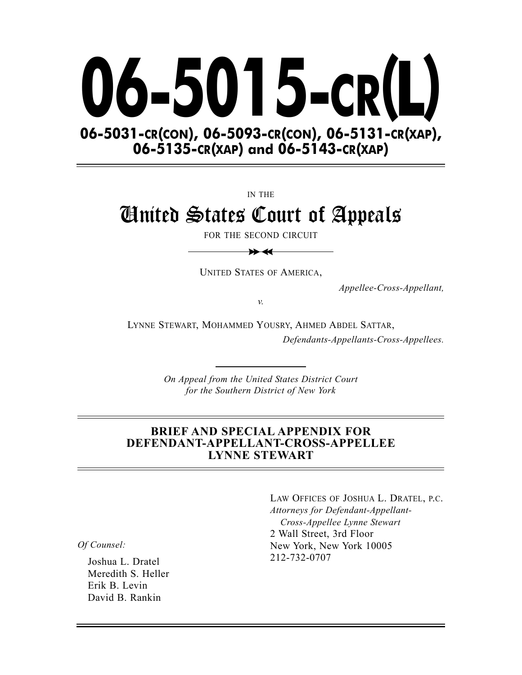

IN THE

# United States Court of Appeals

FOR THE SECOND CIRCUIT  $\bigstar$ 

UNITED STATES OF AMERICA,

*Appellee-Cross-Appellant,*

*v.*

LYNNE STEWART, MOHAMMED YOUSRY, AHMED ABDEL SATTAR, *Defendants-Appellants-Cross-Appellees.*

> *On Appeal from the United States District Court for the Southern District of New York*

#### **BRIEF AND SPECIAL APPENDIX FOR DEFENDANT-APPELLANT-CROSS-APPELLEE LYNNE STEWART**

*Of Counsel:*

Joshua L. Dratel Meredith S. Heller Erik B. Levin David B. Rankin

LAW OFFICES OF JOSHUA L. DRATEL, P.C. *Attorneys for Defendant-Appellant-Cross-Appellee Lynne Stewart* 2 Wall Street, 3rd Floor New York, New York 10005 212-732-0707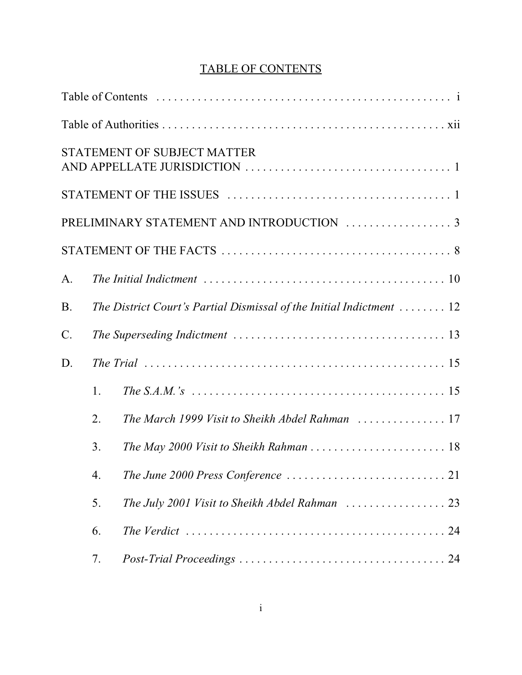# TABLE OF CONTENTS

|           |    | <b>STATEMENT OF SUBJECT MATTER</b>                                   |
|-----------|----|----------------------------------------------------------------------|
|           |    |                                                                      |
|           |    | PRELIMINARY STATEMENT AND INTRODUCTION  3                            |
|           |    |                                                                      |
| A.        |    |                                                                      |
| <b>B.</b> |    | The District Court's Partial Dismissal of the Initial Indictment  12 |
| C.        |    |                                                                      |
| D.        |    |                                                                      |
|           | 1. |                                                                      |
|           | 2. | The March 1999 Visit to Sheikh Abdel Rahman  17                      |
|           | 3. | The May 2000 Visit to Sheikh Rahman  18                              |
|           | 4. |                                                                      |
|           | 5. |                                                                      |
|           | 6. |                                                                      |
|           | 7. |                                                                      |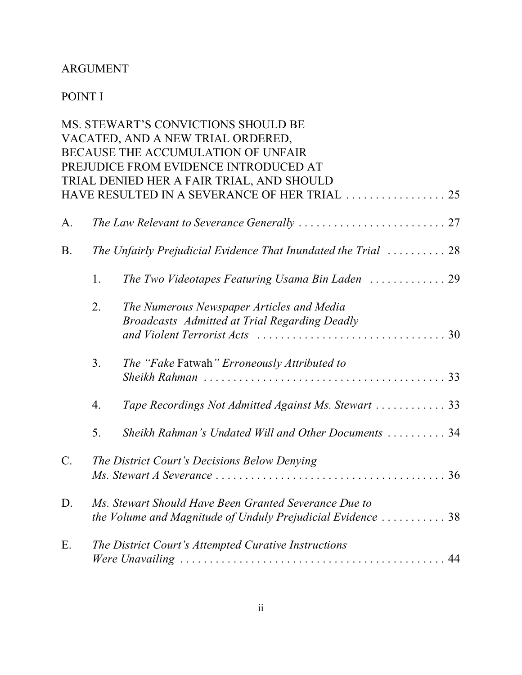## ARGUMENT

# POINT I

|           |                                                                                                                                            | MS. STEWART'S CONVICTIONS SHOULD BE                                                        |  |  |  |  |
|-----------|--------------------------------------------------------------------------------------------------------------------------------------------|--------------------------------------------------------------------------------------------|--|--|--|--|
|           |                                                                                                                                            | VACATED, AND A NEW TRIAL ORDERED,                                                          |  |  |  |  |
|           | BECAUSE THE ACCUMULATION OF UNFAIR                                                                                                         |                                                                                            |  |  |  |  |
|           | PREJUDICE FROM EVIDENCE INTRODUCED AT                                                                                                      |                                                                                            |  |  |  |  |
|           |                                                                                                                                            | TRIAL DENIED HER A FAIR TRIAL, AND SHOULD                                                  |  |  |  |  |
|           |                                                                                                                                            | HAVE RESULTED IN A SEVERANCE OF HER TRIAL  25                                              |  |  |  |  |
| A.        |                                                                                                                                            |                                                                                            |  |  |  |  |
| <b>B.</b> |                                                                                                                                            | The Unfairly Prejudicial Evidence That Inundated the Trial $\ldots \ldots \ldots 28$       |  |  |  |  |
|           | 1.                                                                                                                                         | The Two Videotapes Featuring Usama Bin Laden  29                                           |  |  |  |  |
|           | 2.                                                                                                                                         | The Numerous Newspaper Articles and Media<br>Broadcasts Admitted at Trial Regarding Deadly |  |  |  |  |
|           | 3.                                                                                                                                         | The "Fake Fatwah" Erroneously Attributed to                                                |  |  |  |  |
|           | 4.                                                                                                                                         | Tape Recordings Not Admitted Against Ms. Stewart  33                                       |  |  |  |  |
|           | 5.                                                                                                                                         | Sheikh Rahman's Undated Will and Other Documents  34                                       |  |  |  |  |
| $C$ .     | The District Court's Decisions Below Denying                                                                                               |                                                                                            |  |  |  |  |
| D.        | Ms. Stewart Should Have Been Granted Severance Due to<br>the Volume and Magnitude of Unduly Prejudicial Evidence $\ldots \ldots \ldots$ 38 |                                                                                            |  |  |  |  |
| Ε.        | The District Court's Attempted Curative Instructions                                                                                       |                                                                                            |  |  |  |  |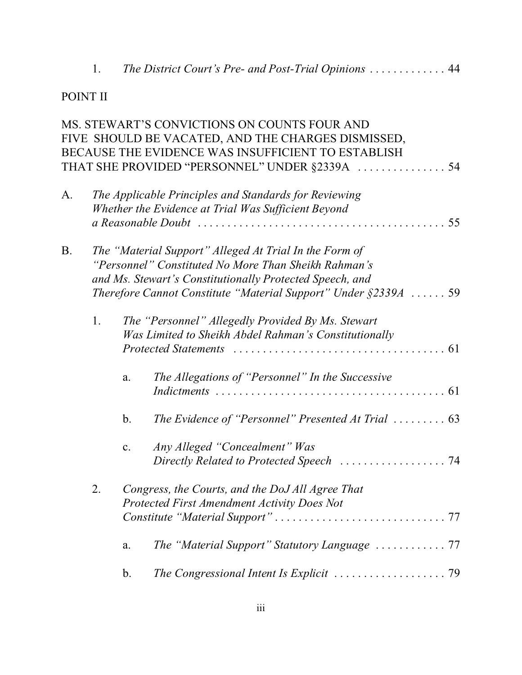1. *The District Court's Pre- and Post-Trial Opinions* ............. 44

### POINT II

|           |                                                                                                                                                                                                                                                  |                                                                                                                    | MS. STEWART'S CONVICTIONS ON COUNTS FOUR AND<br>FIVE SHOULD BE VACATED, AND THE CHARGES DISMISSED,<br>BECAUSE THE EVIDENCE WAS INSUFFICIENT TO ESTABLISH |  |  |
|-----------|--------------------------------------------------------------------------------------------------------------------------------------------------------------------------------------------------------------------------------------------------|--------------------------------------------------------------------------------------------------------------------|----------------------------------------------------------------------------------------------------------------------------------------------------------|--|--|
| A.        |                                                                                                                                                                                                                                                  | The Applicable Principles and Standards for Reviewing<br>Whether the Evidence at Trial Was Sufficient Beyond<br>55 |                                                                                                                                                          |  |  |
| <b>B.</b> | The "Material Support" Alleged At Trial In the Form of<br>"Personnel" Constituted No More Than Sheikh Rahman's<br>and Ms. Stewart's Constitutionally Protected Speech, and<br>Therefore Cannot Constitute "Material Support" Under $\S 2339A$ 59 |                                                                                                                    |                                                                                                                                                          |  |  |
|           | 1.                                                                                                                                                                                                                                               |                                                                                                                    | The "Personnel" Allegedly Provided By Ms. Stewart<br>Was Limited to Sheikh Abdel Rahman's Constitutionally                                               |  |  |
|           |                                                                                                                                                                                                                                                  | a.                                                                                                                 | The Allegations of "Personnel" In the Successive                                                                                                         |  |  |
|           |                                                                                                                                                                                                                                                  | $\mathbf b$ .                                                                                                      | The Evidence of "Personnel" Presented At Trial $\ldots \ldots \ldots$ 63                                                                                 |  |  |
|           |                                                                                                                                                                                                                                                  | c.                                                                                                                 | Any Alleged "Concealment" Was<br>Directly Related to Protected Speech  74                                                                                |  |  |
|           | 2.                                                                                                                                                                                                                                               |                                                                                                                    | Congress, the Courts, and the DoJ All Agree That<br>Protected First Amendment Activity Does Not                                                          |  |  |
|           |                                                                                                                                                                                                                                                  | a.                                                                                                                 |                                                                                                                                                          |  |  |
|           |                                                                                                                                                                                                                                                  | b.                                                                                                                 | The Congressional Intent Is Explicit $\ldots \ldots \ldots \ldots \ldots \ldots$ . 79                                                                    |  |  |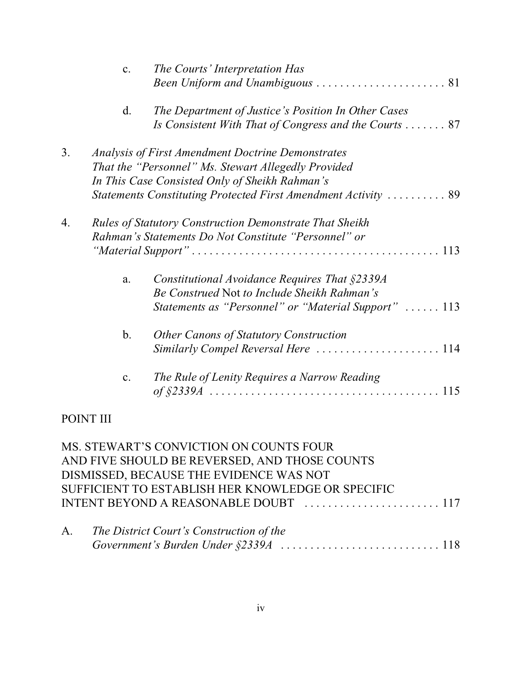|              | $\mathbf{c}$ . | The Courts' Interpretation Has                                                                                                                       |
|--------------|----------------|------------------------------------------------------------------------------------------------------------------------------------------------------|
|              | d.             | The Department of Justice's Position In Other Cases<br>Is Consistent With That of Congress and the Courts  87                                        |
| 3.           |                | <b>Analysis of First Amendment Doctrine Demonstrates</b>                                                                                             |
|              |                | That the "Personnel" Ms. Stewart Allegedly Provided                                                                                                  |
|              |                | In This Case Consisted Only of Sheikh Rahman's                                                                                                       |
|              |                | Statements Constituting Protected First Amendment Activity  89                                                                                       |
| 4.           |                | <b>Rules of Statutory Construction Demonstrate That Sheikh</b><br>Rahman's Statements Do Not Constitute "Personnel" or                               |
|              | a.             | Constitutional Avoidance Requires That §2339A<br>Be Construed Not to Include Sheikh Rahman's<br>Statements as "Personnel" or "Material Support"  113 |
|              | $\mathbf b$ .  | Other Canons of Statutory Construction<br>Similarly Compel Reversal Here  114                                                                        |
|              | c.             | The Rule of Lenity Requires a Narrow Reading                                                                                                         |
| <b>POINT</b> |                |                                                                                                                                                      |

#### MS. STEWART'S CONVICTION ON COUNTS FOUR AND FIVE SHOULD BE REVERSED, AND THOSE COUNTS DISMISSED, BECAUSE THE EVIDENCE WAS NOT SUFFICIENT TO ESTABLISH HER KNOWLEDGE OR SPECIFIC INTENT BEYOND A REASONABLE DOUBT ....................... 117

| A. | The District Court's Construction of the |  |
|----|------------------------------------------|--|
|    |                                          |  |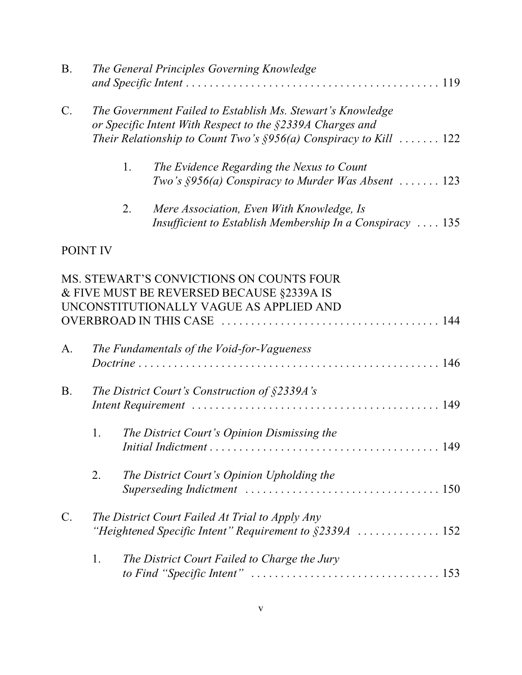| <b>B.</b> |                                                                                                                                                                                                  | The General Principles Governing Knowledge                                                                                       |  |  |  |
|-----------|--------------------------------------------------------------------------------------------------------------------------------------------------------------------------------------------------|----------------------------------------------------------------------------------------------------------------------------------|--|--|--|
| $C$ .     | The Government Failed to Establish Ms. Stewart's Knowledge<br>or Specific Intent With Respect to the §2339A Charges and<br>Their Relationship to Count Two's $\S 956(a)$ Conspiracy to Kill  122 |                                                                                                                                  |  |  |  |
|           | 1.                                                                                                                                                                                               | The Evidence Regarding the Nexus to Count<br>Two's $\S 956(a)$ Conspiracy to Murder Was Absent  123                              |  |  |  |
|           | 2.                                                                                                                                                                                               | Mere Association, Even With Knowledge, Is<br>Insufficient to Establish Membership In a Conspiracy  135                           |  |  |  |
|           | POINT IV                                                                                                                                                                                         |                                                                                                                                  |  |  |  |
|           |                                                                                                                                                                                                  | MS. STEWART'S CONVICTIONS ON COUNTS FOUR<br>& FIVE MUST BE REVERSED BECAUSE §2339A IS<br>UNCONSTITUTIONALLY VAGUE AS APPLIED AND |  |  |  |
| A.        |                                                                                                                                                                                                  | The Fundamentals of the Void-for-Vagueness                                                                                       |  |  |  |
| <b>B.</b> |                                                                                                                                                                                                  | The District Court's Construction of $\S$ 2339A's                                                                                |  |  |  |
|           | 1.                                                                                                                                                                                               | The District Court's Opinion Dismissing the                                                                                      |  |  |  |
|           | 2.                                                                                                                                                                                               | The District Court's Opinion Upholding the                                                                                       |  |  |  |
| C.        | The District Court Failed At Trial to Apply Any                                                                                                                                                  |                                                                                                                                  |  |  |  |
|           | 1.                                                                                                                                                                                               | The District Court Failed to Charge the Jury                                                                                     |  |  |  |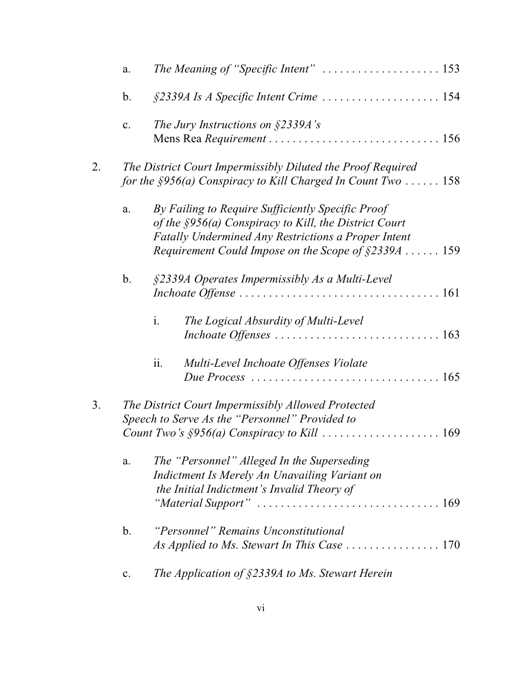| a.             | The Meaning of "Specific Intent"  153                                                                                           |
|----------------|---------------------------------------------------------------------------------------------------------------------------------|
| $\mathbf b$ .  | §2339A Is A Specific Intent Crime  154                                                                                          |
| c.             | The Jury Instructions on $\S$ 2339A's                                                                                           |
|                |                                                                                                                                 |
|                | The District Court Impermissibly Diluted the Proof Required<br>for the $\S 956(a)$ Conspiracy to Kill Charged In Count Two  158 |
| a.             | By Failing to Require Sufficiently Specific Proof<br>of the $\S 956(a)$ Conspiracy to Kill, the District Court                  |
|                | <b>Fatally Undermined Any Restrictions a Proper Intent</b><br>Requirement Could Impose on the Scope of $\S$ 2339A  159          |
| $\mathbf{b}$ . | §2339A Operates Impermissibly As a Multi-Level                                                                                  |
|                | i.<br>The Logical Absurdity of Multi-Level                                                                                      |
|                | ii.<br>Multi-Level Inchoate Offenses Violate                                                                                    |
|                | The District Court Impermissibly Allowed Protected<br>Speech to Serve As the "Personnel" Provided to                            |
|                |                                                                                                                                 |
| a.             | The "Personnel" Alleged In the Superseding<br>Indictment Is Merely An Unavailing Variant on                                     |
|                | the Initial Indictment's Invalid Theory of                                                                                      |
| b.             | "Personnel" Remains Unconstitutional                                                                                            |
|                | As Applied to Ms. Stewart In This Case  170                                                                                     |
| $\mathbf{c}$ . | The Application of $\S$ 2339A to Ms. Stewart Herein                                                                             |
|                |                                                                                                                                 |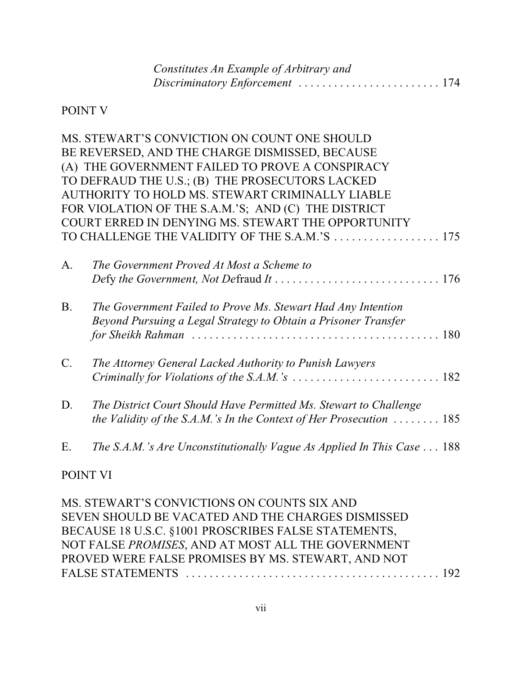| Constitutes An Example of Arbitrary and |  |
|-----------------------------------------|--|
|                                         |  |

#### POINT V

|           | MS. STEWART'S CONVICTION ON COUNT ONE SHOULD                                              |
|-----------|-------------------------------------------------------------------------------------------|
|           | BE REVERSED, AND THE CHARGE DISMISSED, BECAUSE                                            |
|           | (A) THE GOVERNMENT FAILED TO PROVE A CONSPIRACY                                           |
|           | TO DEFRAUD THE U.S.; (B) THE PROSECUTORS LACKED                                           |
|           | AUTHORITY TO HOLD MS. STEWART CRIMINALLY LIABLE                                           |
|           | FOR VIOLATION OF THE S.A.M.'S; AND (C) THE DISTRICT                                       |
|           | COURT ERRED IN DENYING MS. STEWART THE OPPORTUNITY                                        |
|           | TO CHALLENGE THE VALIDITY OF THE S.A.M.'S 175                                             |
| A.        | The Government Proved At Most a Scheme to                                                 |
|           |                                                                                           |
| <b>B.</b> | The Government Failed to Prove Ms. Stewart Had Any Intention                              |
|           | Beyond Pursuing a Legal Strategy to Obtain a Prisoner Transfer                            |
|           |                                                                                           |
| $C$ .     | The Attorney General Lacked Authority to Punish Lawyers                                   |
|           |                                                                                           |
| D.        | The District Court Should Have Permitted Ms. Stewart to Challenge                         |
|           | the Validity of the S.A.M.'s In the Context of Her Prosecution $\ldots \ldots \ldots$ 185 |
| Ε.        | The S.A.M.'s Are Unconstitutionally Vague As Applied In This Case $\dots$ 188             |
|           |                                                                                           |

#### POINT VI

MS. STEWART'S CONVICTIONS ON COUNTS SIX AND SEVEN SHOULD BE VACATED AND THE CHARGES DISMISSED BECAUSE 18 U.S.C. §1001 PROSCRIBES FALSE STATEMENTS, NOT FALSE *PROMISES*, AND AT MOST ALL THE GOVERNMENT PROVED WERE FALSE PROMISES BY MS. STEWART, AND NOT FALSE STATEMENTS .................................. ......... 192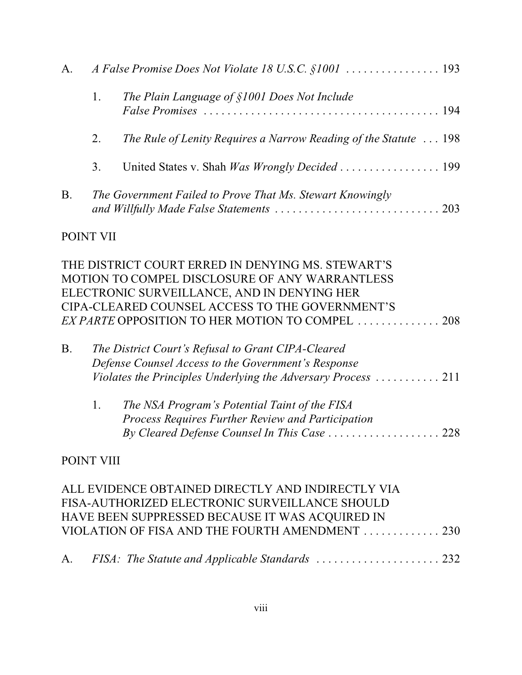| A.        |    |                                                                  |  |  |  |
|-----------|----|------------------------------------------------------------------|--|--|--|
|           | 1. | The Plain Language of §1001 Does Not Include                     |  |  |  |
|           | 2. | The Rule of Lenity Requires a Narrow Reading of the Statute  198 |  |  |  |
|           | 3. |                                                                  |  |  |  |
| <b>B.</b> |    | The Government Failed to Prove That Ms. Stewart Knowingly        |  |  |  |

#### POINT VII

|           |    | THE DISTRICT COURT ERRED IN DENYING MS. STEWART'S<br>MOTION TO COMPEL DISCLOSURE OF ANY WARRANTLESS<br>ELECTRONIC SURVEILLANCE, AND IN DENYING HER                                               |  |
|-----------|----|--------------------------------------------------------------------------------------------------------------------------------------------------------------------------------------------------|--|
|           |    | CIPA-CLEARED COUNSEL ACCESS TO THE GOVERNMENT'S                                                                                                                                                  |  |
|           |    | EX PARTE OPPOSITION TO HER MOTION TO COMPEL  208                                                                                                                                                 |  |
| <b>B.</b> |    | The District Court's Refusal to Grant CIPA-Cleared<br>Defense Counsel Access to the Government's Response<br>Violates the Principles Underlying the Adversary Process $\ldots \ldots \ldots 211$ |  |
|           | 1. | The NSA Program's Potential Taint of the FISA<br>Process Requires Further Review and Participation<br>By Cleared Defense Counsel In This Case  228                                               |  |

# POINT VIII

| ALL EVIDENCE OBTAINED DIRECTLY AND INDIRECTLY VIA                                                                                                                                                                                                                                                                                  |  |
|------------------------------------------------------------------------------------------------------------------------------------------------------------------------------------------------------------------------------------------------------------------------------------------------------------------------------------|--|
| FISA-AUTHORIZED ELECTRONIC SURVEILLANCE SHOULD                                                                                                                                                                                                                                                                                     |  |
| HAVE BEEN SUPPRESSED BECAUSE IT WAS ACQUIRED IN                                                                                                                                                                                                                                                                                    |  |
| VIOLATION OF FISA AND THE FOURTH AMENDMENT 230                                                                                                                                                                                                                                                                                     |  |
|                                                                                                                                                                                                                                                                                                                                    |  |
| $\mathbf{A}$ $\mathbf{H}$ $\mathbf{A}$ $\mathbf{H}$ $\mathbf{A}$ $\mathbf{A}$ $\mathbf{A}$ $\mathbf{A}$ $\mathbf{A}$ $\mathbf{A}$ $\mathbf{A}$ $\mathbf{A}$ $\mathbf{A}$ $\mathbf{A}$ $\mathbf{A}$ $\mathbf{A}$ $\mathbf{A}$ $\mathbf{A}$ $\mathbf{A}$ $\mathbf{A}$ $\mathbf{A}$ $\mathbf{A}$ $\mathbf{A}$ $\mathbf{A}$ $\mathbf{$ |  |

| A. |  |  |  |
|----|--|--|--|
|----|--|--|--|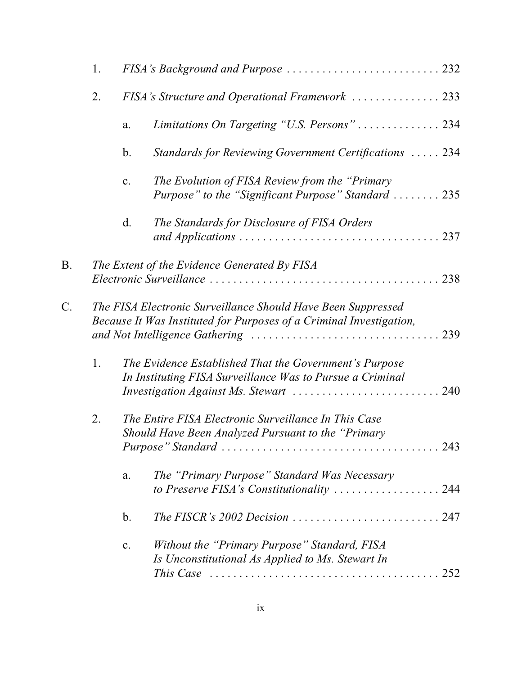|    | 1. |    | FISA's Background and Purpose  232                                                                                                                            |
|----|----|----|---------------------------------------------------------------------------------------------------------------------------------------------------------------|
|    | 2. |    | FISA's Structure and Operational Framework  233                                                                                                               |
|    |    | a. | Limitations On Targeting "U.S. Persons" 234                                                                                                                   |
|    |    | b. | Standards for Reviewing Government Certifications  234                                                                                                        |
|    |    | c. | The Evolution of FISA Review from the "Primary<br>Purpose" to the "Significant Purpose" Standard  235                                                         |
|    |    | d. | The Standards for Disclosure of FISA Orders                                                                                                                   |
| B. |    |    | The Extent of the Evidence Generated By FISA                                                                                                                  |
| C. |    |    | The FISA Electronic Surveillance Should Have Been Suppressed<br>Because It Was Instituted for Purposes of a Criminal Investigation,                           |
|    | 1. |    | The Evidence Established That the Government's Purpose<br>In Instituting FISA Surveillance Was to Pursue a Criminal<br>Investigation Against Ms. Stewart  240 |
|    | 2. |    | The Entire FISA Electronic Surveillance In This Case<br>Should Have Been Analyzed Pursuant to the "Primary"                                                   |
|    |    | a. | The "Primary Purpose" Standard Was Necessary<br>to Preserve FISA's Constitutionality $\ldots \ldots \ldots \ldots \ldots \ldots 244$                          |
|    |    | b. |                                                                                                                                                               |
|    |    | c. | Without the "Primary Purpose" Standard, FISA<br>Is Unconstitutional As Applied to Ms. Stewart In                                                              |
|    |    |    | This Case $\ldots \ldots \ldots \ldots \ldots \ldots \ldots \ldots \ldots \ldots \ldots \ldots \ldots 252$                                                    |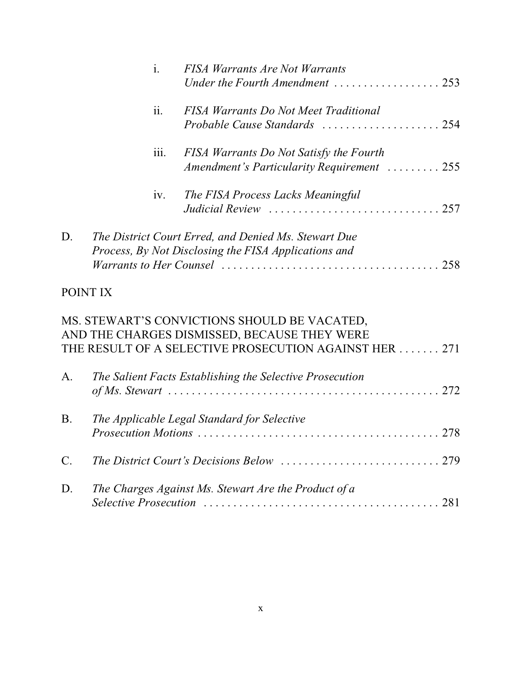|    | $\mathbf{i}$ . | <b>FISA Warrants Are Not Warrants</b><br>Under the Fourth Amendment $\ldots \ldots \ldots \ldots \ldots 253$ |
|----|----------------|--------------------------------------------------------------------------------------------------------------|
|    | ii.            | <b>FISA Warrants Do Not Meet Traditional</b>                                                                 |
|    | 111.           | FISA Warrants Do Not Satisfy the Fourth<br>Amendment's Particularity Requirement  255                        |
|    | iv.            | The FISA Process Lacks Meaningful                                                                            |
| D. |                | The District Court Erred, and Denied Ms. Stewart Due<br>Process, By Not Disclosing the FISA Applications and |

# POINT IX

|             | MS. STEWART'S CONVICTIONS SHOULD BE VACATED,<br>AND THE CHARGES DISMISSED, BECAUSE THEY WERE<br>THE RESULT OF A SELECTIVE PROSECUTION AGAINST HER 271 |
|-------------|-------------------------------------------------------------------------------------------------------------------------------------------------------|
|             |                                                                                                                                                       |
| A.          | The Salient Facts Establishing the Selective Prosecution                                                                                              |
| <b>B.</b>   | The Applicable Legal Standard for Selective                                                                                                           |
| $C_{\cdot}$ |                                                                                                                                                       |
| D.          | The Charges Against Ms. Stewart Are the Product of a                                                                                                  |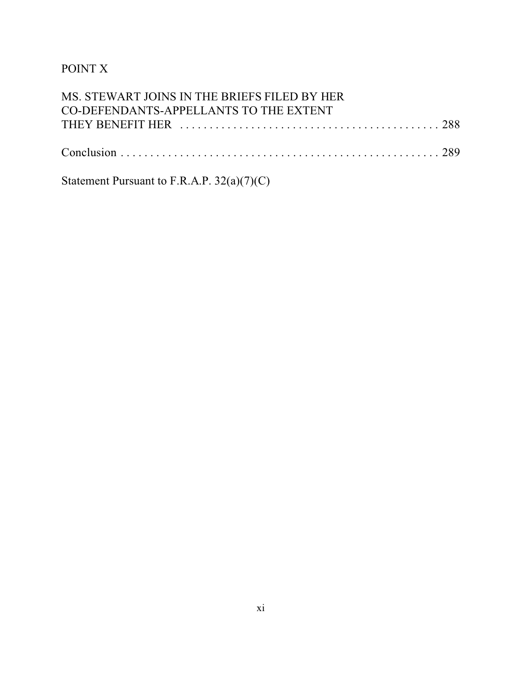# POINT X

| MS. STEWART JOINS IN THE BRIEFS FILED BY HER |  |
|----------------------------------------------|--|
| CO-DEFENDANTS-APPELLANTS TO THE EXTENT       |  |
|                                              |  |
|                                              |  |

Statement Pursuant to F.R.A.P. 32(a)(7)(C)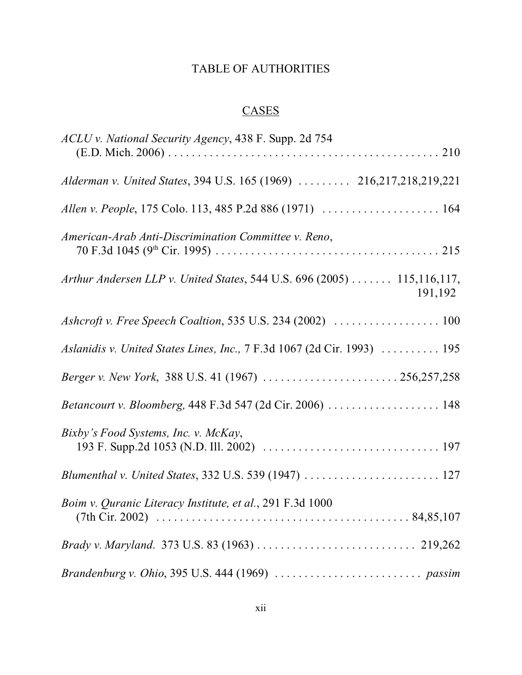#### TABLE OF AUTHORITIES

# **CASES**

| ACLU v. National Security Agency, 438 F. Supp. 2d 754                             |
|-----------------------------------------------------------------------------------|
| Alderman v. United States, 394 U.S. 165 (1969)  216,217,218,219,221               |
| Allen v. People, 175 Colo. 113, 485 P.2d 886 (1971)  164                          |
| American-Arab Anti-Discrimination Committee v. Reno,                              |
| Arthur Andersen LLP v. United States, 544 U.S. 696 (2005) 115,116,117,<br>191,192 |
| Ashcroft v. Free Speech Coaltion, 535 U.S. 234 (2002)  100                        |
| Aslanidis v. United States Lines, Inc., 7 F.3d 1067 (2d Cir. 1993)  195           |
| Berger v. New York, 388 U.S. 41 (1967)  256,257,258                               |
| Betancourt v. Bloomberg, 448 F.3d 547 (2d Cir. 2006)  148                         |
| Bixby's Food Systems, Inc. v. McKay,                                              |
| Blumenthal v. United States, 332 U.S. 539 (1947)  127                             |
| Boim v. Quranic Literacy Institute, et al., 291 F.3d 1000                         |
|                                                                                   |
|                                                                                   |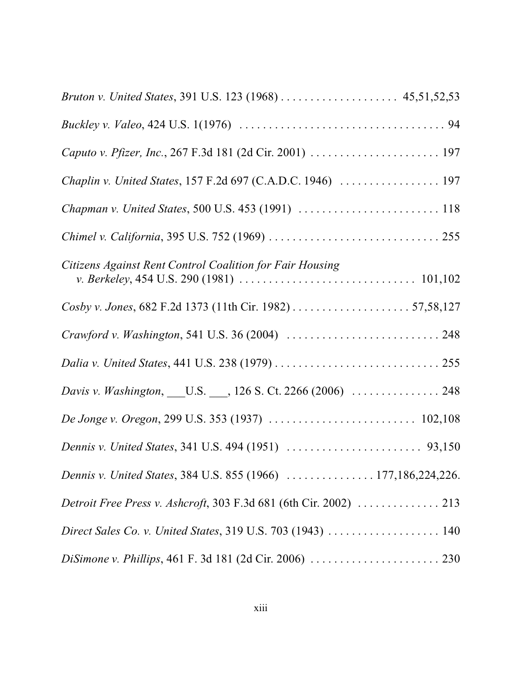| Bruton v. United States, 391 U.S. 123 (1968)  45,51,52,53         |
|-------------------------------------------------------------------|
|                                                                   |
|                                                                   |
|                                                                   |
|                                                                   |
|                                                                   |
| Citizens Against Rent Control Coalition for Fair Housing          |
|                                                                   |
|                                                                   |
|                                                                   |
| Davis v. Washington, _____ U.S. ____, 126 S. Ct. 2266 (2006)  248 |
|                                                                   |
|                                                                   |
| Dennis v. United States, 384 U.S. 855 (1966)  177,186,224,226.    |
| Detroit Free Press v. Ashcroft, 303 F.3d 681 (6th Cir. 2002)  213 |
| Direct Sales Co. v. United States, 319 U.S. 703 (1943)  140       |
|                                                                   |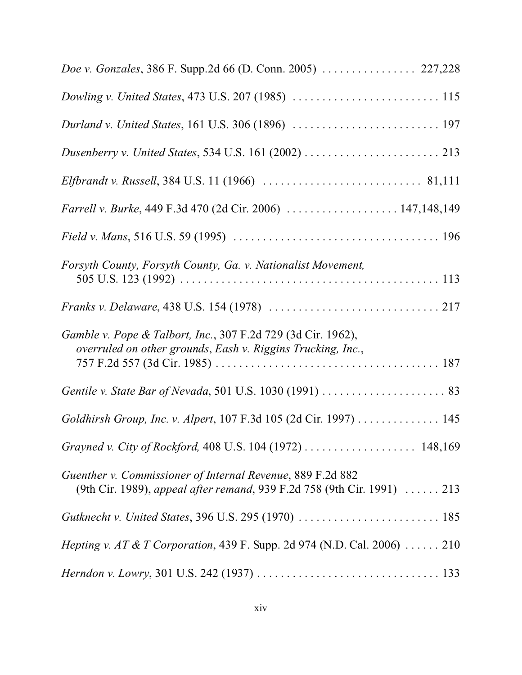| Doe v. Gonzales, 386 F. Supp.2d 66 (D. Conn. 2005)  227,228                                                                           |
|---------------------------------------------------------------------------------------------------------------------------------------|
| Dowling v. United States, 473 U.S. 207 (1985)  115                                                                                    |
|                                                                                                                                       |
|                                                                                                                                       |
|                                                                                                                                       |
| Farrell v. Burke, 449 F.3d 470 (2d Cir. 2006)  147,148,149                                                                            |
|                                                                                                                                       |
| Forsyth County, Forsyth County, Ga. v. Nationalist Movement,                                                                          |
|                                                                                                                                       |
| Gamble v. Pope & Talbort, Inc., 307 F.2d 729 (3d Cir. 1962),<br>overruled on other grounds, Eash v. Riggins Trucking, Inc.,           |
|                                                                                                                                       |
| Goldhirsh Group, Inc. v. Alpert, 107 F.3d 105 (2d Cir. 1997) 145                                                                      |
| Grayned v. City of Rockford, 408 U.S. 104 (1972)  148,169                                                                             |
| Guenther v. Commissioner of Internal Revenue, 889 F.2d 882<br>(9th Cir. 1989), appeal after remand, 939 F.2d 758 (9th Cir. 1991)  213 |
|                                                                                                                                       |
| <i>Hepting v. AT &amp; T Corporation, 439 F. Supp. 2d 974 (N.D. Cal. 2006)  210</i>                                                   |
| <i>Herndon v. Lowry</i> , 301 U.S. 242 (1937) $\ldots \ldots \ldots \ldots \ldots \ldots \ldots \ldots \ldots \ldots \ldots$ 133      |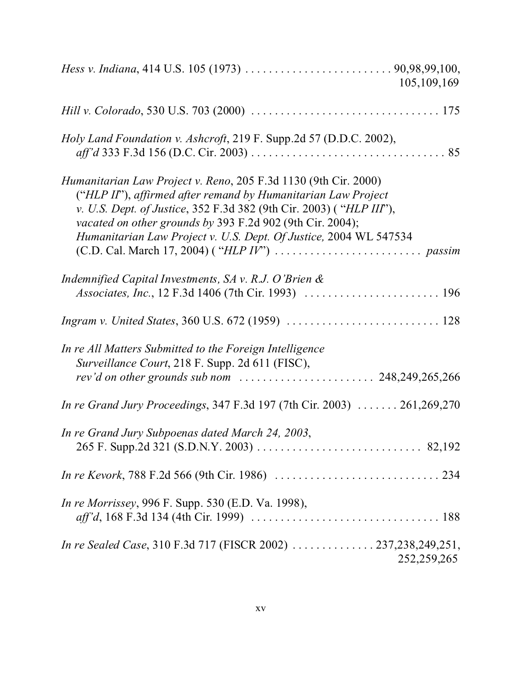|                                                                                                                                                                                                                                                                                                                                           | 105,109,169   |
|-------------------------------------------------------------------------------------------------------------------------------------------------------------------------------------------------------------------------------------------------------------------------------------------------------------------------------------------|---------------|
|                                                                                                                                                                                                                                                                                                                                           |               |
| Holy Land Foundation v. Ashcroft, 219 F. Supp.2d 57 (D.D.C. 2002),                                                                                                                                                                                                                                                                        |               |
| Humanitarian Law Project v. Reno, 205 F.3d 1130 (9th Cir. 2000)<br>("HLP II"), affirmed after remand by Humanitarian Law Project<br>v. U.S. Dept. of Justice, 352 F.3d 382 (9th Cir. 2003) ("HLP III"),<br>vacated on other grounds by 393 F.2d 902 (9th Cir. 2004);<br>Humanitarian Law Project v. U.S. Dept. Of Justice, 2004 WL 547534 |               |
| Indemnified Capital Investments, $SA$ v. R.J. O'Brien $\&$<br><i>Associates, Inc.</i> , 12 F.3d 1406 (7th Cir. 1993) $\ldots \ldots \ldots \ldots \ldots \ldots \ldots \ldots$ 196                                                                                                                                                        |               |
|                                                                                                                                                                                                                                                                                                                                           |               |
| In re All Matters Submitted to the Foreign Intelligence<br>Surveillance Court, 218 F. Supp. 2d 611 (FISC),                                                                                                                                                                                                                                |               |
| In re Grand Jury Proceedings, 347 F.3d 197 (7th Cir. 2003)  261,269,270                                                                                                                                                                                                                                                                   |               |
| In re Grand Jury Subpoenas dated March 24, 2003,                                                                                                                                                                                                                                                                                          |               |
|                                                                                                                                                                                                                                                                                                                                           |               |
| <i>In re Morrissey</i> , 996 F. Supp. 530 (E.D. Va. 1998),                                                                                                                                                                                                                                                                                |               |
| In re Sealed Case, 310 F.3d 717 (FISCR 2002) 237,238,249,251,                                                                                                                                                                                                                                                                             | 252, 259, 265 |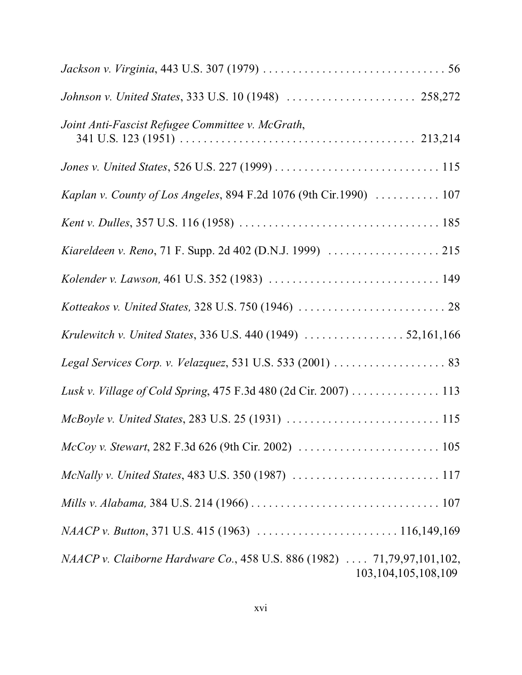| Joint Anti-Fascist Refugee Committee v. McGrath,                                                                                |
|---------------------------------------------------------------------------------------------------------------------------------|
|                                                                                                                                 |
| Kaplan v. County of Los Angeles, 894 F.2d 1076 (9th Cir.1990)  107                                                              |
|                                                                                                                                 |
| Kiareldeen v. Reno, 71 F. Supp. 2d 402 (D.N.J. 1999)  215                                                                       |
|                                                                                                                                 |
|                                                                                                                                 |
|                                                                                                                                 |
|                                                                                                                                 |
| Lusk v. Village of Cold Spring, 475 F.3d 480 (2d Cir. 2007) 113                                                                 |
|                                                                                                                                 |
|                                                                                                                                 |
|                                                                                                                                 |
| Mills v. Alabama, 384 U.S. 214 (1966) $\ldots \ldots \ldots \ldots \ldots \ldots \ldots \ldots \ldots \ldots \ldots \ldots 107$ |
|                                                                                                                                 |
| NAACP v. Claiborne Hardware Co., 458 U.S. 886 (1982)  71,79,97,101,102,<br>103, 104, 105, 108, 109                              |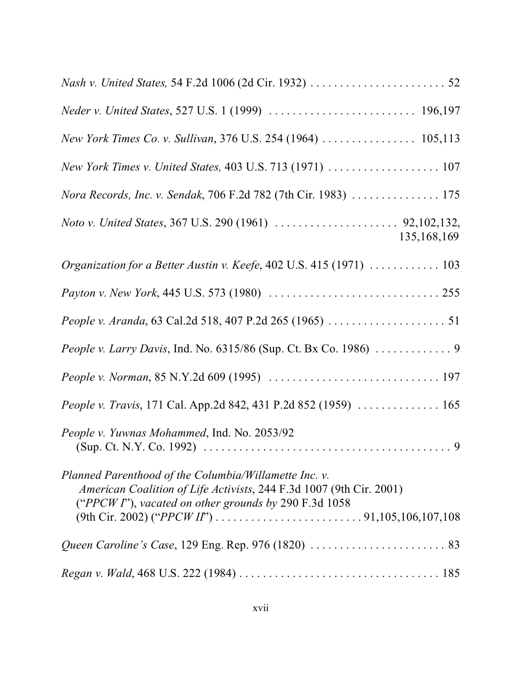| New York Times Co. v. Sullivan, 376 U.S. 254 (1964)  105,113                                                                                                                             |
|------------------------------------------------------------------------------------------------------------------------------------------------------------------------------------------|
| New York Times v. United States, 403 U.S. 713 (1971)  107                                                                                                                                |
| Nora Records, Inc. v. Sendak, 706 F.2d 782 (7th Cir. 1983)  175                                                                                                                          |
| 135, 168, 169                                                                                                                                                                            |
| Organization for a Better Austin v. Keefe, 402 U.S. 415 (1971)  103                                                                                                                      |
|                                                                                                                                                                                          |
|                                                                                                                                                                                          |
|                                                                                                                                                                                          |
|                                                                                                                                                                                          |
| People v. Travis, 171 Cal. App.2d 842, 431 P.2d 852 (1959)  165                                                                                                                          |
| People v. Yuwnas Mohammed, Ind. No. 2053/92                                                                                                                                              |
| Planned Parenthood of the Columbia/Willamette Inc. v.<br>American Coalition of Life Activists, 244 F.3d 1007 (9th Cir. 2001)<br>("PPCW $I$ "), vacated on other grounds by 290 F.3d 1058 |
|                                                                                                                                                                                          |
|                                                                                                                                                                                          |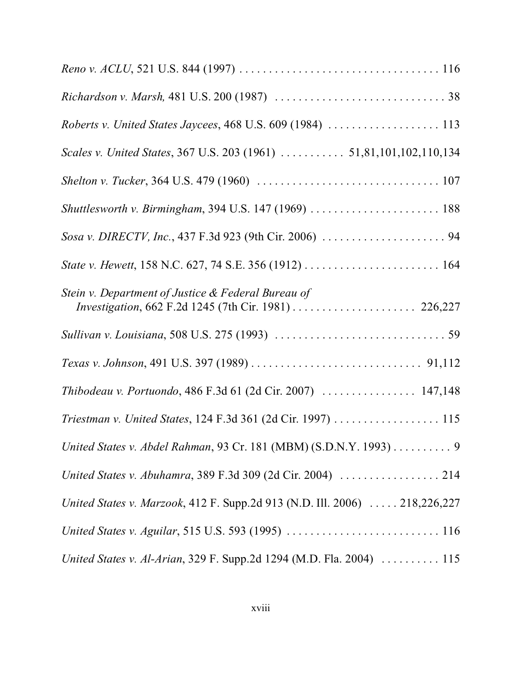| Roberts v. United States Jaycees, 468 U.S. 609 (1984)  113                 |
|----------------------------------------------------------------------------|
| Scales v. United States, 367 U.S. 203 (1961)  51,81,101,102,110,134        |
|                                                                            |
| Shuttlesworth v. Birmingham, 394 U.S. 147 (1969)  188                      |
|                                                                            |
|                                                                            |
| Stein v. Department of Justice & Federal Bureau of                         |
|                                                                            |
|                                                                            |
| Thibodeau v. Portuondo, 486 F.3d 61 (2d Cir. 2007)  147,148                |
| Triestman v. United States, 124 F.3d 361 (2d Cir. 1997) 115                |
| United States v. Abdel Rahman, 93 Cr. 181 (MBM) (S.D.N.Y. 1993) 9          |
| United States v. Abuhamra, 389 F.3d 309 (2d Cir. 2004)  214                |
| United States v. Marzook, 412 F. Supp.2d 913 (N.D. Ill. 2006)  218,226,227 |
|                                                                            |
| United States v. Al-Arian, 329 F. Supp.2d 1294 (M.D. Fla. 2004)  115       |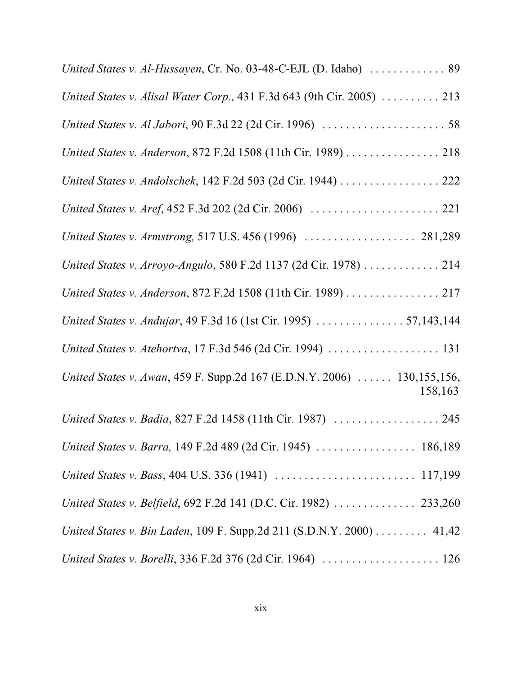| United States v. Al-Hussayen, Cr. No. 03-48-C-EJL (D. Idaho)  89                   |
|------------------------------------------------------------------------------------|
| United States v. Alisal Water Corp., 431 F.3d 643 (9th Cir. 2005)  213             |
|                                                                                    |
| United States v. Anderson, 872 F.2d 1508 (11th Cir. 1989) 218                      |
| United States v. Andolschek, 142 F.2d 503 (2d Cir. 1944) 222                       |
|                                                                                    |
| United States v. Armstrong, 517 U.S. 456 (1996)  281,289                           |
| United States v. Arroyo-Angulo, 580 F.2d 1137 (2d Cir. 1978) 214                   |
| United States v. Anderson, 872 F.2d 1508 (11th Cir. 1989) 217                      |
| United States v. Andujar, 49 F.3d 16 (1st Cir. 1995)  57,143,144                   |
| United States v. Atehortva, 17 F.3d 546 (2d Cir. 1994)  131                        |
| United States v. Awan, 459 F. Supp.2d 167 (E.D.N.Y. 2006)  130,155,156,<br>158,163 |
| United States v. Badia, 827 F.2d 1458 (11th Cir. 1987)  245                        |
| United States v. Barra, 149 F.2d 489 (2d Cir. 1945)  186,189                       |
|                                                                                    |
| United States v. Belfield, 692 F.2d 141 (D.C. Cir. 1982)  233,260                  |
| United States v. Bin Laden, 109 F. Supp.2d 211 (S.D.N.Y. 2000) 41,42               |
|                                                                                    |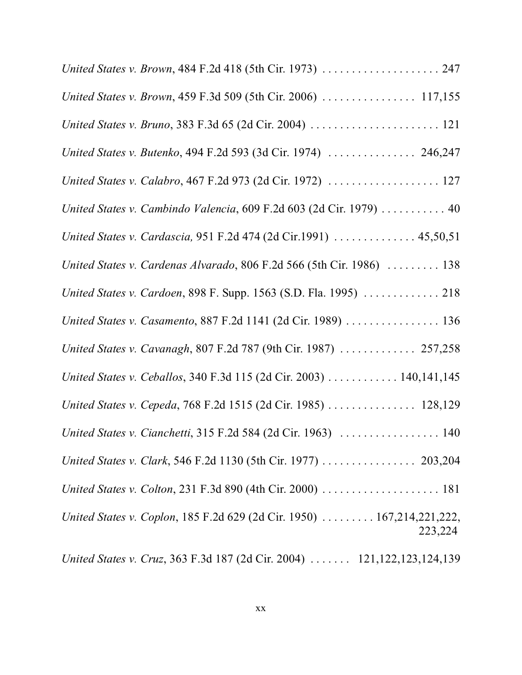| United States v. Brown, 484 F.2d 418 (5th Cir. 1973)  247                         |
|-----------------------------------------------------------------------------------|
| United States v. Brown, 459 F.3d 509 (5th Cir. 2006)  117,155                     |
| United States v. Bruno, 383 F.3d 65 (2d Cir. 2004)  121                           |
| United States v. Butenko, 494 F.2d 593 (3d Cir. 1974)  246,247                    |
| United States v. Calabro, 467 F.2d 973 (2d Cir. 1972)  127                        |
| United States v. Cambindo Valencia, 609 F.2d 603 (2d Cir. 1979)  40               |
| United States v. Cardascia, 951 F.2d 474 (2d Cir.1991)  45,50,51                  |
| United States v. Cardenas Alvarado, 806 F.2d 566 (5th Cir. 1986)  138             |
| United States v. Cardoen, 898 F. Supp. 1563 (S.D. Fla. 1995)  218                 |
| United States v. Casamento, 887 F.2d 1141 (2d Cir. 1989) 136                      |
| United States v. Cavanagh, 807 F.2d 787 (9th Cir. 1987)  257,258                  |
| United States v. Ceballos, 340 F.3d 115 (2d Cir. 2003) 140,141,145                |
| United States v. Cepeda, 768 F.2d 1515 (2d Cir. 1985)  128,129                    |
| United States v. Cianchetti, 315 F.2d 584 (2d Cir. 1963)  140                     |
|                                                                                   |
| United States v. Colton, 231 F.3d 890 (4th Cir. 2000)  181                        |
| United States v. Coplon, 185 F.2d 629 (2d Cir. 1950)  167,214,221,222,<br>223,224 |
|                                                                                   |

*United States v. Cruz*, 363 F.3d 187 (2d Cir. 2004) ....... 121,122,123,124,139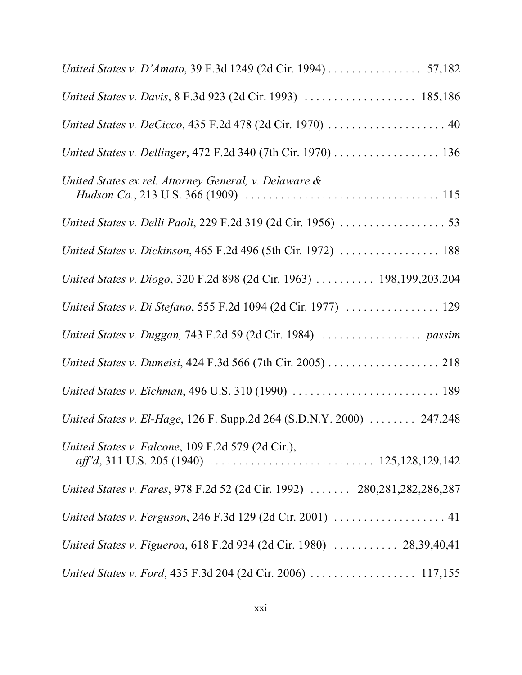| United States v. D'Amato, 39 F.3d 1249 (2d Cir. 1994) 57,182                                                                                                                        |
|-------------------------------------------------------------------------------------------------------------------------------------------------------------------------------------|
|                                                                                                                                                                                     |
|                                                                                                                                                                                     |
| United States v. Dellinger, 472 F.2d 340 (7th Cir. 1970) 136                                                                                                                        |
| United States ex rel. Attorney General, v. Delaware &<br><i>Hudson Co.</i> , 213 U.S. 366 (1909) $\ldots \ldots \ldots \ldots \ldots \ldots \ldots \ldots \ldots \ldots \ldots 115$ |
|                                                                                                                                                                                     |
| United States v. Dickinson, 465 F.2d 496 (5th Cir. 1972)  188                                                                                                                       |
| United States v. Diogo, 320 F.2d 898 (2d Cir. 1963)  198,199,203,204                                                                                                                |
| United States v. Di Stefano, 555 F.2d 1094 (2d Cir. 1977)  129                                                                                                                      |
|                                                                                                                                                                                     |
| United States v. Dumeisi, 424 F.3d 566 (7th Cir. 2005) 218                                                                                                                          |
| United States v. Eichman, 496 U.S. 310 (1990)  189                                                                                                                                  |
| United States v. El-Hage, 126 F. Supp.2d 264 (S.D.N.Y. 2000) 247,248                                                                                                                |
| United States v. Falcone, 109 F.2d 579 (2d Cir.),                                                                                                                                   |
| United States v. Fares, 978 F.2d 52 (2d Cir. 1992)  280,281,282,286,287                                                                                                             |
| United States v. Ferguson, 246 F.3d 129 (2d Cir. 2001)  41                                                                                                                          |
| United States v. Figueroa, 618 F.2d 934 (2d Cir. 1980)  28,39,40,41                                                                                                                 |
|                                                                                                                                                                                     |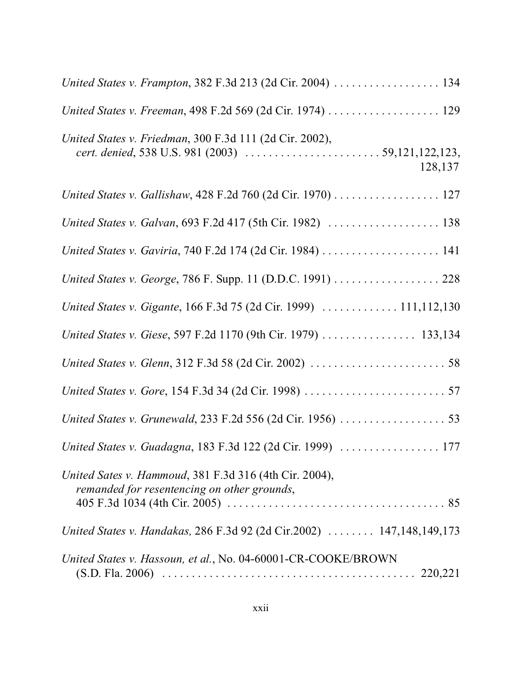| United States v. Frampton, 382 F.3d 213 (2d Cir. 2004)  134                                           |
|-------------------------------------------------------------------------------------------------------|
| United States v. Freeman, 498 F.2d 569 (2d Cir. 1974) 129                                             |
| United States v. Friedman, 300 F.3d 111 (2d Cir. 2002),<br>128,137                                    |
| United States v. Gallishaw, 428 F.2d 760 (2d Cir. 1970) 127                                           |
| United States v. Galvan, 693 F.2d 417 (5th Cir. 1982)  138                                            |
| United States v. Gaviria, 740 F.2d 174 (2d Cir. 1984)  141                                            |
| United States v. George, 786 F. Supp. 11 (D.D.C. 1991) 228                                            |
| United States v. Gigante, 166 F.3d 75 (2d Cir. 1999)  111,112,130                                     |
| United States v. Giese, 597 F.2d 1170 (9th Cir. 1979)  133,134                                        |
|                                                                                                       |
|                                                                                                       |
|                                                                                                       |
| United States v. Guadagna, 183 F.3d 122 (2d Cir. 1999)  177                                           |
| United Sates v. Hammoud, 381 F.3d 316 (4th Cir. 2004),<br>remanded for resentencing on other grounds, |
| United States v. Handakas, 286 F.3d 92 (2d Cir.2002)  147,148,149,173                                 |
| United States v. Hassoun, et al., No. 04-60001-CR-COOKE/BROWN                                         |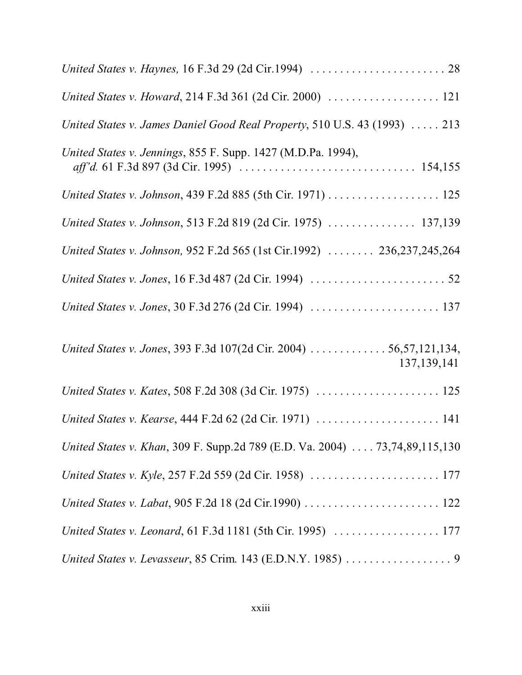| United States v. James Daniel Good Real Property, 510 U.S. 43 (1993)  213           |
|-------------------------------------------------------------------------------------|
| United States v. Jennings, 855 F. Supp. 1427 (M.D.Pa. 1994),                        |
| United States v. Johnson, 439 F.2d 885 (5th Cir. 1971) 125                          |
| United States v. Johnson, 513 F.2d 819 (2d Cir. 1975)  137,139                      |
| United States v. Johnson, 952 F.2d 565 (1st Cir.1992)  236,237,245,264              |
|                                                                                     |
|                                                                                     |
| United States v. Jones, 393 F.3d 107(2d Cir. 2004)  56,57,121,134,<br>137, 139, 141 |
| United States v. Kates, 508 F.2d 308 (3d Cir. 1975)  125                            |
| United States v. Kearse, 444 F.2d 62 (2d Cir. 1971)  141                            |
| United States v. Khan, 309 F. Supp.2d 789 (E.D. Va. 2004) 73,74,89,115,130          |
|                                                                                     |
|                                                                                     |
|                                                                                     |
|                                                                                     |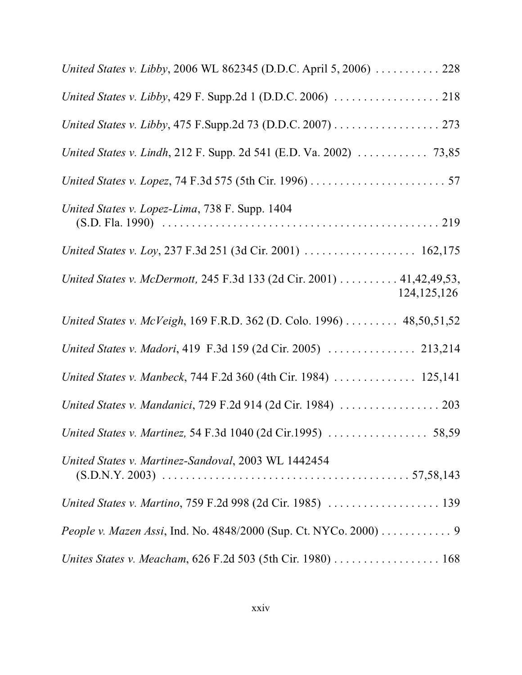| United States v. Libby, 2006 WL 862345 (D.D.C. April 5, 2006)  228                    |
|---------------------------------------------------------------------------------------|
| United States v. Libby, 429 F. Supp.2d 1 (D.D.C. 2006)  218                           |
| United States v. Libby, 475 F.Supp.2d 73 (D.D.C. 2007) 273                            |
|                                                                                       |
|                                                                                       |
| United States v. Lopez-Lima, 738 F. Supp. 1404                                        |
| United States v. Loy, 237 F.3d 251 (3d Cir. 2001)  162,175                            |
| United States v. McDermott, 245 F.3d 133 (2d Cir. 2001) 41,42,49,53,<br>124, 125, 126 |
| United States v. McVeigh, 169 F.R.D. 362 (D. Colo. 1996)  48,50,51,52                 |
| United States v. Madori, 419 F.3d 159 (2d Cir. 2005)  213,214                         |
| United States v. Manbeck, 744 F.2d 360 (4th Cir. 1984)  125,141                       |
| United States v. Mandanici, 729 F.2d 914 (2d Cir. 1984)  203                          |
| United States v. Martinez, 54 F.3d 1040 (2d Cir.1995)  58,59                          |
| United States v. Martinez-Sandoval, 2003 WL 1442454                                   |
| United States v. Martino, 759 F.2d 998 (2d Cir. 1985)  139                            |
| People v. Mazen Assi, Ind. No. 4848/2000 (Sup. Ct. NYCo. 2000) 9                      |
| Unites States v. Meacham, 626 F.2d 503 (5th Cir. 1980) 168                            |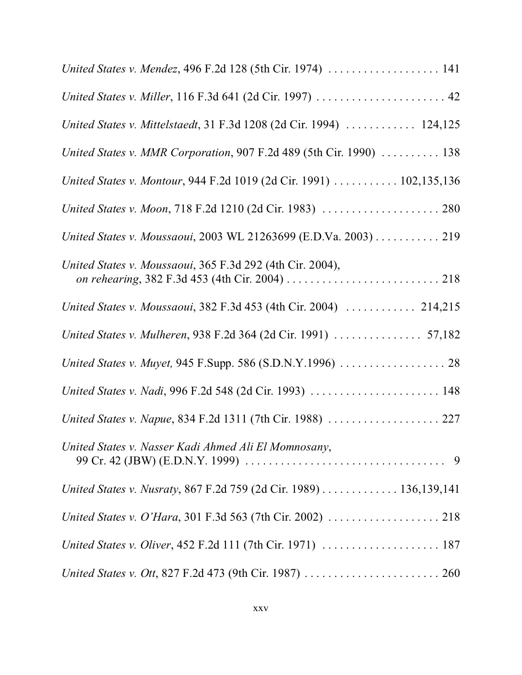| United States v. Mendez, 496 F.2d 128 (5th Cir. 1974)  141          |
|---------------------------------------------------------------------|
| United States v. Miller, 116 F.3d 641 (2d Cir. 1997)  42            |
| United States v. Mittelstaedt, 31 F.3d 1208 (2d Cir. 1994)  124,125 |
| United States v. MMR Corporation, 907 F.2d 489 (5th Cir. 1990)  138 |
| United States v. Montour, 944 F.2d 1019 (2d Cir. 1991) 102,135,136  |
|                                                                     |
| United States v. Moussaoui, 2003 WL 21263699 (E.D.Va. 2003) 219     |
| United States v. Moussaoui, 365 F.3d 292 (4th Cir. 2004),           |
| United States v. Moussaoui, 382 F.3d 453 (4th Cir. 2004)  214,215   |
| United States v. Mulheren, 938 F.2d 364 (2d Cir. 1991)  57,182      |
| United States v. Muyet, 945 F.Supp. 586 (S.D.N.Y.1996)  28          |
| United States v. Nadi, 996 F.2d 548 (2d Cir. 1993)  148             |
| United States v. Napue, 834 F.2d 1311 (7th Cir. 1988)  227          |
| United States v. Nasser Kadi Ahmed Ali El Momnosany,                |
| United States v. Nusraty, 867 F.2d 759 (2d Cir. 1989) 136,139,141   |
|                                                                     |
|                                                                     |
|                                                                     |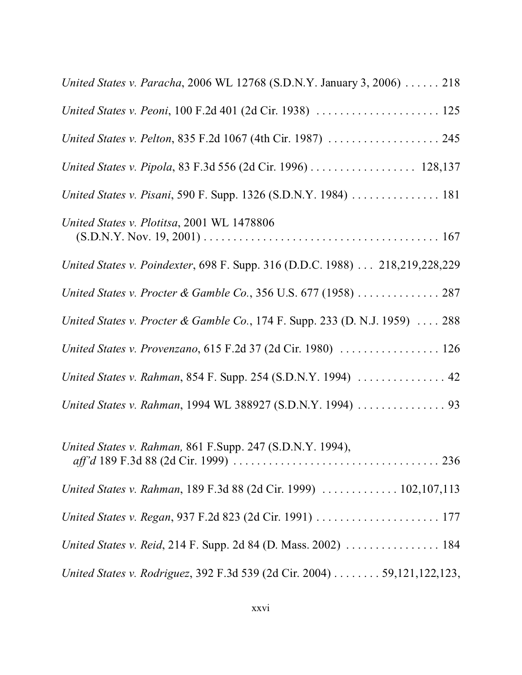| United States v. Paracha, 2006 WL 12768 (S.D.N.Y. January 3, 2006) 218      |
|-----------------------------------------------------------------------------|
| United States v. Peoni, 100 F.2d 401 (2d Cir. 1938)  125                    |
| United States v. Pelton, 835 F.2d 1067 (4th Cir. 1987)  245                 |
| United States v. Pipola, 83 F.3d 556 (2d Cir. 1996) 128,137                 |
| United States v. Pisani, 590 F. Supp. 1326 (S.D.N.Y. 1984)  181             |
| United States v. Plotitsa, 2001 WL 1478806                                  |
| United States v. Poindexter, 698 F. Supp. 316 (D.D.C. 1988) 218,219,228,229 |
| United States v. Procter & Gamble Co., 356 U.S. 677 (1958)  287             |
| United States v. Procter & Gamble Co., 174 F. Supp. 233 (D. N.J. 1959)  288 |
| United States v. Provenzano, 615 F.2d 37 (2d Cir. 1980)  126                |
| United States v. Rahman, 854 F. Supp. 254 (S.D.N.Y. 1994)  42               |
| United States v. Rahman, 1994 WL 388927 (S.D.N.Y. 1994)  93                 |
| United States v. Rahman, 861 F.Supp. 247 (S.D.N.Y. 1994),                   |
| United States v. Rahman, 189 F.3d 88 (2d Cir. 1999)  102,107,113            |
| United States v. Regan, 937 F.2d 823 (2d Cir. 1991)  177                    |
| United States v. Reid, 214 F. Supp. 2d 84 (D. Mass. 2002)  184              |
| United States v. Rodriguez, 392 F.3d 539 (2d Cir. 2004) 59,121,122,123,     |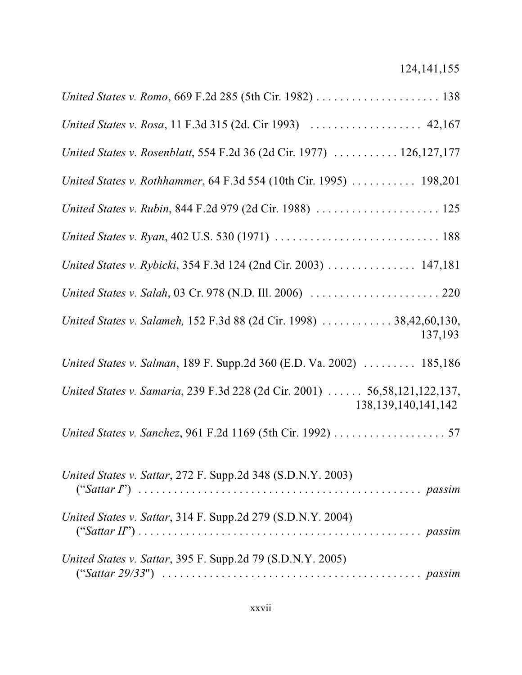| United States v. Romo, 669 F.2d 285 (5th Cir. 1982)  138                                             |
|------------------------------------------------------------------------------------------------------|
| United States v. Rosa, 11 F.3d 315 (2d. Cir 1993)  42,167                                            |
| United States v. Rosenblatt, 554 F.2d 36 (2d Cir. 1977)  126,127,177                                 |
| United States v. Rothhammer, 64 F.3d 554 (10th Cir. 1995)  198,201                                   |
| United States v. Rubin, 844 F.2d 979 (2d Cir. 1988)  125                                             |
|                                                                                                      |
| United States v. Rybicki, 354 F.3d 124 (2nd Cir. 2003) 147,181                                       |
|                                                                                                      |
| United States v. Salameh, 152 F.3d 88 (2d Cir. 1998)  38,42,60,130,<br>137,193                       |
| United States v. Salman, 189 F. Supp.2d 360 (E.D. Va. 2002)  185,186                                 |
| United States v. Samaria, 239 F.3d 228 (2d Cir. 2001)  56,58,121,122,137,<br>138, 139, 140, 141, 142 |
| United States v. Sanchez, 961 F.2d 1169 (5th Cir. 1992) 57                                           |
| United States v. Sattar, 272 F. Supp.2d 348 (S.D.N.Y. 2003)                                          |
| United States v. Sattar, 314 F. Supp.2d 279 (S.D.N.Y. 2004)                                          |
| <i>United States v. Sattar, 395 F. Supp.2d 79 (S.D.N.Y. 2005)</i>                                    |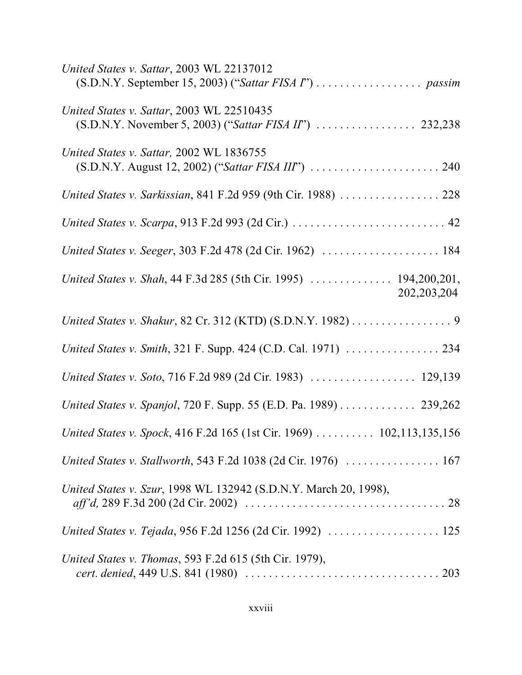| United States v. Sattar, 2003 WL 22137012                                         |
|-----------------------------------------------------------------------------------|
| United States v. Sattar, 2003 WL 22510435                                         |
| United States v. Sattar, 2002 WL 1836755                                          |
| United States v. Sarkissian, 841 F.2d 959 (9th Cir. 1988)  228                    |
|                                                                                   |
| United States v. Seeger, 303 F.2d 478 (2d Cir. 1962)  184                         |
| United States v. Shah, 44 F.3d 285 (5th Cir. 1995)  194,200,201,<br>202, 203, 204 |
| United States v. Shakur, 82 Cr. 312 (KTD) (S.D.N.Y. 1982) 9                       |
| United States v. Smith, 321 F. Supp. 424 (C.D. Cal. 1971)  234                    |
| United States v. Soto, 716 F.2d 989 (2d Cir. 1983)  129,139                       |
| United States v. Spanjol, 720 F. Supp. 55 (E.D. Pa. 1989) 239,262                 |
| United States v. Spock, 416 F.2d 165 (1st Cir. 1969)  102,113,135,156             |
| United States v. Stallworth, 543 F.2d 1038 (2d Cir. 1976)  167                    |
| United States v. Szur, 1998 WL 132942 (S.D.N.Y. March 20, 1998),                  |
| United States v. Tejada, 956 F.2d 1256 (2d Cir. 1992)  125                        |
| United States v. Thomas, 593 F.2d 615 (5th Cir. 1979),                            |
|                                                                                   |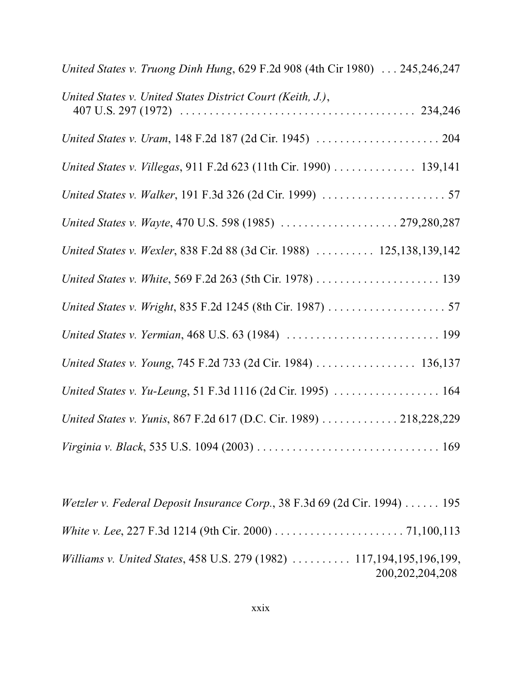| United States v. Truong Dinh Hung, 629 F.2d 908 (4th Cir 1980)  245,246,247 |
|-----------------------------------------------------------------------------|
| United States v. United States District Court (Keith, J.),                  |
|                                                                             |
| United States v. Villegas, 911 F.2d 623 (11th Cir. 1990) 139,141            |
|                                                                             |
| United States v. Wayte, 470 U.S. 598 (1985)  279,280,287                    |
| United States v. Wexler, 838 F.2d 88 (3d Cir. 1988)  125,138,139,142        |
| United States v. White, 569 F.2d 263 (5th Cir. 1978)  139                   |
|                                                                             |
|                                                                             |
| United States v. Young, 745 F.2d 733 (2d Cir. 1984)  136,137                |
| United States v. Yu-Leung, 51 F.3d 1116 (2d Cir. 1995)  164                 |
| United States v. Yunis, 867 F.2d 617 (D.C. Cir. 1989)  218,228,229          |
|                                                                             |

*Wetzler v. Federal Deposit Insurance Corp.*, 38 F.3d 69 (2d Cir. 1994) ...... 195 *White v. Lee*, 227 F.3d 1214 (9th Cir. 2000) ...................... 71,100,113 *Williams v. United States*, 458 U.S. 279 (1982) .......... 117,194,195,196,199, 200,202,204,208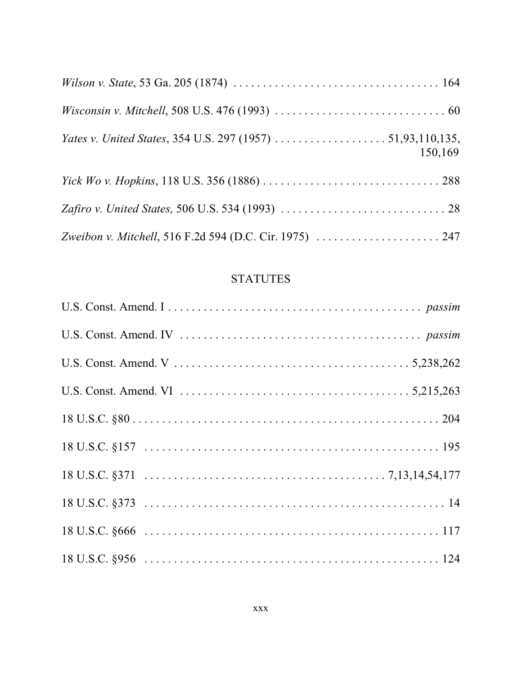| <i>Wisconsin v. Mitchell</i> , 508 U.S. 476 (1993) $\ldots \ldots \ldots \ldots \ldots \ldots \ldots \ldots \ldots \ldots \ldots$ |         |
|-----------------------------------------------------------------------------------------------------------------------------------|---------|
|                                                                                                                                   | 150,169 |
|                                                                                                                                   |         |
|                                                                                                                                   |         |
|                                                                                                                                   |         |

#### **STATUTES**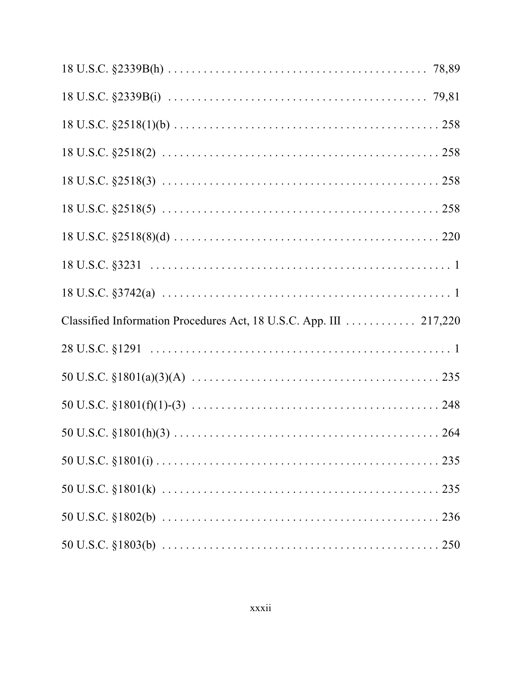| Classified Information Procedures Act, 18 U.S.C. App. III 217,220 |  |
|-------------------------------------------------------------------|--|
|                                                                   |  |
|                                                                   |  |
|                                                                   |  |
|                                                                   |  |
|                                                                   |  |
|                                                                   |  |
|                                                                   |  |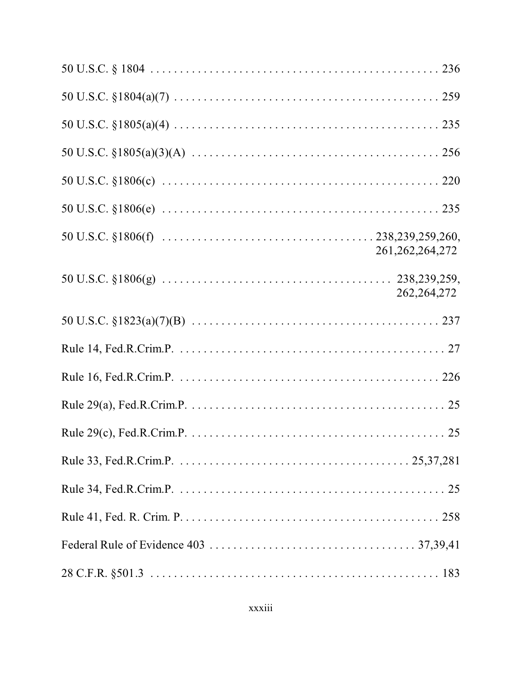| 261, 262, 264, 272 |
|--------------------|
| 262, 264, 272      |
|                    |
|                    |
|                    |
|                    |
|                    |
|                    |
|                    |
|                    |
|                    |
|                    |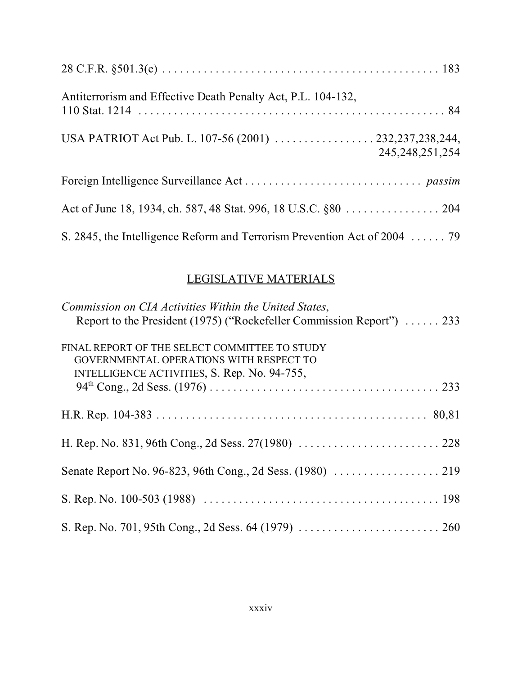| Antiterrorism and Effective Death Penalty Act, P.L. 104-132,                                                      |  |
|-------------------------------------------------------------------------------------------------------------------|--|
| USA PATRIOT Act Pub. L. 107-56 (2001) $\ldots \ldots \ldots \ldots \ldots$ 232,237,238,244,<br>245, 248, 251, 254 |  |
|                                                                                                                   |  |
| Act of June 18, 1934, ch. 587, 48 Stat. 996, 18 U.S.C. §80 204                                                    |  |
| S. 2845, the Intelligence Reform and Terrorism Prevention Act of 2004  79                                         |  |

# LEGISLATIVE MATERIALS

| Commission on CIA Activities Within the United States,                                   |
|------------------------------------------------------------------------------------------|
| Report to the President (1975) ("Rockefeller Commission Report")  233                    |
| FINAL REPORT OF THE SELECT COMMITTEE TO STUDY<br>GOVERNMENTAL OPERATIONS WITH RESPECT TO |
| INTELLIGENCE ACTIVITIES, S. Rep. No. 94-755,                                             |
|                                                                                          |
|                                                                                          |
|                                                                                          |
|                                                                                          |
|                                                                                          |
|                                                                                          |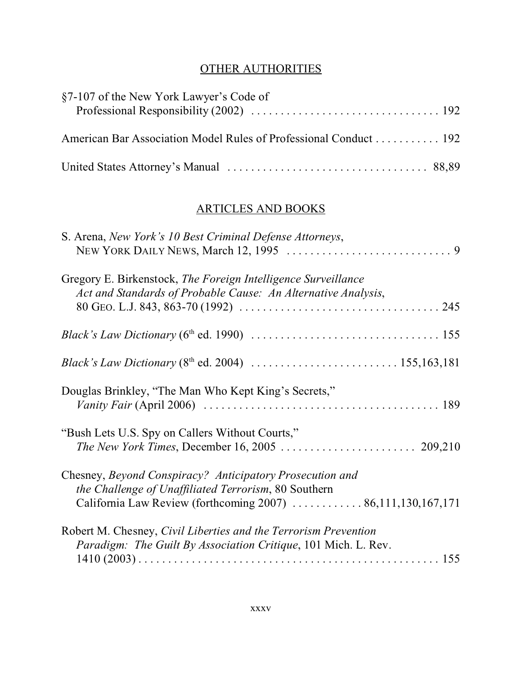# OTHER AUTHORITIES

| §7-107 of the New York Lawyer's Code of                          |  |
|------------------------------------------------------------------|--|
| American Bar Association Model Rules of Professional Conduct 192 |  |
|                                                                  |  |

#### ARTICLES AND BOOKS

| S. Arena, New York's 10 Best Criminal Defense Attorneys,                                                                                                                         |
|----------------------------------------------------------------------------------------------------------------------------------------------------------------------------------|
| Gregory E. Birkenstock, The Foreign Intelligence Surveillance<br>Act and Standards of Probable Cause: An Alternative Analysis,                                                   |
| <i>Black's Law Dictionary</i> ( $6^{\text{th}}$ ed. 1990) $\ldots \ldots \ldots \ldots \ldots \ldots \ldots \ldots \ldots \ldots \ldots \ldots 155$                              |
|                                                                                                                                                                                  |
| Douglas Brinkley, "The Man Who Kept King's Secrets,"                                                                                                                             |
| "Bush Lets U.S. Spy on Callers Without Courts,"                                                                                                                                  |
| Chesney, Beyond Conspiracy? Anticipatory Prosecution and<br>the Challenge of Unaffiliated Terrorism, 80 Southern<br>California Law Review (forthcoming 2007)  86,111,130,167,171 |
| Robert M. Chesney, Civil Liberties and the Terrorism Prevention<br>Paradigm: The Guilt By Association Critique, 101 Mich. L. Rev.                                                |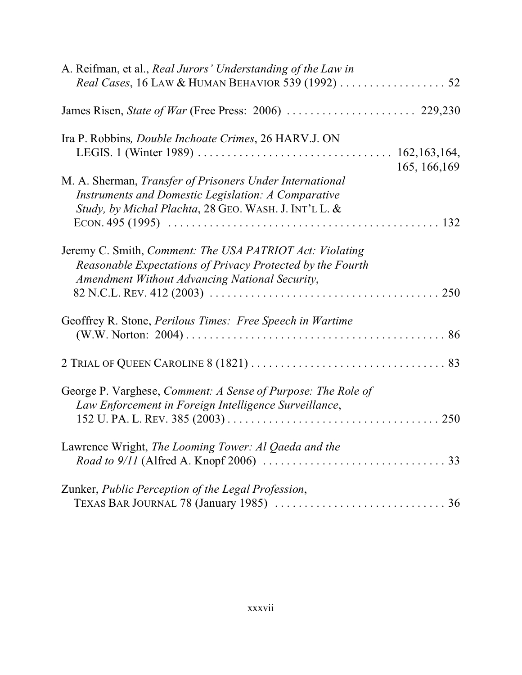| A. Reifman, et al., Real Jurors' Understanding of the Law in                                                                                                                              |
|-------------------------------------------------------------------------------------------------------------------------------------------------------------------------------------------|
|                                                                                                                                                                                           |
| Ira P. Robbins, <i>Double Inchoate Crimes</i> , 26 HARV.J. ON                                                                                                                             |
| 165, 166, 169<br>M. A. Sherman, Transfer of Prisoners Under International<br>Instruments and Domestic Legislation: A Comparative<br>Study, by Michal Plachta, 28 GEO. WASH. J. INT'L L. & |
| Jeremy C. Smith, <i>Comment: The USA PATRIOT Act: Violating</i><br>Reasonable Expectations of Privacy Protected by the Fourth<br>Amendment Without Advancing National Security,           |
| Geoffrey R. Stone, Perilous Times: Free Speech in Wartime                                                                                                                                 |
|                                                                                                                                                                                           |
| George P. Varghese, Comment: A Sense of Purpose: The Role of<br>Law Enforcement in Foreign Intelligence Surveillance,                                                                     |
| Lawrence Wright, The Looming Tower: Al Qaeda and the                                                                                                                                      |
| Zunker, Public Perception of the Legal Profession,<br>TEXAS BAR JOURNAL 78 (January 1985) $\ldots \ldots \ldots \ldots \ldots \ldots \ldots \ldots \ldots \ldots$                         |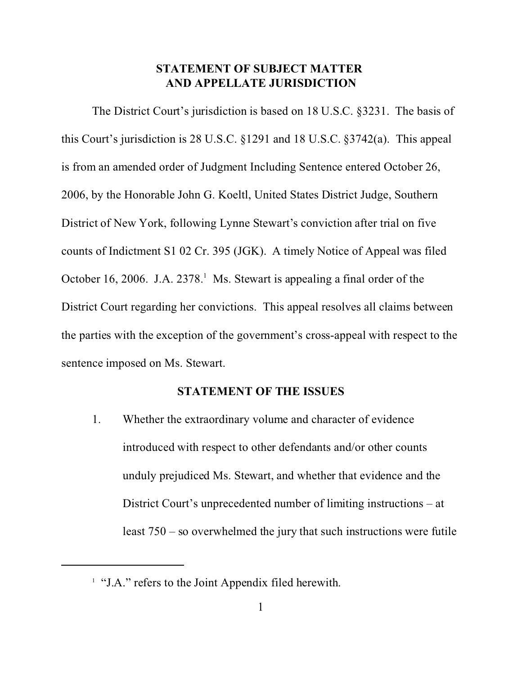# **STATEMENT OF SUBJECT MATTER AND APPELLATE JURISDICTION**

The District Court's jurisdiction is based on 18 U.S.C. §3231. The basis of this Court's jurisdiction is 28 U.S.C. §1291 and 18 U.S.C. §3742(a). This appeal is from an amended order of Judgment Including Sentence entered October 26, 2006, by the Honorable John G. Koeltl, United States District Judge, Southern District of New York, following Lynne Stewart's conviction after trial on five counts of Indictment S1 02 Cr. 395 (JGK). A timely Notice of Appeal was filed October 16, 2006. J.A. 2378.<sup>1</sup> Ms. Stewart is appealing a final order of the District Court regarding her convictions. This appeal resolves all claims between the parties with the exception of the government's cross-appeal with respect to the sentence imposed on Ms. Stewart.

## **STATEMENT OF THE ISSUES**

1. Whether the extraordinary volume and character of evidence introduced with respect to other defendants and/or other counts unduly prejudiced Ms. Stewart, and whether that evidence and the District Court's unprecedented number of limiting instructions – at least 750 – so overwhelmed the jury that such instructions were futile

<sup>&</sup>lt;sup>1</sup> "J.A." refers to the Joint Appendix filed herewith.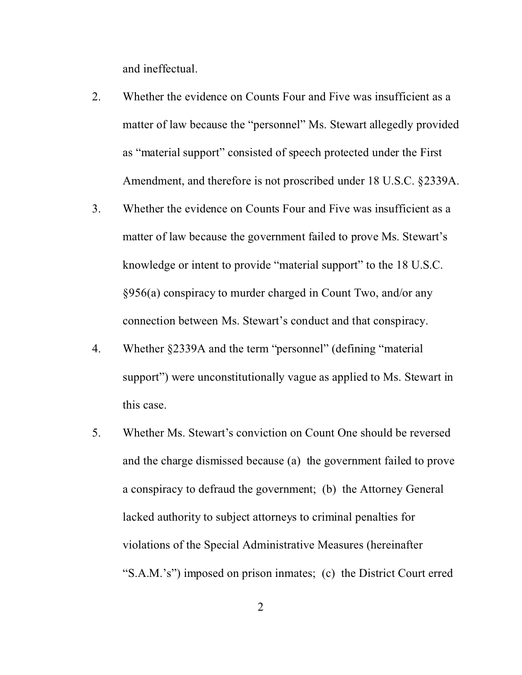and ineffectual.

- 2. Whether the evidence on Counts Four and Five was insufficient as a matter of law because the "personnel" Ms. Stewart allegedly provided as "material support" consisted of speech protected under the First Amendment, and therefore is not proscribed under 18 U.S.C. §2339A.
- 3. Whether the evidence on Counts Four and Five was insufficient as a matter of law because the government failed to prove Ms. Stewart's knowledge or intent to provide "material support" to the 18 U.S.C. §956(a) conspiracy to murder charged in Count Two, and/or any connection between Ms. Stewart's conduct and that conspiracy.
- 4. Whether §2339A and the term "personnel" (defining "material support") were unconstitutionally vague as applied to Ms. Stewart in this case.
- 5. Whether Ms. Stewart's conviction on Count One should be reversed and the charge dismissed because (a) the government failed to prove a conspiracy to defraud the government; (b) the Attorney General lacked authority to subject attorneys to criminal penalties for violations of the Special Administrative Measures (hereinafter "S.A.M.'s") imposed on prison inmates; (c) the District Court erred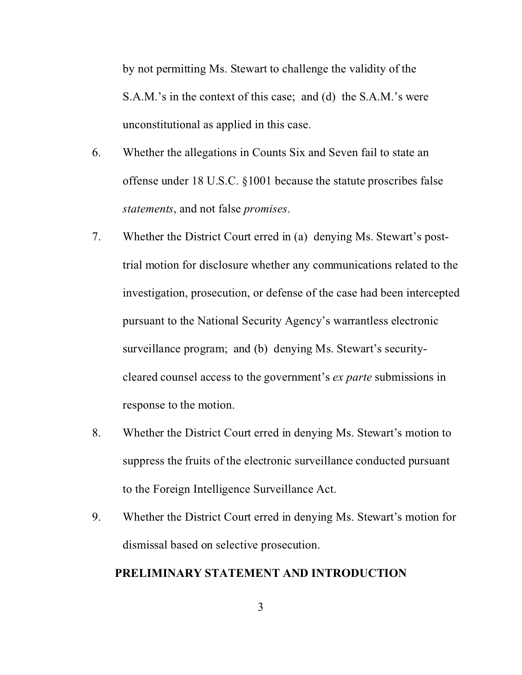by not permitting Ms. Stewart to challenge the validity of the S.A.M.'s in the context of this case; and (d) the S.A.M.'s were unconstitutional as applied in this case.

- 6. Whether the allegations in Counts Six and Seven fail to state an offense under 18 U.S.C. §1001 because the statute proscribes false *statements*, and not false *promises*.
- 7. Whether the District Court erred in (a) denying Ms. Stewart's posttrial motion for disclosure whether any communications related to the investigation, prosecution, or defense of the case had been intercepted pursuant to the National Security Agency's warrantless electronic surveillance program; and (b) denying Ms. Stewart's securitycleared counsel access to the government's *ex parte* submissions in response to the motion.
- 8. Whether the District Court erred in denying Ms. Stewart's motion to suppress the fruits of the electronic surveillance conducted pursuant to the Foreign Intelligence Surveillance Act.
- 9. Whether the District Court erred in denying Ms. Stewart's motion for dismissal based on selective prosecution.

# **PRELIMINARY STATEMENT AND INTRODUCTION**

3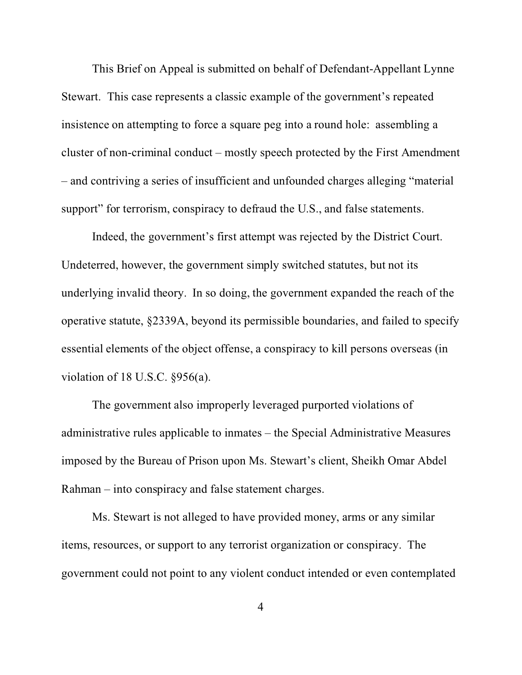This Brief on Appeal is submitted on behalf of Defendant-Appellant Lynne Stewart. This case represents a classic example of the government's repeated insistence on attempting to force a square peg into a round hole: assembling a cluster of non-criminal conduct – mostly speech protected by the First Amendment – and contriving a series of insufficient and unfounded charges alleging "material support" for terrorism, conspiracy to defraud the U.S., and false statements.

Indeed, the government's first attempt was rejected by the District Court. Undeterred, however, the government simply switched statutes, but not its underlying invalid theory. In so doing, the government expanded the reach of the operative statute, §2339A, beyond its permissible boundaries, and failed to specify essential elements of the object offense, a conspiracy to kill persons overseas (in violation of 18 U.S.C. §956(a).

The government also improperly leveraged purported violations of administrative rules applicable to inmates – the Special Administrative Measures imposed by the Bureau of Prison upon Ms. Stewart's client, Sheikh Omar Abdel Rahman – into conspiracy and false statement charges.

Ms. Stewart is not alleged to have provided money, arms or any similar items, resources, or support to any terrorist organization or conspiracy. The government could not point to any violent conduct intended or even contemplated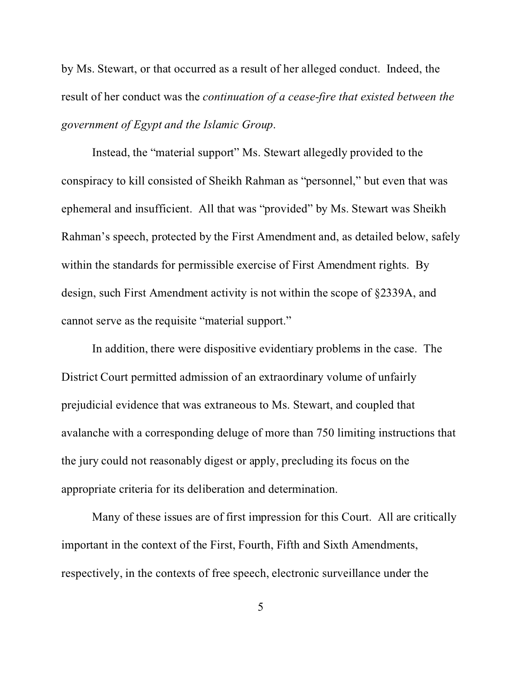by Ms. Stewart, or that occurred as a result of her alleged conduct. Indeed, the result of her conduct was the *continuation of a cease-fire that existed between the government of Egypt and the Islamic Group*.

Instead, the "material support" Ms. Stewart allegedly provided to the conspiracy to kill consisted of Sheikh Rahman as "personnel," but even that was ephemeral and insufficient. All that was "provided" by Ms. Stewart was Sheikh Rahman's speech, protected by the First Amendment and, as detailed below, safely within the standards for permissible exercise of First Amendment rights. By design, such First Amendment activity is not within the scope of §2339A, and cannot serve as the requisite "material support."

In addition, there were dispositive evidentiary problems in the case. The District Court permitted admission of an extraordinary volume of unfairly prejudicial evidence that was extraneous to Ms. Stewart, and coupled that avalanche with a corresponding deluge of more than 750 limiting instructions that the jury could not reasonably digest or apply, precluding its focus on the appropriate criteria for its deliberation and determination.

Many of these issues are of first impression for this Court. All are critically important in the context of the First, Fourth, Fifth and Sixth Amendments, respectively, in the contexts of free speech, electronic surveillance under the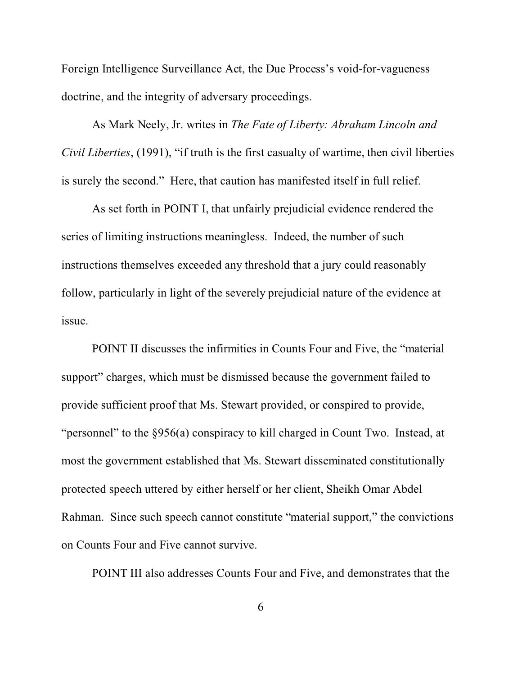Foreign Intelligence Surveillance Act, the Due Process's void-for-vagueness doctrine, and the integrity of adversary proceedings.

As Mark Neely, Jr. writes in *The Fate of Liberty: Abraham Lincoln and Civil Liberties*, (1991), "if truth is the first casualty of wartime, then civil liberties is surely the second." Here, that caution has manifested itself in full relief.

As set forth in POINT I, that unfairly prejudicial evidence rendered the series of limiting instructions meaningless. Indeed, the number of such instructions themselves exceeded any threshold that a jury could reasonably follow, particularly in light of the severely prejudicial nature of the evidence at issue.

POINT II discusses the infirmities in Counts Four and Five, the "material support" charges, which must be dismissed because the government failed to provide sufficient proof that Ms. Stewart provided, or conspired to provide, "personnel" to the §956(a) conspiracy to kill charged in Count Two. Instead, at most the government established that Ms. Stewart disseminated constitutionally protected speech uttered by either herself or her client, Sheikh Omar Abdel Rahman. Since such speech cannot constitute "material support," the convictions on Counts Four and Five cannot survive.

POINT III also addresses Counts Four and Five, and demonstrates that the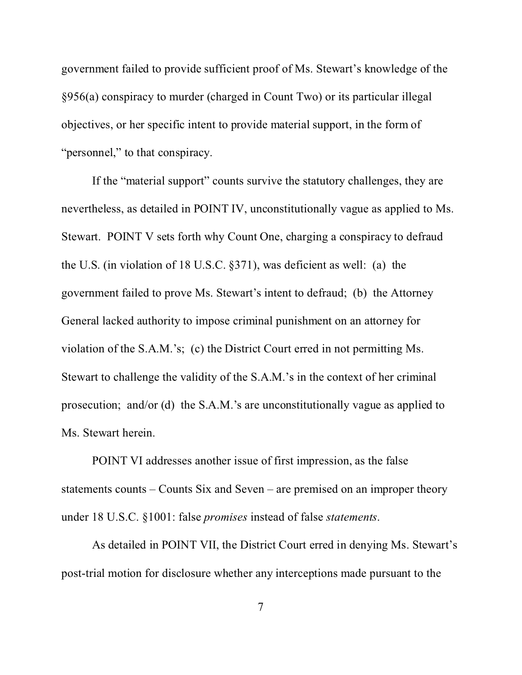government failed to provide sufficient proof of Ms. Stewart's knowledge of the §956(a) conspiracy to murder (charged in Count Two) or its particular illegal objectives, or her specific intent to provide material support, in the form of "personnel," to that conspiracy.

If the "material support" counts survive the statutory challenges, they are nevertheless, as detailed in POINT IV, unconstitutionally vague as applied to Ms. Stewart. POINT V sets forth why Count One, charging a conspiracy to defraud the U.S. (in violation of 18 U.S.C. §371), was deficient as well: (a) the government failed to prove Ms. Stewart's intent to defraud; (b) the Attorney General lacked authority to impose criminal punishment on an attorney for violation of the S.A.M.'s; (c) the District Court erred in not permitting Ms. Stewart to challenge the validity of the S.A.M.'s in the context of her criminal prosecution; and/or (d) the S.A.M.'s are unconstitutionally vague as applied to Ms. Stewart herein.

POINT VI addresses another issue of first impression, as the false statements counts – Counts Six and Seven – are premised on an improper theory under 18 U.S.C. §1001: false *promises* instead of false *statements*.

As detailed in POINT VII, the District Court erred in denying Ms. Stewart's post-trial motion for disclosure whether any interceptions made pursuant to the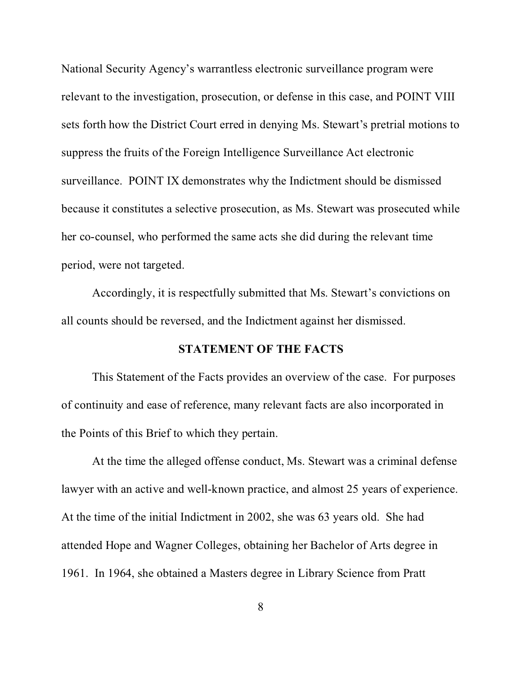National Security Agency's warrantless electronic surveillance program were relevant to the investigation, prosecution, or defense in this case, and POINT VIII sets forth how the District Court erred in denying Ms. Stewart's pretrial motions to suppress the fruits of the Foreign Intelligence Surveillance Act electronic surveillance. POINT IX demonstrates why the Indictment should be dismissed because it constitutes a selective prosecution, as Ms. Stewart was prosecuted while her co-counsel, who performed the same acts she did during the relevant time period, were not targeted.

Accordingly, it is respectfully submitted that Ms. Stewart's convictions on all counts should be reversed, and the Indictment against her dismissed.

## **STATEMENT OF THE FACTS**

This Statement of the Facts provides an overview of the case. For purposes of continuity and ease of reference, many relevant facts are also incorporated in the Points of this Brief to which they pertain.

At the time the alleged offense conduct, Ms. Stewart was a criminal defense lawyer with an active and well-known practice, and almost 25 years of experience. At the time of the initial Indictment in 2002, she was 63 years old. She had attended Hope and Wagner Colleges, obtaining her Bachelor of Arts degree in 1961. In 1964, she obtained a Masters degree in Library Science from Pratt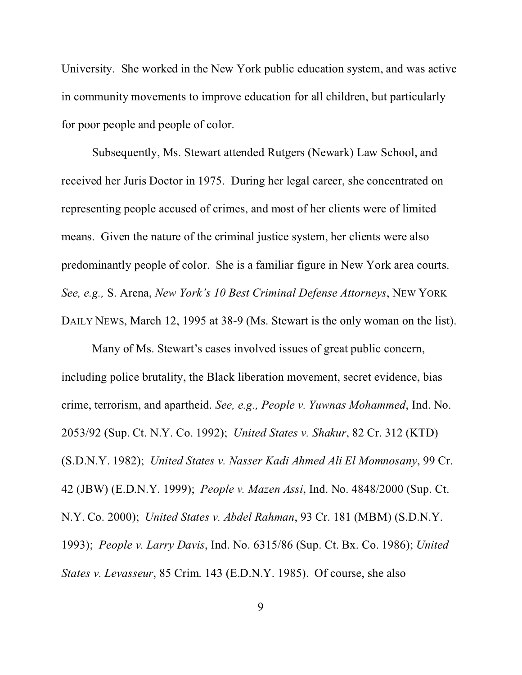University. She worked in the New York public education system, and was active in community movements to improve education for all children, but particularly for poor people and people of color.

Subsequently, Ms. Stewart attended Rutgers (Newark) Law School, and received her Juris Doctor in 1975. During her legal career, she concentrated on representing people accused of crimes, and most of her clients were of limited means. Given the nature of the criminal justice system, her clients were also predominantly people of color. She is a familiar figure in New York area courts. *See, e.g.,* S. Arena, *New York's 10 Best Criminal Defense Attorneys*, NEW YORK DAILY NEWS, March 12, 1995 at 38-9 (Ms. Stewart is the only woman on the list).

Many of Ms. Stewart's cases involved issues of great public concern, including police brutality, the Black liberation movement, secret evidence, bias crime, terrorism, and apartheid. *See, e.g., People v. Yuwnas Mohammed*, Ind. No. 2053/92 (Sup. Ct. N.Y. Co. 1992); *United States v. Shakur*, 82 Cr. 312 (KTD) (S.D.N.Y. 1982); *United States v. Nasser Kadi Ahmed Ali El Momnosany*, 99 Cr. 42 (JBW) (E.D.N.Y. 1999); *People v. Mazen Assi*, Ind. No. 4848/2000 (Sup. Ct. N.Y. Co. 2000); *United States v. Abdel Rahman*, 93 Cr. 181 (MBM) (S.D.N.Y. 1993); *People v. Larry Davis*, Ind. No. 6315/86 (Sup. Ct. Bx. Co. 1986); *United States v. Levasseur*, 85 Crim. 143 (E.D.N.Y. 1985). Of course, she also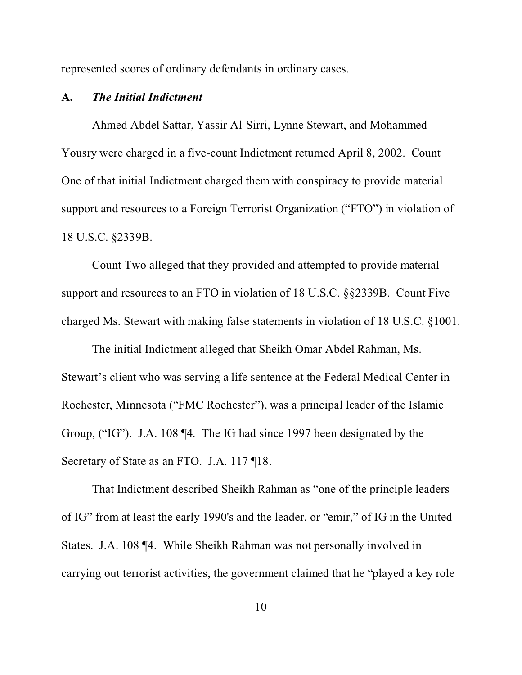represented scores of ordinary defendants in ordinary cases.

#### **A.** *The Initial Indictment*

Ahmed Abdel Sattar, Yassir Al-Sirri, Lynne Stewart, and Mohammed Yousry were charged in a five-count Indictment returned April 8, 2002. Count One of that initial Indictment charged them with conspiracy to provide material support and resources to a Foreign Terrorist Organization ("FTO") in violation of 18 U.S.C. §2339B.

Count Two alleged that they provided and attempted to provide material support and resources to an FTO in violation of 18 U.S.C. §§2339B. Count Five charged Ms. Stewart with making false statements in violation of 18 U.S.C. §1001.

The initial Indictment alleged that Sheikh Omar Abdel Rahman, Ms. Stewart's client who was serving a life sentence at the Federal Medical Center in Rochester, Minnesota ("FMC Rochester"), was a principal leader of the Islamic Group, ("IG"). J.A. 108 ¶4. The IG had since 1997 been designated by the Secretary of State as an FTO. J.A. 117 ¶18.

That Indictment described Sheikh Rahman as "one of the principle leaders of IG" from at least the early 1990's and the leader, or "emir," of IG in the United States. J.A. 108 ¶4. While Sheikh Rahman was not personally involved in carrying out terrorist activities, the government claimed that he "played a key role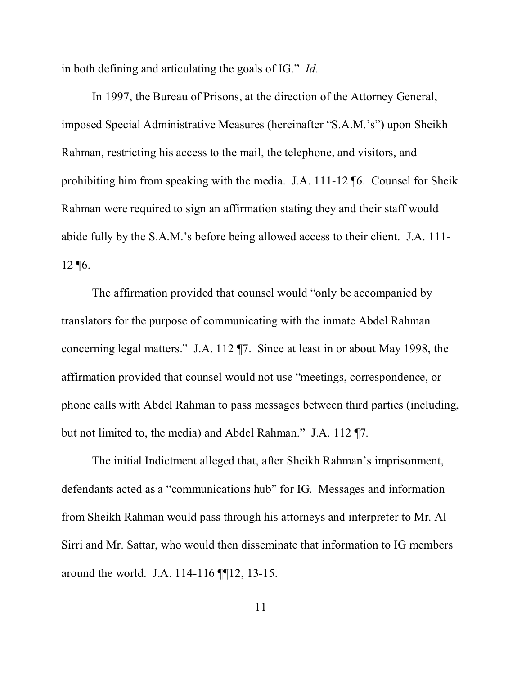in both defining and articulating the goals of IG." *Id.*

In 1997, the Bureau of Prisons, at the direction of the Attorney General, imposed Special Administrative Measures (hereinafter "S.A.M.'s") upon Sheikh Rahman, restricting his access to the mail, the telephone, and visitors, and prohibiting him from speaking with the media. J.A. 111-12 ¶6. Counsel for Sheik Rahman were required to sign an affirmation stating they and their staff would abide fully by the S.A.M.'s before being allowed access to their client. J.A. 111- 12 ¶6.

The affirmation provided that counsel would "only be accompanied by translators for the purpose of communicating with the inmate Abdel Rahman concerning legal matters." J.A. 112 ¶7. Since at least in or about May 1998, the affirmation provided that counsel would not use "meetings, correspondence, or phone calls with Abdel Rahman to pass messages between third parties (including, but not limited to, the media) and Abdel Rahman." J.A. 112 ¶7.

The initial Indictment alleged that, after Sheikh Rahman's imprisonment, defendants acted as a "communications hub" for IG. Messages and information from Sheikh Rahman would pass through his attorneys and interpreter to Mr. Al-Sirri and Mr. Sattar, who would then disseminate that information to IG members around the world. J.A. 114-116 ¶¶12, 13-15.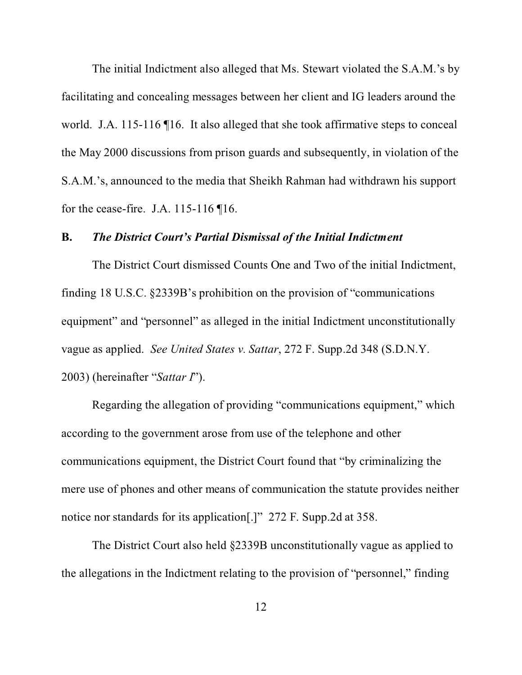The initial Indictment also alleged that Ms. Stewart violated the S.A.M.'s by facilitating and concealing messages between her client and IG leaders around the world. J.A. 115-116  $\P$ 16. It also alleged that she took affirmative steps to conceal the May 2000 discussions from prison guards and subsequently, in violation of the S.A.M.'s, announced to the media that Sheikh Rahman had withdrawn his support for the cease-fire. J.A. 115-116 ¶16.

# **B.** *The District Court's Partial Dismissal of the Initial Indictment*

The District Court dismissed Counts One and Two of the initial Indictment, finding 18 U.S.C. §2339B's prohibition on the provision of "communications equipment" and "personnel" as alleged in the initial Indictment unconstitutionally vague as applied. *See United States v. Sattar*, 272 F. Supp.2d 348 (S.D.N.Y. 2003) (hereinafter "*Sattar I*").

Regarding the allegation of providing "communications equipment," which according to the government arose from use of the telephone and other communications equipment, the District Court found that "by criminalizing the mere use of phones and other means of communication the statute provides neither notice nor standards for its application[.]" 272 F. Supp.2d at 358.

The District Court also held §2339B unconstitutionally vague as applied to the allegations in the Indictment relating to the provision of "personnel," finding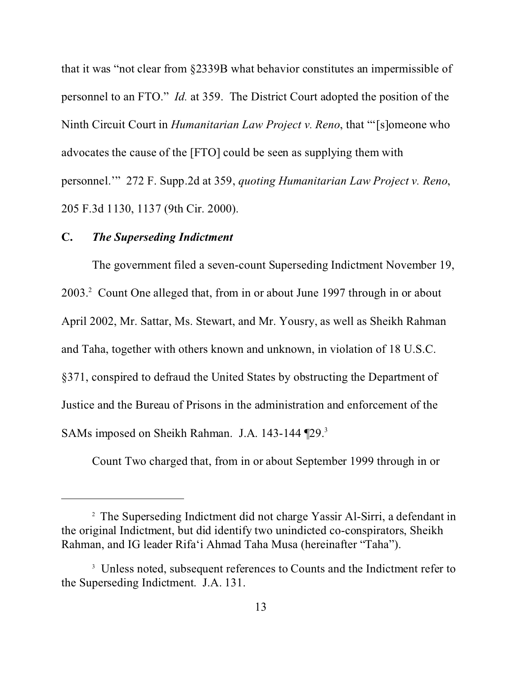that it was "not clear from §2339B what behavior constitutes an impermissible of personnel to an FTO." *Id.* at 359. The District Court adopted the position of the Ninth Circuit Court in *Humanitarian Law Project v. Reno*, that "'[s]omeone who advocates the cause of the [FTO] could be seen as supplying them with personnel.'" 272 F. Supp.2d at 359, *quoting Humanitarian Law Project v. Reno*, 205 F.3d 1130, 1137 (9th Cir. 2000).

## **C.** *The Superseding Indictment*

The government filed a seven-count Superseding Indictment November 19, 2003.<sup>2</sup> Count One alleged that, from in or about June 1997 through in or about April 2002, Mr. Sattar, Ms. Stewart, and Mr. Yousry, as well as Sheikh Rahman and Taha, together with others known and unknown, in violation of 18 U.S.C. §371, conspired to defraud the United States by obstructing the Department of Justice and the Bureau of Prisons in the administration and enforcement of the SAMs imposed on Sheikh Rahman. J.A. 143-144 [29.<sup>3</sup>]

Count Two charged that, from in or about September 1999 through in or

<sup>&</sup>lt;sup>2</sup> The Superseding Indictment did not charge Yassir Al-Sirri, a defendant in the original Indictment, but did identify two unindicted co-conspirators, Sheikh Rahman, and IG leader Rifa'i Ahmad Taha Musa (hereinafter "Taha").

<sup>&</sup>lt;sup>3</sup> Unless noted, subsequent references to Counts and the Indictment refer to the Superseding Indictment. J.A. 131.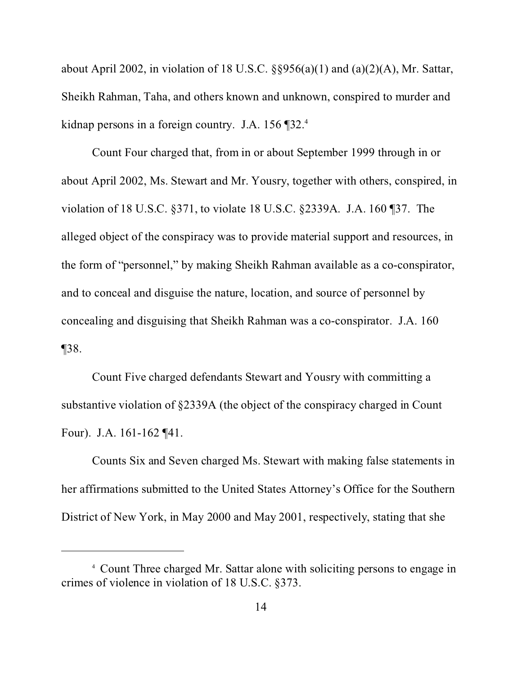about April 2002, in violation of 18 U.S.C.  $\S$ §956(a)(1) and (a)(2)(A), Mr. Sattar, Sheikh Rahman, Taha, and others known and unknown, conspired to murder and kidnap persons in a foreign country. J.A. 156 ¶32.<sup>4</sup>

Count Four charged that, from in or about September 1999 through in or about April 2002, Ms. Stewart and Mr. Yousry, together with others, conspired, in violation of 18 U.S.C. §371, to violate 18 U.S.C. §2339A. J.A. 160 ¶37. The alleged object of the conspiracy was to provide material support and resources, in the form of "personnel," by making Sheikh Rahman available as a co-conspirator, and to conceal and disguise the nature, location, and source of personnel by concealing and disguising that Sheikh Rahman was a co-conspirator. J.A. 160 ¶38.

Count Five charged defendants Stewart and Yousry with committing a substantive violation of §2339A (the object of the conspiracy charged in Count Four). J.A. 161-162 ¶41.

Counts Six and Seven charged Ms. Stewart with making false statements in her affirmations submitted to the United States Attorney's Office for the Southern District of New York, in May 2000 and May 2001, respectively, stating that she

<sup>4</sup> Count Three charged Mr. Sattar alone with soliciting persons to engage in crimes of violence in violation of 18 U.S.C. §373.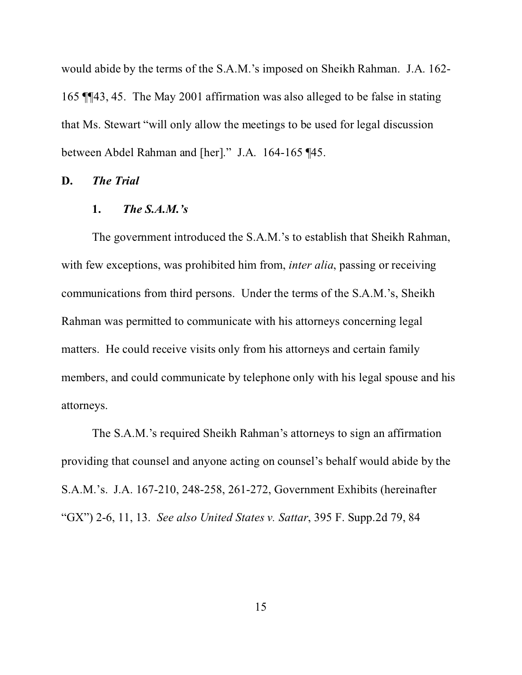would abide by the terms of the S.A.M.'s imposed on Sheikh Rahman. J.A. 162- 165 ¶¶43, 45. The May 2001 affirmation was also alleged to be false in stating that Ms. Stewart "will only allow the meetings to be used for legal discussion between Abdel Rahman and [her]." J.A. 164-165 ¶45.

#### **D.** *The Trial*

#### **1.** *The S.A.M.'s*

The government introduced the S.A.M.'s to establish that Sheikh Rahman, with few exceptions, was prohibited him from, *inter alia*, passing or receiving communications from third persons. Under the terms of the S.A.M.'s, Sheikh Rahman was permitted to communicate with his attorneys concerning legal matters. He could receive visits only from his attorneys and certain family members, and could communicate by telephone only with his legal spouse and his attorneys.

The S.A.M.'s required Sheikh Rahman's attorneys to sign an affirmation providing that counsel and anyone acting on counsel's behalf would abide by the S.A.M.'s. J.A. 167-210, 248-258, 261-272, Government Exhibits (hereinafter "GX") 2-6, 11, 13. *See also United States v. Sattar*, 395 F. Supp.2d 79, 84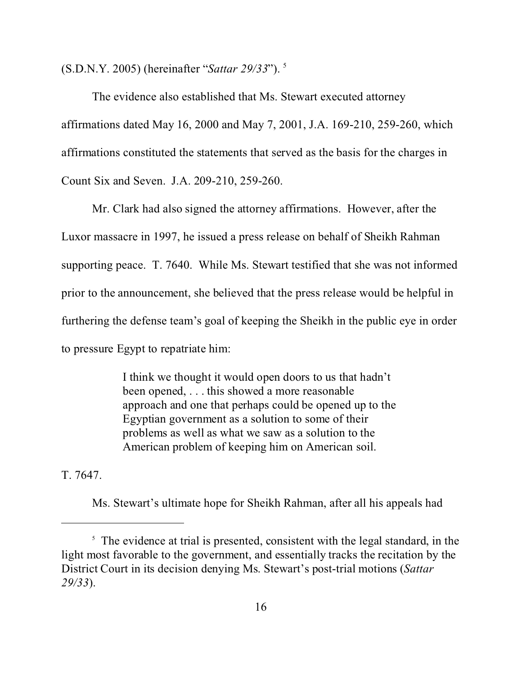(S.D.N.Y. 2005) (hereinafter "*Sattar 29/33*"). <sup>5</sup>

The evidence also established that Ms. Stewart executed attorney affirmations dated May 16, 2000 and May 7, 2001, J.A. 169-210, 259-260, which affirmations constituted the statements that served as the basis for the charges in Count Six and Seven. J.A. 209-210, 259-260.

Mr. Clark had also signed the attorney affirmations. However, after the Luxor massacre in 1997, he issued a press release on behalf of Sheikh Rahman supporting peace. T. 7640. While Ms. Stewart testified that she was not informed prior to the announcement, she believed that the press release would be helpful in furthering the defense team's goal of keeping the Sheikh in the public eye in order to pressure Egypt to repatriate him:

> I think we thought it would open doors to us that hadn't been opened, . . . this showed a more reasonable approach and one that perhaps could be opened up to the Egyptian government as a solution to some of their problems as well as what we saw as a solution to the American problem of keeping him on American soil.

T. 7647.

Ms. Stewart's ultimate hope for Sheikh Rahman, after all his appeals had

<sup>&</sup>lt;sup>5</sup> The evidence at trial is presented, consistent with the legal standard, in the light most favorable to the government, and essentially tracks the recitation by the District Court in its decision denying Ms. Stewart's post-trial motions (*Sattar 29/33*).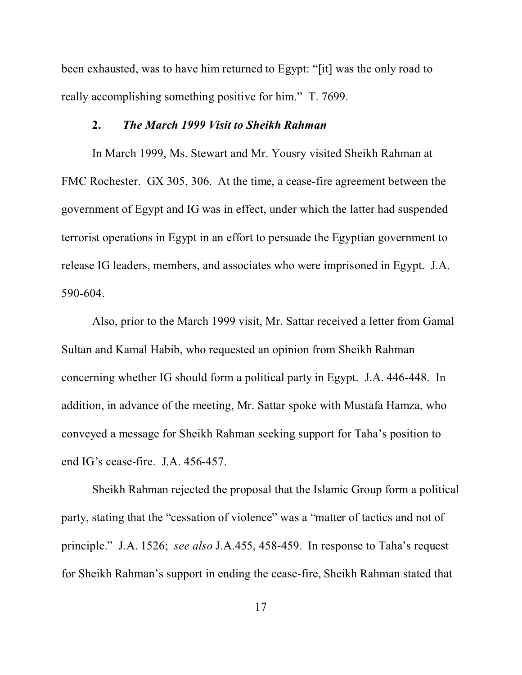been exhausted, was to have him returned to Egypt: "[it] was the only road to really accomplishing something positive for him." T. 7699.

#### **2.** *The March 1999 Visit to Sheikh Rahman*

In March 1999, Ms. Stewart and Mr. Yousry visited Sheikh Rahman at FMC Rochester. GX 305, 306. At the time, a cease-fire agreement between the government of Egypt and IG was in effect, under which the latter had suspended terrorist operations in Egypt in an effort to persuade the Egyptian government to release IG leaders, members, and associates who were imprisoned in Egypt. J.A. 590-604.

Also, prior to the March 1999 visit, Mr. Sattar received a letter from Gamal Sultan and Kamal Habib, who requested an opinion from Sheikh Rahman concerning whether IG should form a political party in Egypt. J.A. 446-448. In addition, in advance of the meeting, Mr. Sattar spoke with Mustafa Hamza, who conveyed a message for Sheikh Rahman seeking support for Taha's position to end IG's cease-fire. J.A. 456-457.

Sheikh Rahman rejected the proposal that the Islamic Group form a political party, stating that the "cessation of violence" was a "matter of tactics and not of principle." J.A. 1526; *see also* J.A.455, 458-459. In response to Taha's request for Sheikh Rahman's support in ending the cease-fire, Sheikh Rahman stated that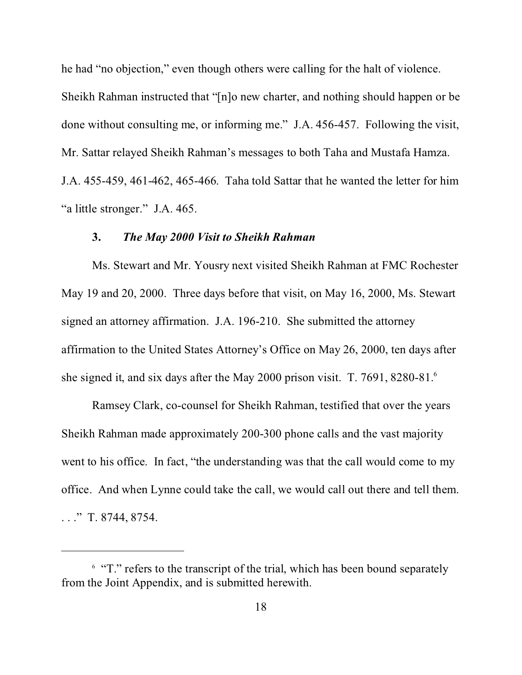he had "no objection," even though others were calling for the halt of violence.

Sheikh Rahman instructed that "[n]o new charter, and nothing should happen or be done without consulting me, or informing me." J.A. 456-457. Following the visit, Mr. Sattar relayed Sheikh Rahman's messages to both Taha and Mustafa Hamza.

J.A. 455-459, 461-462, 465-466. Taha told Sattar that he wanted the letter for him "a little stronger." J.A. 465.

#### **3.** *The May 2000 Visit to Sheikh Rahman*

Ms. Stewart and Mr. Yousry next visited Sheikh Rahman at FMC Rochester May 19 and 20, 2000. Three days before that visit, on May 16, 2000, Ms. Stewart signed an attorney affirmation. J.A. 196-210. She submitted the attorney affirmation to the United States Attorney's Office on May 26, 2000, ten days after she signed it, and six days after the May 2000 prison visit. T. 7691, 8280-81.<sup>6</sup>

Ramsey Clark, co-counsel for Sheikh Rahman, testified that over the years Sheikh Rahman made approximately 200-300 phone calls and the vast majority went to his office. In fact, "the understanding was that the call would come to my office. And when Lynne could take the call, we would call out there and tell them. . . ." T. 8744, 8754.

<sup>&</sup>lt;sup>6</sup> "T." refers to the transcript of the trial, which has been bound separately from the Joint Appendix, and is submitted herewith.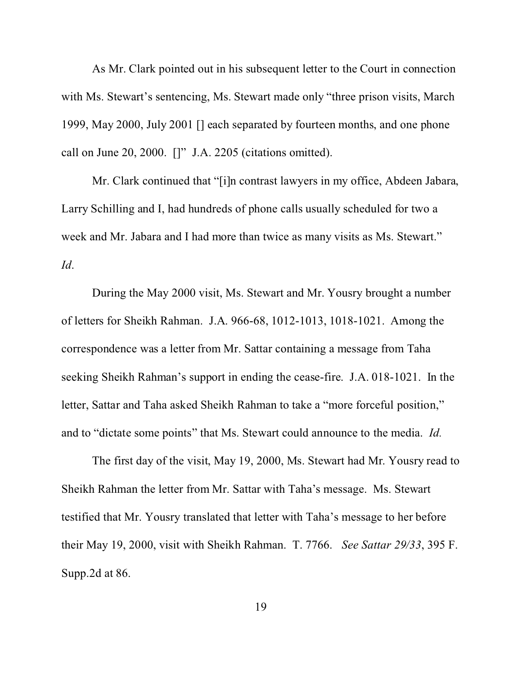As Mr. Clark pointed out in his subsequent letter to the Court in connection with Ms. Stewart's sentencing, Ms. Stewart made only "three prison visits, March" 1999, May 2000, July 2001 [] each separated by fourteen months, and one phone call on June 20, 2000. []" J.A. 2205 (citations omitted).

Mr. Clark continued that "[i]n contrast lawyers in my office, Abdeen Jabara, Larry Schilling and I, had hundreds of phone calls usually scheduled for two a week and Mr. Jabara and I had more than twice as many visits as Ms. Stewart." *Id*.

During the May 2000 visit, Ms. Stewart and Mr. Yousry brought a number of letters for Sheikh Rahman. J.A. 966-68, 1012-1013, 1018-1021. Among the correspondence was a letter from Mr. Sattar containing a message from Taha seeking Sheikh Rahman's support in ending the cease-fire. J.A. 018-1021. In the letter, Sattar and Taha asked Sheikh Rahman to take a "more forceful position," and to "dictate some points" that Ms. Stewart could announce to the media. *Id.*

The first day of the visit, May 19, 2000, Ms. Stewart had Mr. Yousry read to Sheikh Rahman the letter from Mr. Sattar with Taha's message. Ms. Stewart testified that Mr. Yousry translated that letter with Taha's message to her before their May 19, 2000, visit with Sheikh Rahman. T. 7766. *See Sattar 29/33*, 395 F. Supp.2d at 86.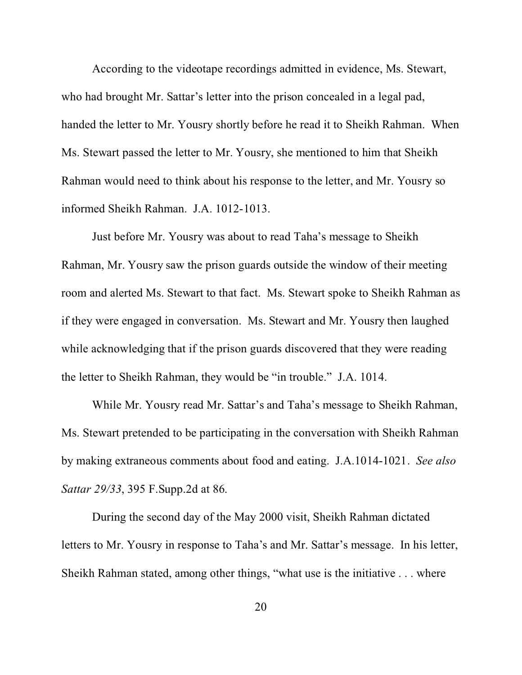According to the videotape recordings admitted in evidence, Ms. Stewart, who had brought Mr. Sattar's letter into the prison concealed in a legal pad, handed the letter to Mr. Yousry shortly before he read it to Sheikh Rahman. When Ms. Stewart passed the letter to Mr. Yousry, she mentioned to him that Sheikh Rahman would need to think about his response to the letter, and Mr. Yousry so informed Sheikh Rahman. J.A. 1012-1013.

Just before Mr. Yousry was about to read Taha's message to Sheikh Rahman, Mr. Yousry saw the prison guards outside the window of their meeting room and alerted Ms. Stewart to that fact. Ms. Stewart spoke to Sheikh Rahman as if they were engaged in conversation. Ms. Stewart and Mr. Yousry then laughed while acknowledging that if the prison guards discovered that they were reading the letter to Sheikh Rahman, they would be "in trouble." J.A. 1014.

While Mr. Yousry read Mr. Sattar's and Taha's message to Sheikh Rahman, Ms. Stewart pretended to be participating in the conversation with Sheikh Rahman by making extraneous comments about food and eating. J.A.1014-1021. *See also Sattar 29/33*, 395 F.Supp.2d at 86.

During the second day of the May 2000 visit, Sheikh Rahman dictated letters to Mr. Yousry in response to Taha's and Mr. Sattar's message. In his letter, Sheikh Rahman stated, among other things, "what use is the initiative . . . where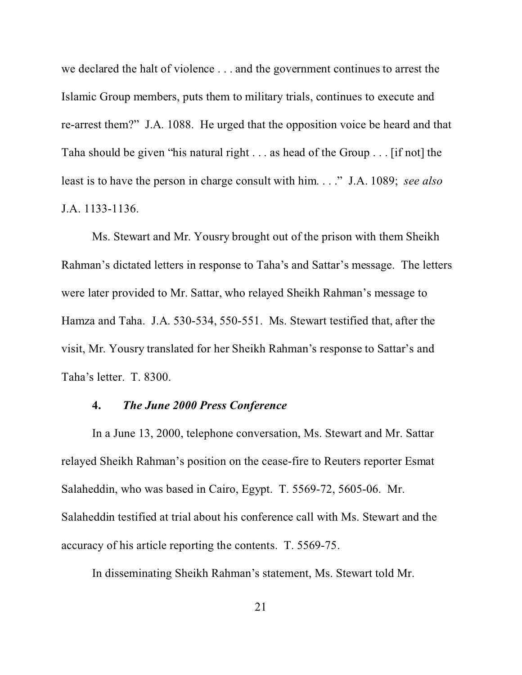we declared the halt of violence . . . and the government continues to arrest the Islamic Group members, puts them to military trials, continues to execute and re-arrest them?" J.A. 1088. He urged that the opposition voice be heard and that Taha should be given "his natural right . . . as head of the Group . . . [if not] the least is to have the person in charge consult with him. . . ." J.A. 1089; *see also* J.A. 1133-1136.

Ms. Stewart and Mr. Yousry brought out of the prison with them Sheikh Rahman's dictated letters in response to Taha's and Sattar's message. The letters were later provided to Mr. Sattar, who relayed Sheikh Rahman's message to Hamza and Taha. J.A. 530-534, 550-551. Ms. Stewart testified that, after the visit, Mr. Yousry translated for her Sheikh Rahman's response to Sattar's and Taha's letter. T. 8300.

## **4.** *The June 2000 Press Conference*

In a June 13, 2000, telephone conversation, Ms. Stewart and Mr. Sattar relayed Sheikh Rahman's position on the cease-fire to Reuters reporter Esmat Salaheddin, who was based in Cairo, Egypt. T. 5569-72, 5605-06. Mr. Salaheddin testified at trial about his conference call with Ms. Stewart and the accuracy of his article reporting the contents. T. 5569-75.

In disseminating Sheikh Rahman's statement, Ms. Stewart told Mr.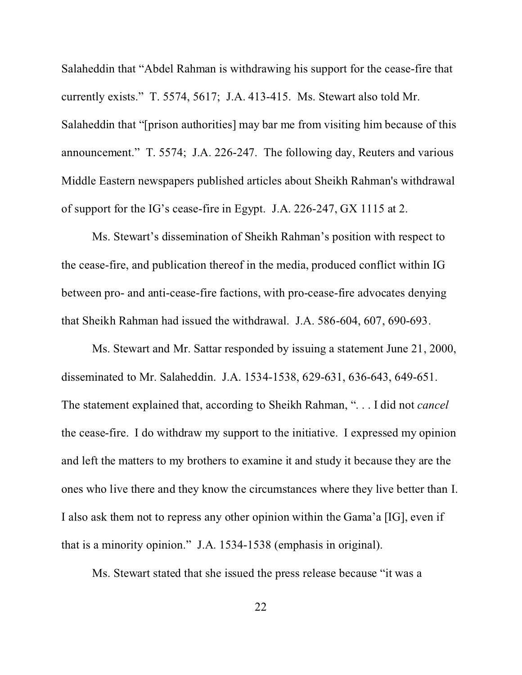Salaheddin that "Abdel Rahman is withdrawing his support for the cease-fire that currently exists." T. 5574, 5617; J.A. 413-415. Ms. Stewart also told Mr. Salaheddin that "[prison authorities] may bar me from visiting him because of this announcement." T. 5574; J.A. 226-247. The following day, Reuters and various Middle Eastern newspapers published articles about Sheikh Rahman's withdrawal of support for the IG's cease-fire in Egypt. J.A. 226-247, GX 1115 at 2.

Ms. Stewart's dissemination of Sheikh Rahman's position with respect to the cease-fire, and publication thereof in the media, produced conflict within IG between pro- and anti-cease-fire factions, with pro-cease-fire advocates denying that Sheikh Rahman had issued the withdrawal. J.A. 586-604, 607, 690-693.

Ms. Stewart and Mr. Sattar responded by issuing a statement June 21, 2000, disseminated to Mr. Salaheddin. J.A. 1534-1538, 629-631, 636-643, 649-651. The statement explained that, according to Sheikh Rahman, ". . . I did not *cancel* the cease-fire. I do withdraw my support to the initiative. I expressed my opinion and left the matters to my brothers to examine it and study it because they are the ones who live there and they know the circumstances where they live better than I. I also ask them not to repress any other opinion within the Gama'a [IG], even if that is a minority opinion." J.A. 1534-1538 (emphasis in original).

Ms. Stewart stated that she issued the press release because "it was a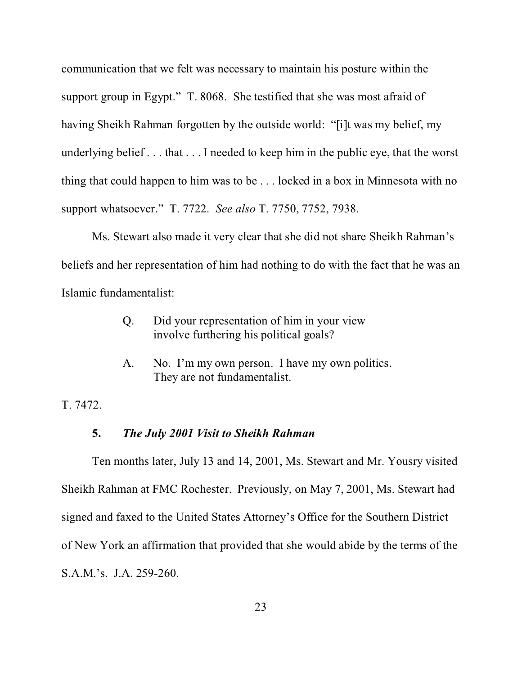communication that we felt was necessary to maintain his posture within the support group in Egypt." T. 8068. She testified that she was most afraid of having Sheikh Rahman forgotten by the outside world: "[i]t was my belief, my underlying belief . . . that . . . I needed to keep him in the public eye, that the worst thing that could happen to him was to be . . . locked in a box in Minnesota with no support whatsoever." T. 7722. *See also* T. 7750, 7752, 7938.

Ms. Stewart also made it very clear that she did not share Sheikh Rahman's beliefs and her representation of him had nothing to do with the fact that he was an Islamic fundamentalist:

- Q. Did your representation of him in your view involve furthering his political goals?
- A. No. I'm my own person. I have my own politics. They are not fundamentalist.

T. 7472.

# **5.** *The July 2001 Visit to Sheikh Rahman*

Ten months later, July 13 and 14, 2001, Ms. Stewart and Mr. Yousry visited Sheikh Rahman at FMC Rochester. Previously, on May 7, 2001, Ms. Stewart had signed and faxed to the United States Attorney's Office for the Southern District of New York an affirmation that provided that she would abide by the terms of the S.A.M.'s. J.A. 259-260.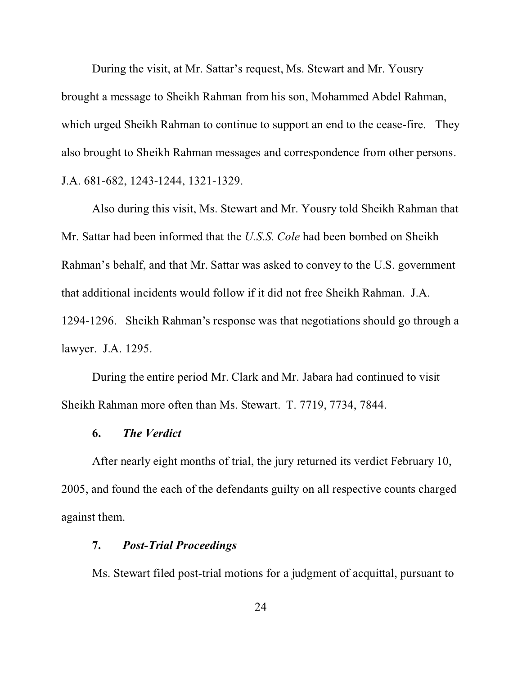During the visit, at Mr. Sattar's request, Ms. Stewart and Mr. Yousry brought a message to Sheikh Rahman from his son, Mohammed Abdel Rahman, which urged Sheikh Rahman to continue to support an end to the cease-fire. They also brought to Sheikh Rahman messages and correspondence from other persons. J.A. 681-682, 1243-1244, 1321-1329.

Also during this visit, Ms. Stewart and Mr. Yousry told Sheikh Rahman that Mr. Sattar had been informed that the *U.S.S. Cole* had been bombed on Sheikh Rahman's behalf, and that Mr. Sattar was asked to convey to the U.S. government that additional incidents would follow if it did not free Sheikh Rahman. J.A. 1294-1296. Sheikh Rahman's response was that negotiations should go through a lawyer. J.A. 1295.

During the entire period Mr. Clark and Mr. Jabara had continued to visit Sheikh Rahman more often than Ms. Stewart. T. 7719, 7734, 7844.

## **6.** *The Verdict*

After nearly eight months of trial, the jury returned its verdict February 10, 2005, and found the each of the defendants guilty on all respective counts charged against them.

## **7.** *Post-Trial Proceedings*

Ms. Stewart filed post-trial motions for a judgment of acquittal, pursuant to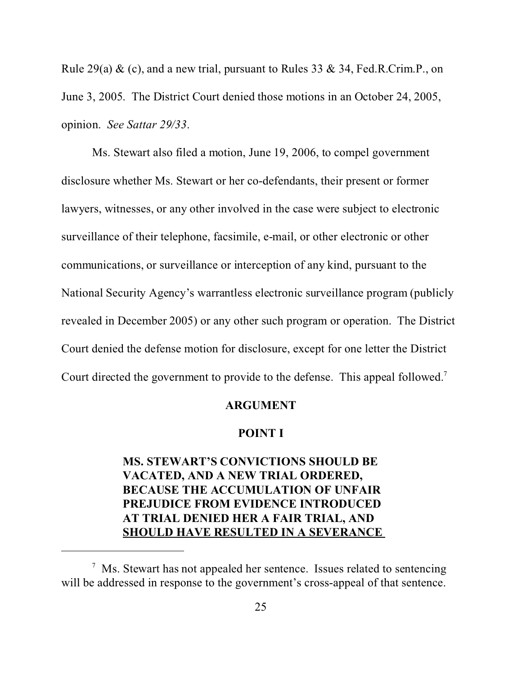Rule 29(a) & (c), and a new trial, pursuant to Rules 33 & 34, Fed.R.Crim.P., on June 3, 2005. The District Court denied those motions in an October 24, 2005, opinion. *See Sattar 29/33*.

Ms. Stewart also filed a motion, June 19, 2006, to compel government disclosure whether Ms. Stewart or her co-defendants, their present or former lawyers, witnesses, or any other involved in the case were subject to electronic surveillance of their telephone, facsimile, e-mail, or other electronic or other communications, or surveillance or interception of any kind, pursuant to the National Security Agency's warrantless electronic surveillance program (publicly revealed in December 2005) or any other such program or operation. The District Court denied the defense motion for disclosure, except for one letter the District Court directed the government to provide to the defense. This appeal followed.<sup>7</sup>

#### **ARGUMENT**

## **POINT I**

# **MS. STEWART'S CONVICTIONS SHOULD BE VACATED, AND A NEW TRIAL ORDERED, BECAUSE THE ACCUMULATION OF UNFAIR PREJUDICE FROM EVIDENCE INTRODUCED AT TRIAL DENIED HER A FAIR TRIAL, AND SHOULD HAVE RESULTED IN A SEVERANCE**

 $<sup>7</sup>$  Ms. Stewart has not appealed her sentence. Issues related to sentencing</sup> will be addressed in response to the government's cross-appeal of that sentence.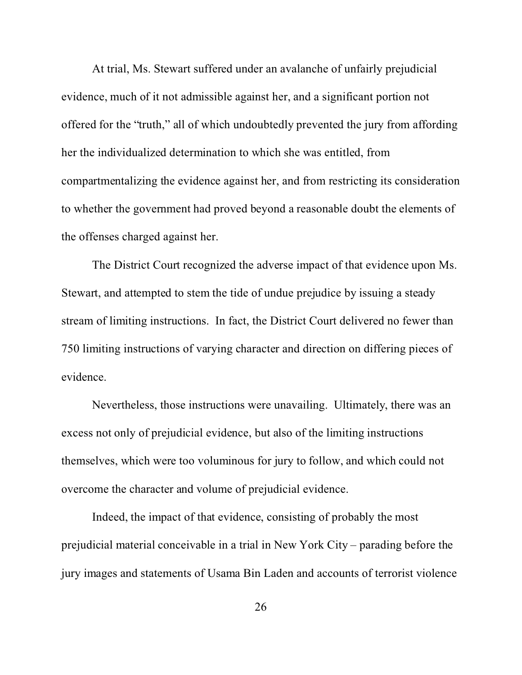At trial, Ms. Stewart suffered under an avalanche of unfairly prejudicial evidence, much of it not admissible against her, and a significant portion not offered for the "truth," all of which undoubtedly prevented the jury from affording her the individualized determination to which she was entitled, from compartmentalizing the evidence against her, and from restricting its consideration to whether the government had proved beyond a reasonable doubt the elements of the offenses charged against her.

The District Court recognized the adverse impact of that evidence upon Ms. Stewart, and attempted to stem the tide of undue prejudice by issuing a steady stream of limiting instructions. In fact, the District Court delivered no fewer than 750 limiting instructions of varying character and direction on differing pieces of evidence.

Nevertheless, those instructions were unavailing. Ultimately, there was an excess not only of prejudicial evidence, but also of the limiting instructions themselves, which were too voluminous for jury to follow, and which could not overcome the character and volume of prejudicial evidence.

Indeed, the impact of that evidence, consisting of probably the most prejudicial material conceivable in a trial in New York City – parading before the jury images and statements of Usama Bin Laden and accounts of terrorist violence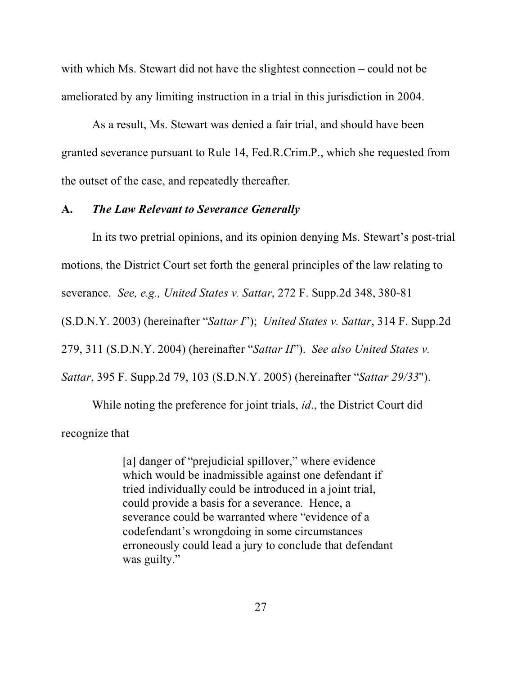with which Ms. Stewart did not have the slightest connection – could not be ameliorated by any limiting instruction in a trial in this jurisdiction in 2004.

As a result, Ms. Stewart was denied a fair trial, and should have been granted severance pursuant to Rule 14, Fed.R.Crim.P., which she requested from the outset of the case, and repeatedly thereafter.

#### **A.** *The Law Relevant to Severance Generally*

In its two pretrial opinions, and its opinion denying Ms. Stewart's post-trial motions, the District Court set forth the general principles of the law relating to severance. *See, e.g., United States v. Sattar*, 272 F. Supp.2d 348, 380-81 (S.D.N.Y. 2003) (hereinafter "*Sattar I*"); *United States v. Sattar*, 314 F. Supp.2d 279, 311 (S.D.N.Y. 2004) (hereinafter "*Sattar II*"). *See also United States v. Sattar*, 395 F. Supp.2d 79, 103 (S.D.N.Y. 2005) (hereinafter "*Sattar 29/33*").

While noting the preference for joint trials, *id*., the District Court did recognize that

> [a] danger of "prejudicial spillover," where evidence which would be inadmissible against one defendant if tried individually could be introduced in a joint trial, could provide a basis for a severance. Hence, a severance could be warranted where "evidence of a codefendant's wrongdoing in some circumstances erroneously could lead a jury to conclude that defendant was guilty."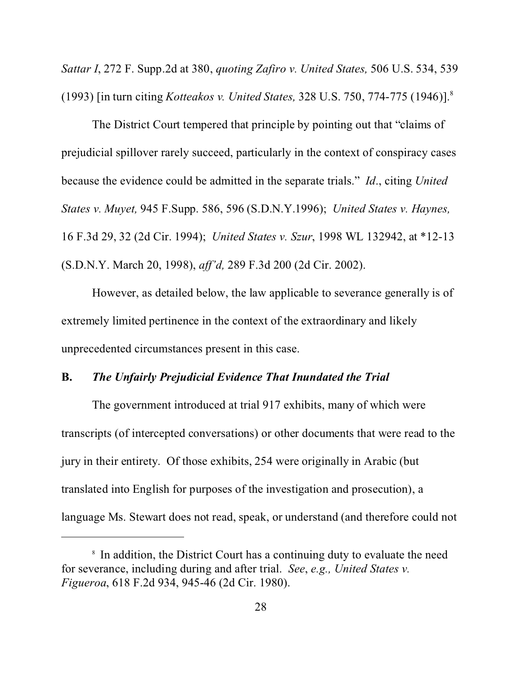*Sattar I*, 272 F. Supp.2d at 380, *quoting Zafiro v. United States,* 506 U.S. 534, 539 (1993) [in turn citing *Kotteakos v. United States,* 328 U.S. 750, 774-775 (1946)].<sup>8</sup>

The District Court tempered that principle by pointing out that "claims of prejudicial spillover rarely succeed, particularly in the context of conspiracy cases because the evidence could be admitted in the separate trials." *Id*., citing *United States v. Muyet,* 945 F.Supp. 586, 596 (S.D.N.Y.1996); *United States v. Haynes,* 16 F.3d 29, 32 (2d Cir. 1994); *United States v. Szur*, 1998 WL 132942, at \*12-13 (S.D.N.Y. March 20, 1998), *aff'd,* 289 F.3d 200 (2d Cir. 2002).

However, as detailed below, the law applicable to severance generally is of extremely limited pertinence in the context of the extraordinary and likely unprecedented circumstances present in this case.

## **B.** *The Unfairly Prejudicial Evidence That Inundated the Trial*

The government introduced at trial 917 exhibits, many of which were transcripts (of intercepted conversations) or other documents that were read to the jury in their entirety. Of those exhibits, 254 were originally in Arabic (but translated into English for purposes of the investigation and prosecution), a language Ms. Stewart does not read, speak, or understand (and therefore could not

<sup>&</sup>lt;sup>8</sup> In addition, the District Court has a continuing duty to evaluate the need for severance, including during and after trial. *See*, *e.g., United States v. Figueroa*, 618 F.2d 934, 945-46 (2d Cir. 1980).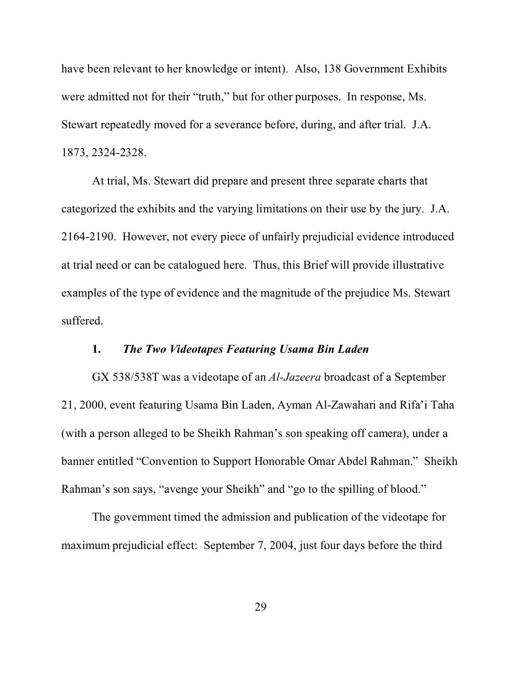have been relevant to her knowledge or intent). Also, 138 Government Exhibits were admitted not for their "truth," but for other purposes. In response, Ms. Stewart repeatedly moved for a severance before, during, and after trial. J.A. 1873, 2324-2328.

At trial, Ms. Stewart did prepare and present three separate charts that categorized the exhibits and the varying limitations on their use by the jury. J.A. 2164-2190. However, not every piece of unfairly prejudicial evidence introduced at trial need or can be catalogued here. Thus, this Brief will provide illustrative examples of the type of evidence and the magnitude of the prejudice Ms. Stewart suffered.

# **1.** *The Two Videotapes Featuring Usama Bin Laden*

GX 538/538T was a videotape of an *Al-Jazeera* broadcast of a September 21, 2000, event featuring Usama Bin Laden, Ayman Al-Zawahari and Rifa'i Taha (with a person alleged to be Sheikh Rahman's son speaking off camera), under a banner entitled "Convention to Support Honorable Omar Abdel Rahman." Sheikh Rahman's son says, "avenge your Sheikh" and "go to the spilling of blood."

The government timed the admission and publication of the videotape for maximum prejudicial effect: September 7, 2004, just four days before the third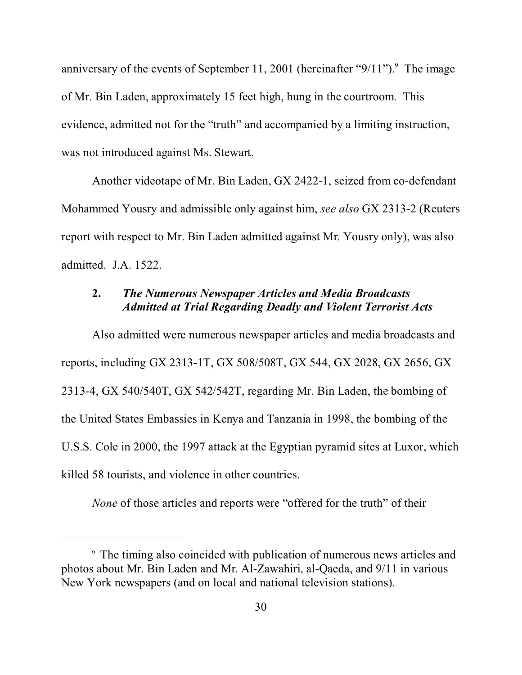anniversary of the events of September 11, 2001 (hereinafter " $9/11$ ").<sup>9</sup> The image of Mr. Bin Laden, approximately 15 feet high, hung in the courtroom. This evidence, admitted not for the "truth" and accompanied by a limiting instruction, was not introduced against Ms. Stewart.

Another videotape of Mr. Bin Laden, GX 2422-1, seized from co-defendant Mohammed Yousry and admissible only against him, *see also* GX 2313-2 (Reuters report with respect to Mr. Bin Laden admitted against Mr. Yousry only), was also admitted. J.A. 1522.

# **2.** *The Numerous Newspaper Articles and Media Broadcasts Admitted at Trial Regarding Deadly and Violent Terrorist Acts*

Also admitted were numerous newspaper articles and media broadcasts and reports, including GX 2313-1T, GX 508/508T, GX 544, GX 2028, GX 2656, GX 2313-4, GX 540/540T, GX 542/542T, regarding Mr. Bin Laden, the bombing of the United States Embassies in Kenya and Tanzania in 1998, the bombing of the U.S.S. Cole in 2000, the 1997 attack at the Egyptian pyramid sites at Luxor, which killed 58 tourists, and violence in other countries.

*None* of those articles and reports were "offered for the truth" of their

<sup>9</sup> The timing also coincided with publication of numerous news articles and photos about Mr. Bin Laden and Mr. Al-Zawahiri, al-Qaeda, and 9/11 in various New York newspapers (and on local and national television stations).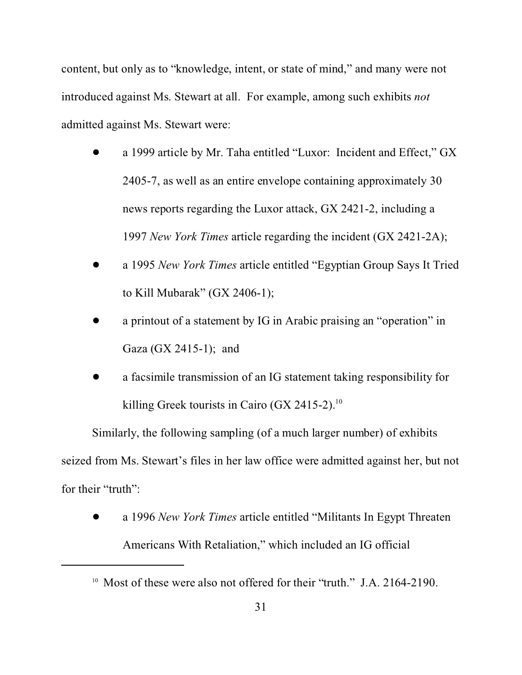content, but only as to "knowledge, intent, or state of mind," and many were not introduced against Ms. Stewart at all. For example, among such exhibits *not* admitted against Ms. Stewart were:

- ! a 1999 article by Mr. Taha entitled "Luxor: Incident and Effect," GX 2405-7, as well as an entire envelope containing approximately 30 news reports regarding the Luxor attack, GX 2421-2, including a 1997 *New York Times* article regarding the incident (GX 2421-2A);
- ! a 1995 *New York Times* article entitled "Egyptian Group Says It Tried to Kill Mubarak" (GX 2406-1);
- ! a printout of a statement by IG in Arabic praising an "operation" in Gaza (GX 2415-1); and
- a facsimile transmission of an IG statement taking responsibility for killing Greek tourists in Cairo (GX 2415-2). $^{10}$

Similarly, the following sampling (of a much larger number) of exhibits seized from Ms. Stewart's files in her law office were admitted against her, but not for their "truth":

! a 1996 *New York Times* article entitled "Militants In Egypt Threaten Americans With Retaliation," which included an IG official

<sup>&</sup>lt;sup>10</sup> Most of these were also not offered for their "truth." J.A. 2164-2190.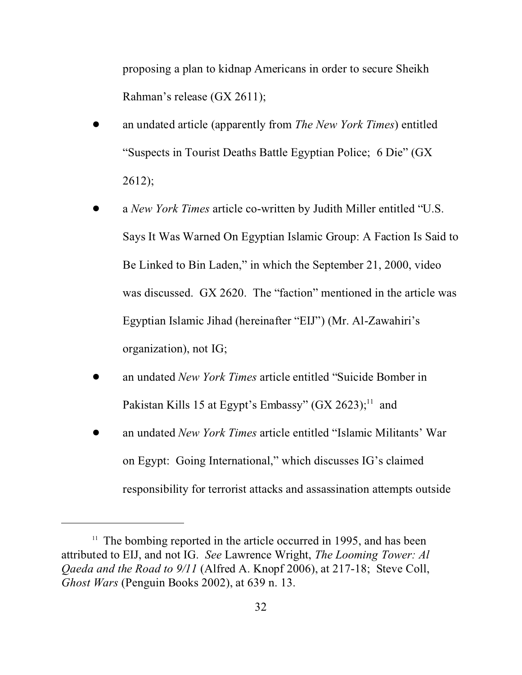proposing a plan to kidnap Americans in order to secure Sheikh Rahman's release (GX 2611);

- ! an undated article (apparently from *The New York Times*) entitled "Suspects in Tourist Deaths Battle Egyptian Police; 6 Die" (GX 2612);
- ! a *New York Times* article co-written by Judith Miller entitled "U.S. Says It Was Warned On Egyptian Islamic Group: A Faction Is Said to Be Linked to Bin Laden," in which the September 21, 2000, video was discussed. GX 2620. The "faction" mentioned in the article was Egyptian Islamic Jihad (hereinafter "EIJ") (Mr. Al-Zawahiri's organization), not IG;
- ! an undated *New York Times* article entitled "Suicide Bomber in Pakistan Kills 15 at Egypt's Embassy"  $(GX 2623)$ ;<sup>11</sup> and
- ! an undated *New York Times* article entitled "Islamic Militants' War on Egypt: Going International," which discusses IG's claimed responsibility for terrorist attacks and assassination attempts outside

<sup>&</sup>lt;sup>11</sup> The bombing reported in the article occurred in 1995, and has been attributed to EIJ, and not IG. *See* Lawrence Wright, *The Looming Tower: Al Qaeda and the Road to 9/11* (Alfred A. Knopf 2006), at 217-18; Steve Coll, *Ghost Wars* (Penguin Books 2002), at 639 n. 13.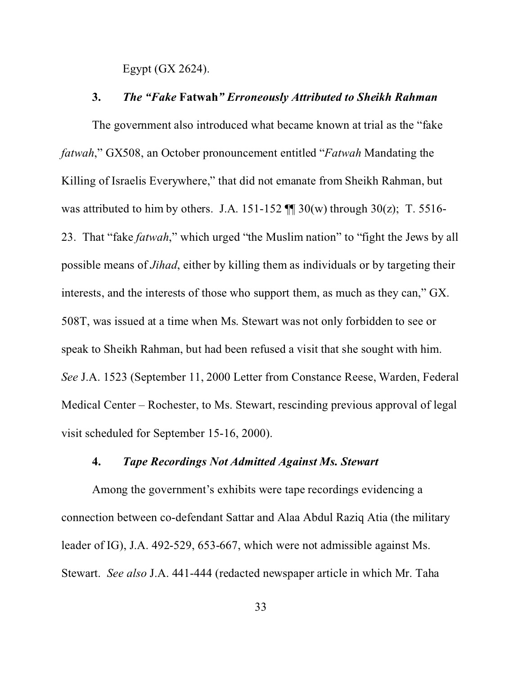Egypt (GX 2624).

#### **3.** *The "Fake* **Fatwah***" Erroneously Attributed to Sheikh Rahman*

The government also introduced what became known at trial as the "fake *fatwah*," GX508, an October pronouncement entitled "*Fatwah* Mandating the Killing of Israelis Everywhere," that did not emanate from Sheikh Rahman, but was attributed to him by others. J.A. 151-152  $\P$  30(w) through 30(z); T. 5516-23. That "fake *fatwah*," which urged "the Muslim nation" to "fight the Jews by all possible means of *Jihad*, either by killing them as individuals or by targeting their interests, and the interests of those who support them, as much as they can," GX. 508T, was issued at a time when Ms. Stewart was not only forbidden to see or speak to Sheikh Rahman, but had been refused a visit that she sought with him. *See* J.A. 1523 (September 11, 2000 Letter from Constance Reese, Warden, Federal Medical Center – Rochester, to Ms. Stewart, rescinding previous approval of legal visit scheduled for September 15-16, 2000).

# **4.** *Tape Recordings Not Admitted Against Ms. Stewart*

Among the government's exhibits were tape recordings evidencing a connection between co-defendant Sattar and Alaa Abdul Raziq Atia (the military leader of IG), J.A. 492-529, 653-667, which were not admissible against Ms. Stewart. *See also* J.A. 441-444 (redacted newspaper article in which Mr. Taha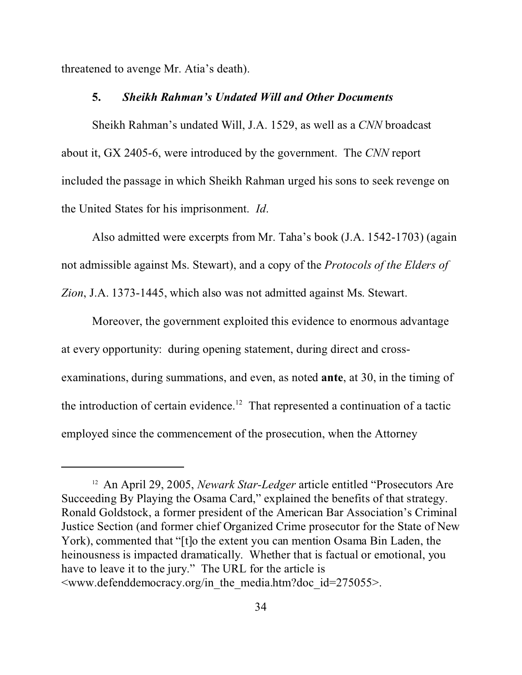threatened to avenge Mr. Atia's death).

#### **5.** *Sheikh Rahman's Undated Will and Other Documents*

Sheikh Rahman's undated Will, J.A. 1529, as well as a *CNN* broadcast about it, GX 2405-6, were introduced by the government. The *CNN* report included the passage in which Sheikh Rahman urged his sons to seek revenge on the United States for his imprisonment. *Id*.

Also admitted were excerpts from Mr. Taha's book (J.A. 1542-1703) (again not admissible against Ms. Stewart), and a copy of the *Protocols of the Elders of Zion*, J.A. 1373-1445, which also was not admitted against Ms. Stewart.

Moreover, the government exploited this evidence to enormous advantage at every opportunity: during opening statement, during direct and crossexaminations, during summations, and even, as noted **ante**, at 30, in the timing of the introduction of certain evidence.<sup>12</sup> That represented a continuation of a tactic employed since the commencement of the prosecution, when the Attorney

<sup>&</sup>lt;sup>12</sup> An April 29, 2005, *Newark Star-Ledger* article entitled "Prosecutors Are Succeeding By Playing the Osama Card," explained the benefits of that strategy. Ronald Goldstock, a former president of the American Bar Association's Criminal Justice Section (and former chief Organized Crime prosecutor for the State of New York), commented that "[t]o the extent you can mention Osama Bin Laden, the heinousness is impacted dramatically. Whether that is factual or emotional, you have to leave it to the jury." The URL for the article is  $\leq$ www.defenddemocracy.org/in the media.htm?doc id=275055>.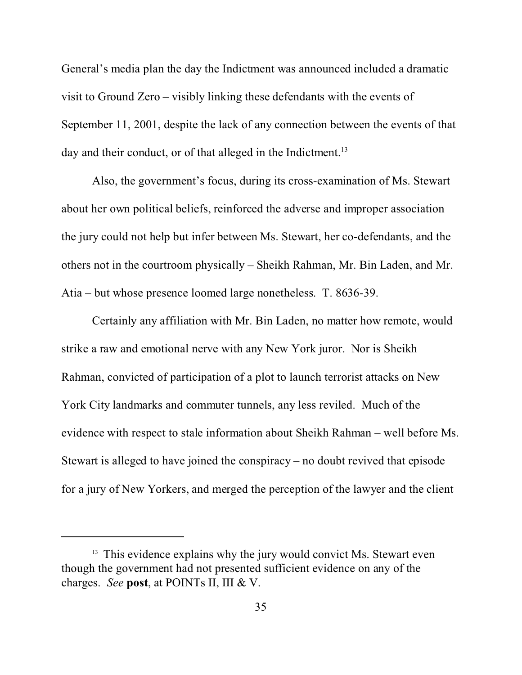General's media plan the day the Indictment was announced included a dramatic visit to Ground Zero – visibly linking these defendants with the events of September 11, 2001, despite the lack of any connection between the events of that day and their conduct, or of that alleged in the Indictment.<sup>13</sup>

Also, the government's focus, during its cross-examination of Ms. Stewart about her own political beliefs, reinforced the adverse and improper association the jury could not help but infer between Ms. Stewart, her co-defendants, and the others not in the courtroom physically – Sheikh Rahman, Mr. Bin Laden, and Mr. Atia – but whose presence loomed large nonetheless. T. 8636-39.

Certainly any affiliation with Mr. Bin Laden, no matter how remote, would strike a raw and emotional nerve with any New York juror. Nor is Sheikh Rahman, convicted of participation of a plot to launch terrorist attacks on New York City landmarks and commuter tunnels, any less reviled. Much of the evidence with respect to stale information about Sheikh Rahman – well before Ms. Stewart is alleged to have joined the conspiracy – no doubt revived that episode for a jury of New Yorkers, and merged the perception of the lawyer and the client

<sup>&</sup>lt;sup>13</sup> This evidence explains why the jury would convict Ms. Stewart even though the government had not presented sufficient evidence on any of the charges. *See* **post**, at POINTs II, III & V.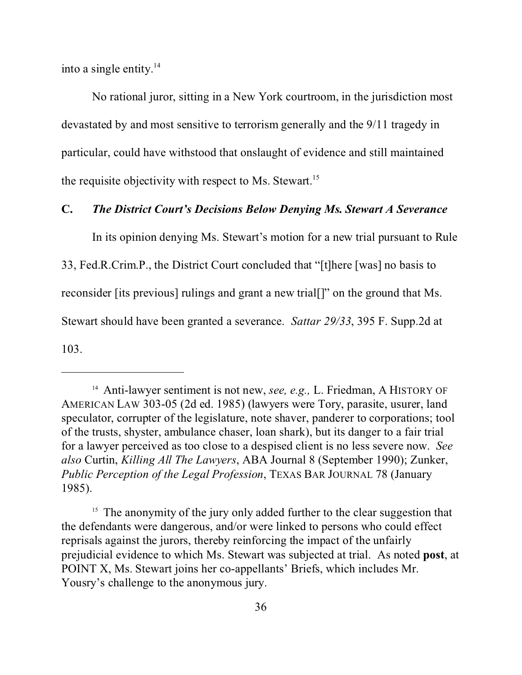into a single entity.<sup>14</sup>

No rational juror, sitting in a New York courtroom, in the jurisdiction most devastated by and most sensitive to terrorism generally and the 9/11 tragedy in particular, could have withstood that onslaught of evidence and still maintained the requisite objectivity with respect to Ms. Stewart.<sup>15</sup>

## **C.** *The District Court's Decisions Below Denying Ms. Stewart A Severance*

In its opinion denying Ms. Stewart's motion for a new trial pursuant to Rule

33, Fed.R.Crim.P., the District Court concluded that "[t]here [was] no basis to

reconsider [its previous] rulings and grant a new trial[]" on the ground that Ms.

Stewart should have been granted a severance. *Sattar 29/33*, 395 F. Supp.2d at

103.

<sup>15</sup> The anonymity of the jury only added further to the clear suggestion that the defendants were dangerous, and/or were linked to persons who could effect reprisals against the jurors, thereby reinforcing the impact of the unfairly prejudicial evidence to which Ms. Stewart was subjected at trial. As noted **post**, at POINT X, Ms. Stewart joins her co-appellants' Briefs, which includes Mr. Yousry's challenge to the anonymous jury.

<sup>&</sup>lt;sup>14</sup> Anti-lawyer sentiment is not new, *see, e.g.*, L. Friedman, A HISTORY OF AMERICAN LAW 303-05 (2d ed. 1985) (lawyers were Tory, parasite, usurer, land speculator, corrupter of the legislature, note shaver, panderer to corporations; tool of the trusts, shyster, ambulance chaser, loan shark), but its danger to a fair trial for a lawyer perceived as too close to a despised client is no less severe now. *See also* Curtin, *Killing All The Lawyers*, ABA Journal 8 (September 1990); Zunker, *Public Perception of the Legal Profession*, TEXAS BAR JOURNAL 78 (January 1985).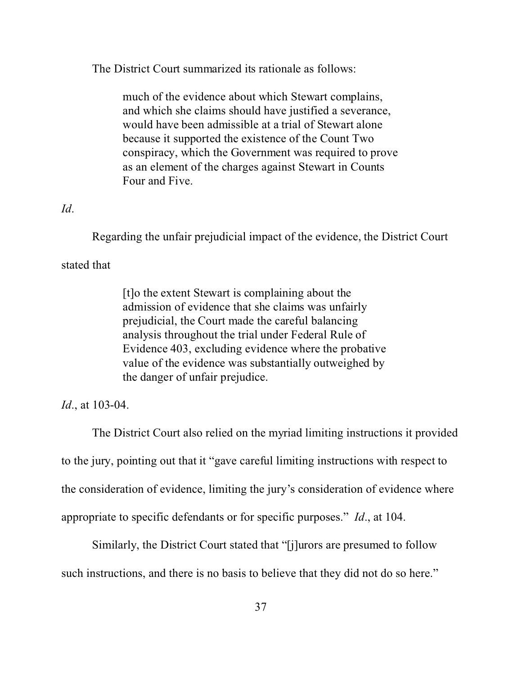The District Court summarized its rationale as follows:

much of the evidence about which Stewart complains, and which she claims should have justified a severance, would have been admissible at a trial of Stewart alone because it supported the existence of the Count Two conspiracy, which the Government was required to prove as an element of the charges against Stewart in Counts Four and Five.

## *Id*.

Regarding the unfair prejudicial impact of the evidence, the District Court

## stated that

[t]o the extent Stewart is complaining about the admission of evidence that she claims was unfairly prejudicial, the Court made the careful balancing analysis throughout the trial under Federal Rule of Evidence 403, excluding evidence where the probative value of the evidence was substantially outweighed by the danger of unfair prejudice.

#### *Id*., at 103-04.

The District Court also relied on the myriad limiting instructions it provided to the jury, pointing out that it "gave careful limiting instructions with respect to the consideration of evidence, limiting the jury's consideration of evidence where appropriate to specific defendants or for specific purposes." *Id*., at 104.

Similarly, the District Court stated that "[j]urors are presumed to follow such instructions, and there is no basis to believe that they did not do so here."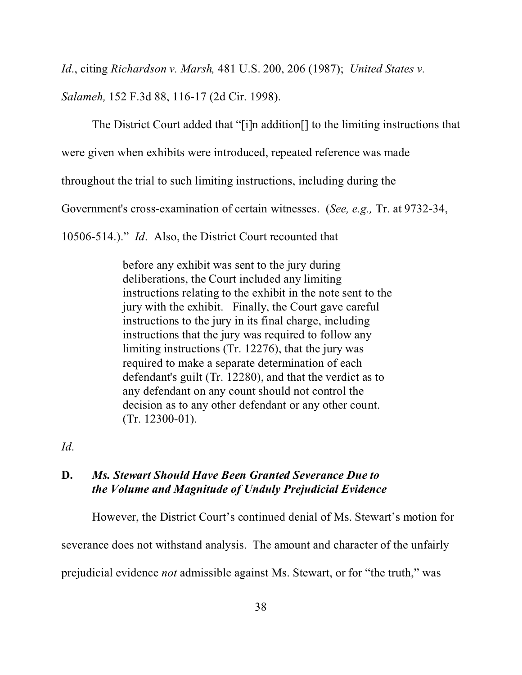*Id*., citing *Richardson v. Marsh,* 481 U.S. 200, 206 (1987); *United States v.*

*Salameh,* 152 F.3d 88, 116-17 (2d Cir. 1998).

The District Court added that "[i]n addition[] to the limiting instructions that

were given when exhibits were introduced, repeated reference was made

throughout the trial to such limiting instructions, including during the

Government's cross-examination of certain witnesses. (*See, e.g.,* Tr. at 9732-34,

10506-514.)." *Id*. Also, the District Court recounted that

before any exhibit was sent to the jury during deliberations, the Court included any limiting instructions relating to the exhibit in the note sent to the jury with the exhibit. Finally, the Court gave careful instructions to the jury in its final charge, including instructions that the jury was required to follow any limiting instructions (Tr. 12276), that the jury was required to make a separate determination of each defendant's guilt (Tr. 12280), and that the verdict as to any defendant on any count should not control the decision as to any other defendant or any other count. (Tr. 12300-01).

*Id*.

## **D.** *Ms. Stewart Should Have Been Granted Severance Due to the Volume and Magnitude of Unduly Prejudicial Evidence*

However, the District Court's continued denial of Ms. Stewart's motion for severance does not withstand analysis. The amount and character of the unfairly prejudicial evidence *not* admissible against Ms. Stewart, or for "the truth," was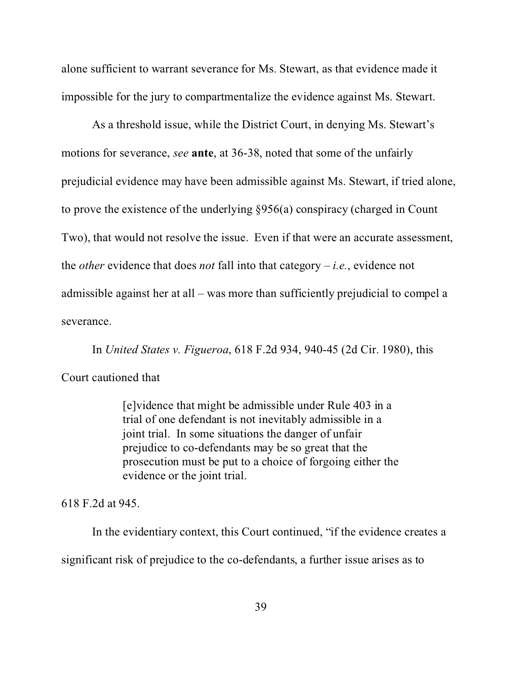alone sufficient to warrant severance for Ms. Stewart, as that evidence made it impossible for the jury to compartmentalize the evidence against Ms. Stewart.

As a threshold issue, while the District Court, in denying Ms. Stewart's motions for severance, *see* **ante**, at 36-38, noted that some of the unfairly prejudicial evidence may have been admissible against Ms. Stewart, if tried alone, to prove the existence of the underlying §956(a) conspiracy (charged in Count Two), that would not resolve the issue. Even if that were an accurate assessment, the *other* evidence that does *not* fall into that category – *i.e.*, evidence not admissible against her at all – was more than sufficiently prejudicial to compel a severance.

In *United States v. Figueroa*, 618 F.2d 934, 940-45 (2d Cir. 1980), this Court cautioned that

> [e]vidence that might be admissible under Rule 403 in a trial of one defendant is not inevitably admissible in a joint trial. In some situations the danger of unfair prejudice to co-defendants may be so great that the prosecution must be put to a choice of forgoing either the evidence or the joint trial.

618 F.2d at 945.

In the evidentiary context, this Court continued, "if the evidence creates a significant risk of prejudice to the co-defendants, a further issue arises as to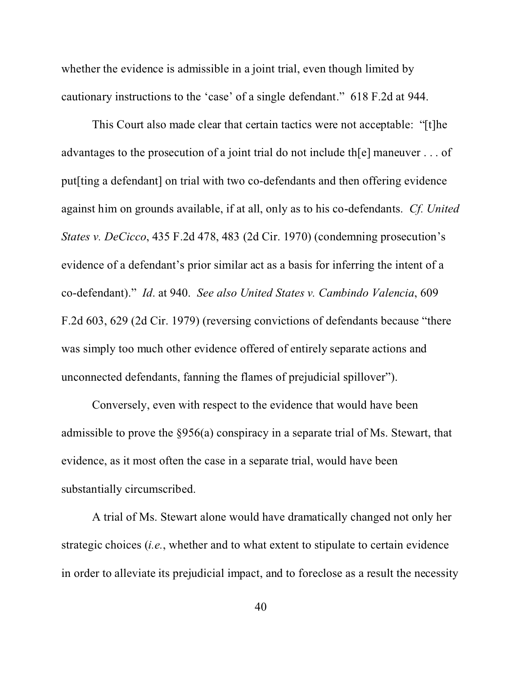whether the evidence is admissible in a joint trial, even though limited by cautionary instructions to the 'case' of a single defendant." 618 F.2d at 944.

This Court also made clear that certain tactics were not acceptable: "[t]he advantages to the prosecution of a joint trial do not include th[e] maneuver . . . of put[ting a defendant] on trial with two co-defendants and then offering evidence against him on grounds available, if at all, only as to his co-defendants. *Cf. United States v. DeCicco*, 435 F.2d 478, 483 (2d Cir. 1970) (condemning prosecution's evidence of a defendant's prior similar act as a basis for inferring the intent of a co-defendant)." *Id*. at 940. *See also United States v. Cambindo Valencia*, 609 F.2d 603, 629 (2d Cir. 1979) (reversing convictions of defendants because "there was simply too much other evidence offered of entirely separate actions and unconnected defendants, fanning the flames of prejudicial spillover").

Conversely, even with respect to the evidence that would have been admissible to prove the §956(a) conspiracy in a separate trial of Ms. Stewart, that evidence, as it most often the case in a separate trial, would have been substantially circumscribed.

A trial of Ms. Stewart alone would have dramatically changed not only her strategic choices (*i.e.*, whether and to what extent to stipulate to certain evidence in order to alleviate its prejudicial impact, and to foreclose as a result the necessity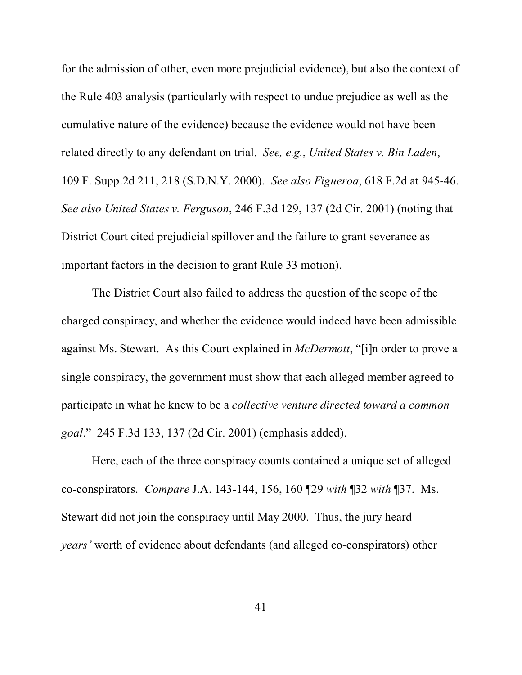for the admission of other, even more prejudicial evidence), but also the context of the Rule 403 analysis (particularly with respect to undue prejudice as well as the cumulative nature of the evidence) because the evidence would not have been related directly to any defendant on trial. *See, e.g.*, *United States v. Bin Laden*, 109 F. Supp.2d 211, 218 (S.D.N.Y. 2000). *See also Figueroa*, 618 F.2d at 945-46. *See also United States v. Ferguson*, 246 F.3d 129, 137 (2d Cir. 2001) (noting that District Court cited prejudicial spillover and the failure to grant severance as important factors in the decision to grant Rule 33 motion).

The District Court also failed to address the question of the scope of the charged conspiracy, and whether the evidence would indeed have been admissible against Ms. Stewart. As this Court explained in *McDermott*, "[i]n order to prove a single conspiracy, the government must show that each alleged member agreed to participate in what he knew to be a *collective venture directed toward a common goal*." 245 F.3d 133, 137 (2d Cir. 2001) (emphasis added).

Here, each of the three conspiracy counts contained a unique set of alleged co-conspirators. *Compare* J.A. 143-144, 156, 160 ¶29 *with* ¶32 *with* ¶37. Ms. Stewart did not join the conspiracy until May 2000. Thus, the jury heard *years'* worth of evidence about defendants (and alleged co-conspirators) other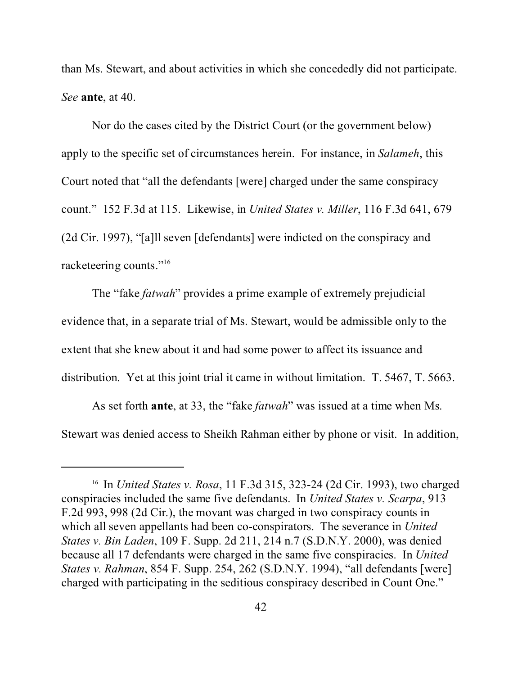than Ms. Stewart, and about activities in which she concededly did not participate. *See* **ante**, at 40.

Nor do the cases cited by the District Court (or the government below) apply to the specific set of circumstances herein. For instance, in *Salameh*, this Court noted that "all the defendants [were] charged under the same conspiracy count." 152 F.3d at 115. Likewise, in *United States v. Miller*, 116 F.3d 641, 679 (2d Cir. 1997), "[a]ll seven [defendants] were indicted on the conspiracy and racketeering counts."<sup>16</sup>

The "fake *fatwah*" provides a prime example of extremely prejudicial evidence that, in a separate trial of Ms. Stewart, would be admissible only to the extent that she knew about it and had some power to affect its issuance and distribution. Yet at this joint trial it came in without limitation. T. 5467, T. 5663.

As set forth **ante**, at 33, the "fake *fatwah*" was issued at a time when Ms. Stewart was denied access to Sheikh Rahman either by phone or visit. In addition,

<sup>16</sup> In *United States v. Rosa*, 11 F.3d 315, 323-24 (2d Cir. 1993), two charged conspiracies included the same five defendants. In *United States v. Scarpa*, 913 F.2d 993, 998 (2d Cir.), the movant was charged in two conspiracy counts in which all seven appellants had been co-conspirators. The severance in *United States v. Bin Laden*, 109 F. Supp. 2d 211, 214 n.7 (S.D.N.Y. 2000), was denied because all 17 defendants were charged in the same five conspiracies. In *United States v. Rahman*, 854 F. Supp. 254, 262 (S.D.N.Y. 1994), "all defendants [were] charged with participating in the seditious conspiracy described in Count One."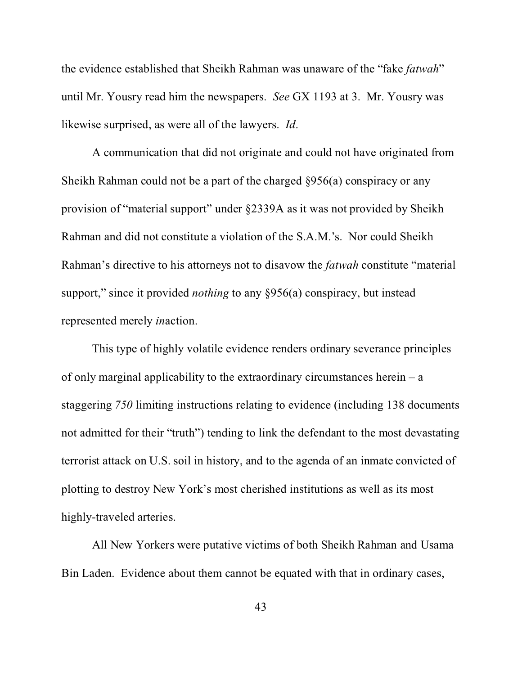the evidence established that Sheikh Rahman was unaware of the "fake *fatwah*" until Mr. Yousry read him the newspapers. *See* GX 1193 at 3. Mr. Yousry was likewise surprised, as were all of the lawyers. *Id*.

A communication that did not originate and could not have originated from Sheikh Rahman could not be a part of the charged §956(a) conspiracy or any provision of "material support" under §2339A as it was not provided by Sheikh Rahman and did not constitute a violation of the S.A.M.'s. Nor could Sheikh Rahman's directive to his attorneys not to disavow the *fatwah* constitute "material support," since it provided *nothing* to any §956(a) conspiracy, but instead represented merely *in*action.

This type of highly volatile evidence renders ordinary severance principles of only marginal applicability to the extraordinary circumstances herein – a staggering *750* limiting instructions relating to evidence (including 138 documents not admitted for their "truth") tending to link the defendant to the most devastating terrorist attack on U.S. soil in history, and to the agenda of an inmate convicted of plotting to destroy New York's most cherished institutions as well as its most highly-traveled arteries.

All New Yorkers were putative victims of both Sheikh Rahman and Usama Bin Laden. Evidence about them cannot be equated with that in ordinary cases,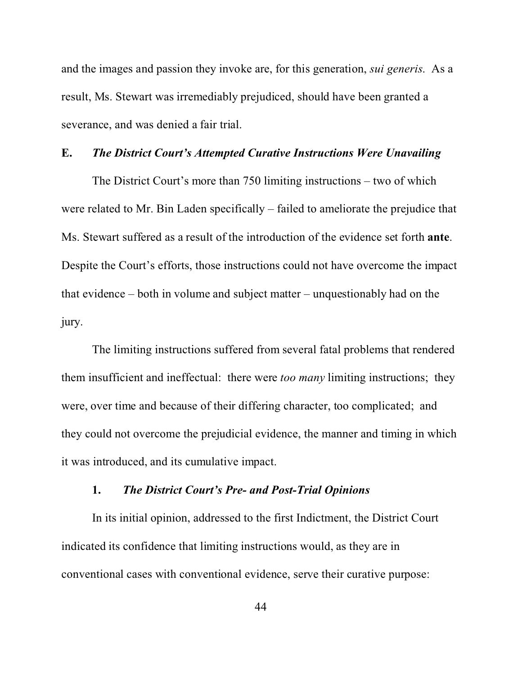and the images and passion they invoke are, for this generation, *sui generis*. As a result, Ms. Stewart was irremediably prejudiced, should have been granted a severance, and was denied a fair trial.

#### **E.** *The District Court's Attempted Curative Instructions Were Unavailing*

The District Court's more than 750 limiting instructions – two of which were related to Mr. Bin Laden specifically – failed to ameliorate the prejudice that Ms. Stewart suffered as a result of the introduction of the evidence set forth **ante**. Despite the Court's efforts, those instructions could not have overcome the impact that evidence – both in volume and subject matter – unquestionably had on the jury.

The limiting instructions suffered from several fatal problems that rendered them insufficient and ineffectual: there were *too many* limiting instructions; they were, over time and because of their differing character, too complicated; and they could not overcome the prejudicial evidence, the manner and timing in which it was introduced, and its cumulative impact.

# **1.** *The District Court's Pre- and Post-Trial Opinions*

In its initial opinion, addressed to the first Indictment, the District Court indicated its confidence that limiting instructions would, as they are in conventional cases with conventional evidence, serve their curative purpose: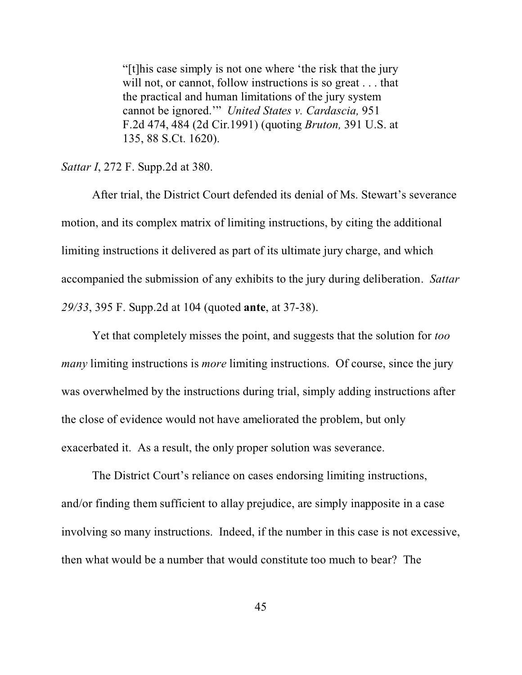"[t]his case simply is not one where 'the risk that the jury will not, or cannot, follow instructions is so great . . . that the practical and human limitations of the jury system cannot be ignored.'" *United States v. Cardascia,* 951 F.2d 474, 484 (2d Cir.1991) (quoting *Bruton,* 391 U.S. at 135, 88 S.Ct. 1620).

*Sattar I*, 272 F. Supp.2d at 380.

After trial, the District Court defended its denial of Ms. Stewart's severance motion, and its complex matrix of limiting instructions, by citing the additional limiting instructions it delivered as part of its ultimate jury charge, and which accompanied the submission of any exhibits to the jury during deliberation. *Sattar 29/33*, 395 F. Supp.2d at 104 (quoted **ante**, at 37-38).

Yet that completely misses the point, and suggests that the solution for *too many* limiting instructions is *more* limiting instructions. Of course, since the jury was overwhelmed by the instructions during trial, simply adding instructions after the close of evidence would not have ameliorated the problem, but only exacerbated it. As a result, the only proper solution was severance.

The District Court's reliance on cases endorsing limiting instructions, and/or finding them sufficient to allay prejudice, are simply inapposite in a case involving so many instructions. Indeed, if the number in this case is not excessive, then what would be a number that would constitute too much to bear? The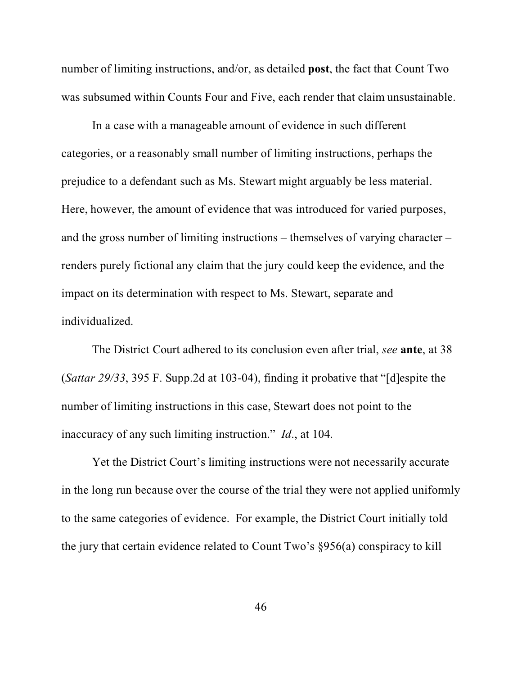number of limiting instructions, and/or, as detailed **post**, the fact that Count Two was subsumed within Counts Four and Five, each render that claim unsustainable.

In a case with a manageable amount of evidence in such different categories, or a reasonably small number of limiting instructions, perhaps the prejudice to a defendant such as Ms. Stewart might arguably be less material. Here, however, the amount of evidence that was introduced for varied purposes, and the gross number of limiting instructions – themselves of varying character – renders purely fictional any claim that the jury could keep the evidence, and the impact on its determination with respect to Ms. Stewart, separate and individualized.

The District Court adhered to its conclusion even after trial, *see* **ante**, at 38 (*Sattar 29/33*, 395 F. Supp.2d at 103-04), finding it probative that "[d]espite the number of limiting instructions in this case, Stewart does not point to the inaccuracy of any such limiting instruction." *Id*., at 104.

Yet the District Court's limiting instructions were not necessarily accurate in the long run because over the course of the trial they were not applied uniformly to the same categories of evidence. For example, the District Court initially told the jury that certain evidence related to Count Two's §956(a) conspiracy to kill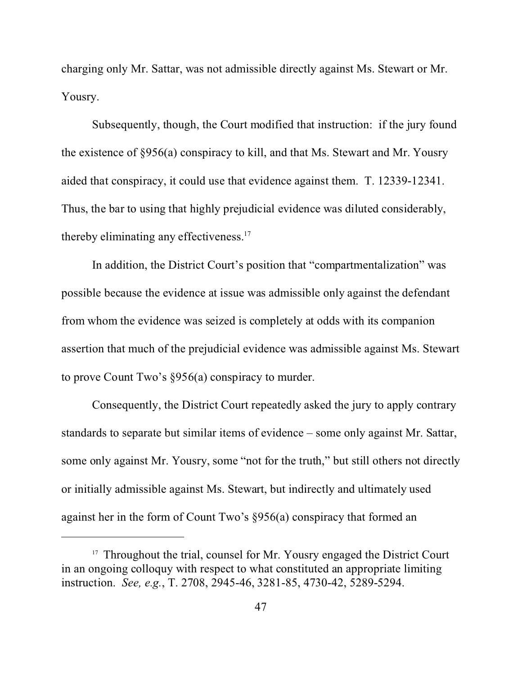charging only Mr. Sattar, was not admissible directly against Ms. Stewart or Mr. Yousry.

Subsequently, though, the Court modified that instruction: if the jury found the existence of §956(a) conspiracy to kill, and that Ms. Stewart and Mr. Yousry aided that conspiracy, it could use that evidence against them. T. 12339-12341. Thus, the bar to using that highly prejudicial evidence was diluted considerably, thereby eliminating any effectiveness.<sup>17</sup>

In addition, the District Court's position that "compartmentalization" was possible because the evidence at issue was admissible only against the defendant from whom the evidence was seized is completely at odds with its companion assertion that much of the prejudicial evidence was admissible against Ms. Stewart to prove Count Two's §956(a) conspiracy to murder.

Consequently, the District Court repeatedly asked the jury to apply contrary standards to separate but similar items of evidence – some only against Mr. Sattar, some only against Mr. Yousry, some "not for the truth," but still others not directly or initially admissible against Ms. Stewart, but indirectly and ultimately used against her in the form of Count Two's §956(a) conspiracy that formed an

<sup>&</sup>lt;sup>17</sup> Throughout the trial, counsel for Mr. Yousry engaged the District Court in an ongoing colloquy with respect to what constituted an appropriate limiting instruction. *See, e.g.*, T. 2708, 2945-46, 3281-85, 4730-42, 5289-5294.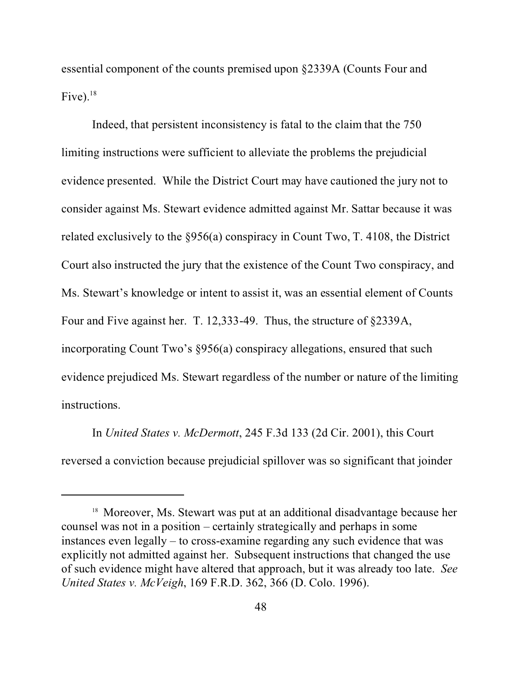essential component of the counts premised upon §2339A (Counts Four and Five). $18$ 

Indeed, that persistent inconsistency is fatal to the claim that the 750 limiting instructions were sufficient to alleviate the problems the prejudicial evidence presented. While the District Court may have cautioned the jury not to consider against Ms. Stewart evidence admitted against Mr. Sattar because it was related exclusively to the §956(a) conspiracy in Count Two, T. 4108, the District Court also instructed the jury that the existence of the Count Two conspiracy, and Ms. Stewart's knowledge or intent to assist it, was an essential element of Counts Four and Five against her. T. 12,333-49. Thus, the structure of §2339A, incorporating Count Two's §956(a) conspiracy allegations, ensured that such evidence prejudiced Ms. Stewart regardless of the number or nature of the limiting instructions.

In *United States v. McDermott*, 245 F.3d 133 (2d Cir. 2001), this Court reversed a conviction because prejudicial spillover was so significant that joinder

<sup>&</sup>lt;sup>18</sup> Moreover, Ms. Stewart was put at an additional disadvantage because her counsel was not in a position – certainly strategically and perhaps in some instances even legally – to cross-examine regarding any such evidence that was explicitly not admitted against her. Subsequent instructions that changed the use of such evidence might have altered that approach, but it was already too late. *See United States v. McVeigh*, 169 F.R.D. 362, 366 (D. Colo. 1996).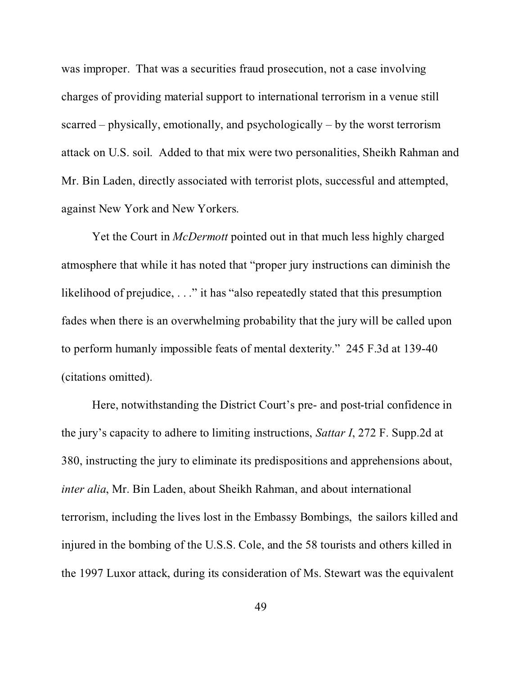was improper. That was a securities fraud prosecution, not a case involving charges of providing material support to international terrorism in a venue still scarred – physically, emotionally, and psychologically – by the worst terrorism attack on U.S. soil. Added to that mix were two personalities, Sheikh Rahman and Mr. Bin Laden, directly associated with terrorist plots, successful and attempted, against New York and New Yorkers.

Yet the Court in *McDermott* pointed out in that much less highly charged atmosphere that while it has noted that "proper jury instructions can diminish the likelihood of prejudice, . . ." it has "also repeatedly stated that this presumption fades when there is an overwhelming probability that the jury will be called upon to perform humanly impossible feats of mental dexterity." 245 F.3d at 139-40 (citations omitted).

Here, notwithstanding the District Court's pre- and post-trial confidence in the jury's capacity to adhere to limiting instructions, *Sattar I*, 272 F. Supp.2d at 380, instructing the jury to eliminate its predispositions and apprehensions about, *inter alia*, Mr. Bin Laden, about Sheikh Rahman, and about international terrorism, including the lives lost in the Embassy Bombings, the sailors killed and injured in the bombing of the U.S.S. Cole, and the 58 tourists and others killed in the 1997 Luxor attack, during its consideration of Ms. Stewart was the equivalent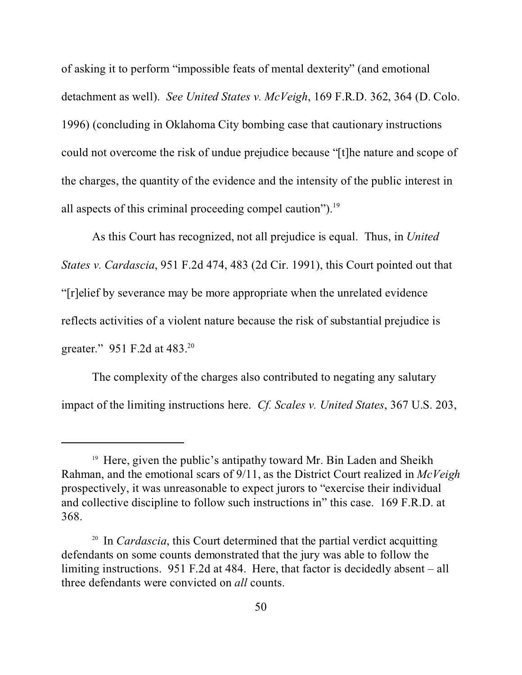of asking it to perform "impossible feats of mental dexterity" (and emotional detachment as well). *See United States v. McVeigh*, 169 F.R.D. 362, 364 (D. Colo. 1996) (concluding in Oklahoma City bombing case that cautionary instructions could not overcome the risk of undue prejudice because "[t]he nature and scope of the charges, the quantity of the evidence and the intensity of the public interest in all aspects of this criminal proceeding compel caution"). $^{19}$ 

As this Court has recognized, not all prejudice is equal. Thus, in *United States v. Cardascia*, 951 F.2d 474, 483 (2d Cir. 1991), this Court pointed out that "[r]elief by severance may be more appropriate when the unrelated evidence reflects activities of a violent nature because the risk of substantial prejudice is greater." 951 F.2d at 483.<sup>20</sup>

The complexity of the charges also contributed to negating any salutary impact of the limiting instructions here. *Cf. Scales v. United States*, 367 U.S. 203,

<sup>&</sup>lt;sup>19</sup> Here, given the public's antipathy toward Mr. Bin Laden and Sheikh Rahman, and the emotional scars of 9/11, as the District Court realized in *McVeigh* prospectively, it was unreasonable to expect jurors to "exercise their individual and collective discipline to follow such instructions in" this case. 169 F.R.D. at 368.

<sup>20</sup> In *Cardascia*, this Court determined that the partial verdict acquitting defendants on some counts demonstrated that the jury was able to follow the limiting instructions. 951 F.2d at 484. Here, that factor is decidedly absent – all three defendants were convicted on *all* counts.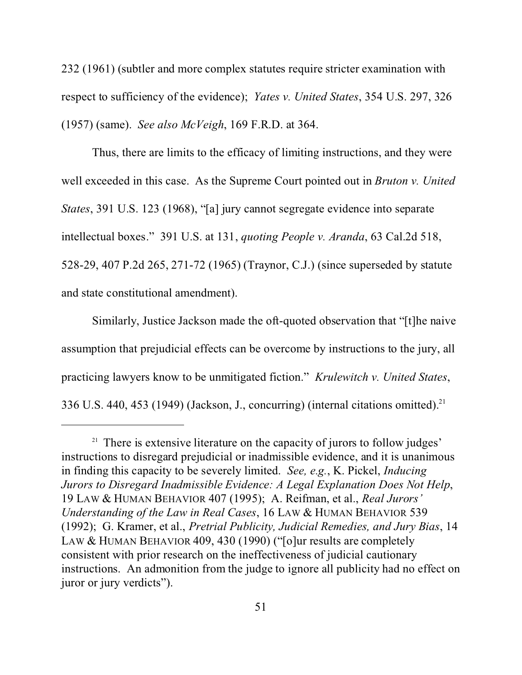232 (1961) (subtler and more complex statutes require stricter examination with respect to sufficiency of the evidence); *Yates v. United States*, 354 U.S. 297, 326 (1957) (same). *See also McVeigh*, 169 F.R.D. at 364.

Thus, there are limits to the efficacy of limiting instructions, and they were well exceeded in this case. As the Supreme Court pointed out in *Bruton v. United States*, 391 U.S. 123 (1968), "[a] jury cannot segregate evidence into separate intellectual boxes." 391 U.S. at 131, *quoting People v. Aranda*, 63 Cal.2d 518, 528-29, 407 P.2d 265, 271-72 (1965) (Traynor, C.J.) (since superseded by statute and state constitutional amendment).

Similarly, Justice Jackson made the oft-quoted observation that "[t]he naive assumption that prejudicial effects can be overcome by instructions to the jury, all practicing lawyers know to be unmitigated fiction." *Krulewitch v. United States*, 336 U.S. 440, 453 (1949) (Jackson, J., concurring) (internal citations omitted).<sup>21</sup>

<sup>&</sup>lt;sup>21</sup> There is extensive literature on the capacity of jurors to follow judges' instructions to disregard prejudicial or inadmissible evidence, and it is unanimous in finding this capacity to be severely limited. *See, e.g.*, K. Pickel, *Inducing Jurors to Disregard Inadmissible Evidence: A Legal Explanation Does Not Help*, 19 LAW & HUMAN BEHAVIOR 407 (1995); A. Reifman, et al., *Real Jurors' Understanding of the Law in Real Cases*, 16 LAW & HUMAN BEHAVIOR 539 (1992); G. Kramer, et al., *Pretrial Publicity, Judicial Remedies, and Jury Bias*, 14 LAW & HUMAN BEHAVIOR 409, 430 (1990) ("[o]ur results are completely consistent with prior research on the ineffectiveness of judicial cautionary instructions. An admonition from the judge to ignore all publicity had no effect on juror or jury verdicts").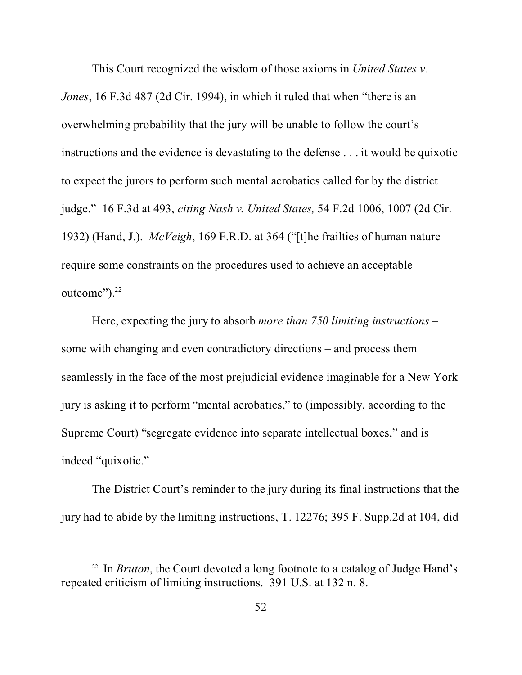This Court recognized the wisdom of those axioms in *United States v.*

*Jones*, 16 F.3d 487 (2d Cir. 1994), in which it ruled that when "there is an overwhelming probability that the jury will be unable to follow the court's instructions and the evidence is devastating to the defense . . . it would be quixotic to expect the jurors to perform such mental acrobatics called for by the district judge." 16 F.3d at 493, *citing Nash v. United States,* 54 F.2d 1006, 1007 (2d Cir. 1932) (Hand, J.). *McVeigh*, 169 F.R.D. at 364 ("[t]he frailties of human nature require some constraints on the procedures used to achieve an acceptable outcome").<sup>22</sup>

Here, expecting the jury to absorb *more than 750 limiting instructions* – some with changing and even contradictory directions – and process them seamlessly in the face of the most prejudicial evidence imaginable for a New York jury is asking it to perform "mental acrobatics," to (impossibly, according to the Supreme Court) "segregate evidence into separate intellectual boxes," and is indeed "quixotic."

The District Court's reminder to the jury during its final instructions that the jury had to abide by the limiting instructions, T. 12276; 395 F. Supp.2d at 104, did

<sup>22</sup> In *Bruton*, the Court devoted a long footnote to a catalog of Judge Hand's repeated criticism of limiting instructions. 391 U.S. at 132 n. 8.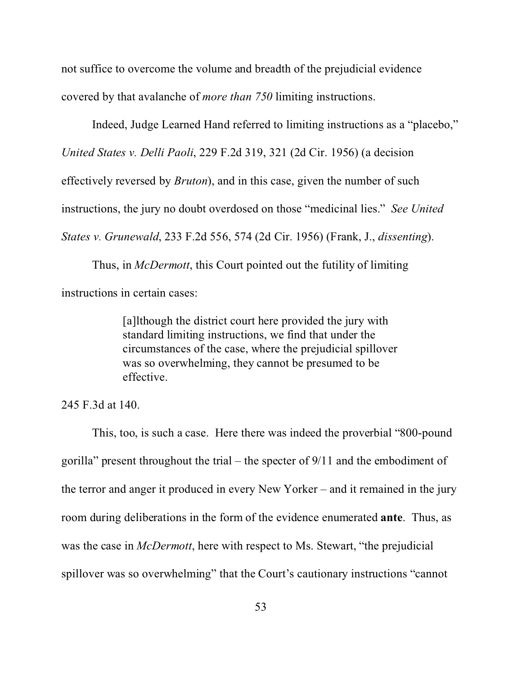not suffice to overcome the volume and breadth of the prejudicial evidence covered by that avalanche of *more than 750* limiting instructions.

Indeed, Judge Learned Hand referred to limiting instructions as a "placebo,"

*United States v. Delli Paoli*, 229 F.2d 319, 321 (2d Cir. 1956) (a decision

effectively reversed by *Bruton*), and in this case, given the number of such

instructions, the jury no doubt overdosed on those "medicinal lies." *See United*

*States v. Grunewald*, 233 F.2d 556, 574 (2d Cir. 1956) (Frank, J., *dissenting*).

Thus, in *McDermott*, this Court pointed out the futility of limiting instructions in certain cases:

> [a]lthough the district court here provided the jury with standard limiting instructions, we find that under the circumstances of the case, where the prejudicial spillover was so overwhelming, they cannot be presumed to be effective.

245 F.3d at 140.

This, too, is such a case. Here there was indeed the proverbial "800-pound gorilla" present throughout the trial – the specter of 9/11 and the embodiment of the terror and anger it produced in every New Yorker – and it remained in the jury room during deliberations in the form of the evidence enumerated **ante**. Thus, as was the case in *McDermott*, here with respect to Ms. Stewart, "the prejudicial spillover was so overwhelming" that the Court's cautionary instructions "cannot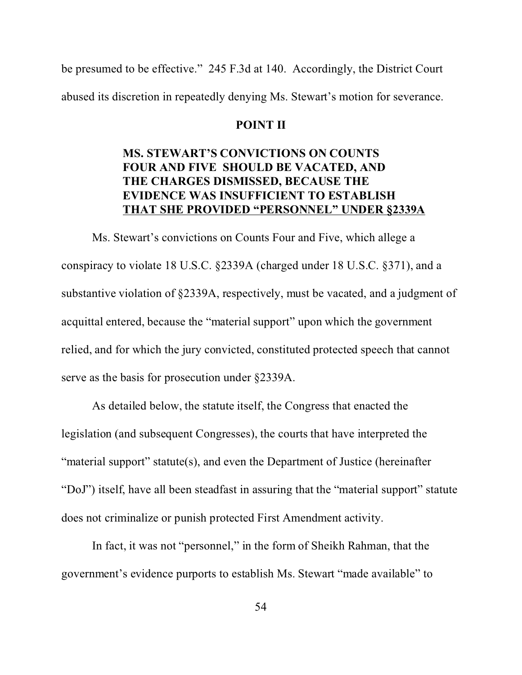be presumed to be effective." 245 F.3d at 140. Accordingly, the District Court abused its discretion in repeatedly denying Ms. Stewart's motion for severance.

#### **POINT II**

# **MS. STEWART'S CONVICTIONS ON COUNTS FOUR AND FIVE SHOULD BE VACATED, AND THE CHARGES DISMISSED, BECAUSE THE EVIDENCE WAS INSUFFICIENT TO ESTABLISH THAT SHE PROVIDED "PERSONNEL" UNDER §2339A**

Ms. Stewart's convictions on Counts Four and Five, which allege a conspiracy to violate 18 U.S.C. §2339A (charged under 18 U.S.C. §371), and a substantive violation of §2339A, respectively, must be vacated, and a judgment of acquittal entered, because the "material support" upon which the government relied, and for which the jury convicted, constituted protected speech that cannot serve as the basis for prosecution under §2339A.

As detailed below, the statute itself, the Congress that enacted the legislation (and subsequent Congresses), the courts that have interpreted the "material support" statute(s), and even the Department of Justice (hereinafter "DoJ") itself, have all been steadfast in assuring that the "material support" statute does not criminalize or punish protected First Amendment activity.

In fact, it was not "personnel," in the form of Sheikh Rahman, that the government's evidence purports to establish Ms. Stewart "made available" to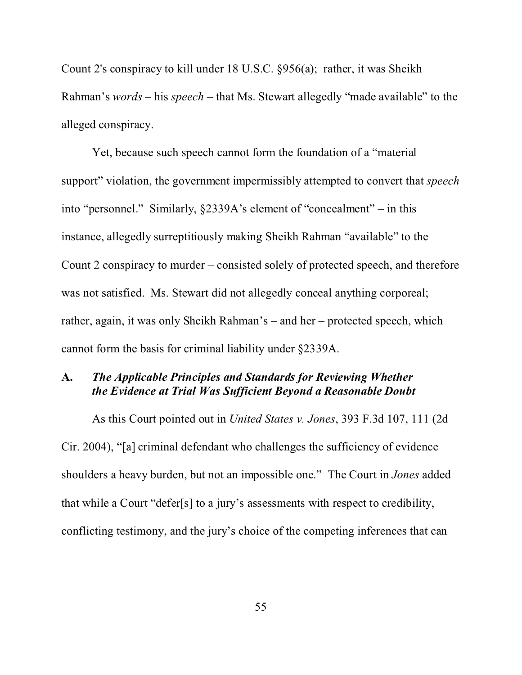Count 2's conspiracy to kill under 18 U.S.C. §956(a); rather, it was Sheikh Rahman's *words* – his *speech* – that Ms. Stewart allegedly "made available" to the alleged conspiracy.

Yet, because such speech cannot form the foundation of a "material support" violation, the government impermissibly attempted to convert that *speech* into "personnel." Similarly, §2339A's element of "concealment" – in this instance, allegedly surreptitiously making Sheikh Rahman "available" to the Count 2 conspiracy to murder – consisted solely of protected speech, and therefore was not satisfied. Ms. Stewart did not allegedly conceal anything corporeal; rather, again, it was only Sheikh Rahman's – and her – protected speech, which cannot form the basis for criminal liability under §2339A.

# **A.** *The Applicable Principles and Standards for Reviewing Whether the Evidence at Trial Was Sufficient Beyond a Reasonable Doubt*

As this Court pointed out in *United States v. Jones*, 393 F.3d 107, 111 (2d Cir. 2004), "[a] criminal defendant who challenges the sufficiency of evidence shoulders a heavy burden, but not an impossible one." The Court in *Jones* added that while a Court "defer[s] to a jury's assessments with respect to credibility, conflicting testimony, and the jury's choice of the competing inferences that can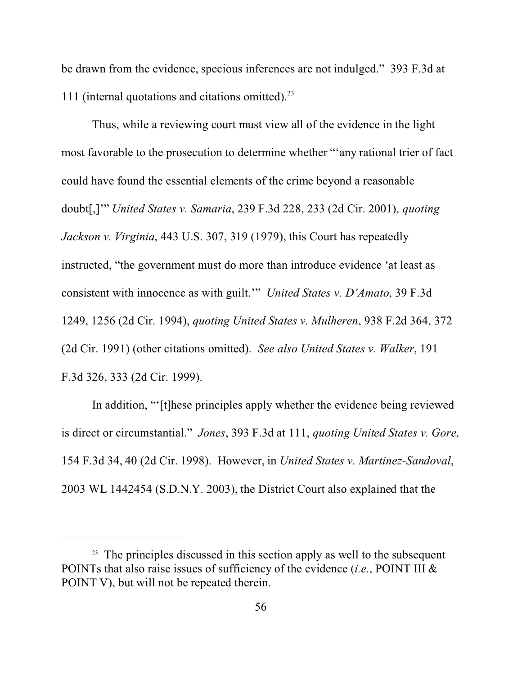be drawn from the evidence, specious inferences are not indulged." 393 F.3d at 111 (internal quotations and citations omitted). $^{23}$ 

Thus, while a reviewing court must view all of the evidence in the light most favorable to the prosecution to determine whether "'any rational trier of fact could have found the essential elements of the crime beyond a reasonable doubt[,]'" *United States v. Samaria*, 239 F.3d 228, 233 (2d Cir. 2001), *quoting Jackson v. Virginia*, 443 U.S. 307, 319 (1979), this Court has repeatedly instructed, "the government must do more than introduce evidence 'at least as consistent with innocence as with guilt.'" *United States v. D'Amato*, 39 F.3d 1249, 1256 (2d Cir. 1994), *quoting United States v. Mulheren*, 938 F.2d 364, 372 (2d Cir. 1991) (other citations omitted). *See also United States v. Walker*, 191 F.3d 326, 333 (2d Cir. 1999).

In addition, "'[t]hese principles apply whether the evidence being reviewed is direct or circumstantial." *Jones*, 393 F.3d at 111, *quoting United States v. Gore*, 154 F.3d 34, 40 (2d Cir. 1998). However, in *United States v. Martinez-Sandoval*, 2003 WL 1442454 (S.D.N.Y. 2003), the District Court also explained that the

 $23$  The principles discussed in this section apply as well to the subsequent POINTs that also raise issues of sufficiency of the evidence (*i.e.*, POINT III & POINT V), but will not be repeated therein.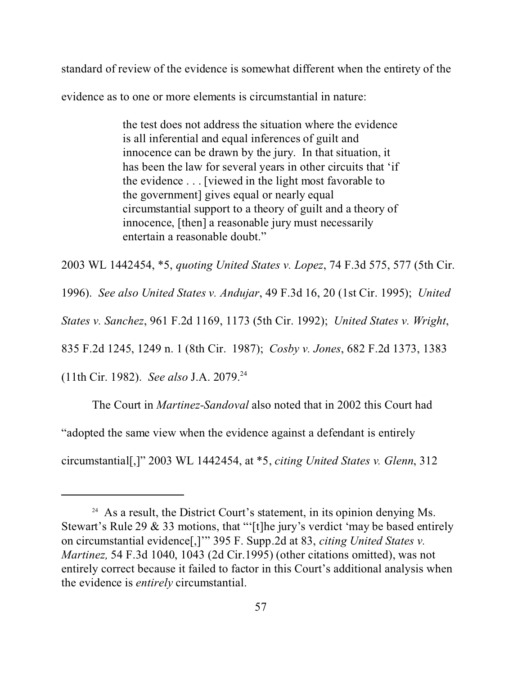standard of review of the evidence is somewhat different when the entirety of the

evidence as to one or more elements is circumstantial in nature:

the test does not address the situation where the evidence is all inferential and equal inferences of guilt and innocence can be drawn by the jury. In that situation, it has been the law for several years in other circuits that 'if the evidence . . . [viewed in the light most favorable to the government] gives equal or nearly equal circumstantial support to a theory of guilt and a theory of innocence, [then] a reasonable jury must necessarily entertain a reasonable doubt."

2003 WL 1442454, \*5, *quoting United States v. Lopez*, 74 F.3d 575, 577 (5th Cir.

1996). *See also United States v. Andujar*, 49 F.3d 16, 20 (1st Cir. 1995); *United*

*States v. Sanchez*, 961 F.2d 1169, 1173 (5th Cir. 1992); *United States v. Wright*,

835 F.2d 1245, 1249 n. 1 (8th Cir. 1987); *Cosby v. Jones*, 682 F.2d 1373, 1383

(11th Cir. 1982). *See also* J.A. 2079.<sup>24</sup>

The Court in *Martinez-Sandoval* also noted that in 2002 this Court had

"adopted the same view when the evidence against a defendant is entirely

circumstantial[,]" 2003 WL 1442454, at \*5, *citing United States v. Glenn*, 312

 $24$  As a result, the District Court's statement, in its opinion denying Ms. Stewart's Rule 29  $\&$  33 motions, that "'[t]he jury's verdict 'may be based entirely on circumstantial evidence[,]'" 395 F. Supp.2d at 83, *citing United States v. Martinez,* 54 F.3d 1040, 1043 (2d Cir.1995) (other citations omitted), was not entirely correct because it failed to factor in this Court's additional analysis when the evidence is *entirely* circumstantial.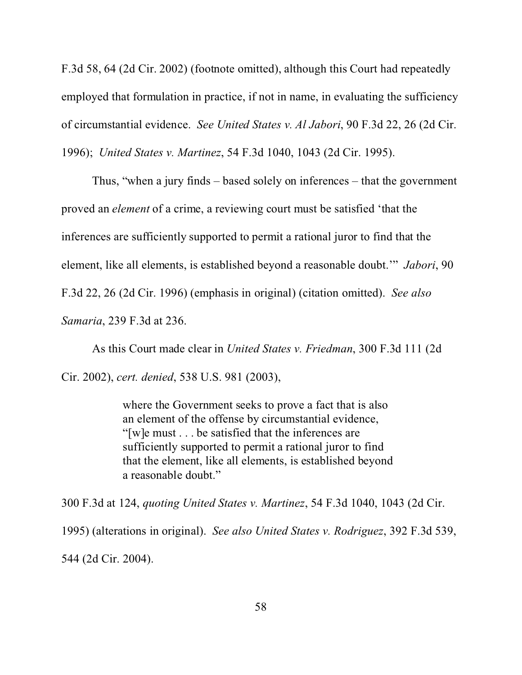F.3d 58, 64 (2d Cir. 2002) (footnote omitted), although this Court had repeatedly employed that formulation in practice, if not in name, in evaluating the sufficiency of circumstantial evidence. *See United States v. Al Jabori*, 90 F.3d 22, 26 (2d Cir. 1996); *United States v. Martinez*, 54 F.3d 1040, 1043 (2d Cir. 1995).

Thus, "when a jury finds – based solely on inferences – that the government proved an *element* of a crime, a reviewing court must be satisfied 'that the inferences are sufficiently supported to permit a rational juror to find that the element, like all elements, is established beyond a reasonable doubt.'" *Jabori*, 90 F.3d 22, 26 (2d Cir. 1996) (emphasis in original) (citation omitted). *See also Samaria*, 239 F.3d at 236.

As this Court made clear in *United States v. Friedman*, 300 F.3d 111 (2d Cir. 2002), *cert. denied*, 538 U.S. 981 (2003),

> where the Government seeks to prove a fact that is also an element of the offense by circumstantial evidence, "[w]e must . . . be satisfied that the inferences are sufficiently supported to permit a rational juror to find that the element, like all elements, is established beyond a reasonable doubt."

300 F.3d at 124, *quoting United States v. Martinez*, 54 F.3d 1040, 1043 (2d Cir. 1995) (alterations in original). *See also United States v. Rodriguez*, 392 F.3d 539, 544 (2d Cir. 2004).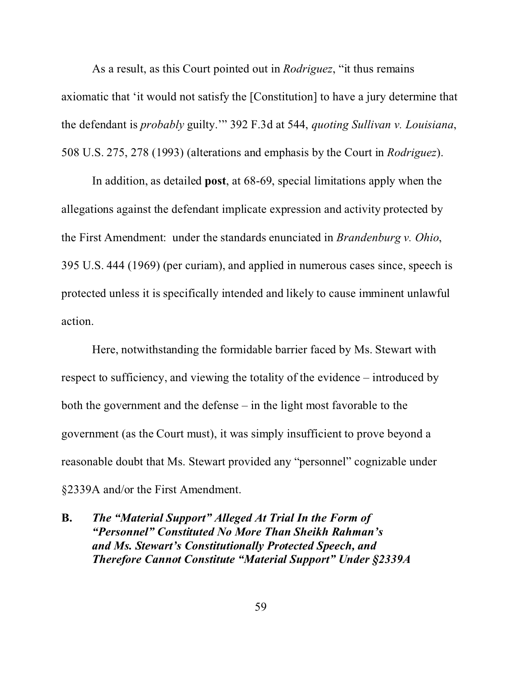As a result, as this Court pointed out in *Rodriguez*, "it thus remains axiomatic that 'it would not satisfy the [Constitution] to have a jury determine that the defendant is *probably* guilty.'" 392 F.3d at 544, *quoting Sullivan v. Louisiana*, 508 U.S. 275, 278 (1993) (alterations and emphasis by the Court in *Rodriguez*).

In addition, as detailed **post**, at 68-69, special limitations apply when the allegations against the defendant implicate expression and activity protected by the First Amendment: under the standards enunciated in *Brandenburg v. Ohio*, 395 U.S. 444 (1969) (per curiam), and applied in numerous cases since, speech is protected unless it is specifically intended and likely to cause imminent unlawful action.

Here, notwithstanding the formidable barrier faced by Ms. Stewart with respect to sufficiency, and viewing the totality of the evidence – introduced by both the government and the defense – in the light most favorable to the government (as the Court must), it was simply insufficient to prove beyond a reasonable doubt that Ms. Stewart provided any "personnel" cognizable under §2339A and/or the First Amendment.

**B.** *The "Material Support" Alleged At Trial In the Form of "Personnel" Constituted No More Than Sheikh Rahman's and Ms. Stewart's Constitutionally Protected Speech, and Therefore Cannot Constitute "Material Support" Under §2339A*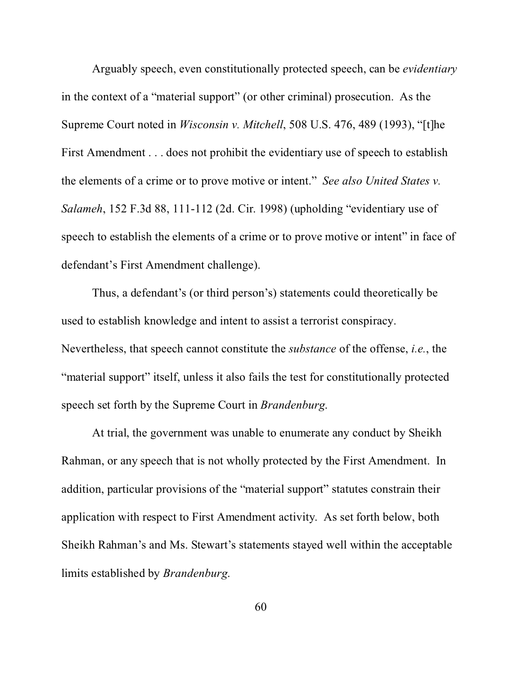Arguably speech, even constitutionally protected speech, can be *evidentiary* in the context of a "material support" (or other criminal) prosecution. As the Supreme Court noted in *Wisconsin v. Mitchell*, 508 U.S. 476, 489 (1993), "[t]he First Amendment . . . does not prohibit the evidentiary use of speech to establish the elements of a crime or to prove motive or intent." *See also United States v. Salameh*, 152 F.3d 88, 111-112 (2d. Cir. 1998) (upholding "evidentiary use of speech to establish the elements of a crime or to prove motive or intent" in face of defendant's First Amendment challenge).

Thus, a defendant's (or third person's) statements could theoretically be used to establish knowledge and intent to assist a terrorist conspiracy. Nevertheless, that speech cannot constitute the *substance* of the offense, *i.e.*, the "material support" itself, unless it also fails the test for constitutionally protected speech set forth by the Supreme Court in *Brandenburg*.

At trial, the government was unable to enumerate any conduct by Sheikh Rahman, or any speech that is not wholly protected by the First Amendment. In addition, particular provisions of the "material support" statutes constrain their application with respect to First Amendment activity. As set forth below, both Sheikh Rahman's and Ms. Stewart's statements stayed well within the acceptable limits established by *Brandenburg*.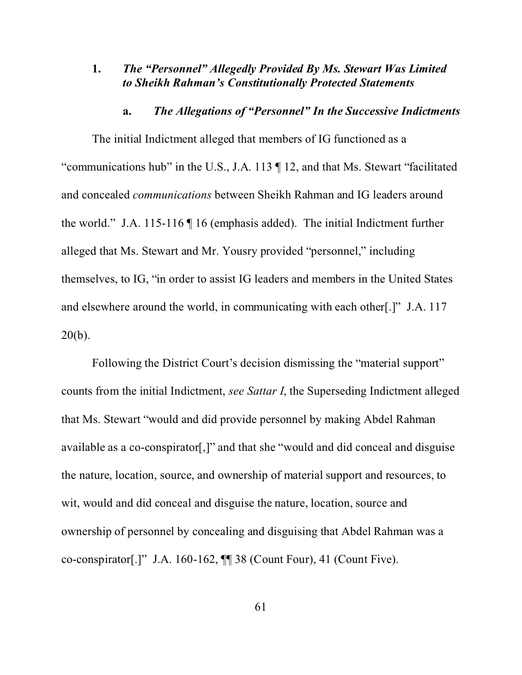## **1.** *The "Personnel" Allegedly Provided By Ms. Stewart Was Limited to Sheikh Rahman's Constitutionally Protected Statements*

## **a.** *The Allegations of "Personnel" In the Successive Indictments*

The initial Indictment alleged that members of IG functioned as a "communications hub" in the U.S., J.A. 113 ¶ 12, and that Ms. Stewart "facilitated and concealed *communications* between Sheikh Rahman and IG leaders around the world." J.A. 115-116 ¶ 16 (emphasis added). The initial Indictment further alleged that Ms. Stewart and Mr. Yousry provided "personnel," including themselves, to IG, "in order to assist IG leaders and members in the United States and elsewhere around the world, in communicating with each other[.]" J.A. 117 20(b).

Following the District Court's decision dismissing the "material support" counts from the initial Indictment, *see Sattar I*, the Superseding Indictment alleged that Ms. Stewart "would and did provide personnel by making Abdel Rahman available as a co-conspirator[,]" and that she "would and did conceal and disguise the nature, location, source, and ownership of material support and resources, to wit, would and did conceal and disguise the nature, location, source and ownership of personnel by concealing and disguising that Abdel Rahman was a co-conspirator[.]" J.A. 160-162, ¶¶ 38 (Count Four), 41 (Count Five).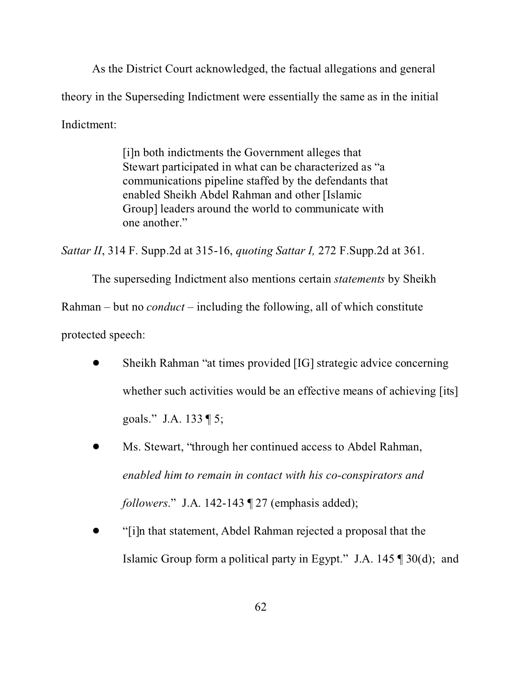As the District Court acknowledged, the factual allegations and general theory in the Superseding Indictment were essentially the same as in the initial Indictment:

> [i]n both indictments the Government alleges that Stewart participated in what can be characterized as "a communications pipeline staffed by the defendants that enabled Sheikh Abdel Rahman and other [Islamic Group] leaders around the world to communicate with one another."

*Sattar II*, 314 F. Supp.2d at 315-16, *quoting Sattar I,* 272 F.Supp.2d at 361.

The superseding Indictment also mentions certain *statements* by Sheikh

Rahman – but no *conduct* – including the following, all of which constitute

protected speech:

- ! Sheikh Rahman "at times provided [IG] strategic advice concerning whether such activities would be an effective means of achieving [its] goals." J.A. 133 ¶ 5;
- Ms. Stewart, "through her continued access to Abdel Rahman, *enabled him to remain in contact with his co-conspirators and followers*." J.A. 142-143 ¶ 27 (emphasis added);
- ! "[i]n that statement, Abdel Rahman rejected a proposal that the Islamic Group form a political party in Egypt." J.A.  $145 \text{ } \text{T}$  30(d); and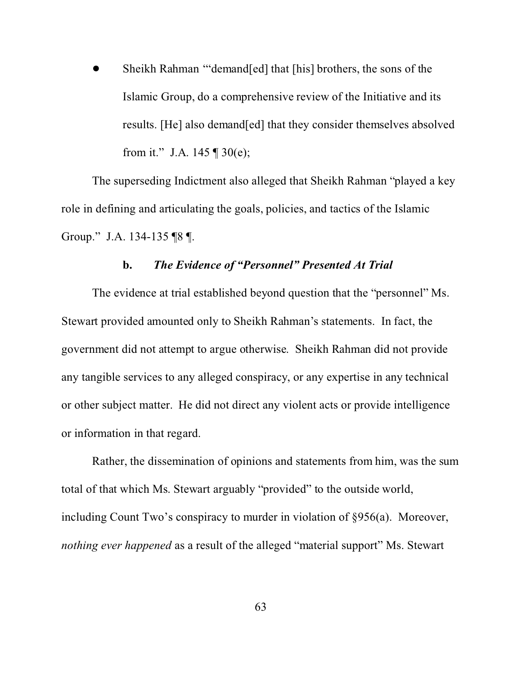! Sheikh Rahman '"demand[ed] that [his] brothers, the sons of the Islamic Group, do a comprehensive review of the Initiative and its results. [He] also demand[ed] that they consider themselves absolved from it." J.A. 145  $\P$  30(e);

The superseding Indictment also alleged that Sheikh Rahman "played a key role in defining and articulating the goals, policies, and tactics of the Islamic Group." J.A. 134-135 ¶8 ¶.

# **b.** *The Evidence of "Personnel" Presented At Trial*

The evidence at trial established beyond question that the "personnel" Ms. Stewart provided amounted only to Sheikh Rahman's statements. In fact, the government did not attempt to argue otherwise. Sheikh Rahman did not provide any tangible services to any alleged conspiracy, or any expertise in any technical or other subject matter. He did not direct any violent acts or provide intelligence or information in that regard.

Rather, the dissemination of opinions and statements from him, was the sum total of that which Ms. Stewart arguably "provided" to the outside world, including Count Two's conspiracy to murder in violation of §956(a). Moreover, *nothing ever happened* as a result of the alleged "material support" Ms. Stewart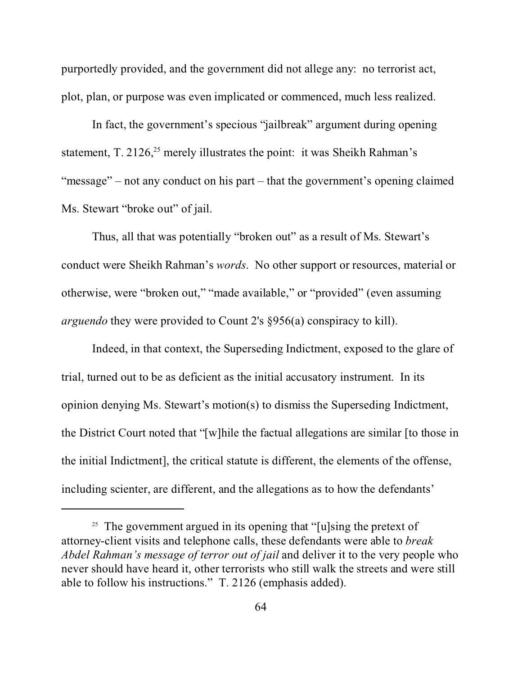purportedly provided, and the government did not allege any: no terrorist act, plot, plan, or purpose was even implicated or commenced, much less realized.

In fact, the government's specious "jailbreak" argument during opening statement, T. 2126,<sup>25</sup> merely illustrates the point: it was Sheikh Rahman's "message" – not any conduct on his part – that the government's opening claimed Ms. Stewart "broke out" of jail.

Thus, all that was potentially "broken out" as a result of Ms. Stewart's conduct were Sheikh Rahman's *words*. No other support or resources, material or otherwise, were "broken out," "made available," or "provided" (even assuming *arguendo* they were provided to Count 2's §956(a) conspiracy to kill).

Indeed, in that context, the Superseding Indictment, exposed to the glare of trial, turned out to be as deficient as the initial accusatory instrument. In its opinion denying Ms. Stewart's motion(s) to dismiss the Superseding Indictment, the District Court noted that "[w]hile the factual allegations are similar [to those in the initial Indictment], the critical statute is different, the elements of the offense, including scienter, are different, and the allegations as to how the defendants'

<sup>&</sup>lt;sup>25</sup> The government argued in its opening that "[u]sing the pretext of attorney-client visits and telephone calls, these defendants were able to *break Abdel Rahman's message of terror out of jail* and deliver it to the very people who never should have heard it, other terrorists who still walk the streets and were still able to follow his instructions." T. 2126 (emphasis added).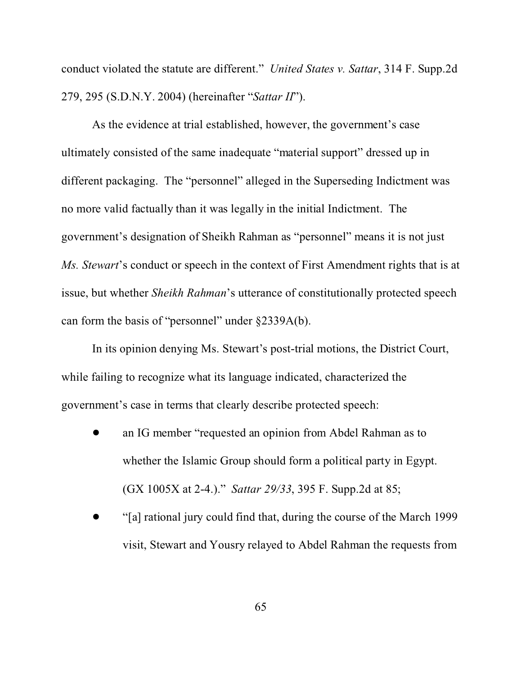conduct violated the statute are different." *United States v. Sattar*, 314 F. Supp.2d 279, 295 (S.D.N.Y. 2004) (hereinafter "*Sattar II*").

As the evidence at trial established, however, the government's case ultimately consisted of the same inadequate "material support" dressed up in different packaging. The "personnel" alleged in the Superseding Indictment was no more valid factually than it was legally in the initial Indictment. The government's designation of Sheikh Rahman as "personnel" means it is not just *Ms. Stewart*'s conduct or speech in the context of First Amendment rights that is at issue, but whether *Sheikh Rahman*'s utterance of constitutionally protected speech can form the basis of "personnel" under §2339A(b).

In its opinion denying Ms. Stewart's post-trial motions, the District Court, while failing to recognize what its language indicated, characterized the government's case in terms that clearly describe protected speech:

- ! an IG member "requested an opinion from Abdel Rahman as to whether the Islamic Group should form a political party in Egypt. (GX 1005X at 2-4.)." *Sattar 29/33*, 395 F. Supp.2d at 85;
- ! "[a] rational jury could find that, during the course of the March 1999 visit, Stewart and Yousry relayed to Abdel Rahman the requests from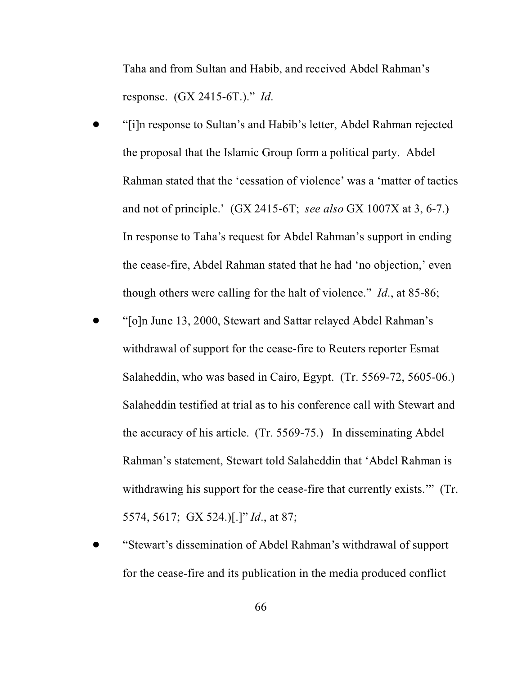Taha and from Sultan and Habib, and received Abdel Rahman's response. (GX 2415-6T.)." *Id*.

- ! "[i]n response to Sultan's and Habib's letter, Abdel Rahman rejected the proposal that the Islamic Group form a political party. Abdel Rahman stated that the 'cessation of violence' was a 'matter of tactics and not of principle.' (GX 2415-6T; *see also* GX 1007X at 3, 6-7.) In response to Taha's request for Abdel Rahman's support in ending the cease-fire, Abdel Rahman stated that he had 'no objection,' even though others were calling for the halt of violence." *Id*., at 85-86;
- ! "[o]n June 13, 2000, Stewart and Sattar relayed Abdel Rahman's withdrawal of support for the cease-fire to Reuters reporter Esmat Salaheddin, who was based in Cairo, Egypt. (Tr. 5569-72, 5605-06.) Salaheddin testified at trial as to his conference call with Stewart and the accuracy of his article. (Tr. 5569-75.) In disseminating Abdel Rahman's statement, Stewart told Salaheddin that 'Abdel Rahman is withdrawing his support for the cease-fire that currently exists." (Tr. 5574, 5617; GX 524.)[.]" *Id*., at 87;
- ! "Stewart's dissemination of Abdel Rahman's withdrawal of support for the cease-fire and its publication in the media produced conflict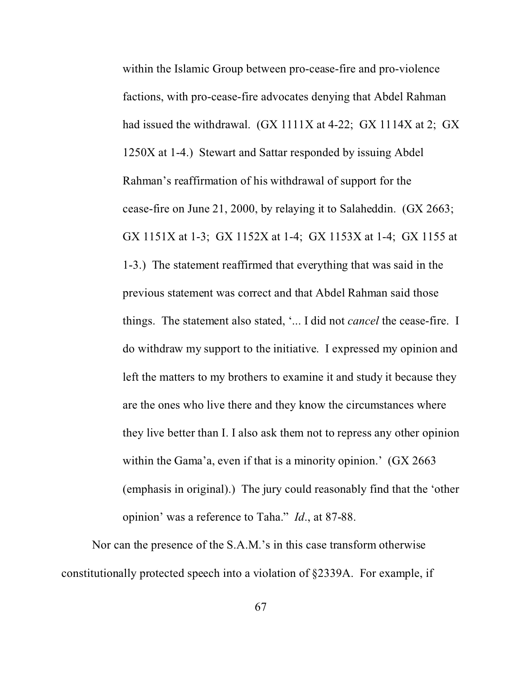within the Islamic Group between pro-cease-fire and pro-violence factions, with pro-cease-fire advocates denying that Abdel Rahman had issued the withdrawal. (GX 1111X at 4-22; GX 1114X at 2; GX 1250X at 1-4.) Stewart and Sattar responded by issuing Abdel Rahman's reaffirmation of his withdrawal of support for the cease-fire on June 21, 2000, by relaying it to Salaheddin. (GX 2663; GX 1151X at 1-3; GX 1152X at 1-4; GX 1153X at 1-4; GX 1155 at 1-3.) The statement reaffirmed that everything that was said in the previous statement was correct and that Abdel Rahman said those things. The statement also stated, '... I did not *cancel* the cease-fire. I do withdraw my support to the initiative. I expressed my opinion and left the matters to my brothers to examine it and study it because they are the ones who live there and they know the circumstances where they live better than I. I also ask them not to repress any other opinion within the Gama'a, even if that is a minority opinion.' (GX 2663) (emphasis in original).) The jury could reasonably find that the 'other opinion' was a reference to Taha." *Id*., at 87-88.

Nor can the presence of the S.A.M.'s in this case transform otherwise constitutionally protected speech into a violation of §2339A. For example, if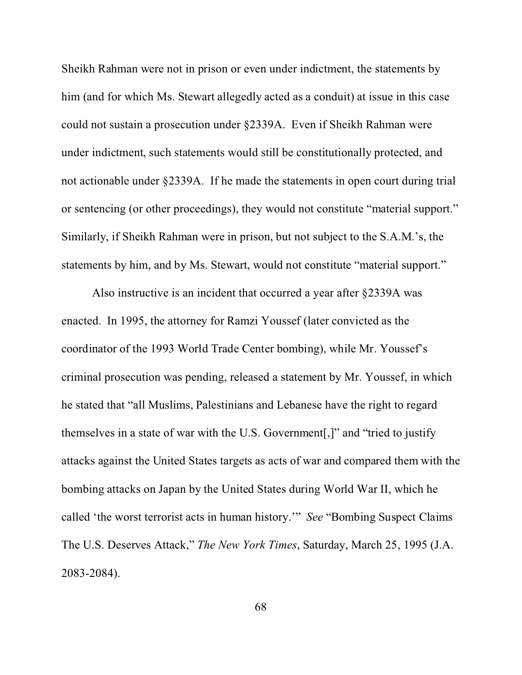Sheikh Rahman were not in prison or even under indictment, the statements by him (and for which Ms. Stewart allegedly acted as a conduit) at issue in this case could not sustain a prosecution under §2339A. Even if Sheikh Rahman were under indictment, such statements would still be constitutionally protected, and not actionable under §2339A. If he made the statements in open court during trial or sentencing (or other proceedings), they would not constitute "material support." Similarly, if Sheikh Rahman were in prison, but not subject to the S.A.M.'s, the statements by him, and by Ms. Stewart, would not constitute "material support."

Also instructive is an incident that occurred a year after §2339A was enacted. In 1995, the attorney for Ramzi Youssef (later convicted as the coordinator of the 1993 World Trade Center bombing), while Mr. Youssef's criminal prosecution was pending, released a statement by Mr. Youssef, in which he stated that "all Muslims, Palestinians and Lebanese have the right to regard themselves in a state of war with the U.S. Government[,]" and "tried to justify attacks against the United States targets as acts of war and compared them with the bombing attacks on Japan by the United States during World War II, which he called 'the worst terrorist acts in human history.'" *See* "Bombing Suspect Claims The U.S. Deserves Attack," *The New York Times*, Saturday, March 25, 1995 (J.A. 2083-2084).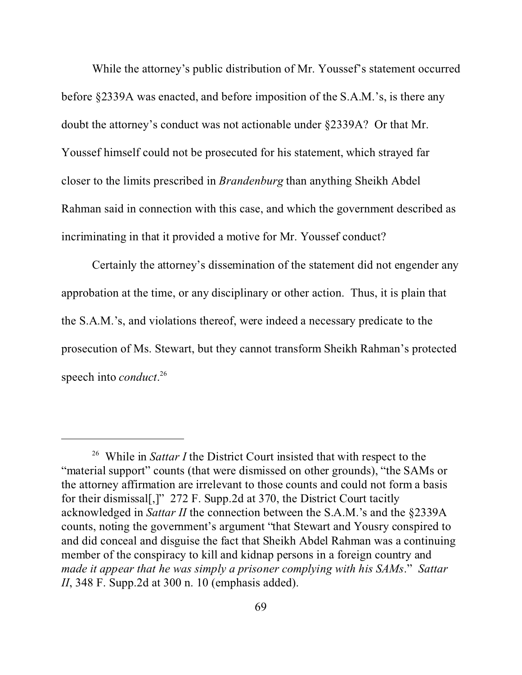While the attorney's public distribution of Mr. Youssef's statement occurred before §2339A was enacted, and before imposition of the S.A.M.'s, is there any doubt the attorney's conduct was not actionable under §2339A? Or that Mr. Youssef himself could not be prosecuted for his statement, which strayed far closer to the limits prescribed in *Brandenburg* than anything Sheikh Abdel Rahman said in connection with this case, and which the government described as incriminating in that it provided a motive for Mr. Youssef conduct?

Certainly the attorney's dissemination of the statement did not engender any approbation at the time, or any disciplinary or other action. Thus, it is plain that the S.A.M.'s, and violations thereof, were indeed a necessary predicate to the prosecution of Ms. Stewart, but they cannot transform Sheikh Rahman's protected speech into *conduct*. 26

<sup>26</sup> While in *Sattar I* the District Court insisted that with respect to the "material support" counts (that were dismissed on other grounds), "the SAMs or the attorney affirmation are irrelevant to those counts and could not form a basis for their dismissal[,]" 272 F. Supp.2d at 370, the District Court tacitly acknowledged in *Sattar II* the connection between the S.A.M.'s and the §2339A counts, noting the government's argument "that Stewart and Yousry conspired to and did conceal and disguise the fact that Sheikh Abdel Rahman was a continuing member of the conspiracy to kill and kidnap persons in a foreign country and *made it appear that he was simply a prisoner complying with his SAMs*." *Sattar II*, 348 F. Supp.2d at 300 n. 10 (emphasis added).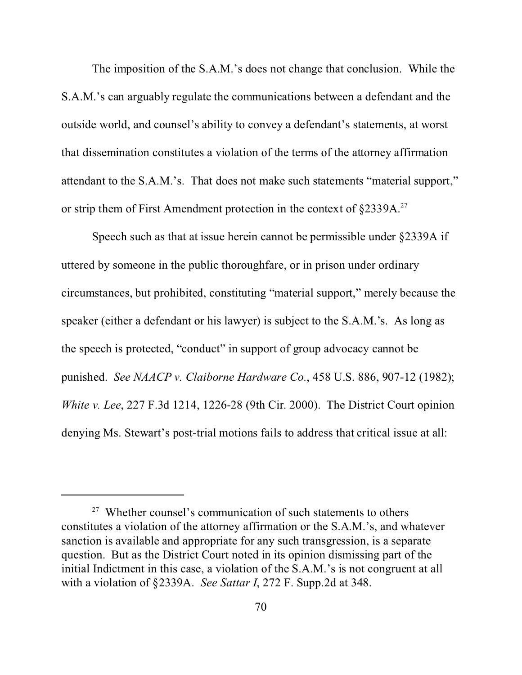The imposition of the S.A.M.'s does not change that conclusion. While the S.A.M.'s can arguably regulate the communications between a defendant and the outside world, and counsel's ability to convey a defendant's statements, at worst that dissemination constitutes a violation of the terms of the attorney affirmation attendant to the S.A.M.'s. That does not make such statements "material support," or strip them of First Amendment protection in the context of §2339A.<sup>27</sup>

Speech such as that at issue herein cannot be permissible under §2339A if uttered by someone in the public thoroughfare, or in prison under ordinary circumstances, but prohibited, constituting "material support," merely because the speaker (either a defendant or his lawyer) is subject to the S.A.M.'s. As long as the speech is protected, "conduct" in support of group advocacy cannot be punished. *See NAACP v. Claiborne Hardware Co.*, 458 U.S. 886, 907-12 (1982); *White v. Lee*, 227 F.3d 1214, 1226-28 (9th Cir. 2000). The District Court opinion denying Ms. Stewart's post-trial motions fails to address that critical issue at all:

 $27$  Whether counsel's communication of such statements to others constitutes a violation of the attorney affirmation or the S.A.M.'s, and whatever sanction is available and appropriate for any such transgression, is a separate question. But as the District Court noted in its opinion dismissing part of the initial Indictment in this case, a violation of the S.A.M.'s is not congruent at all with a violation of §2339A. *See Sattar I*, 272 F. Supp.2d at 348.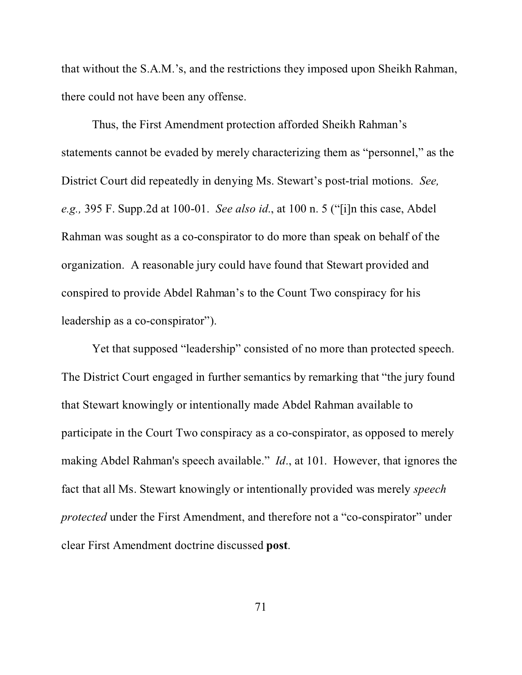that without the S.A.M.'s, and the restrictions they imposed upon Sheikh Rahman, there could not have been any offense.

Thus, the First Amendment protection afforded Sheikh Rahman's statements cannot be evaded by merely characterizing them as "personnel," as the District Court did repeatedly in denying Ms. Stewart's post-trial motions. *See, e.g.,* 395 F. Supp.2d at 100-01. *See also id*., at 100 n. 5 ("[i]n this case, Abdel Rahman was sought as a co-conspirator to do more than speak on behalf of the organization. A reasonable jury could have found that Stewart provided and conspired to provide Abdel Rahman's to the Count Two conspiracy for his leadership as a co-conspirator").

Yet that supposed "leadership" consisted of no more than protected speech. The District Court engaged in further semantics by remarking that "the jury found that Stewart knowingly or intentionally made Abdel Rahman available to participate in the Court Two conspiracy as a co-conspirator, as opposed to merely making Abdel Rahman's speech available." *Id*., at 101. However, that ignores the fact that all Ms. Stewart knowingly or intentionally provided was merely *speech protected* under the First Amendment, and therefore not a "co-conspirator" under clear First Amendment doctrine discussed **post**.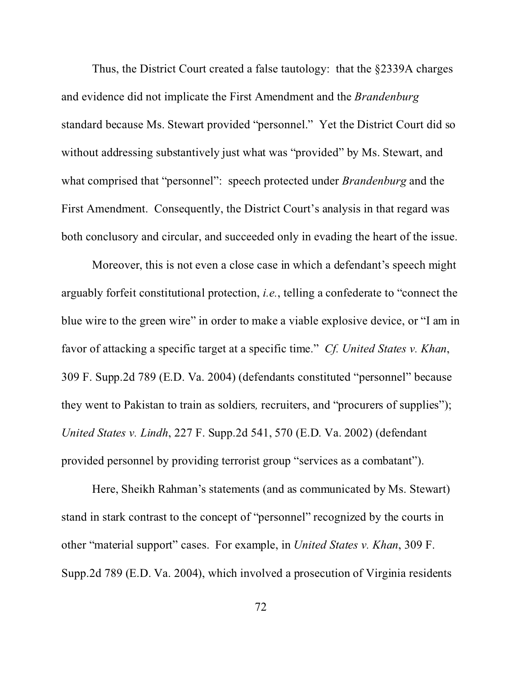Thus, the District Court created a false tautology: that the §2339A charges and evidence did not implicate the First Amendment and the *Brandenburg* standard because Ms. Stewart provided "personnel." Yet the District Court did so without addressing substantively just what was "provided" by Ms. Stewart, and what comprised that "personnel": speech protected under *Brandenburg* and the First Amendment. Consequently, the District Court's analysis in that regard was both conclusory and circular, and succeeded only in evading the heart of the issue.

Moreover, this is not even a close case in which a defendant's speech might arguably forfeit constitutional protection, *i.e.*, telling a confederate to "connect the blue wire to the green wire" in order to make a viable explosive device, or "I am in favor of attacking a specific target at a specific time." *Cf. United States v. Khan*, 309 F. Supp.2d 789 (E.D. Va. 2004) (defendants constituted "personnel" because they went to Pakistan to train as soldiers*,* recruiters, and "procurers of supplies"); *United States v. Lindh*, 227 F. Supp.2d 541, 570 (E.D. Va. 2002) (defendant provided personnel by providing terrorist group "services as a combatant").

Here, Sheikh Rahman's statements (and as communicated by Ms. Stewart) stand in stark contrast to the concept of "personnel" recognized by the courts in other "material support" cases. For example, in *United States v. Khan*, 309 F. Supp.2d 789 (E.D. Va. 2004), which involved a prosecution of Virginia residents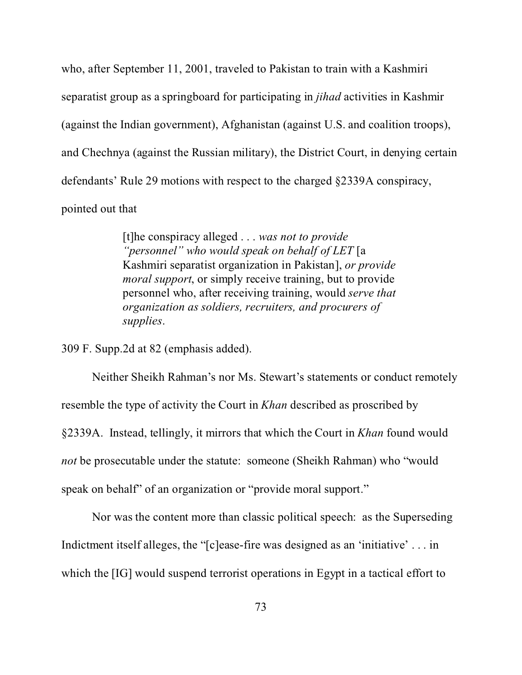who, after September 11, 2001, traveled to Pakistan to train with a Kashmiri separatist group as a springboard for participating in *jihad* activities in Kashmir (against the Indian government), Afghanistan (against U.S. and coalition troops), and Chechnya (against the Russian military), the District Court, in denying certain defendants' Rule 29 motions with respect to the charged §2339A conspiracy, pointed out that

> [t]he conspiracy alleged . . . *was not to provide "personnel" who would speak on behalf of LET* [a Kashmiri separatist organization in Pakistan], *or provide moral support*, or simply receive training, but to provide personnel who, after receiving training, would *serve that organization as soldiers, recruiters, and procurers of supplies*.

309 F. Supp.2d at 82 (emphasis added).

Neither Sheikh Rahman's nor Ms. Stewart's statements or conduct remotely resemble the type of activity the Court in *Khan* described as proscribed by §2339A. Instead, tellingly, it mirrors that which the Court in *Khan* found would *not* be prosecutable under the statute: someone (Sheikh Rahman) who "would speak on behalf" of an organization or "provide moral support."

Nor was the content more than classic political speech: as the Superseding Indictment itself alleges, the "[c]ease-fire was designed as an 'initiative' . . . in which the [IG] would suspend terrorist operations in Egypt in a tactical effort to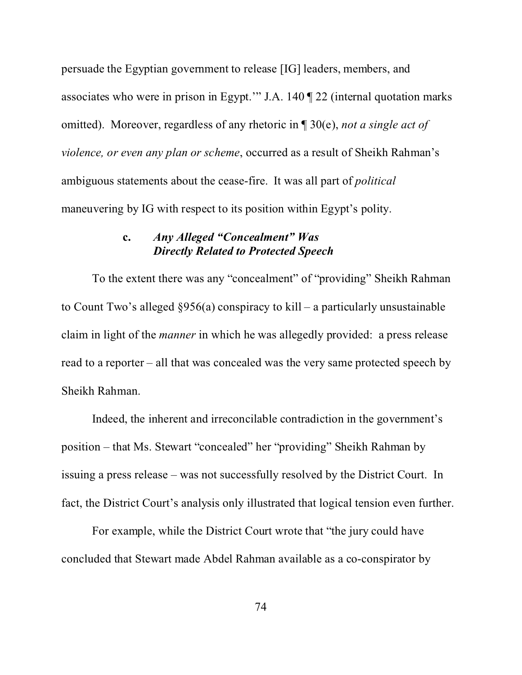persuade the Egyptian government to release [IG] leaders, members, and associates who were in prison in Egypt.'" J.A. 140 ¶ 22 (internal quotation marks omitted). Moreover, regardless of any rhetoric in ¶ 30(e), *not a single act of violence, or even any plan or scheme*, occurred as a result of Sheikh Rahman's ambiguous statements about the cease-fire. It was all part of *political* maneuvering by IG with respect to its position within Egypt's polity.

## **c.** *Any Alleged "Concealment" Was Directly Related to Protected Speech*

To the extent there was any "concealment" of "providing" Sheikh Rahman to Count Two's alleged §956(a) conspiracy to kill – a particularly unsustainable claim in light of the *manner* in which he was allegedly provided: a press release read to a reporter – all that was concealed was the very same protected speech by Sheikh Rahman.

Indeed, the inherent and irreconcilable contradiction in the government's position – that Ms. Stewart "concealed" her "providing" Sheikh Rahman by issuing a press release – was not successfully resolved by the District Court. In fact, the District Court's analysis only illustrated that logical tension even further.

For example, while the District Court wrote that "the jury could have concluded that Stewart made Abdel Rahman available as a co-conspirator by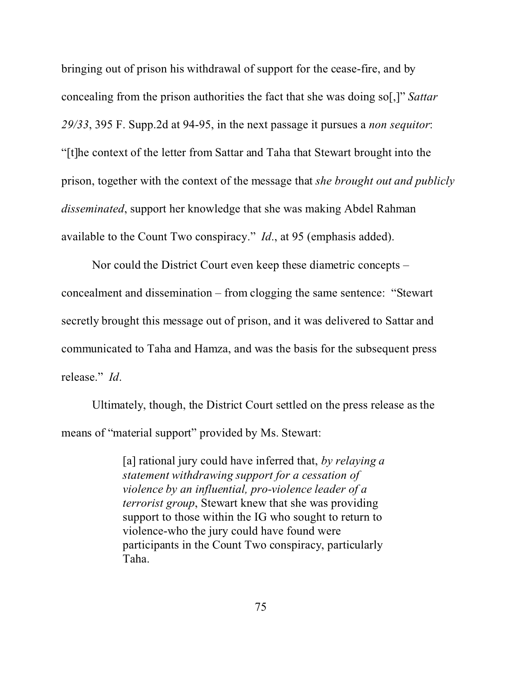bringing out of prison his withdrawal of support for the cease-fire, and by concealing from the prison authorities the fact that she was doing so[,]" *Sattar 29/33*, 395 F. Supp.2d at 94-95, in the next passage it pursues a *non sequitor*: "[t]he context of the letter from Sattar and Taha that Stewart brought into the prison, together with the context of the message that *she brought out and publicly disseminated*, support her knowledge that she was making Abdel Rahman available to the Count Two conspiracy." *Id*., at 95 (emphasis added).

Nor could the District Court even keep these diametric concepts – concealment and dissemination – from clogging the same sentence: "Stewart secretly brought this message out of prison, and it was delivered to Sattar and communicated to Taha and Hamza, and was the basis for the subsequent press release." *Id*.

Ultimately, though, the District Court settled on the press release as the means of "material support" provided by Ms. Stewart:

> [a] rational jury could have inferred that, *by relaying a statement withdrawing support for a cessation of violence by an influential, pro-violence leader of a terrorist group*, Stewart knew that she was providing support to those within the IG who sought to return to violence-who the jury could have found were participants in the Count Two conspiracy, particularly Taha.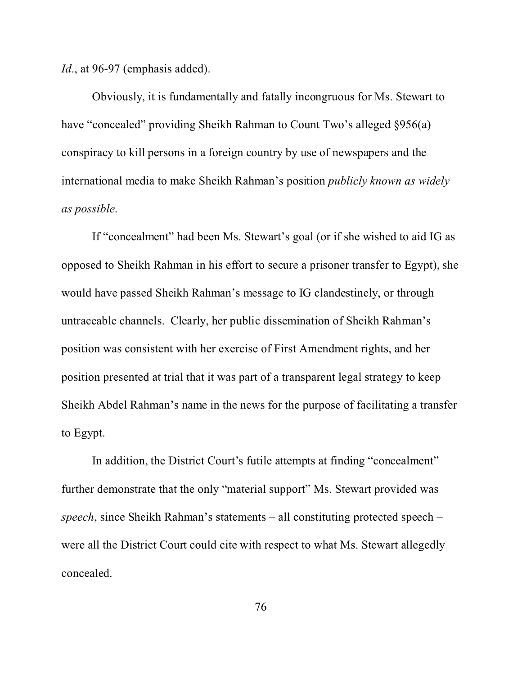*Id.*, at 96-97 (emphasis added).

Obviously, it is fundamentally and fatally incongruous for Ms. Stewart to have "concealed" providing Sheikh Rahman to Count Two's alleged §956(a) conspiracy to kill persons in a foreign country by use of newspapers and the international media to make Sheikh Rahman's position *publicly known as widely as possible*.

If "concealment" had been Ms. Stewart's goal (or if she wished to aid IG as opposed to Sheikh Rahman in his effort to secure a prisoner transfer to Egypt), she would have passed Sheikh Rahman's message to IG clandestinely, or through untraceable channels. Clearly, her public dissemination of Sheikh Rahman's position was consistent with her exercise of First Amendment rights, and her position presented at trial that it was part of a transparent legal strategy to keep Sheikh Abdel Rahman's name in the news for the purpose of facilitating a transfer to Egypt.

In addition, the District Court's futile attempts at finding "concealment" further demonstrate that the only "material support" Ms. Stewart provided was *speech*, since Sheikh Rahman's statements – all constituting protected speech – were all the District Court could cite with respect to what Ms. Stewart allegedly concealed.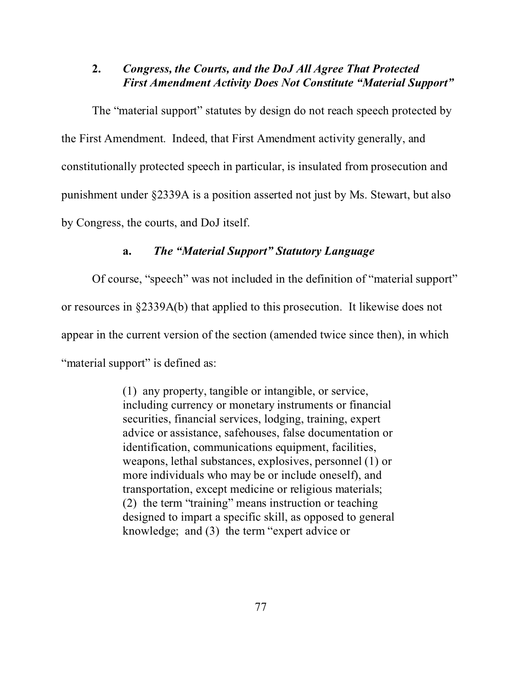### **2.** *Congress, the Courts, and the DoJ All Agree That Protected First Amendment Activity Does Not Constitute "Material Support"*

The "material support" statutes by design do not reach speech protected by the First Amendment. Indeed, that First Amendment activity generally, and constitutionally protected speech in particular, is insulated from prosecution and punishment under §2339A is a position asserted not just by Ms. Stewart, but also by Congress, the courts, and DoJ itself.

### **a.** *The "Material Support" Statutory Language*

Of course, "speech" was not included in the definition of "material support" or resources in §2339A(b) that applied to this prosecution. It likewise does not appear in the current version of the section (amended twice since then), in which "material support" is defined as:

> (1) any property, tangible or intangible, or service, including currency or monetary instruments or financial securities, financial services, lodging, training, expert advice or assistance, safehouses, false documentation or identification, communications equipment, facilities, weapons, lethal substances, explosives, personnel (1) or more individuals who may be or include oneself), and transportation, except medicine or religious materials; (2) the term "training" means instruction or teaching designed to impart a specific skill, as opposed to general knowledge; and (3) the term "expert advice or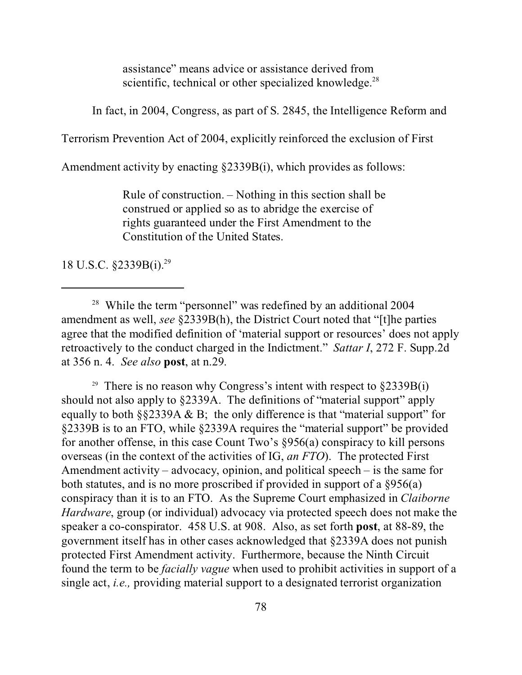assistance" means advice or assistance derived from scientific, technical or other specialized knowledge.<sup>28</sup>

In fact, in 2004, Congress, as part of S. 2845, the Intelligence Reform and

Terrorism Prevention Act of 2004, explicitly reinforced the exclusion of First

Amendment activity by enacting §2339B(i), which provides as follows:

Rule of construction. – Nothing in this section shall be construed or applied so as to abridge the exercise of rights guaranteed under the First Amendment to the Constitution of the United States.

18 U.S.C. §2339B(i).29

<sup>29</sup> There is no reason why Congress's intent with respect to  $\S 2339B(i)$ should not also apply to §2339A. The definitions of "material support" apply equally to both  $\S$ 2339A & B; the only difference is that "material support" for §2339B is to an FTO, while §2339A requires the "material support" be provided for another offense, in this case Count Two's §956(a) conspiracy to kill persons overseas (in the context of the activities of IG, *an FTO*). The protected First Amendment activity – advocacy, opinion, and political speech – is the same for both statutes, and is no more proscribed if provided in support of a §956(a) conspiracy than it is to an FTO. As the Supreme Court emphasized in *Claiborne Hardware*, group (or individual) advocacy via protected speech does not make the speaker a co-conspirator. 458 U.S. at 908. Also, as set forth **post**, at 88-89, the government itself has in other cases acknowledged that §2339A does not punish protected First Amendment activity. Furthermore, because the Ninth Circuit found the term to be *facially vague* when used to prohibit activities in support of a single act, *i.e.,* providing material support to a designated terrorist organization

<sup>&</sup>lt;sup>28</sup> While the term "personnel" was redefined by an additional 2004 amendment as well, *see* §2339B(h), the District Court noted that "[t]he parties agree that the modified definition of 'material support or resources' does not apply retroactively to the conduct charged in the Indictment." *Sattar I*, 272 F. Supp.2d at 356 n. 4. *See also* **post**, at n.29.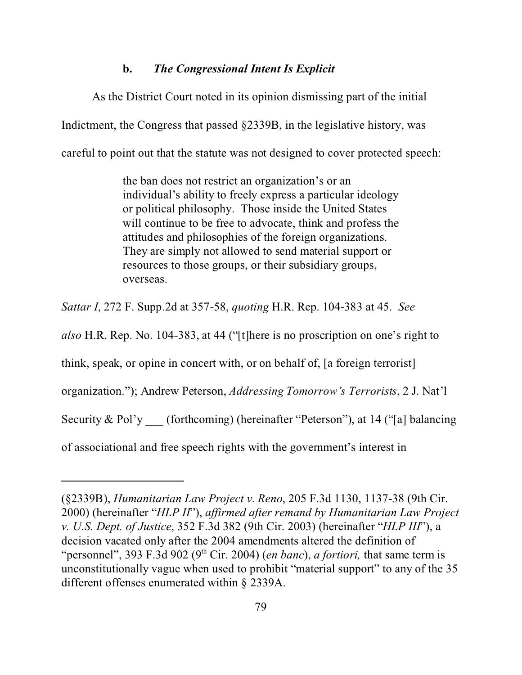#### **b.** *The Congressional Intent Is Explicit*

As the District Court noted in its opinion dismissing part of the initial Indictment, the Congress that passed §2339B, in the legislative history, was careful to point out that the statute was not designed to cover protected speech:

> the ban does not restrict an organization's or an individual's ability to freely express a particular ideology or political philosophy. Those inside the United States will continue to be free to advocate, think and profess the attitudes and philosophies of the foreign organizations. They are simply not allowed to send material support or resources to those groups, or their subsidiary groups, overseas.

*Sattar I*, 272 F. Supp.2d at 357-58, *quoting* H.R. Rep. 104-383 at 45. *See*

*also* H.R. Rep. No. 104-383, at 44 ("[t]here is no proscription on one's right to

think, speak, or opine in concert with, or on behalf of, [a foreign terrorist]

organization."); Andrew Peterson, *Addressing Tomorrow's Terrorists*, 2 J. Nat'l

Security & Pol'y (forthcoming) (hereinafter "Peterson"), at 14 ("[a] balancing

of associational and free speech rights with the government's interest in

<sup>(§2339</sup>B), *Humanitarian Law Project v. Reno*, 205 F.3d 1130, 1137-38 (9th Cir. 2000) (hereinafter "*HLP II*"), *affirmed after remand by Humanitarian Law Project v. U.S. Dept. of Justice*, 352 F.3d 382 (9th Cir. 2003) (hereinafter "*HLP III*"), a decision vacated only after the 2004 amendments altered the definition of "personnel", 393 F.3d 902 (9<sup>th</sup> Cir. 2004) (*en banc*), *a fortiori*, that same term is unconstitutionally vague when used to prohibit "material support" to any of the 35 different offenses enumerated within § 2339A.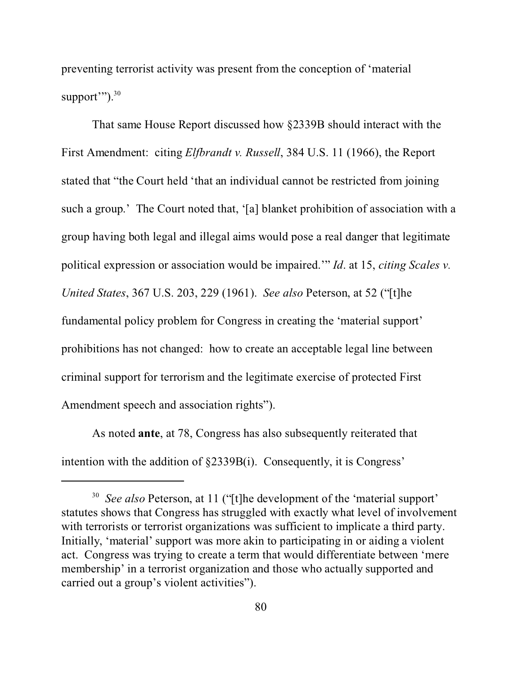preventing terrorist activity was present from the conception of 'material support $\mathcal{C}$ ").<sup>30</sup>

That same House Report discussed how §2339B should interact with the First Amendment: citing *Elfbrandt v. Russell*, 384 U.S. 11 (1966), the Report stated that "the Court held 'that an individual cannot be restricted from joining such a group.' The Court noted that, '[a] blanket prohibition of association with a group having both legal and illegal aims would pose a real danger that legitimate political expression or association would be impaired.'" *Id*. at 15, *citing Scales v. United States*, 367 U.S. 203, 229 (1961). *See also* Peterson, at 52 ("[t]he fundamental policy problem for Congress in creating the 'material support' prohibitions has not changed: how to create an acceptable legal line between criminal support for terrorism and the legitimate exercise of protected First Amendment speech and association rights").

As noted **ante**, at 78, Congress has also subsequently reiterated that intention with the addition of §2339B(i). Consequently, it is Congress'

<sup>&</sup>lt;sup>30</sup> See also Peterson, at 11 ("[t]he development of the 'material support' statutes shows that Congress has struggled with exactly what level of involvement with terrorists or terrorist organizations was sufficient to implicate a third party. Initially, 'material' support was more akin to participating in or aiding a violent act. Congress was trying to create a term that would differentiate between 'mere membership' in a terrorist organization and those who actually supported and carried out a group's violent activities").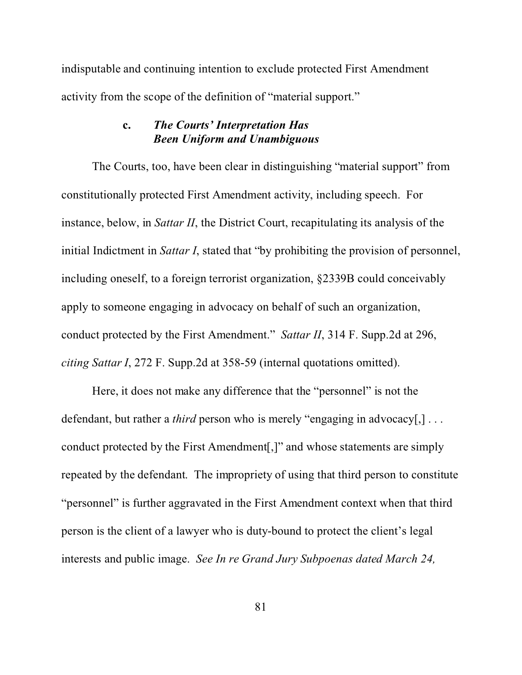indisputable and continuing intention to exclude protected First Amendment activity from the scope of the definition of "material support."

### **c.** *The Courts' Interpretation Has Been Uniform and Unambiguous*

The Courts, too, have been clear in distinguishing "material support" from constitutionally protected First Amendment activity, including speech. For instance, below, in *Sattar II*, the District Court, recapitulating its analysis of the initial Indictment in *Sattar I*, stated that "by prohibiting the provision of personnel, including oneself, to a foreign terrorist organization, §2339B could conceivably apply to someone engaging in advocacy on behalf of such an organization, conduct protected by the First Amendment." *Sattar II*, 314 F. Supp.2d at 296, *citing Sattar I*, 272 F. Supp.2d at 358-59 (internal quotations omitted).

Here, it does not make any difference that the "personnel" is not the defendant, but rather a *third* person who is merely "engaging in advocacy[,] ... conduct protected by the First Amendment[,]" and whose statements are simply repeated by the defendant. The impropriety of using that third person to constitute "personnel" is further aggravated in the First Amendment context when that third person is the client of a lawyer who is duty-bound to protect the client's legal interests and public image. *See In re Grand Jury Subpoenas dated March 24,*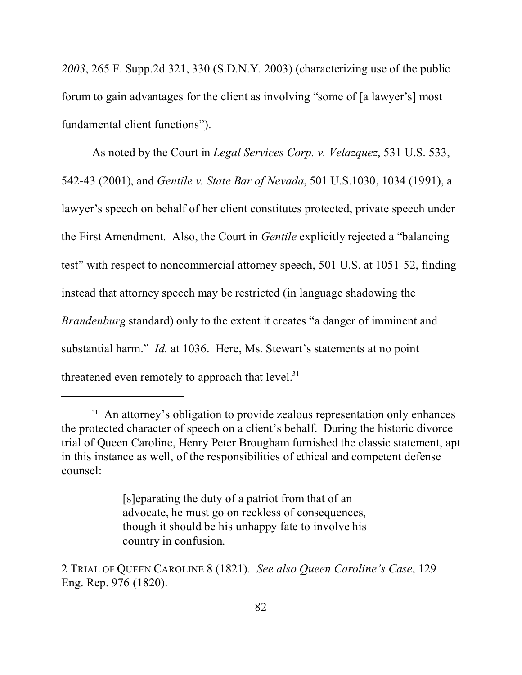*2003*, 265 F. Supp.2d 321, 330 (S.D.N.Y. 2003) (characterizing use of the public forum to gain advantages for the client as involving "some of [a lawyer's] most fundamental client functions").

As noted by the Court in *Legal Services Corp. v. Velazquez*, 531 U.S. 533, 542-43 (2001), and *Gentile v. State Bar of Nevada*, 501 U.S.1030, 1034 (1991), a lawyer's speech on behalf of her client constitutes protected, private speech under the First Amendment. Also, the Court in *Gentile* explicitly rejected a "balancing test" with respect to noncommercial attorney speech, 501 U.S. at 1051-52, finding instead that attorney speech may be restricted (in language shadowing the *Brandenburg* standard) only to the extent it creates "a danger of imminent and substantial harm." *Id.* at 1036. Here, Ms. Stewart's statements at no point threatened even remotely to approach that  $level.^{31}$ 

<sup>&</sup>lt;sup>31</sup> An attorney's obligation to provide zealous representation only enhances the protected character of speech on a client's behalf. During the historic divorce trial of Queen Caroline, Henry Peter Brougham furnished the classic statement, apt in this instance as well, of the responsibilities of ethical and competent defense counsel:

<sup>[</sup>s]eparating the duty of a patriot from that of an advocate, he must go on reckless of consequences, though it should be his unhappy fate to involve his country in confusion.

<sup>2</sup> TRIAL OF QUEEN CAROLINE 8 (1821). *See also Queen Caroline's Case*, 129 Eng. Rep. 976 (1820).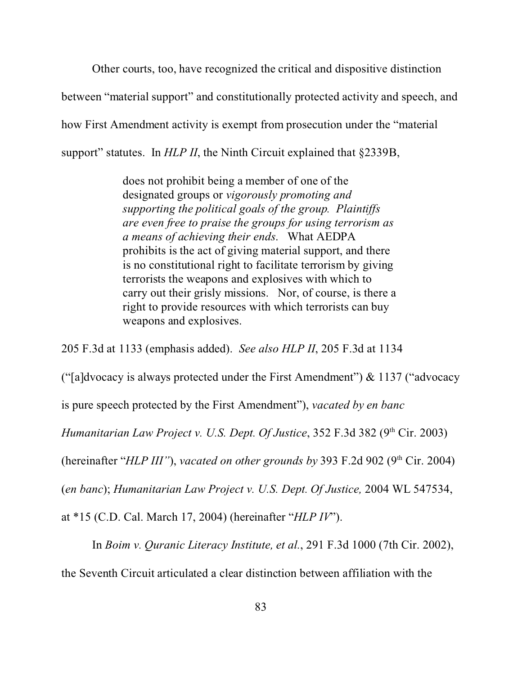Other courts, too, have recognized the critical and dispositive distinction between "material support" and constitutionally protected activity and speech, and how First Amendment activity is exempt from prosecution under the "material support" statutes. In *HLP II*, the Ninth Circuit explained that §2339B,

> does not prohibit being a member of one of the designated groups or *vigorously promoting and supporting the political goals of the group. Plaintiffs are even free to praise the groups for using terrorism as a means of achieving their ends*. What AEDPA prohibits is the act of giving material support, and there is no constitutional right to facilitate terrorism by giving terrorists the weapons and explosives with which to carry out their grisly missions. Nor, of course, is there a right to provide resources with which terrorists can buy weapons and explosives.

205 F.3d at 1133 (emphasis added). *See also HLP II*, 205 F.3d at 1134

("[a]dvocacy is always protected under the First Amendment") & 1137 ("advocacy

is pure speech protected by the First Amendment"), *vacated by en banc*

*Humanitarian Law Project v. U.S. Dept. Of Justice*, 352 F.3d 382 (9<sup>th</sup> Cir. 2003)

(hereinafter "*HLP III*"), *vacated on other grounds by* 393 F.2d 902 (9<sup>th</sup> Cir. 2004)

(*en banc*); *Humanitarian Law Project v. U.S. Dept. Of Justice,* 2004 WL 547534,

at \*15 (C.D. Cal. March 17, 2004) (hereinafter "*HLP IV*").

In *Boim v. Quranic Literacy Institute, et al.*, 291 F.3d 1000 (7th Cir. 2002),

the Seventh Circuit articulated a clear distinction between affiliation with the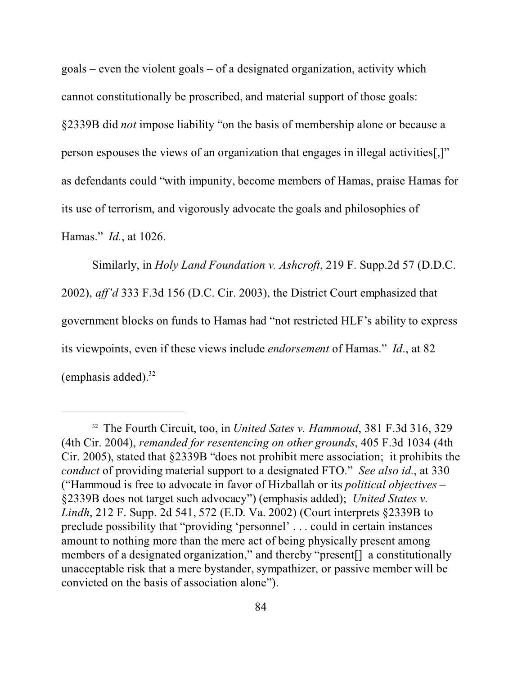$\text{goals}$  – even the violent goals – of a designated organization, activity which cannot constitutionally be proscribed, and material support of those goals: §2339B did *not* impose liability "on the basis of membership alone or because a person espouses the views of an organization that engages in illegal activities[,]" as defendants could "with impunity, become members of Hamas, praise Hamas for its use of terrorism, and vigorously advocate the goals and philosophies of Hamas." *Id.*, at 1026.

Similarly, in *Holy Land Foundation v. Ashcroft*, 219 F. Supp.2d 57 (D.D.C. 2002), *aff'd* 333 F.3d 156 (D.C. Cir. 2003), the District Court emphasized that government blocks on funds to Hamas had "not restricted HLF's ability to express its viewpoints, even if these views include *endorsement* of Hamas." *Id*., at 82 (emphasis added). $32$ 

<sup>32</sup> The Fourth Circuit, too, in *United Sates v. Hammoud*, 381 F.3d 316, 329 (4th Cir. 2004), *remanded for resentencing on other grounds*, 405 F.3d 1034 (4th Cir. 2005), stated that §2339B "does not prohibit mere association; it prohibits the *conduct* of providing material support to a designated FTO." *See also id.*, at 330 ("Hammoud is free to advocate in favor of Hizballah or its *political objectives* – §2339B does not target such advocacy") (emphasis added); *United States v. Lindh*, 212 F. Supp. 2d 541, 572 (E.D. Va. 2002) (Court interprets §2339B to preclude possibility that "providing 'personnel' . . . could in certain instances amount to nothing more than the mere act of being physically present among members of a designated organization," and thereby "present[] a constitutionally unacceptable risk that a mere bystander, sympathizer, or passive member will be convicted on the basis of association alone").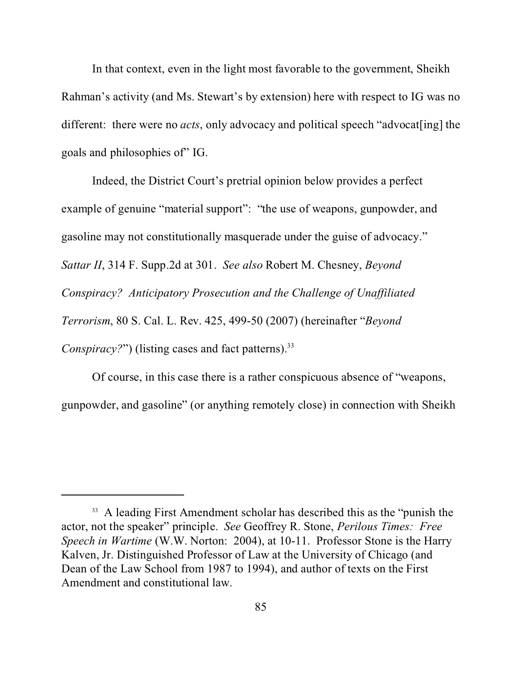In that context, even in the light most favorable to the government, Sheikh Rahman's activity (and Ms. Stewart's by extension) here with respect to IG was no different: there were no *acts*, only advocacy and political speech "advocat [ing] the goals and philosophies of" IG.

Indeed, the District Court's pretrial opinion below provides a perfect example of genuine "material support": "the use of weapons, gunpowder, and gasoline may not constitutionally masquerade under the guise of advocacy." *Sattar II*, 314 F. Supp.2d at 301. *See also* Robert M. Chesney, *Beyond Conspiracy? Anticipatory Prosecution and the Challenge of Unaffiliated Terrorism*, 80 S. Cal. L. Rev. 425, 499-50 (2007) (hereinafter "*Beyond Conspiracy?"*) (listing cases and fact patterns).<sup>33</sup>

Of course, in this case there is a rather conspicuous absence of "weapons, gunpowder, and gasoline" (or anything remotely close) in connection with Sheikh

<sup>&</sup>lt;sup>33</sup> A leading First Amendment scholar has described this as the "punish the actor, not the speaker" principle. *See* Geoffrey R. Stone, *Perilous Times: Free Speech in Wartime* (W.W. Norton: 2004), at 10-11. Professor Stone is the Harry Kalven, Jr. Distinguished Professor of Law at the University of Chicago (and Dean of the Law School from 1987 to 1994), and author of texts on the First Amendment and constitutional law.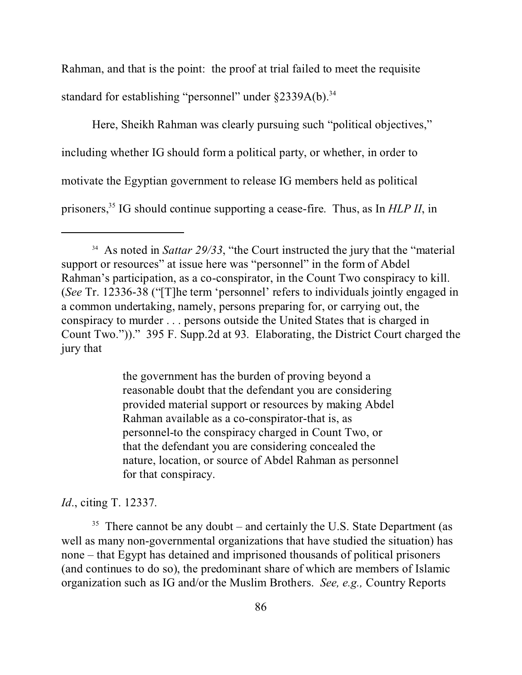Rahman, and that is the point: the proof at trial failed to meet the requisite standard for establishing "personnel" under §2339A(b).<sup>34</sup>

Here, Sheikh Rahman was clearly pursuing such "political objectives," including whether IG should form a political party, or whether, in order to motivate the Egyptian government to release IG members held as political prisoners,35 IG should continue supporting a cease-fire. Thus, as In *HLP II*, in

the government has the burden of proving beyond a reasonable doubt that the defendant you are considering provided material support or resources by making Abdel Rahman available as a co-conspirator-that is, as personnel-to the conspiracy charged in Count Two, or that the defendant you are considering concealed the nature, location, or source of Abdel Rahman as personnel for that conspiracy.

*Id*., citing T. 12337.

 $35$  There cannot be any doubt – and certainly the U.S. State Department (as well as many non-governmental organizations that have studied the situation) has none – that Egypt has detained and imprisoned thousands of political prisoners (and continues to do so), the predominant share of which are members of Islamic organization such as IG and/or the Muslim Brothers. *See, e.g.,* Country Reports

<sup>&</sup>lt;sup>34</sup> As noted in *Sattar 29/33*, "the Court instructed the jury that the "material" support or resources" at issue here was "personnel" in the form of Abdel Rahman's participation, as a co-conspirator, in the Count Two conspiracy to kill. (*See* Tr. 12336-38 ("[T]he term 'personnel' refers to individuals jointly engaged in a common undertaking, namely, persons preparing for, or carrying out, the conspiracy to murder . . . persons outside the United States that is charged in Count Two."))." 395 F. Supp.2d at 93. Elaborating, the District Court charged the jury that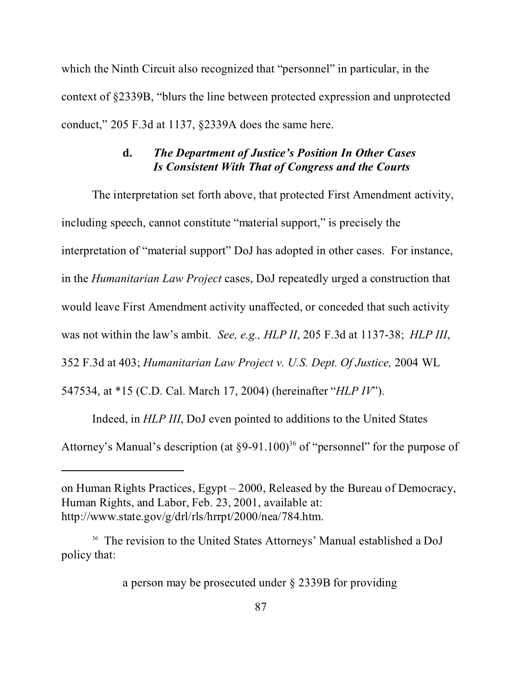which the Ninth Circuit also recognized that "personnel" in particular, in the context of §2339B, "blurs the line between protected expression and unprotected conduct," 205 F.3d at 1137, §2339A does the same here.

### **d.** *The Department of Justice's Position In Other Cases Is Consistent With That of Congress and the Courts*

The interpretation set forth above, that protected First Amendment activity, including speech, cannot constitute "material support," is precisely the interpretation of "material support" DoJ has adopted in other cases. For instance, in the *Humanitarian Law Project* cases, DoJ repeatedly urged a construction that would leave First Amendment activity unaffected, or conceded that such activity was not within the law's ambit. *See, e.g., HLP II*, 205 F.3d at 1137-38; *HLP III*, 352 F.3d at 403; *Humanitarian Law Project v. U.S. Dept. Of Justice,* 2004 WL 547534, at \*15 (C.D. Cal. March 17, 2004) (hereinafter "*HLP IV*").

Indeed, in *HLP III*, DoJ even pointed to additions to the United States

Attorney's Manual's description (at §9-91.100)<sup>36</sup> of "personnel" for the purpose of

a person may be prosecuted under § 2339B for providing

on Human Rights Practices, Egypt – 2000, Released by the Bureau of Democracy, Human Rights, and Labor, Feb. 23, 2001, available at: http://www.state.gov/g/drl/rls/hrrpt/2000/nea/784.htm.

<sup>36</sup> The revision to the United States Attorneys' Manual established a DoJ policy that: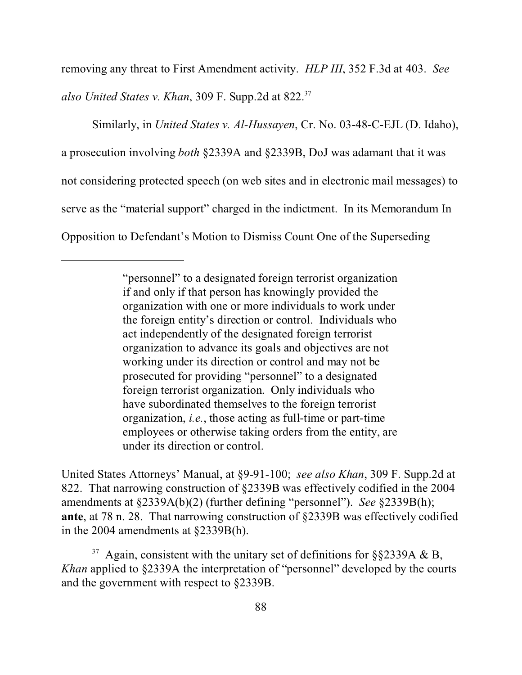removing any threat to First Amendment activity. *HLP III*, 352 F.3d at 403. *See*

*also United States v. Khan*, 309 F. Supp.2d at 822.<sup>37</sup>

Similarly, in *United States v. Al-Hussayen*, Cr. No. 03-48-C-EJL (D. Idaho), a prosecution involving *both* §2339A and §2339B, DoJ was adamant that it was not considering protected speech (on web sites and in electronic mail messages) to serve as the "material support" charged in the indictment. In its Memorandum In Opposition to Defendant's Motion to Dismiss Count One of the Superseding

United States Attorneys' Manual, at §9-91-100; *see also Khan*, 309 F. Supp.2d at 822. That narrowing construction of §2339B was effectively codified in the 2004 amendments at §2339A(b)(2) (further defining "personnel"). *See* §2339B(h); **ante**, at 78 n. 28. That narrowing construction of §2339B was effectively codified in the 2004 amendments at §2339B(h).

<sup>37</sup> Again, consistent with the unitary set of definitions for §§2339A & B, *Khan* applied to §2339A the interpretation of "personnel" developed by the courts and the government with respect to §2339B.

<sup>&</sup>quot;personnel" to a designated foreign terrorist organization if and only if that person has knowingly provided the organization with one or more individuals to work under the foreign entity's direction or control. Individuals who act independently of the designated foreign terrorist organization to advance its goals and objectives are not working under its direction or control and may not be prosecuted for providing "personnel" to a designated foreign terrorist organization. Only individuals who have subordinated themselves to the foreign terrorist organization, *i.e.*, those acting as full-time or part-time employees or otherwise taking orders from the entity, are under its direction or control.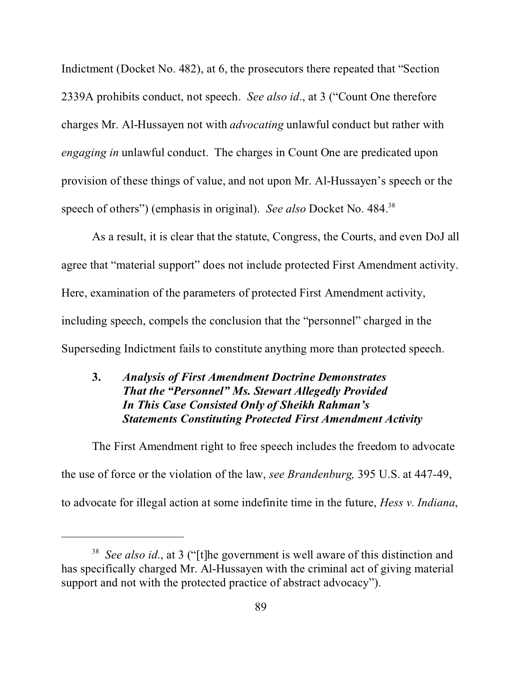Indictment (Docket No. 482), at 6, the prosecutors there repeated that "Section 2339A prohibits conduct, not speech. *See also id*., at 3 ("Count One therefore charges Mr. Al-Hussayen not with *advocating* unlawful conduct but rather with *engaging in* unlawful conduct. The charges in Count One are predicated upon provision of these things of value, and not upon Mr. Al-Hussayen's speech or the speech of others") (emphasis in original). *See also* Docket No. 484.<sup>38</sup>

As a result, it is clear that the statute, Congress, the Courts, and even DoJ all agree that "material support" does not include protected First Amendment activity. Here, examination of the parameters of protected First Amendment activity, including speech, compels the conclusion that the "personnel" charged in the Superseding Indictment fails to constitute anything more than protected speech.

# **3.** *Analysis of First Amendment Doctrine Demonstrates That the "Personnel" Ms. Stewart Allegedly Provided In This Case Consisted Only of Sheikh Rahman's Statements Constituting Protected First Amendment Activity*

The First Amendment right to free speech includes the freedom to advocate the use of force or the violation of the law, *see Brandenburg,* 395 U.S. at 447-49, to advocate for illegal action at some indefinite time in the future, *Hess v. Indiana*,

<sup>38</sup> *See also id*., at 3 ("[t]he government is well aware of this distinction and has specifically charged Mr. Al-Hussayen with the criminal act of giving material support and not with the protected practice of abstract advocacy").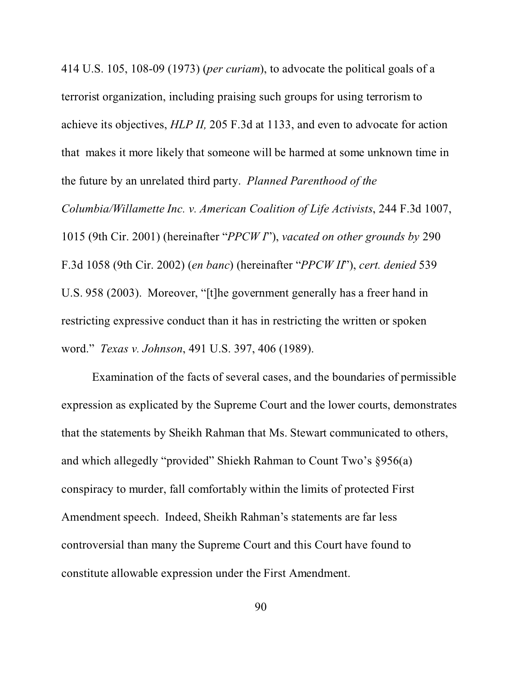414 U.S. 105, 108-09 (1973) (*per curiam*), to advocate the political goals of a terrorist organization, including praising such groups for using terrorism to achieve its objectives, *HLP II,* 205 F.3d at 1133, and even to advocate for action that makes it more likely that someone will be harmed at some unknown time in the future by an unrelated third party. *Planned Parenthood of the Columbia/Willamette Inc. v. American Coalition of Life Activists*, 244 F.3d 1007, 1015 (9th Cir. 2001) (hereinafter "*PPCW I*"), *vacated on other grounds by* 290 F.3d 1058 (9th Cir. 2002) (*en banc*) (hereinafter "*PPCW II*"), *cert. denied* 539 U.S. 958 (2003). Moreover, "[t]he government generally has a freer hand in restricting expressive conduct than it has in restricting the written or spoken word." *Texas v. Johnson*, 491 U.S. 397, 406 (1989).

Examination of the facts of several cases, and the boundaries of permissible expression as explicated by the Supreme Court and the lower courts, demonstrates that the statements by Sheikh Rahman that Ms. Stewart communicated to others, and which allegedly "provided" Shiekh Rahman to Count Two's §956(a) conspiracy to murder, fall comfortably within the limits of protected First Amendment speech. Indeed, Sheikh Rahman's statements are far less controversial than many the Supreme Court and this Court have found to constitute allowable expression under the First Amendment.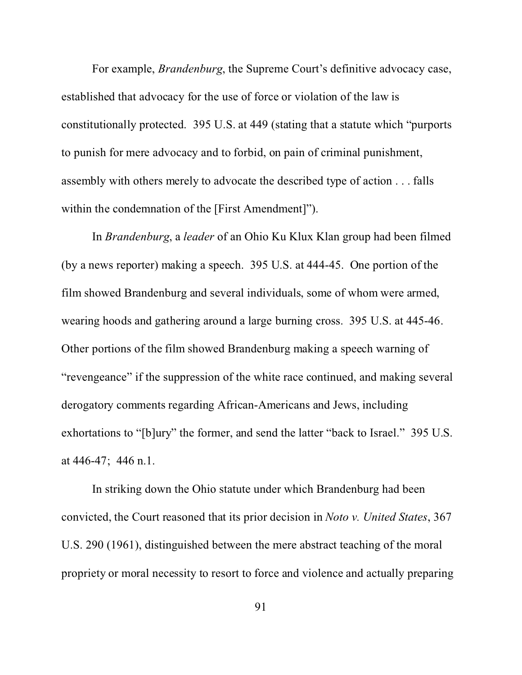For example, *Brandenburg*, the Supreme Court's definitive advocacy case, established that advocacy for the use of force or violation of the law is constitutionally protected. 395 U.S. at 449 (stating that a statute which "purports to punish for mere advocacy and to forbid, on pain of criminal punishment, assembly with others merely to advocate the described type of action . . . falls within the condemnation of the [First Amendment]").

In *Brandenburg*, a *leader* of an Ohio Ku Klux Klan group had been filmed (by a news reporter) making a speech. 395 U.S. at 444-45. One portion of the film showed Brandenburg and several individuals, some of whom were armed, wearing hoods and gathering around a large burning cross. 395 U.S. at 445-46. Other portions of the film showed Brandenburg making a speech warning of "revengeance" if the suppression of the white race continued, and making several derogatory comments regarding African-Americans and Jews, including exhortations to "[b]ury" the former, and send the latter "back to Israel." 395 U.S. at 446-47; 446 n.1.

In striking down the Ohio statute under which Brandenburg had been convicted, the Court reasoned that its prior decision in *Noto v. United States*, 367 U.S. 290 (1961), distinguished between the mere abstract teaching of the moral propriety or moral necessity to resort to force and violence and actually preparing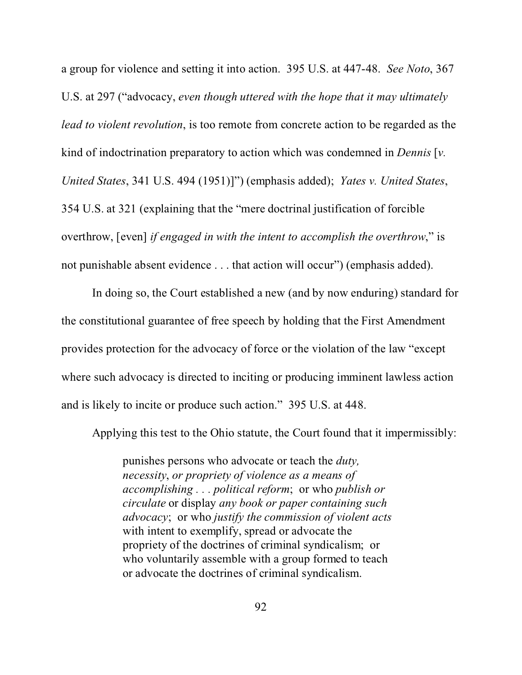a group for violence and setting it into action. 395 U.S. at 447-48. *See Noto*, 367 U.S. at 297 ("advocacy, *even though uttered with the hope that it may ultimately lead to violent revolution*, is too remote from concrete action to be regarded as the kind of indoctrination preparatory to action which was condemned in *Dennis* [*v. United States*, 341 U.S. 494 (1951)]") (emphasis added); *Yates v. United States*, 354 U.S. at 321 (explaining that the "mere doctrinal justification of forcible overthrow, [even] *if engaged in with the intent to accomplish the overthrow*," is not punishable absent evidence . . . that action will occur") (emphasis added).

In doing so, the Court established a new (and by now enduring) standard for the constitutional guarantee of free speech by holding that the First Amendment provides protection for the advocacy of force or the violation of the law "except where such advocacy is directed to inciting or producing imminent lawless action and is likely to incite or produce such action." 395 U.S. at 448.

Applying this test to the Ohio statute, the Court found that it impermissibly:

punishes persons who advocate or teach the *duty, necessity*, *or propriety of violence as a means of accomplishing . . . political reform*; or who *publish or circulate* or display *any book or paper containing such advocacy*; or who *justify the commission of violent acts* with intent to exemplify, spread or advocate the propriety of the doctrines of criminal syndicalism; or who voluntarily assemble with a group formed to teach or advocate the doctrines of criminal syndicalism.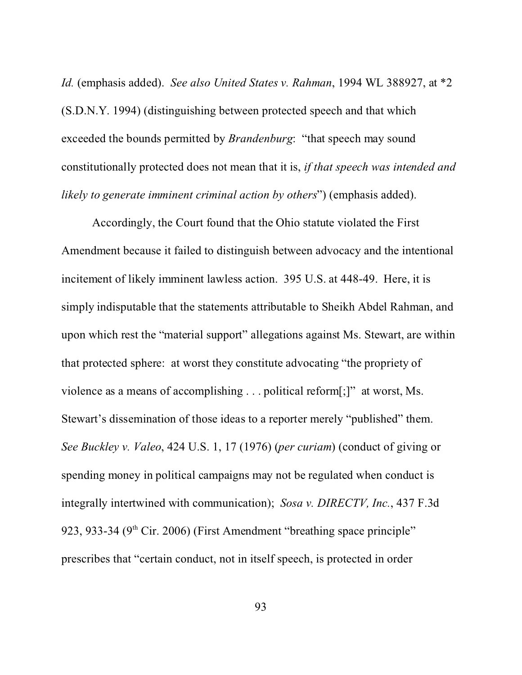*Id.* (emphasis added). *See also United States v. Rahman*, 1994 WL 388927, at \*2 (S.D.N.Y. 1994) (distinguishing between protected speech and that which exceeded the bounds permitted by *Brandenburg*: "that speech may sound constitutionally protected does not mean that it is, *if that speech was intended and likely to generate imminent criminal action by others*") (emphasis added).

Accordingly, the Court found that the Ohio statute violated the First Amendment because it failed to distinguish between advocacy and the intentional incitement of likely imminent lawless action. 395 U.S. at 448-49. Here, it is simply indisputable that the statements attributable to Sheikh Abdel Rahman, and upon which rest the "material support" allegations against Ms. Stewart, are within that protected sphere: at worst they constitute advocating "the propriety of violence as a means of accomplishing . . . political reform[;]" at worst, Ms. Stewart's dissemination of those ideas to a reporter merely "published" them. *See Buckley v. Valeo*, 424 U.S. 1, 17 (1976) (*per curiam*) (conduct of giving or spending money in political campaigns may not be regulated when conduct is integrally intertwined with communication); *Sosa v. DIRECTV, Inc.*, 437 F.3d 923, 933-34 ( $9<sup>th</sup>$  Cir. 2006) (First Amendment "breathing space principle" prescribes that "certain conduct, not in itself speech, is protected in order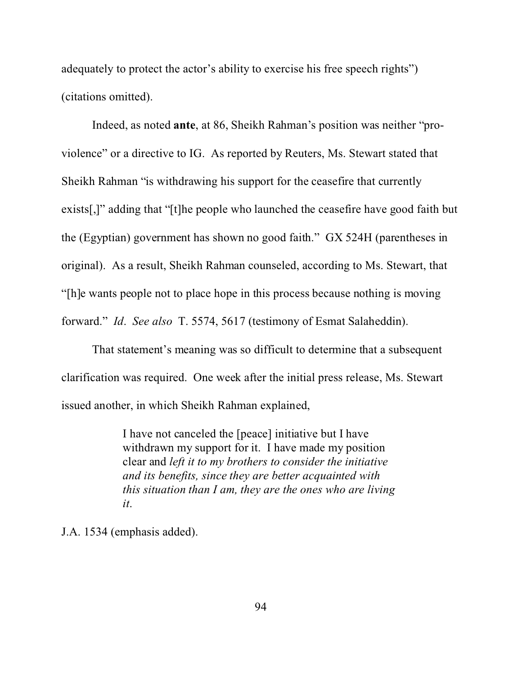adequately to protect the actor's ability to exercise his free speech rights") (citations omitted).

Indeed, as noted **ante**, at 86, Sheikh Rahman's position was neither "proviolence" or a directive to IG. As reported by Reuters, Ms. Stewart stated that Sheikh Rahman "is withdrawing his support for the ceasefire that currently exists[,]" adding that "[t]he people who launched the ceasefire have good faith but the (Egyptian) government has shown no good faith." GX 524H (parentheses in original). As a result, Sheikh Rahman counseled, according to Ms. Stewart, that "[h]e wants people not to place hope in this process because nothing is moving forward." *Id*. *See also* T. 5574, 5617 (testimony of Esmat Salaheddin).

That statement's meaning was so difficult to determine that a subsequent clarification was required. One week after the initial press release, Ms. Stewart issued another, in which Sheikh Rahman explained,

> I have not canceled the [peace] initiative but I have withdrawn my support for it. I have made my position clear and *left it to my brothers to consider the initiative and its benefits, since they are better acquainted with this situation than I am, they are the ones who are living it*.

J.A. 1534 (emphasis added).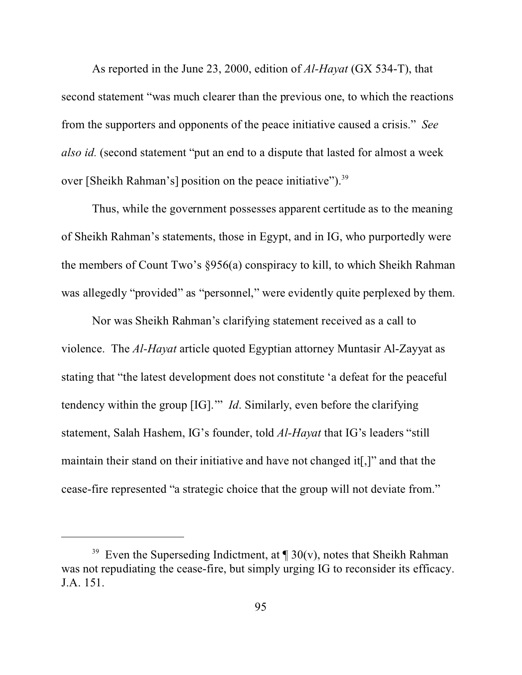As reported in the June 23, 2000, edition of *Al-Hayat* (GX 534-T), that second statement "was much clearer than the previous one, to which the reactions from the supporters and opponents of the peace initiative caused a crisis." *See also id.* (second statement "put an end to a dispute that lasted for almost a week over [Sheikh Rahman's] position on the peace initiative").<sup>39</sup>

Thus, while the government possesses apparent certitude as to the meaning of Sheikh Rahman's statements, those in Egypt, and in IG, who purportedly were the members of Count Two's §956(a) conspiracy to kill, to which Sheikh Rahman was allegedly "provided" as "personnel," were evidently quite perplexed by them.

Nor was Sheikh Rahman's clarifying statement received as a call to violence. The *Al-Hayat* article quoted Egyptian attorney Muntasir Al-Zayyat as stating that "the latest development does not constitute 'a defeat for the peaceful tendency within the group [IG].'" *Id*. Similarly, even before the clarifying statement, Salah Hashem, IG's founder, told *Al-Hayat* that IG's leaders "still maintain their stand on their initiative and have not changed it[,]" and that the cease-fire represented "a strategic choice that the group will not deviate from."

<sup>&</sup>lt;sup>39</sup> Even the Superseding Indictment, at  $\P$  30(v), notes that Sheikh Rahman was not repudiating the cease-fire, but simply urging IG to reconsider its efficacy. J.A. 151.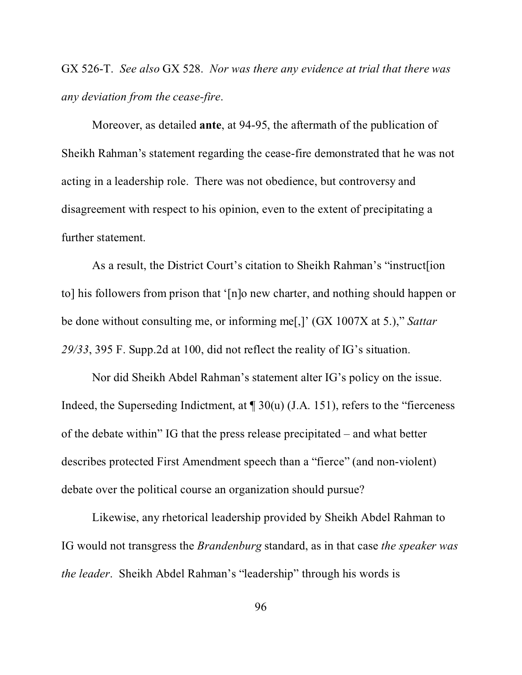GX 526-T. *See also* GX 528. *Nor was there any evidence at trial that there was any deviation from the cease-fire*.

Moreover, as detailed **ante**, at 94-95, the aftermath of the publication of Sheikh Rahman's statement regarding the cease-fire demonstrated that he was not acting in a leadership role. There was not obedience, but controversy and disagreement with respect to his opinion, even to the extent of precipitating a further statement.

As a result, the District Court's citation to Sheikh Rahman's "instruct[ion to] his followers from prison that '[n]o new charter, and nothing should happen or be done without consulting me, or informing me[,]' (GX 1007X at 5.)," *Sattar 29/33*, 395 F. Supp.2d at 100, did not reflect the reality of IG's situation.

Nor did Sheikh Abdel Rahman's statement alter IG's policy on the issue. Indeed, the Superseding Indictment, at  $\P$  30(u) (J.A. 151), refers to the "fierceness" of the debate within" IG that the press release precipitated – and what better describes protected First Amendment speech than a "fierce" (and non-violent) debate over the political course an organization should pursue?

Likewise, any rhetorical leadership provided by Sheikh Abdel Rahman to IG would not transgress the *Brandenburg* standard, as in that case *the speaker was the leader*. Sheikh Abdel Rahman's "leadership" through his words is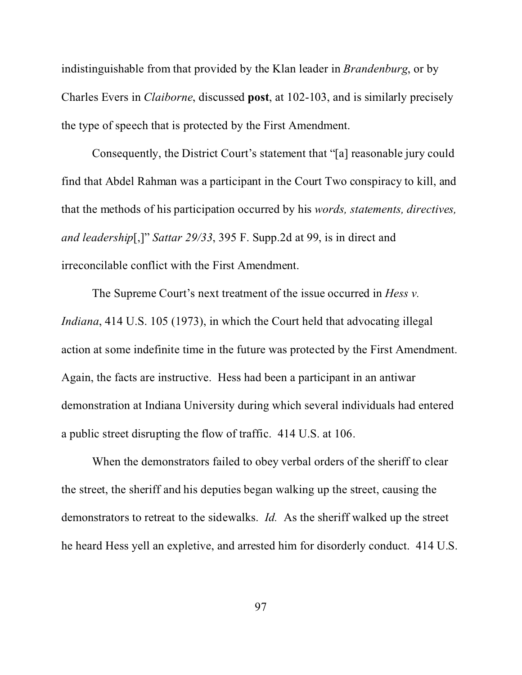indistinguishable from that provided by the Klan leader in *Brandenburg*, or by Charles Evers in *Claiborne*, discussed **post**, at 102-103, and is similarly precisely the type of speech that is protected by the First Amendment.

Consequently, the District Court's statement that "[a] reasonable jury could find that Abdel Rahman was a participant in the Court Two conspiracy to kill, and that the methods of his participation occurred by his *words, statements, directives, and leadership*[,]" *Sattar 29/33*, 395 F. Supp.2d at 99, is in direct and irreconcilable conflict with the First Amendment.

The Supreme Court's next treatment of the issue occurred in *Hess v. Indiana*, 414 U.S. 105 (1973), in which the Court held that advocating illegal action at some indefinite time in the future was protected by the First Amendment. Again, the facts are instructive. Hess had been a participant in an antiwar demonstration at Indiana University during which several individuals had entered a public street disrupting the flow of traffic. 414 U.S. at 106.

When the demonstrators failed to obey verbal orders of the sheriff to clear the street, the sheriff and his deputies began walking up the street, causing the demonstrators to retreat to the sidewalks. *Id.* As the sheriff walked up the street he heard Hess yell an expletive, and arrested him for disorderly conduct. 414 U.S.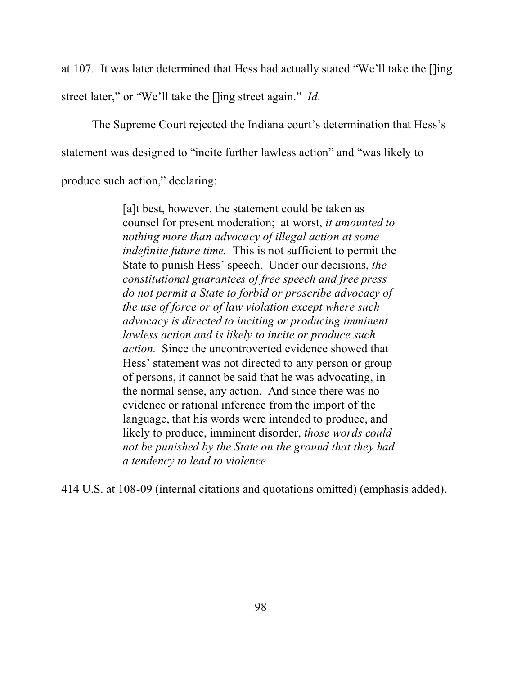at 107. It was later determined that Hess had actually stated "We'll take the []ing street later," or "We'll take the []ing street again." *Id*.

The Supreme Court rejected the Indiana court's determination that Hess's statement was designed to "incite further lawless action" and "was likely to produce such action," declaring:

> [a]t best, however, the statement could be taken as counsel for present moderation; at worst, *it amounted to nothing more than advocacy of illegal action at some indefinite future time.* This is not sufficient to permit the State to punish Hess' speech. Under our decisions, *the constitutional guarantees of free speech and free press do not permit a State to forbid or proscribe advocacy of the use of force or of law violation except where such advocacy is directed to inciting or producing imminent lawless action and is likely to incite or produce such action.* Since the uncontroverted evidence showed that Hess' statement was not directed to any person or group of persons, it cannot be said that he was advocating, in the normal sense, any action. And since there was no evidence or rational inference from the import of the language, that his words were intended to produce, and likely to produce, imminent disorder, *those words could not be punished by the State on the ground that they had a tendency to lead to violence.*

414 U.S. at 108-09 (internal citations and quotations omitted) (emphasis added).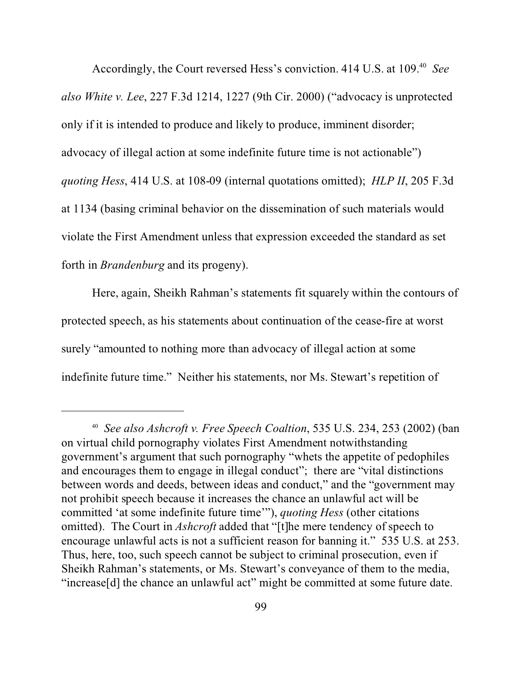Accordingly, the Court reversed Hess's conviction. 414 U.S. at 109.<sup>40</sup> See *also White v. Lee*, 227 F.3d 1214, 1227 (9th Cir. 2000) ("advocacy is unprotected only if it is intended to produce and likely to produce, imminent disorder; advocacy of illegal action at some indefinite future time is not actionable") *quoting Hess*, 414 U.S. at 108-09 (internal quotations omitted); *HLP II*, 205 F.3d at 1134 (basing criminal behavior on the dissemination of such materials would violate the First Amendment unless that expression exceeded the standard as set forth in *Brandenburg* and its progeny).

Here, again, Sheikh Rahman's statements fit squarely within the contours of protected speech, as his statements about continuation of the cease-fire at worst surely "amounted to nothing more than advocacy of illegal action at some indefinite future time." Neither his statements, nor Ms. Stewart's repetition of

<sup>40</sup> *See also Ashcroft v. Free Speech Coaltion*, 535 U.S. 234, 253 (2002) (ban on virtual child pornography violates First Amendment notwithstanding government's argument that such pornography "whets the appetite of pedophiles and encourages them to engage in illegal conduct"; there are "vital distinctions between words and deeds, between ideas and conduct," and the "government may not prohibit speech because it increases the chance an unlawful act will be committed 'at some indefinite future time'"), *quoting Hess* (other citations omitted). The Court in *Ashcroft* added that "[t]he mere tendency of speech to encourage unlawful acts is not a sufficient reason for banning it." 535 U.S. at 253. Thus, here, too, such speech cannot be subject to criminal prosecution, even if Sheikh Rahman's statements, or Ms. Stewart's conveyance of them to the media, "increase[d] the chance an unlawful act" might be committed at some future date.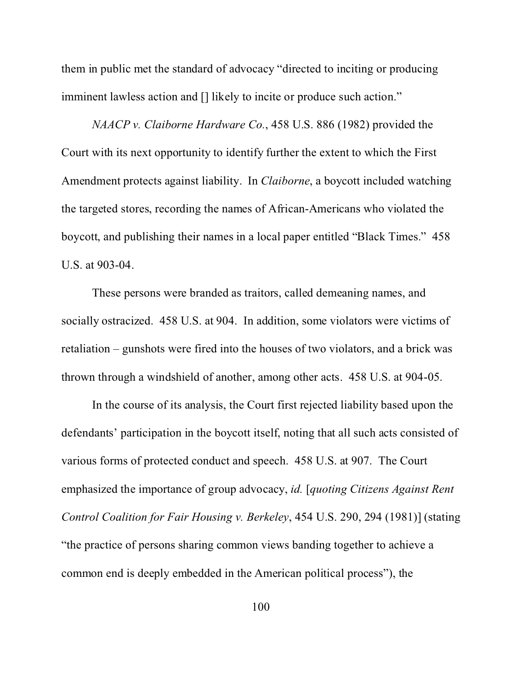them in public met the standard of advocacy "directed to inciting or producing imminent lawless action and [] likely to incite or produce such action."

*NAACP v. Claiborne Hardware Co.*, 458 U.S. 886 (1982) provided the Court with its next opportunity to identify further the extent to which the First Amendment protects against liability. In *Claiborne*, a boycott included watching the targeted stores, recording the names of African-Americans who violated the boycott, and publishing their names in a local paper entitled "Black Times." 458 U.S. at 903-04.

These persons were branded as traitors, called demeaning names, and socially ostracized. 458 U.S. at 904. In addition, some violators were victims of retaliation – gunshots were fired into the houses of two violators, and a brick was thrown through a windshield of another, among other acts. 458 U.S. at 904-05.

In the course of its analysis, the Court first rejected liability based upon the defendants' participation in the boycott itself, noting that all such acts consisted of various forms of protected conduct and speech. 458 U.S. at 907. The Court emphasized the importance of group advocacy, *id.* [*quoting Citizens Against Rent Control Coalition for Fair Housing v. Berkeley*, 454 U.S. 290, 294 (1981)] (stating "the practice of persons sharing common views banding together to achieve a common end is deeply embedded in the American political process"), the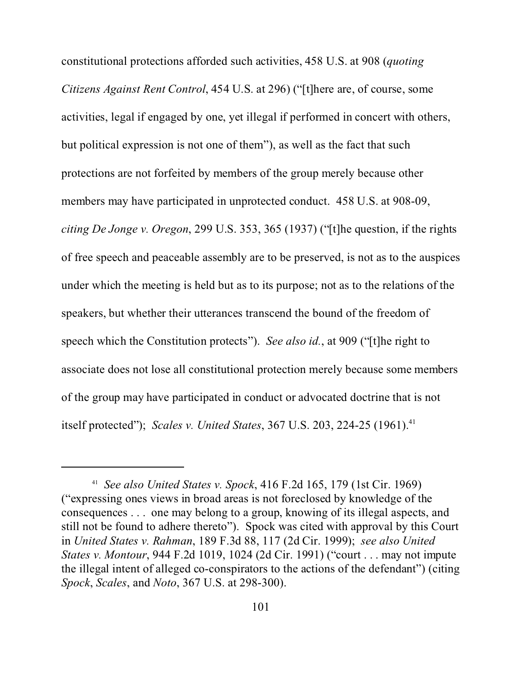constitutional protections afforded such activities, 458 U.S. at 908 (*quoting Citizens Against Rent Control*, 454 U.S. at 296) ("[t]here are, of course, some activities, legal if engaged by one, yet illegal if performed in concert with others, but political expression is not one of them"), as well as the fact that such protections are not forfeited by members of the group merely because other members may have participated in unprotected conduct. 458 U.S. at 908-09, *citing De Jonge v. Oregon*, 299 U.S. 353, 365 (1937) ("[t]he question, if the rights of free speech and peaceable assembly are to be preserved, is not as to the auspices under which the meeting is held but as to its purpose; not as to the relations of the speakers, but whether their utterances transcend the bound of the freedom of speech which the Constitution protects"). *See also id.*, at 909 ("[t]he right to associate does not lose all constitutional protection merely because some members of the group may have participated in conduct or advocated doctrine that is not itself protected"); *Scales v. United States*, 367 U.S. 203, 224-25 (1961).<sup>41</sup>

<sup>41</sup> *See also United States v. Spock*, 416 F.2d 165, 179 (1st Cir. 1969) ("expressing ones views in broad areas is not foreclosed by knowledge of the consequences . . . one may belong to a group, knowing of its illegal aspects, and still not be found to adhere thereto"). Spock was cited with approval by this Court in *United States v. Rahman*, 189 F.3d 88, 117 (2d Cir. 1999); *see also United States v. Montour*, 944 F.2d 1019, 1024 (2d Cir. 1991) ("court . . . may not impute the illegal intent of alleged co-conspirators to the actions of the defendant") (citing *Spock*, *Scales*, and *Noto*, 367 U.S. at 298-300).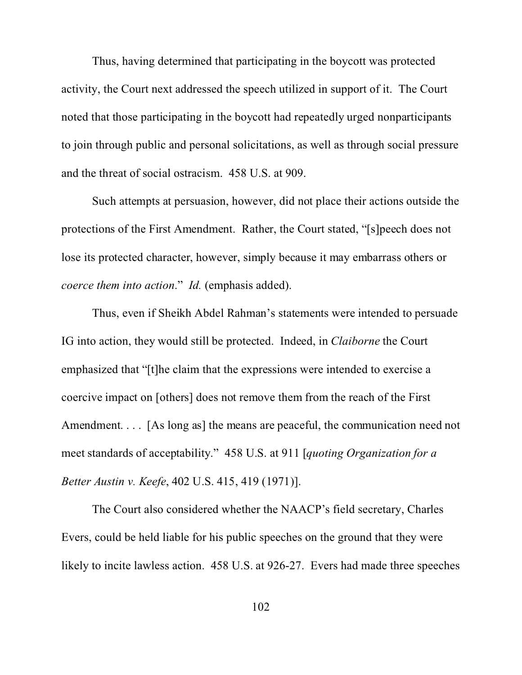Thus, having determined that participating in the boycott was protected activity, the Court next addressed the speech utilized in support of it. The Court noted that those participating in the boycott had repeatedly urged nonparticipants to join through public and personal solicitations, as well as through social pressure and the threat of social ostracism. 458 U.S. at 909.

Such attempts at persuasion, however, did not place their actions outside the protections of the First Amendment. Rather, the Court stated, "[s]peech does not lose its protected character, however, simply because it may embarrass others or *coerce them into action*." *Id.* (emphasis added).

Thus, even if Sheikh Abdel Rahman's statements were intended to persuade IG into action, they would still be protected. Indeed, in *Claiborne* the Court emphasized that "[t]he claim that the expressions were intended to exercise a coercive impact on [others] does not remove them from the reach of the First Amendment. . . . [As long as] the means are peaceful, the communication need not meet standards of acceptability." 458 U.S. at 911 [*quoting Organization for a Better Austin v. Keefe*, 402 U.S. 415, 419 (1971)].

The Court also considered whether the NAACP's field secretary, Charles Evers, could be held liable for his public speeches on the ground that they were likely to incite lawless action. 458 U.S. at 926-27. Evers had made three speeches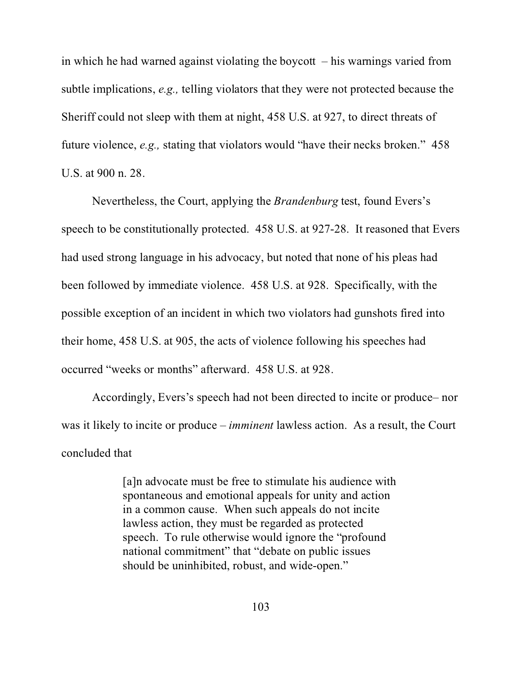in which he had warned against violating the boycott  $-$  his warnings varied from subtle implications, *e.g.,* telling violators that they were not protected because the Sheriff could not sleep with them at night, 458 U.S. at 927, to direct threats of future violence, *e.g.,* stating that violators would "have their necks broken." 458 U.S. at 900 n. 28.

Nevertheless, the Court, applying the *Brandenburg* test, found Evers's speech to be constitutionally protected. 458 U.S. at 927-28. It reasoned that Evers had used strong language in his advocacy, but noted that none of his pleas had been followed by immediate violence. 458 U.S. at 928. Specifically, with the possible exception of an incident in which two violators had gunshots fired into their home, 458 U.S. at 905, the acts of violence following his speeches had occurred "weeks or months" afterward. 458 U.S. at 928.

Accordingly, Evers's speech had not been directed to incite or produce– nor was it likely to incite or produce – *imminent* lawless action. As a result, the Court concluded that

> [a]n advocate must be free to stimulate his audience with spontaneous and emotional appeals for unity and action in a common cause. When such appeals do not incite lawless action, they must be regarded as protected speech. To rule otherwise would ignore the "profound national commitment" that "debate on public issues should be uninhibited, robust, and wide-open."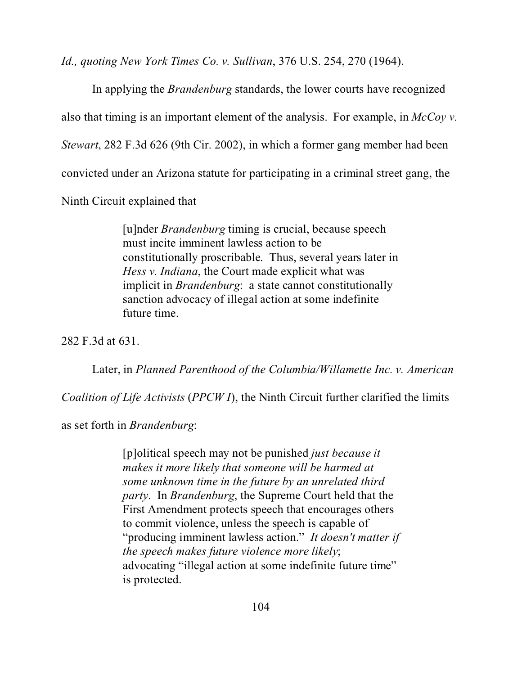*Id., quoting New York Times Co. v. Sullivan*, 376 U.S. 254, 270 (1964).

In applying the *Brandenburg* standards, the lower courts have recognized also that timing is an important element of the analysis. For example, in *McCoy v. Stewart*, 282 F.3d 626 (9th Cir. 2002), in which a former gang member had been convicted under an Arizona statute for participating in a criminal street gang, the Ninth Circuit explained that

> [u]nder *Brandenburg* timing is crucial, because speech must incite imminent lawless action to be constitutionally proscribable. Thus, several years later in *Hess v. Indiana*, the Court made explicit what was implicit in *Brandenburg*: a state cannot constitutionally sanction advocacy of illegal action at some indefinite future time.

282 F.3d at 631.

Later, in *Planned Parenthood of the Columbia/Willamette Inc. v. American*

*Coalition of Life Activists* (*PPCW I*), the Ninth Circuit further clarified the limits

as set forth in *Brandenburg*:

[p]olitical speech may not be punished *just because it makes it more likely that someone will be harmed at some unknown time in the future by an unrelated third party*. In *Brandenburg*, the Supreme Court held that the First Amendment protects speech that encourages others to commit violence, unless the speech is capable of "producing imminent lawless action." *It doesn't matter if the speech makes future violence more likely*; advocating "illegal action at some indefinite future time" is protected.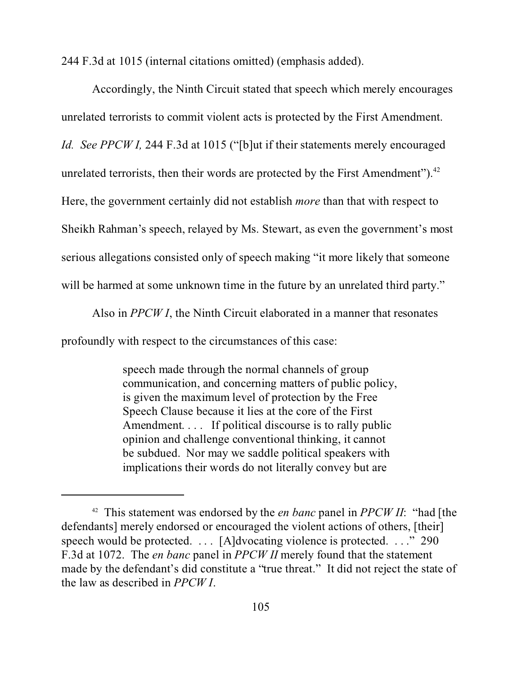244 F.3d at 1015 (internal citations omitted) (emphasis added).

Accordingly, the Ninth Circuit stated that speech which merely encourages unrelated terrorists to commit violent acts is protected by the First Amendment. *Id. See PPCW I,* 244 F.3d at 1015 ("[b]ut if their statements merely encouraged unrelated terrorists, then their words are protected by the First Amendment"). $^{42}$ Here, the government certainly did not establish *more* than that with respect to Sheikh Rahman's speech, relayed by Ms. Stewart, as even the government's most serious allegations consisted only of speech making "it more likely that someone will be harmed at some unknown time in the future by an unrelated third party."

Also in *PPCW I*, the Ninth Circuit elaborated in a manner that resonates

profoundly with respect to the circumstances of this case:

speech made through the normal channels of group communication, and concerning matters of public policy, is given the maximum level of protection by the Free Speech Clause because it lies at the core of the First Amendment. . . . If political discourse is to rally public opinion and challenge conventional thinking, it cannot be subdued. Nor may we saddle political speakers with implications their words do not literally convey but are

<sup>42</sup> This statement was endorsed by the *en banc* panel in *PPCW II*: "had [the defendants] merely endorsed or encouraged the violent actions of others, [their] speech would be protected. . . . [A]dvocating violence is protected. . . ." 290 F.3d at 1072. The *en banc* panel in *PPCW II* merely found that the statement made by the defendant's did constitute a "true threat." It did not reject the state of the law as described in *PPCW I*.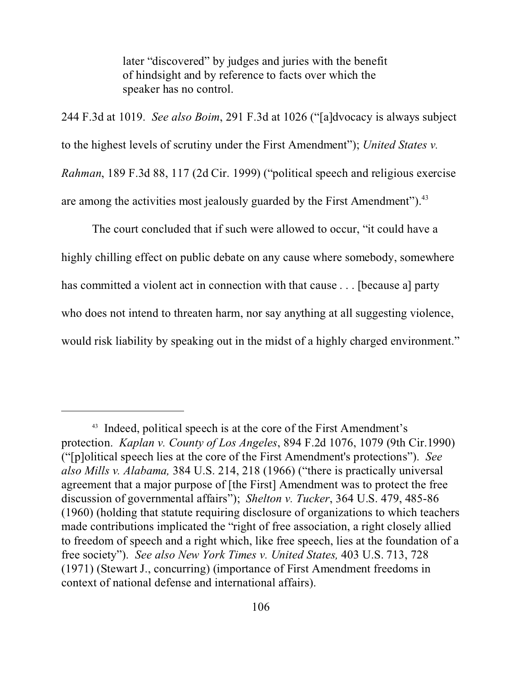later "discovered" by judges and juries with the benefit of hindsight and by reference to facts over which the speaker has no control.

244 F.3d at 1019. *See also Boim*, 291 F.3d at 1026 ("[a]dvocacy is always subject to the highest levels of scrutiny under the First Amendment"); *United States v. Rahman*, 189 F.3d 88, 117 (2d Cir. 1999) ("political speech and religious exercise are among the activities most jealously guarded by the First Amendment").<sup>43</sup>

The court concluded that if such were allowed to occur, "it could have a highly chilling effect on public debate on any cause where somebody, somewhere has committed a violent act in connection with that cause . . . [because a] party who does not intend to threaten harm, nor say anything at all suggesting violence, would risk liability by speaking out in the midst of a highly charged environment."

<sup>&</sup>lt;sup>43</sup> Indeed, political speech is at the core of the First Amendment's protection. *Kaplan v. County of Los Angeles*, 894 F.2d 1076, 1079 (9th Cir.1990) ("[p]olitical speech lies at the core of the First Amendment's protections"). *See also Mills v. Alabama,* 384 U.S. 214, 218 (1966) ("there is practically universal agreement that a major purpose of [the First] Amendment was to protect the free discussion of governmental affairs"); *Shelton v. Tucker*, 364 U.S. 479, 485-86 (1960) (holding that statute requiring disclosure of organizations to which teachers made contributions implicated the "right of free association, a right closely allied to freedom of speech and a right which, like free speech, lies at the foundation of a free society"). *See also New York Times v. United States,* 403 U.S. 713, 728 (1971) (Stewart J., concurring) (importance of First Amendment freedoms in context of national defense and international affairs).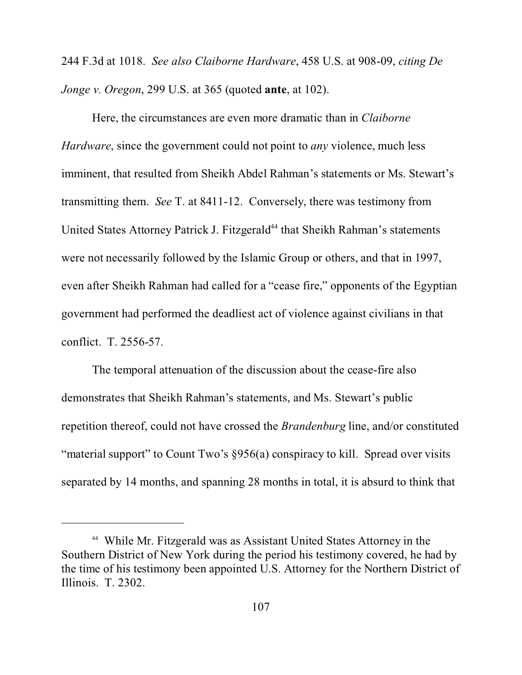244 F.3d at 1018. *See also Claiborne Hardware*, 458 U.S. at 908-09, *citing De Jonge v. Oregon*, 299 U.S. at 365 (quoted **ante**, at 102).

Here, the circumstances are even more dramatic than in *Claiborne Hardware*, since the government could not point to *any* violence, much less imminent, that resulted from Sheikh Abdel Rahman's statements or Ms. Stewart's transmitting them. *See* T. at 8411-12. Conversely, there was testimony from United States Attorney Patrick J. Fitzgerald<sup>44</sup> that Sheikh Rahman's statements were not necessarily followed by the Islamic Group or others, and that in 1997, even after Sheikh Rahman had called for a "cease fire," opponents of the Egyptian government had performed the deadliest act of violence against civilians in that conflict. T. 2556-57.

The temporal attenuation of the discussion about the cease-fire also demonstrates that Sheikh Rahman's statements, and Ms. Stewart's public repetition thereof, could not have crossed the *Brandenburg* line, and/or constituted "material support" to Count Two's §956(a) conspiracy to kill. Spread over visits separated by 14 months, and spanning 28 months in total, it is absurd to think that

<sup>44</sup> While Mr. Fitzgerald was as Assistant United States Attorney in the Southern District of New York during the period his testimony covered, he had by the time of his testimony been appointed U.S. Attorney for the Northern District of Illinois. T. 2302.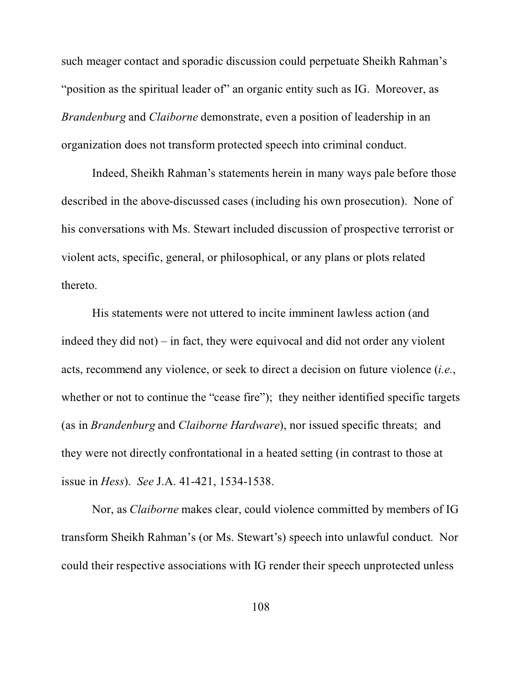such meager contact and sporadic discussion could perpetuate Sheikh Rahman's "position as the spiritual leader of" an organic entity such as IG. Moreover, as *Brandenburg* and *Claiborne* demonstrate, even a position of leadership in an organization does not transform protected speech into criminal conduct.

Indeed, Sheikh Rahman's statements herein in many ways pale before those described in the above-discussed cases (including his own prosecution). None of his conversations with Ms. Stewart included discussion of prospective terrorist or violent acts, specific, general, or philosophical, or any plans or plots related thereto.

His statements were not uttered to incite imminent lawless action (and indeed they did not) – in fact, they were equivocal and did not order any violent acts, recommend any violence, or seek to direct a decision on future violence (*i.e.*, whether or not to continue the "cease fire"); they neither identified specific targets (as in *Brandenburg* and *Claiborne Hardware*), nor issued specific threats; and they were not directly confrontational in a heated setting (in contrast to those at issue in *Hess*). *See* J.A. 41-421, 1534-1538.

Nor, as *Claiborne* makes clear, could violence committed by members of IG transform Sheikh Rahman's (or Ms. Stewart's) speech into unlawful conduct. Nor could their respective associations with IG render their speech unprotected unless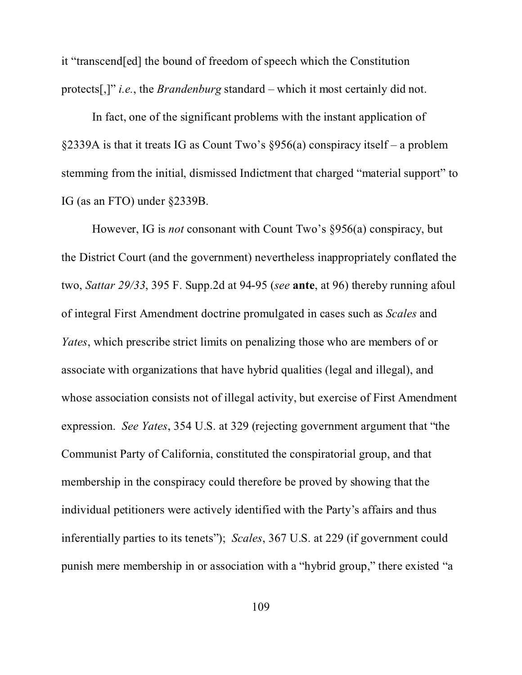it "transcend[ed] the bound of freedom of speech which the Constitution protects[,]" *i.e.*, the *Brandenburg* standard – which it most certainly did not.

In fact, one of the significant problems with the instant application of §2339A is that it treats IG as Count Two's §956(a) conspiracy itself – a problem stemming from the initial, dismissed Indictment that charged "material support" to IG (as an FTO) under §2339B.

However, IG is *not* consonant with Count Two's §956(a) conspiracy, but the District Court (and the government) nevertheless inappropriately conflated the two, *Sattar 29/33*, 395 F. Supp.2d at 94-95 (*see* **ante**, at 96) thereby running afoul of integral First Amendment doctrine promulgated in cases such as *Scales* and *Yates*, which prescribe strict limits on penalizing those who are members of or associate with organizations that have hybrid qualities (legal and illegal), and whose association consists not of illegal activity, but exercise of First Amendment expression. *See Yates*, 354 U.S. at 329 (rejecting government argument that "the Communist Party of California, constituted the conspiratorial group, and that membership in the conspiracy could therefore be proved by showing that the individual petitioners were actively identified with the Party's affairs and thus inferentially parties to its tenets"); *Scales*, 367 U.S. at 229 (if government could punish mere membership in or association with a "hybrid group," there existed "a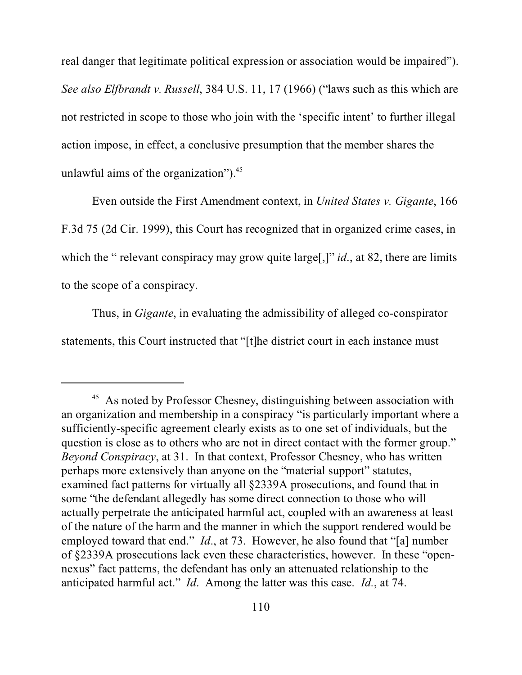real danger that legitimate political expression or association would be impaired"). *See also Elfbrandt v. Russell*, 384 U.S. 11, 17 (1966) ("laws such as this which are not restricted in scope to those who join with the 'specific intent' to further illegal action impose, in effect, a conclusive presumption that the member shares the unlawful aims of the organization").<sup>45</sup>

Even outside the First Amendment context, in *United States v. Gigante*, 166 F.3d 75 (2d Cir. 1999), this Court has recognized that in organized crime cases, in which the " relevant conspiracy may grow quite large<sup>[1]</sup> *id*., at 82, there are limits to the scope of a conspiracy.

Thus, in *Gigante*, in evaluating the admissibility of alleged co-conspirator statements, this Court instructed that "[t]he district court in each instance must

<sup>&</sup>lt;sup>45</sup> As noted by Professor Chesney, distinguishing between association with an organization and membership in a conspiracy "is particularly important where a sufficiently-specific agreement clearly exists as to one set of individuals, but the question is close as to others who are not in direct contact with the former group." *Beyond Conspiracy*, at 31. In that context, Professor Chesney, who has written perhaps more extensively than anyone on the "material support" statutes, examined fact patterns for virtually all §2339A prosecutions, and found that in some "the defendant allegedly has some direct connection to those who will actually perpetrate the anticipated harmful act, coupled with an awareness at least of the nature of the harm and the manner in which the support rendered would be employed toward that end." *Id*., at 73. However, he also found that "[a] number of §2339A prosecutions lack even these characteristics, however. In these "opennexus" fact patterns, the defendant has only an attenuated relationship to the anticipated harmful act." *Id*. Among the latter was this case. *Id.*, at 74.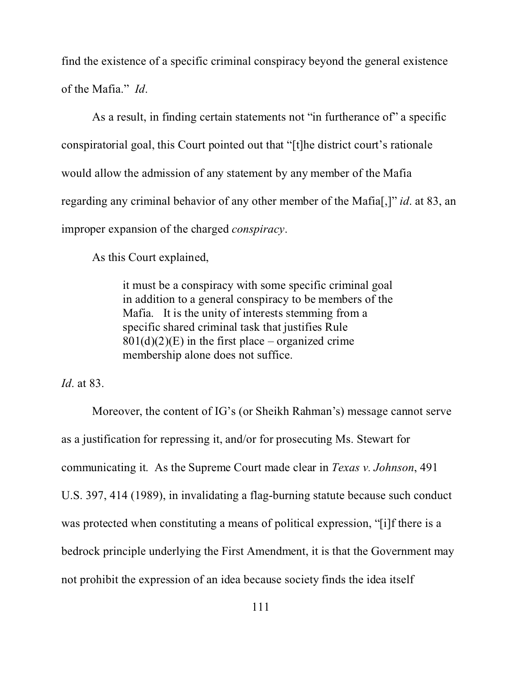find the existence of a specific criminal conspiracy beyond the general existence of the Mafia." *Id*.

As a result, in finding certain statements not "in furtherance of" a specific conspiratorial goal, this Court pointed out that "[t]he district court's rationale would allow the admission of any statement by any member of the Mafia regarding any criminal behavior of any other member of the Mafia[,]" *id*. at 83, an improper expansion of the charged *conspiracy*.

As this Court explained,

it must be a conspiracy with some specific criminal goal in addition to a general conspiracy to be members of the Mafia. It is the unity of interests stemming from a specific shared criminal task that justifies Rule  $801(d)(2)(E)$  in the first place – organized crime membership alone does not suffice.

*Id*. at 83.

Moreover, the content of IG's (or Sheikh Rahman's) message cannot serve as a justification for repressing it, and/or for prosecuting Ms. Stewart for communicating it. As the Supreme Court made clear in *Texas v. Johnson*, 491 U.S. 397, 414 (1989), in invalidating a flag-burning statute because such conduct was protected when constituting a means of political expression, "[i]f there is a bedrock principle underlying the First Amendment, it is that the Government may not prohibit the expression of an idea because society finds the idea itself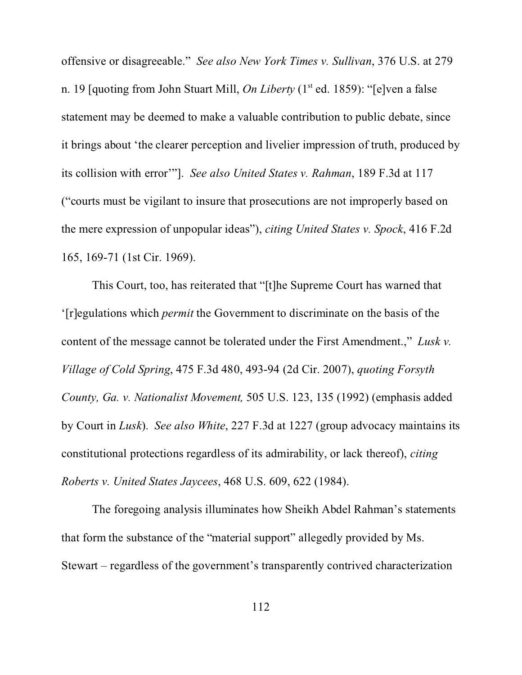offensive or disagreeable." *See also New York Times v. Sullivan*, 376 U.S. at 279 n. 19 [quoting from John Stuart Mill, *On Liberty* (1<sup>st</sup> ed. 1859): "[e]ven a false statement may be deemed to make a valuable contribution to public debate, since it brings about 'the clearer perception and livelier impression of truth, produced by its collision with error'"]. *See also United States v. Rahman*, 189 F.3d at 117 ("courts must be vigilant to insure that prosecutions are not improperly based on the mere expression of unpopular ideas"), *citing United States v. Spock*, 416 F.2d 165, 169-71 (1st Cir. 1969).

This Court, too, has reiterated that "[t]he Supreme Court has warned that '[r]egulations which *permit* the Government to discriminate on the basis of the content of the message cannot be tolerated under the First Amendment.," *Lusk v. Village of Cold Spring*, 475 F.3d 480, 493-94 (2d Cir. 2007), *quoting Forsyth County, Ga. v. Nationalist Movement,* 505 U.S. 123, 135 (1992) (emphasis added by Court in *Lusk*). *See also White*, 227 F.3d at 1227 (group advocacy maintains its constitutional protections regardless of its admirability, or lack thereof), *citing Roberts v. United States Jaycees*, 468 U.S. 609, 622 (1984).

The foregoing analysis illuminates how Sheikh Abdel Rahman's statements that form the substance of the "material support" allegedly provided by Ms. Stewart – regardless of the government's transparently contrived characterization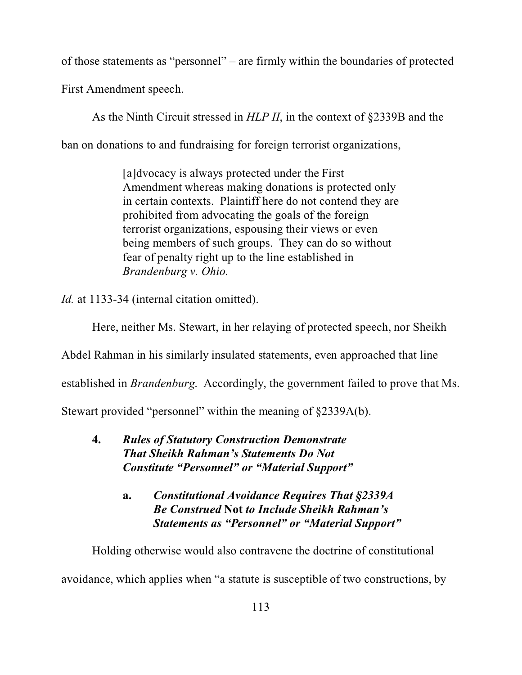of those statements as "personnel" – are firmly within the boundaries of protected

First Amendment speech.

As the Ninth Circuit stressed in *HLP II*, in the context of §2339B and the ban on donations to and fundraising for foreign terrorist organizations,

> [a]dvocacy is always protected under the First Amendment whereas making donations is protected only in certain contexts. Plaintiff here do not contend they are prohibited from advocating the goals of the foreign terrorist organizations, espousing their views or even being members of such groups. They can do so without fear of penalty right up to the line established in *Brandenburg v. Ohio.*

*Id.* at 1133-34 (internal citation omitted).

Here, neither Ms. Stewart, in her relaying of protected speech, nor Sheikh

Abdel Rahman in his similarly insulated statements, even approached that line

established in *Brandenburg*. Accordingly, the government failed to prove that Ms.

Stewart provided "personnel" within the meaning of §2339A(b).

- **4.** *Rules of Statutory Construction Demonstrate That Sheikh Rahman's Statements Do Not Constitute "Personnel" or "Material Support"*
	- **a.** *Constitutional Avoidance Requires That §2339A Be Construed* **Not** *to Include Sheikh Rahman's Statements as "Personnel" or "Material Support"*

Holding otherwise would also contravene the doctrine of constitutional

avoidance, which applies when "a statute is susceptible of two constructions, by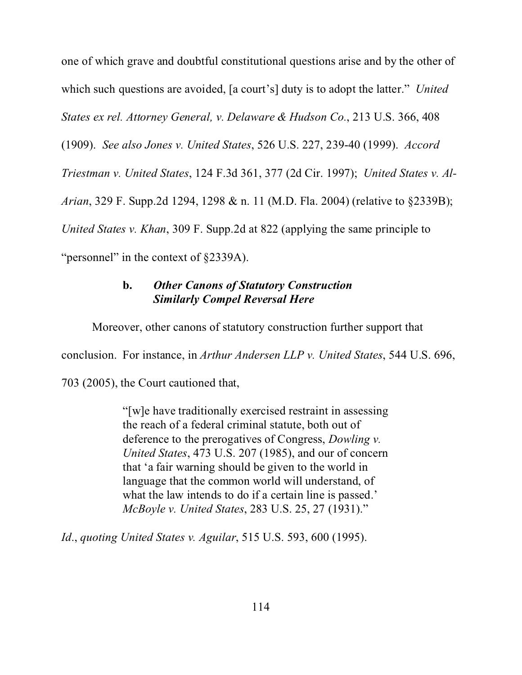one of which grave and doubtful constitutional questions arise and by the other of which such questions are avoided, [a court's] duty is to adopt the latter." *United States ex rel. Attorney General, v. Delaware & Hudson Co.*, 213 U.S. 366, 408

(1909). *See also Jones v. United States*, 526 U.S. 227, 239-40 (1999). *Accord*

*Triestman v. United States*, 124 F.3d 361, 377 (2d Cir. 1997); *United States v. Al-*

*Arian*, 329 F. Supp.2d 1294, 1298 & n. 11 (M.D. Fla. 2004) (relative to §2339B);

*United States v. Khan*, 309 F. Supp.2d at 822 (applying the same principle to

"personnel" in the context of §2339A).

## **b.** *Other Canons of Statutory Construction Similarly Compel Reversal Here*

Moreover, other canons of statutory construction further support that

conclusion. For instance, in *Arthur Andersen LLP v. United States*, 544 U.S. 696,

703 (2005), the Court cautioned that,

"[w]e have traditionally exercised restraint in assessing the reach of a federal criminal statute, both out of deference to the prerogatives of Congress, *Dowling v. United States*, 473 U.S. 207 (1985), and our of concern that 'a fair warning should be given to the world in language that the common world will understand, of what the law intends to do if a certain line is passed.' *McBoyle v. United States*, 283 U.S. 25, 27 (1931)."

*Id*., *quoting United States v. Aguilar*, 515 U.S. 593, 600 (1995).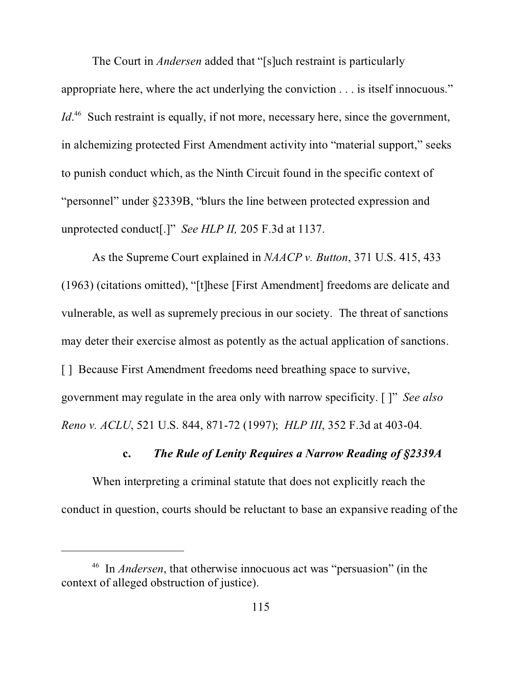The Court in *Andersen* added that "[s]uch restraint is particularly appropriate here, where the act underlying the conviction . . . is itself innocuous." *Id*.<sup>46</sup> Such restraint is equally, if not more, necessary here, since the government, in alchemizing protected First Amendment activity into "material support," seeks to punish conduct which, as the Ninth Circuit found in the specific context of "personnel" under §2339B, "blurs the line between protected expression and unprotected conduct[.]" *See HLP II,* 205 F.3d at 1137.

As the Supreme Court explained in *NAACP v. Button*, 371 U.S. 415, 433 (1963) (citations omitted), "[t]hese [First Amendment] freedoms are delicate and vulnerable, as well as supremely precious in our society. The threat of sanctions may deter their exercise almost as potently as the actual application of sanctions. [] Because First Amendment freedoms need breathing space to survive, government may regulate in the area only with narrow specificity. [ ]" *See also Reno v. ACLU*, 521 U.S. 844, 871-72 (1997); *HLP III*, 352 F.3d at 403-04.

#### **c.** *The Rule of Lenity Requires a Narrow Reading of §2339A*

When interpreting a criminal statute that does not explicitly reach the conduct in question, courts should be reluctant to base an expansive reading of the

<sup>46</sup> In *Andersen*, that otherwise innocuous act was "persuasion" (in the context of alleged obstruction of justice).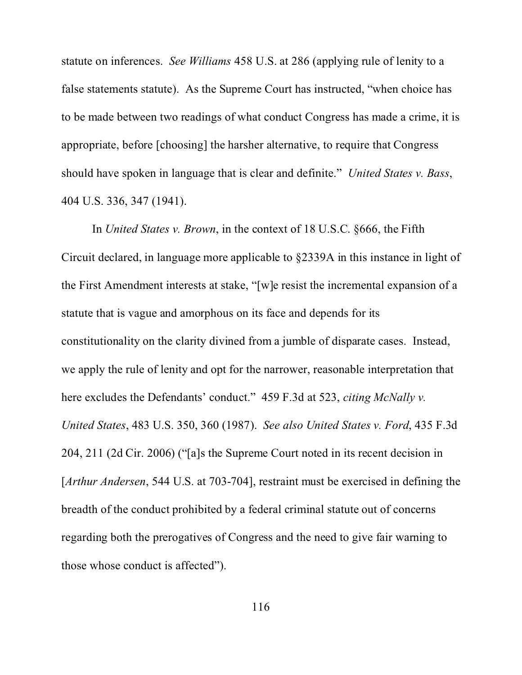statute on inferences. *See Williams* 458 U.S. at 286 (applying rule of lenity to a false statements statute). As the Supreme Court has instructed, "when choice has to be made between two readings of what conduct Congress has made a crime, it is appropriate, before [choosing] the harsher alternative, to require that Congress should have spoken in language that is clear and definite." *United States v. Bass*, 404 U.S. 336, 347 (1941).

In *United States v. Brown*, in the context of 18 U.S.C. §666, the Fifth Circuit declared, in language more applicable to §2339A in this instance in light of the First Amendment interests at stake, "[w]e resist the incremental expansion of a statute that is vague and amorphous on its face and depends for its constitutionality on the clarity divined from a jumble of disparate cases. Instead, we apply the rule of lenity and opt for the narrower, reasonable interpretation that here excludes the Defendants' conduct." 459 F.3d at 523, *citing McNally v. United States*, 483 U.S. 350, 360 (1987). *See also United States v. Ford*, 435 F.3d 204, 211 (2d Cir. 2006) ("[a]s the Supreme Court noted in its recent decision in [*Arthur Andersen*, 544 U.S. at 703-704], restraint must be exercised in defining the breadth of the conduct prohibited by a federal criminal statute out of concerns regarding both the prerogatives of Congress and the need to give fair warning to those whose conduct is affected").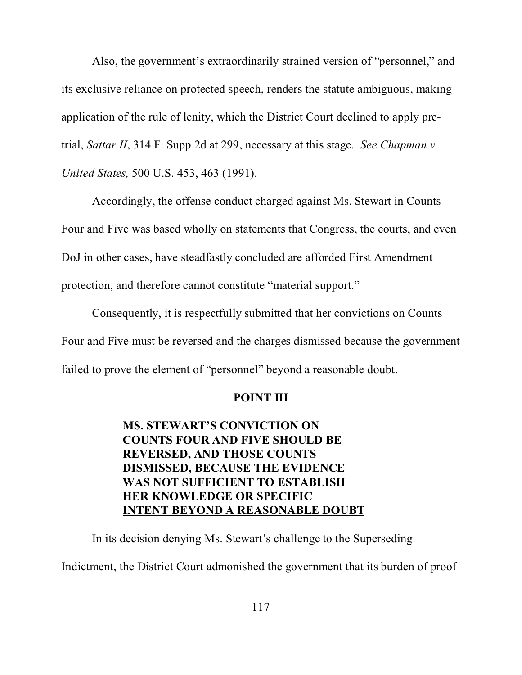Also, the government's extraordinarily strained version of "personnel," and its exclusive reliance on protected speech, renders the statute ambiguous, making application of the rule of lenity, which the District Court declined to apply pretrial, *Sattar II*, 314 F. Supp.2d at 299, necessary at this stage. *See Chapman v. United States,* 500 U.S. 453, 463 (1991).

Accordingly, the offense conduct charged against Ms. Stewart in Counts Four and Five was based wholly on statements that Congress, the courts, and even DoJ in other cases, have steadfastly concluded are afforded First Amendment protection, and therefore cannot constitute "material support."

Consequently, it is respectfully submitted that her convictions on Counts Four and Five must be reversed and the charges dismissed because the government failed to prove the element of "personnel" beyond a reasonable doubt.

#### **POINT III**

# **MS. STEWART'S CONVICTION ON COUNTS FOUR AND FIVE SHOULD BE REVERSED, AND THOSE COUNTS DISMISSED, BECAUSE THE EVIDENCE WAS NOT SUFFICIENT TO ESTABLISH HER KNOWLEDGE OR SPECIFIC INTENT BEYOND A REASONABLE DOUBT**

In its decision denying Ms. Stewart's challenge to the Superseding

Indictment, the District Court admonished the government that its burden of proof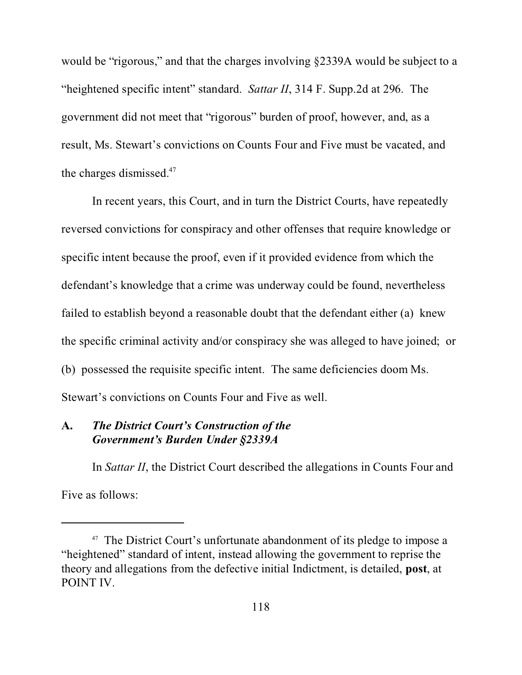would be "rigorous," and that the charges involving §2339A would be subject to a "heightened specific intent" standard. *Sattar II*, 314 F. Supp.2d at 296. The government did not meet that "rigorous" burden of proof, however, and, as a result, Ms. Stewart's convictions on Counts Four and Five must be vacated, and the charges dismissed.<sup>47</sup>

In recent years, this Court, and in turn the District Courts, have repeatedly reversed convictions for conspiracy and other offenses that require knowledge or specific intent because the proof, even if it provided evidence from which the defendant's knowledge that a crime was underway could be found, nevertheless failed to establish beyond a reasonable doubt that the defendant either (a) knew the specific criminal activity and/or conspiracy she was alleged to have joined; or (b) possessed the requisite specific intent. The same deficiencies doom Ms. Stewart's convictions on Counts Four and Five as well.

## **A.** *The District Court's Construction of the Government's Burden Under §2339A*

In *Sattar II*, the District Court described the allegations in Counts Four and Five as follows:

<sup>&</sup>lt;sup>47</sup> The District Court's unfortunate abandonment of its pledge to impose a "heightened" standard of intent, instead allowing the government to reprise the theory and allegations from the defective initial Indictment, is detailed, **post**, at POINT IV.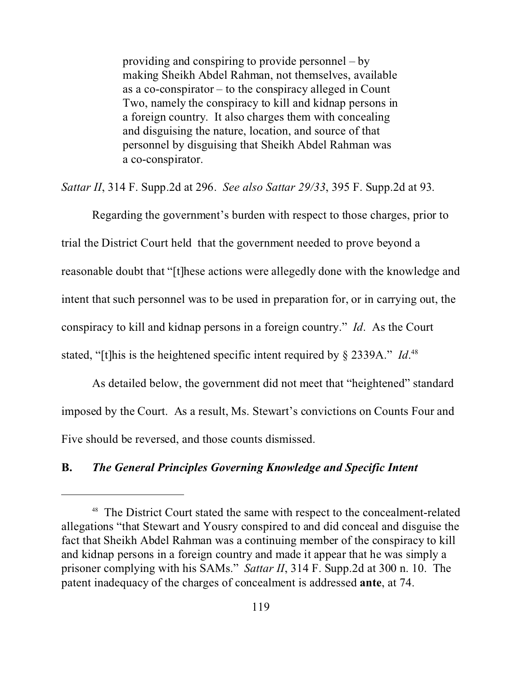providing and conspiring to provide personnel – by making Sheikh Abdel Rahman, not themselves, available as a co-conspirator – to the conspiracy alleged in Count Two, namely the conspiracy to kill and kidnap persons in a foreign country. It also charges them with concealing and disguising the nature, location, and source of that personnel by disguising that Sheikh Abdel Rahman was a co-conspirator.

*Sattar II*, 314 F. Supp.2d at 296. *See also Sattar 29/33*, 395 F. Supp.2d at 93.

Regarding the government's burden with respect to those charges, prior to trial the District Court held that the government needed to prove beyond a reasonable doubt that "[t]hese actions were allegedly done with the knowledge and intent that such personnel was to be used in preparation for, or in carrying out, the conspiracy to kill and kidnap persons in a foreign country." *Id*. As the Court stated, "[t]his is the heightened specific intent required by § 2339A." *Id*.<sup>48</sup>

As detailed below, the government did not meet that "heightened" standard imposed by the Court. As a result, Ms. Stewart's convictions on Counts Four and Five should be reversed, and those counts dismissed.

#### **B.** *The General Principles Governing Knowledge and Specific Intent*

<sup>48</sup> The District Court stated the same with respect to the concealment-related allegations "that Stewart and Yousry conspired to and did conceal and disguise the fact that Sheikh Abdel Rahman was a continuing member of the conspiracy to kill and kidnap persons in a foreign country and made it appear that he was simply a prisoner complying with his SAMs." *Sattar II*, 314 F. Supp.2d at 300 n. 10. The patent inadequacy of the charges of concealment is addressed **ante**, at 74.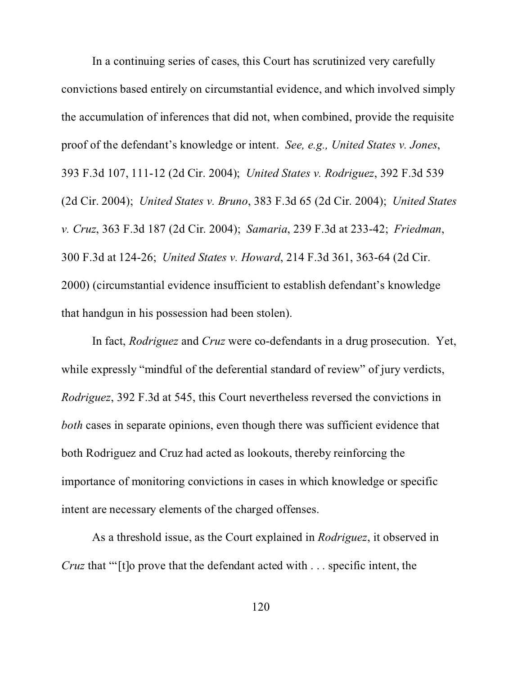In a continuing series of cases, this Court has scrutinized very carefully convictions based entirely on circumstantial evidence, and which involved simply the accumulation of inferences that did not, when combined, provide the requisite proof of the defendant's knowledge or intent. *See, e.g., United States v. Jones*, 393 F.3d 107, 111-12 (2d Cir. 2004); *United States v. Rodriguez*, 392 F.3d 539 (2d Cir. 2004); *United States v. Bruno*, 383 F.3d 65 (2d Cir. 2004); *United States v. Cruz*, 363 F.3d 187 (2d Cir. 2004); *Samaria*, 239 F.3d at 233-42; *Friedman*, 300 F.3d at 124-26; *United States v. Howard*, 214 F.3d 361, 363-64 (2d Cir. 2000) (circumstantial evidence insufficient to establish defendant's knowledge that handgun in his possession had been stolen).

In fact, *Rodriguez* and *Cruz* were co-defendants in a drug prosecution. Yet, while expressly "mindful of the deferential standard of review" of jury verdicts, *Rodriguez*, 392 F.3d at 545, this Court nevertheless reversed the convictions in *both* cases in separate opinions, even though there was sufficient evidence that both Rodriguez and Cruz had acted as lookouts, thereby reinforcing the importance of monitoring convictions in cases in which knowledge or specific intent are necessary elements of the charged offenses.

As a threshold issue, as the Court explained in *Rodriguez*, it observed in *Cruz* that "'[t]o prove that the defendant acted with . . . specific intent, the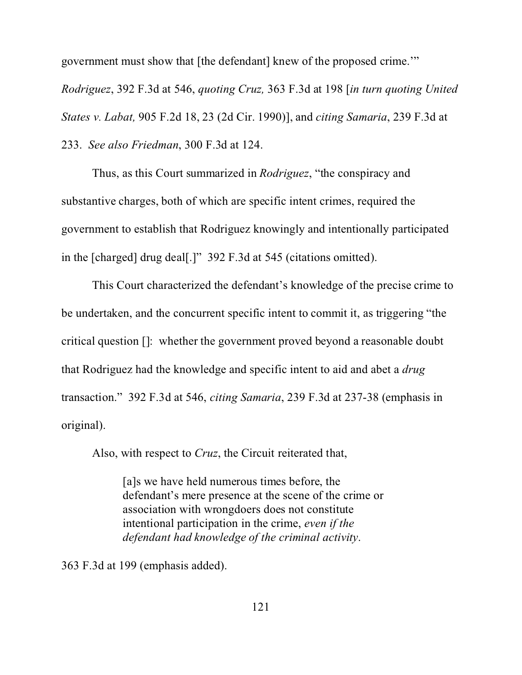government must show that [the defendant] knew of the proposed crime.'" *Rodriguez*, 392 F.3d at 546, *quoting Cruz,* 363 F.3d at 198 [*in turn quoting United States v. Labat,* 905 F.2d 18, 23 (2d Cir. 1990)], and *citing Samaria*, 239 F.3d at 233. *See also Friedman*, 300 F.3d at 124.

Thus, as this Court summarized in *Rodriguez*, "the conspiracy and substantive charges, both of which are specific intent crimes, required the government to establish that Rodriguez knowingly and intentionally participated in the [charged] drug deal[.]" 392 F.3d at 545 (citations omitted).

This Court characterized the defendant's knowledge of the precise crime to be undertaken, and the concurrent specific intent to commit it, as triggering "the critical question []: whether the government proved beyond a reasonable doubt that Rodriguez had the knowledge and specific intent to aid and abet a *drug* transaction." 392 F.3d at 546, *citing Samaria*, 239 F.3d at 237-38 (emphasis in original).

Also, with respect to *Cruz*, the Circuit reiterated that,

[a]s we have held numerous times before, the defendant's mere presence at the scene of the crime or association with wrongdoers does not constitute intentional participation in the crime, *even if the defendant had knowledge of the criminal activity*.

363 F.3d at 199 (emphasis added).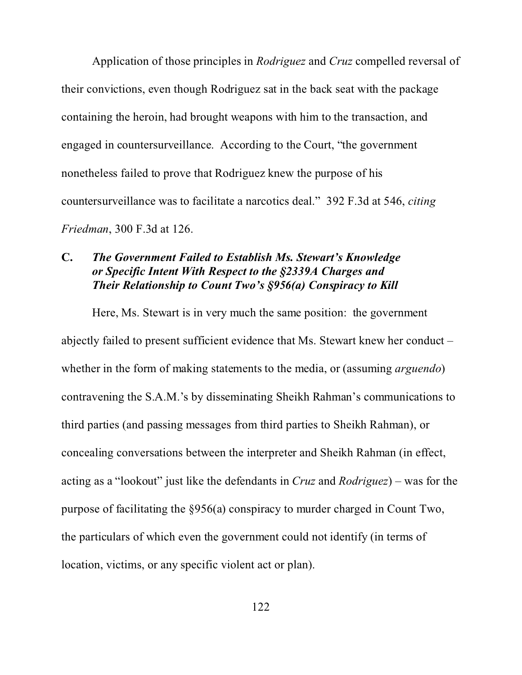Application of those principles in *Rodriguez* and *Cruz* compelled reversal of their convictions, even though Rodriguez sat in the back seat with the package containing the heroin, had brought weapons with him to the transaction, and engaged in countersurveillance. According to the Court, "the government nonetheless failed to prove that Rodriguez knew the purpose of his countersurveillance was to facilitate a narcotics deal." 392 F.3d at 546, *citing Friedman*, 300 F.3d at 126.

## **C.** *The Government Failed to Establish Ms. Stewart's Knowledge or Specific Intent With Respect to the §2339A Charges and Their Relationship to Count Two's §956(a) Conspiracy to Kill*

Here, Ms. Stewart is in very much the same position: the government abjectly failed to present sufficient evidence that Ms. Stewart knew her conduct – whether in the form of making statements to the media, or (assuming *arguendo*) contravening the S.A.M.'s by disseminating Sheikh Rahman's communications to third parties (and passing messages from third parties to Sheikh Rahman), or concealing conversations between the interpreter and Sheikh Rahman (in effect, acting as a "lookout" just like the defendants in *Cruz* and *Rodriguez*) – was for the purpose of facilitating the §956(a) conspiracy to murder charged in Count Two, the particulars of which even the government could not identify (in terms of location, victims, or any specific violent act or plan).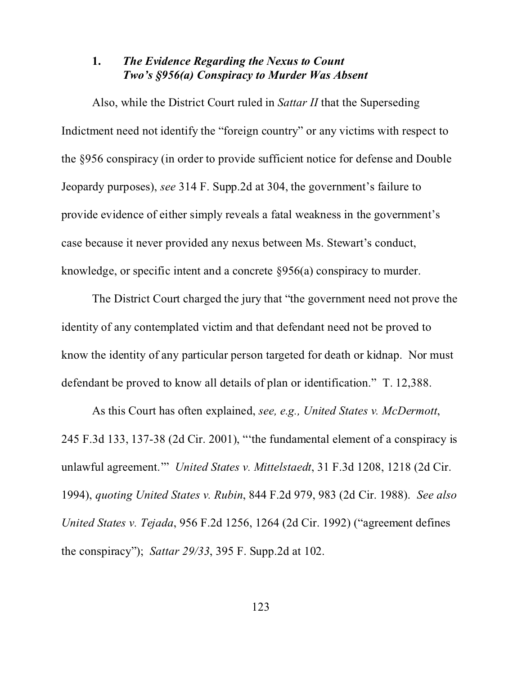## **1.** *The Evidence Regarding the Nexus to Count Two's §956(a) Conspiracy to Murder Was Absent*

Also, while the District Court ruled in *Sattar II* that the Superseding Indictment need not identify the "foreign country" or any victims with respect to the §956 conspiracy (in order to provide sufficient notice for defense and Double Jeopardy purposes), *see* 314 F. Supp.2d at 304, the government's failure to provide evidence of either simply reveals a fatal weakness in the government's case because it never provided any nexus between Ms. Stewart's conduct, knowledge, or specific intent and a concrete §956(a) conspiracy to murder.

The District Court charged the jury that "the government need not prove the identity of any contemplated victim and that defendant need not be proved to know the identity of any particular person targeted for death or kidnap. Nor must defendant be proved to know all details of plan or identification." T. 12,388.

As this Court has often explained, *see, e.g., United States v. McDermott*, 245 F.3d 133, 137-38 (2d Cir. 2001), "'the fundamental element of a conspiracy is unlawful agreement.'" *United States v. Mittelstaedt*, 31 F.3d 1208, 1218 (2d Cir. 1994), *quoting United States v. Rubin*, 844 F.2d 979, 983 (2d Cir. 1988). *See also United States v. Tejada*, 956 F.2d 1256, 1264 (2d Cir. 1992) ("agreement defines the conspiracy"); *Sattar 29/33*, 395 F. Supp.2d at 102.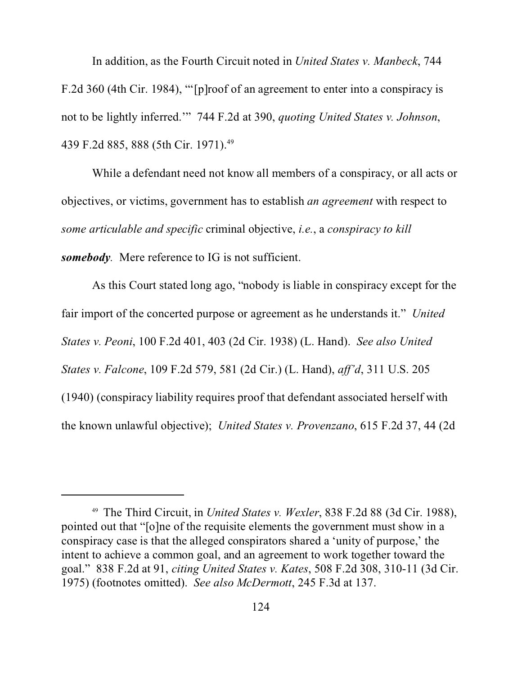In addition, as the Fourth Circuit noted in *United States v. Manbeck*, 744 F.2d 360 (4th Cir. 1984), "'[p]roof of an agreement to enter into a conspiracy is not to be lightly inferred.'" 744 F.2d at 390, *quoting United States v. Johnson*, 439 F.2d 885, 888 (5th Cir. 1971).<sup>49</sup>

While a defendant need not know all members of a conspiracy, or all acts or objectives, or victims, government has to establish *an agreement* with respect to *some articulable and specific* criminal objective, *i.e.*, a *conspiracy to kill somebody.* Mere reference to IG is not sufficient.

As this Court stated long ago, "nobody is liable in conspiracy except for the fair import of the concerted purpose or agreement as he understands it." *United States v. Peoni*, 100 F.2d 401, 403 (2d Cir. 1938) (L. Hand). *See also United States v. Falcone*, 109 F.2d 579, 581 (2d Cir.) (L. Hand), *aff'd*, 311 U.S. 205 (1940) (conspiracy liability requires proof that defendant associated herself with the known unlawful objective); *United States v. Provenzano*, 615 F.2d 37, 44 (2d

<sup>49</sup> The Third Circuit, in *United States v. Wexler*, 838 F.2d 88 (3d Cir. 1988), pointed out that "[o]ne of the requisite elements the government must show in a conspiracy case is that the alleged conspirators shared a 'unity of purpose,' the intent to achieve a common goal, and an agreement to work together toward the goal." 838 F.2d at 91, *citing United States v. Kates*, 508 F.2d 308, 310-11 (3d Cir. 1975) (footnotes omitted). *See also McDermott*, 245 F.3d at 137.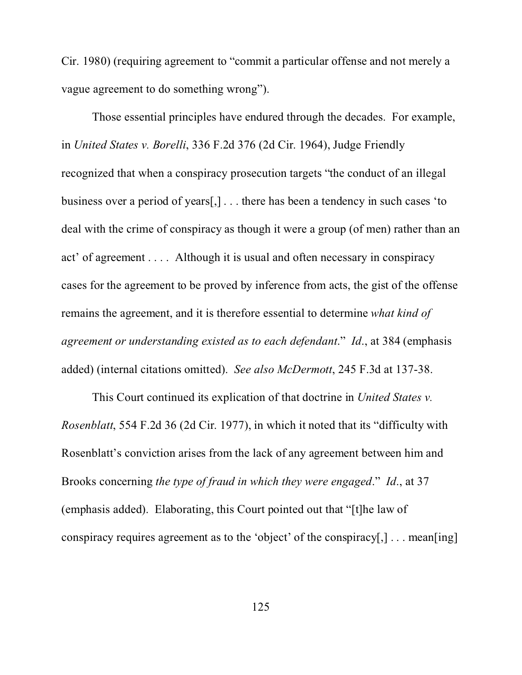Cir. 1980) (requiring agreement to "commit a particular offense and not merely a vague agreement to do something wrong").

Those essential principles have endured through the decades. For example, in *United States v. Borelli*, 336 F.2d 376 (2d Cir. 1964), Judge Friendly recognized that when a conspiracy prosecution targets "the conduct of an illegal business over a period of years[,] . . . there has been a tendency in such cases 'to deal with the crime of conspiracy as though it were a group (of men) rather than an act' of agreement . . . . Although it is usual and often necessary in conspiracy cases for the agreement to be proved by inference from acts, the gist of the offense remains the agreement, and it is therefore essential to determine *what kind of agreement or understanding existed as to each defendant*." *Id*., at 384 (emphasis added) (internal citations omitted). *See also McDermott*, 245 F.3d at 137-38.

This Court continued its explication of that doctrine in *United States v. Rosenblatt*, 554 F.2d 36 (2d Cir. 1977), in which it noted that its "difficulty with Rosenblatt's conviction arises from the lack of any agreement between him and Brooks concerning *the type of fraud in which they were engaged*." *Id*., at 37 (emphasis added). Elaborating, this Court pointed out that "[t]he law of conspiracy requires agreement as to the 'object' of the conspiracy[,] . . . mean[ing]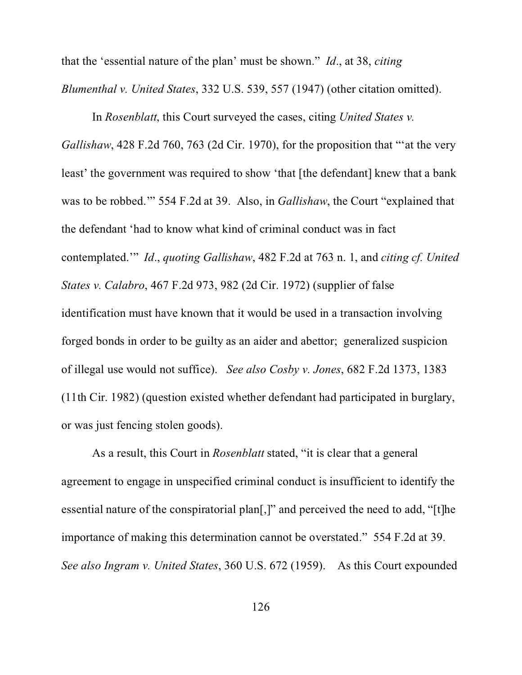that the 'essential nature of the plan' must be shown." *Id*., at 38, *citing Blumenthal v. United States*, 332 U.S. 539, 557 (1947) (other citation omitted).

In *Rosenblatt*, this Court surveyed the cases, citing *United States v. Gallishaw*, 428 F.2d 760, 763 (2d Cir. 1970), for the proposition that "'at the very least' the government was required to show 'that [the defendant] knew that a bank was to be robbed.'" 554 F.2d at 39. Also, in *Gallishaw*, the Court "explained that the defendant 'had to know what kind of criminal conduct was in fact contemplated.'" *Id*., *quoting Gallishaw*, 482 F.2d at 763 n. 1, and *citing cf. United States v. Calabro*, 467 F.2d 973, 982 (2d Cir. 1972) (supplier of false identification must have known that it would be used in a transaction involving forged bonds in order to be guilty as an aider and abettor; generalized suspicion of illegal use would not suffice). *See also Cosby v. Jones*, 682 F.2d 1373, 1383 (11th Cir. 1982) (question existed whether defendant had participated in burglary, or was just fencing stolen goods).

As a result, this Court in *Rosenblatt* stated, "it is clear that a general agreement to engage in unspecified criminal conduct is insufficient to identify the essential nature of the conspiratorial plan[,]" and perceived the need to add, "[t]he importance of making this determination cannot be overstated." 554 F.2d at 39. *See also Ingram v. United States*, 360 U.S. 672 (1959).As this Court expounded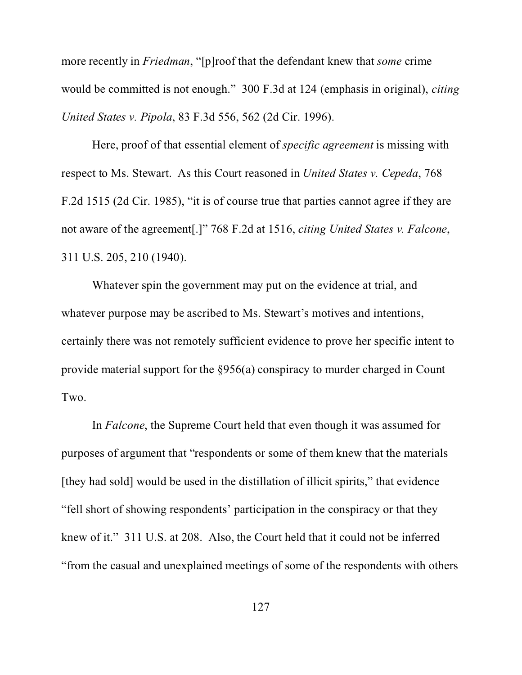more recently in *Friedman*, "[p]roof that the defendant knew that *some* crime would be committed is not enough." 300 F.3d at 124 (emphasis in original), *citing United States v. Pipola*, 83 F.3d 556, 562 (2d Cir. 1996).

Here, proof of that essential element of *specific agreement* is missing with respect to Ms. Stewart. As this Court reasoned in *United States v. Cepeda*, 768 F.2d 1515 (2d Cir. 1985), "it is of course true that parties cannot agree if they are not aware of the agreement[.]" 768 F.2d at 1516, *citing United States v. Falcone*, 311 U.S. 205, 210 (1940).

Whatever spin the government may put on the evidence at trial, and whatever purpose may be ascribed to Ms. Stewart's motives and intentions, certainly there was not remotely sufficient evidence to prove her specific intent to provide material support for the §956(a) conspiracy to murder charged in Count Two.

In *Falcone*, the Supreme Court held that even though it was assumed for purposes of argument that "respondents or some of them knew that the materials [they had sold] would be used in the distillation of illicit spirits," that evidence "fell short of showing respondents' participation in the conspiracy or that they knew of it." 311 U.S. at 208. Also, the Court held that it could not be inferred "from the casual and unexplained meetings of some of the respondents with others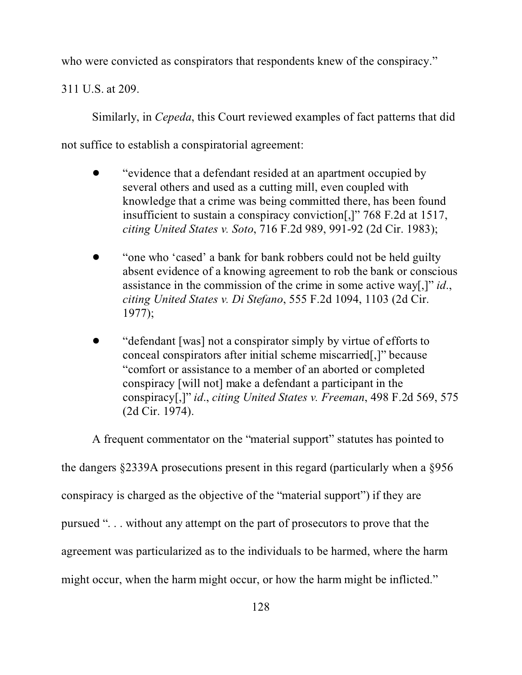who were convicted as conspirators that respondents knew of the conspiracy."

311 U.S. at 209.

Similarly, in *Cepeda*, this Court reviewed examples of fact patterns that did

not suffice to establish a conspiratorial agreement:

- ! "evidence that a defendant resided at an apartment occupied by several others and used as a cutting mill, even coupled with knowledge that a crime was being committed there, has been found insufficient to sustain a conspiracy conviction[,]" 768 F.2d at 1517, *citing United States v. Soto*, 716 F.2d 989, 991-92 (2d Cir. 1983);
- "one who 'cased' a bank for bank robbers could not be held guilty absent evidence of a knowing agreement to rob the bank or conscious assistance in the commission of the crime in some active way[,]" *id*., *citing United States v. Di Stefano*, 555 F.2d 1094, 1103 (2d Cir. 1977);
- ! "defendant [was] not a conspirator simply by virtue of efforts to conceal conspirators after initial scheme miscarried[,]" because "comfort or assistance to a member of an aborted or completed conspiracy [will not] make a defendant a participant in the conspiracy[,]" *id*., *citing United States v. Freeman*, 498 F.2d 569, 575 (2d Cir. 1974).

A frequent commentator on the "material support" statutes has pointed to

the dangers §2339A prosecutions present in this regard (particularly when a §956

conspiracy is charged as the objective of the "material support") if they are

pursued ". . . without any attempt on the part of prosecutors to prove that the

agreement was particularized as to the individuals to be harmed, where the harm

might occur, when the harm might occur, or how the harm might be inflicted."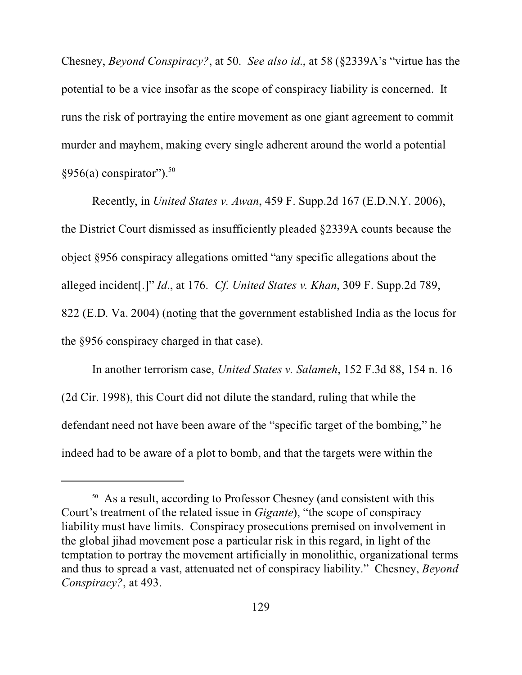Chesney, *Beyond Conspiracy?*, at 50. *See also id*., at 58 (§2339A's "virtue has the potential to be a vice insofar as the scope of conspiracy liability is concerned. It runs the risk of portraying the entire movement as one giant agreement to commit murder and mayhem, making every single adherent around the world a potential  $§956(a)$  conspirator").<sup>50</sup>

Recently, in *United States v. Awan*, 459 F. Supp.2d 167 (E.D.N.Y. 2006), the District Court dismissed as insufficiently pleaded §2339A counts because the object §956 conspiracy allegations omitted "any specific allegations about the alleged incident[.]" *Id*., at 176. *Cf. United States v. Khan*, 309 F. Supp.2d 789, 822 (E.D. Va. 2004) (noting that the government established India as the locus for the §956 conspiracy charged in that case).

In another terrorism case, *United States v. Salameh*, 152 F.3d 88, 154 n. 16 (2d Cir. 1998), this Court did not dilute the standard, ruling that while the defendant need not have been aware of the "specific target of the bombing," he indeed had to be aware of a plot to bomb, and that the targets were within the

<sup>&</sup>lt;sup>50</sup> As a result, according to Professor Chesney (and consistent with this Court's treatment of the related issue in *Gigante*), "the scope of conspiracy liability must have limits. Conspiracy prosecutions premised on involvement in the global jihad movement pose a particular risk in this regard, in light of the temptation to portray the movement artificially in monolithic, organizational terms and thus to spread a vast, attenuated net of conspiracy liability." Chesney, *Beyond Conspiracy?*, at 493.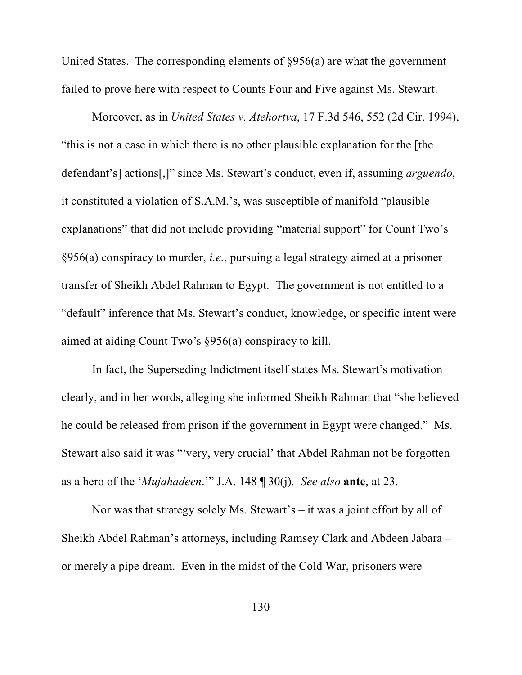United States. The corresponding elements of §956(a) are what the government failed to prove here with respect to Counts Four and Five against Ms. Stewart.

Moreover, as in *United States v. Atehortva*, 17 F.3d 546, 552 (2d Cir. 1994), "this is not a case in which there is no other plausible explanation for the [the defendant's] actions[,]" since Ms. Stewart's conduct, even if, assuming *arguendo*, it constituted a violation of S.A.M.'s, was susceptible of manifold "plausible explanations" that did not include providing "material support" for Count Two's §956(a) conspiracy to murder, *i.e.*, pursuing a legal strategy aimed at a prisoner transfer of Sheikh Abdel Rahman to Egypt. The government is not entitled to a "default" inference that Ms. Stewart's conduct, knowledge, or specific intent were aimed at aiding Count Two's §956(a) conspiracy to kill.

In fact, the Superseding Indictment itself states Ms. Stewart's motivation clearly, and in her words, alleging she informed Sheikh Rahman that "she believed he could be released from prison if the government in Egypt were changed." Ms. Stewart also said it was "'very, very crucial' that Abdel Rahman not be forgotten as a hero of the '*Mujahadeen*.'" J.A. 148 ¶ 30(j). *See also* **ante**, at 23.

Nor was that strategy solely Ms. Stewart's – it was a joint effort by all of Sheikh Abdel Rahman's attorneys, including Ramsey Clark and Abdeen Jabara – or merely a pipe dream. Even in the midst of the Cold War, prisoners were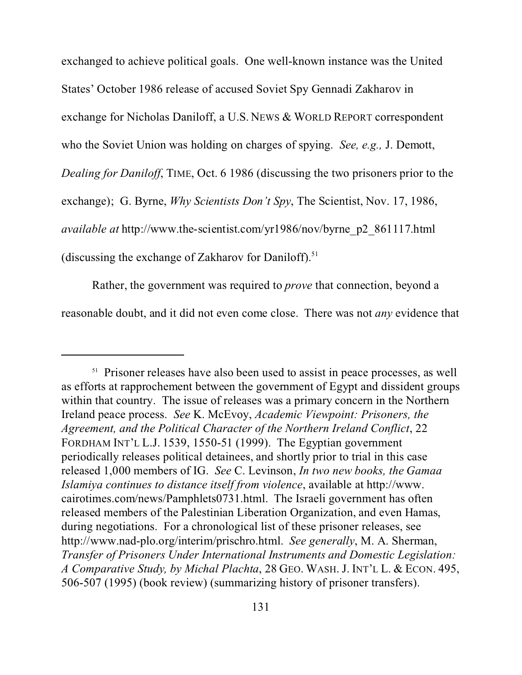exchanged to achieve political goals. One well-known instance was the United States' October 1986 release of accused Soviet Spy Gennadi Zakharov in exchange for Nicholas Daniloff, a U.S. NEWS & WORLD REPORT correspondent who the Soviet Union was holding on charges of spying. *See, e.g.,* J. Demott, *Dealing for Daniloff*, TIME, Oct. 6 1986 (discussing the two prisoners prior to the exchange); G. Byrne, *Why Scientists Don't Spy*, The Scientist, Nov. 17, 1986, *available at* http://www.the-scientist.com/yr1986/nov/byrne\_p2\_861117.html (discussing the exchange of Zakharov for Daniloff).<sup>51</sup>

Rather, the government was required to *prove* that connection, beyond a reasonable doubt, and it did not even come close. There was not *any* evidence that

<sup>&</sup>lt;sup>51</sup> Prisoner releases have also been used to assist in peace processes, as well as efforts at rapprochement between the government of Egypt and dissident groups within that country. The issue of releases was a primary concern in the Northern Ireland peace process. *See* K. McEvoy, *Academic Viewpoint: Prisoners, the Agreement, and the Political Character of the Northern Ireland Conflict*, 22 FORDHAM INT'L L.J. 1539, 1550-51 (1999). The Egyptian government periodically releases political detainees, and shortly prior to trial in this case released 1,000 members of IG. *See* C. Levinson, *In two new books, the Gamaa Islamiya continues to distance itself from violence*, available at http://www. cairotimes.com/news/Pamphlets0731.html. The Israeli government has often released members of the Palestinian Liberation Organization, and even Hamas, during negotiations. For a chronological list of these prisoner releases, see http://www.nad-plo.org/interim/prischro.html. *See generally*, M. A. Sherman, *Transfer of Prisoners Under International Instruments and Domestic Legislation: A Comparative Study, by Michal Plachta*, 28 GEO. WASH. J. INT'L L. & ECON. 495, 506-507 (1995) (book review) (summarizing history of prisoner transfers).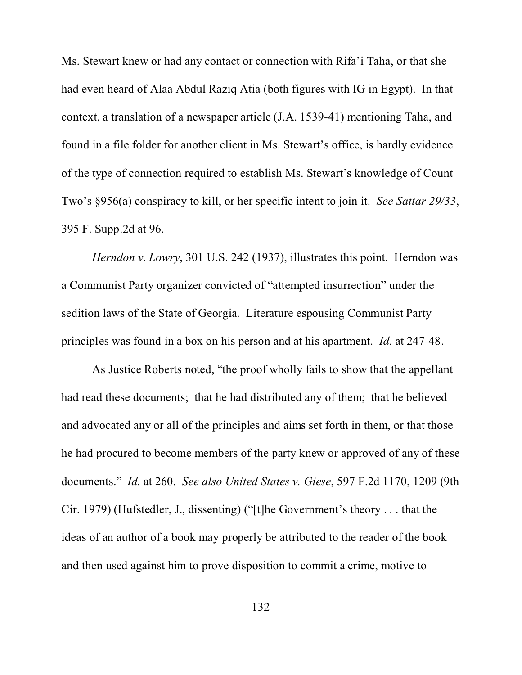Ms. Stewart knew or had any contact or connection with Rifa'i Taha, or that she had even heard of Alaa Abdul Raziq Atia (both figures with IG in Egypt). In that context, a translation of a newspaper article (J.A. 1539-41) mentioning Taha, and found in a file folder for another client in Ms. Stewart's office, is hardly evidence of the type of connection required to establish Ms. Stewart's knowledge of Count Two's §956(a) conspiracy to kill, or her specific intent to join it. *See Sattar 29/33*, 395 F. Supp.2d at 96.

*Herndon v. Lowry*, 301 U.S. 242 (1937), illustrates this point. Herndon was a Communist Party organizer convicted of "attempted insurrection" under the sedition laws of the State of Georgia. Literature espousing Communist Party principles was found in a box on his person and at his apartment. *Id.* at 247-48.

As Justice Roberts noted, "the proof wholly fails to show that the appellant had read these documents; that he had distributed any of them; that he believed and advocated any or all of the principles and aims set forth in them, or that those he had procured to become members of the party knew or approved of any of these documents." *Id.* at 260. *See also United States v. Giese*, 597 F.2d 1170, 1209 (9th Cir. 1979) (Hufstedler, J., dissenting) ("[t]he Government's theory . . . that the ideas of an author of a book may properly be attributed to the reader of the book and then used against him to prove disposition to commit a crime, motive to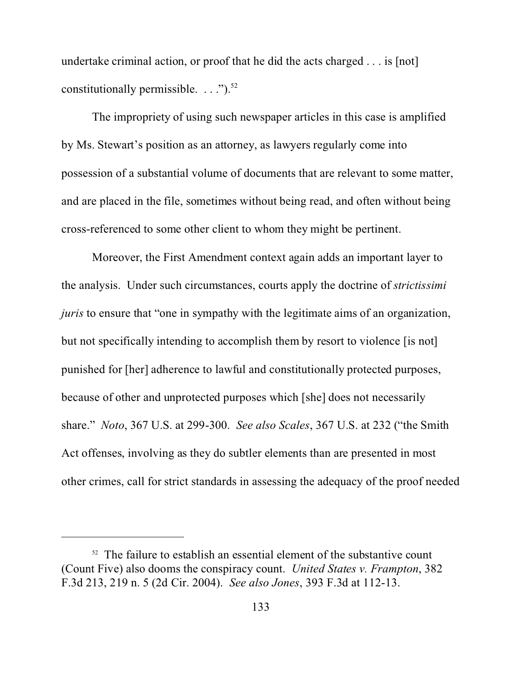undertake criminal action, or proof that he did the acts charged . . . is [not] constitutionally permissible.  $\ldots$ ").<sup>52</sup>

The impropriety of using such newspaper articles in this case is amplified by Ms. Stewart's position as an attorney, as lawyers regularly come into possession of a substantial volume of documents that are relevant to some matter, and are placed in the file, sometimes without being read, and often without being cross-referenced to some other client to whom they might be pertinent.

Moreover, the First Amendment context again adds an important layer to the analysis. Under such circumstances, courts apply the doctrine of *strictissimi juris* to ensure that "one in sympathy with the legitimate aims of an organization, but not specifically intending to accomplish them by resort to violence [is not] punished for [her] adherence to lawful and constitutionally protected purposes, because of other and unprotected purposes which [she] does not necessarily share." *Noto*, 367 U.S. at 299-300. *See also Scales*, 367 U.S. at 232 ("the Smith Act offenses, involving as they do subtler elements than are presented in most other crimes, call for strict standards in assessing the adequacy of the proof needed

 $52$  The failure to establish an essential element of the substantive count (Count Five) also dooms the conspiracy count. *United States v. Frampton*, 382 F.3d 213, 219 n. 5 (2d Cir. 2004). *See also Jones*, 393 F.3d at 112-13.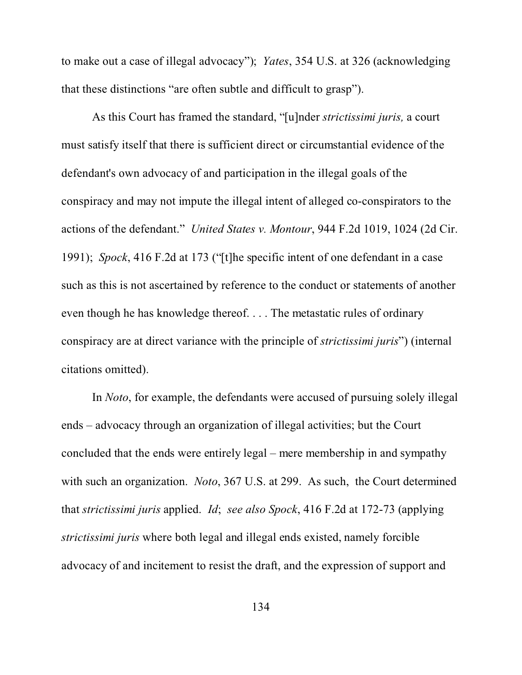to make out a case of illegal advocacy"); *Yates*, 354 U.S. at 326 (acknowledging that these distinctions "are often subtle and difficult to grasp").

As this Court has framed the standard, "[u]nder *strictissimi juris,* a court must satisfy itself that there is sufficient direct or circumstantial evidence of the defendant's own advocacy of and participation in the illegal goals of the conspiracy and may not impute the illegal intent of alleged co-conspirators to the actions of the defendant." *United States v. Montour*, 944 F.2d 1019, 1024 (2d Cir. 1991); *Spock*, 416 F.2d at 173 ("[t]he specific intent of one defendant in a case such as this is not ascertained by reference to the conduct or statements of another even though he has knowledge thereof. . . . The metastatic rules of ordinary conspiracy are at direct variance with the principle of *strictissimi juris*") (internal citations omitted).

In *Noto*, for example, the defendants were accused of pursuing solely illegal ends – advocacy through an organization of illegal activities; but the Court concluded that the ends were entirely legal – mere membership in and sympathy with such an organization. *Noto*, 367 U.S. at 299. As such, the Court determined that *strictissimi juris* applied. *Id*; *see also Spock*, 416 F.2d at 172-73 (applying *strictissimi juris* where both legal and illegal ends existed, namely forcible advocacy of and incitement to resist the draft, and the expression of support and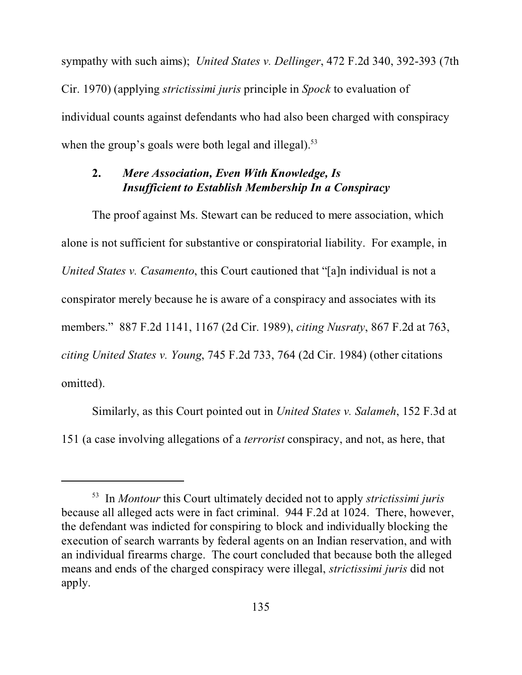sympathy with such aims); *United States v. Dellinger*, 472 F.2d 340, 392-393 (7th Cir. 1970) (applying *strictissimi juris* principle in *Spock* to evaluation of individual counts against defendants who had also been charged with conspiracy when the group's goals were both legal and illegal). $53$ 

## **2.** *Mere Association, Even With Knowledge, Is Insufficient to Establish Membership In a Conspiracy*

The proof against Ms. Stewart can be reduced to mere association, which alone is not sufficient for substantive or conspiratorial liability. For example, in *United States v. Casamento*, this Court cautioned that "[a]n individual is not a conspirator merely because he is aware of a conspiracy and associates with its members." 887 F.2d 1141, 1167 (2d Cir. 1989), *citing Nusraty*, 867 F.2d at 763, *citing United States v. Young*, 745 F.2d 733, 764 (2d Cir. 1984) (other citations omitted).

Similarly, as this Court pointed out in *United States v. Salameh*, 152 F.3d at 151 (a case involving allegations of a *terrorist* conspiracy, and not, as here, that

<sup>53</sup> In *Montour* this Court ultimately decided not to apply *strictissimi juris* because all alleged acts were in fact criminal. 944 F.2d at 1024. There, however, the defendant was indicted for conspiring to block and individually blocking the execution of search warrants by federal agents on an Indian reservation, and with an individual firearms charge. The court concluded that because both the alleged means and ends of the charged conspiracy were illegal, *strictissimi juris* did not apply.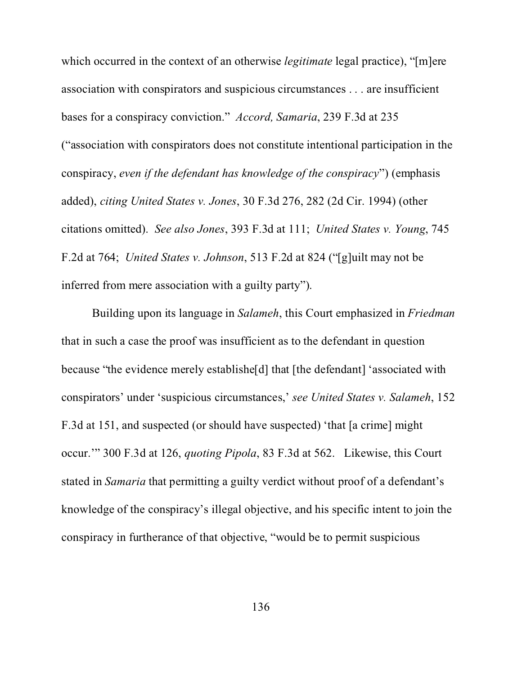which occurred in the context of an otherwise *legitimate* legal practice), "[m]ere association with conspirators and suspicious circumstances . . . are insufficient bases for a conspiracy conviction." *Accord, Samaria*, 239 F.3d at 235 ("association with conspirators does not constitute intentional participation in the conspiracy, *even if the defendant has knowledge of the conspiracy*") (emphasis added), *citing United States v. Jones*, 30 F.3d 276, 282 (2d Cir. 1994) (other citations omitted). *See also Jones*, 393 F.3d at 111; *United States v. Young*, 745 F.2d at 764; *United States v. Johnson*, 513 F.2d at 824 ("[g]uilt may not be inferred from mere association with a guilty party").

Building upon its language in *Salameh*, this Court emphasized in *Friedman* that in such a case the proof was insufficient as to the defendant in question because "the evidence merely establishe[d] that [the defendant] 'associated with conspirators' under 'suspicious circumstances,' *see United States v. Salameh*, 152 F.3d at 151, and suspected (or should have suspected) 'that [a crime] might occur.'" 300 F.3d at 126, *quoting Pipola*, 83 F.3d at 562. Likewise, this Court stated in *Samaria* that permitting a guilty verdict without proof of a defendant's knowledge of the conspiracy's illegal objective, and his specific intent to join the conspiracy in furtherance of that objective, "would be to permit suspicious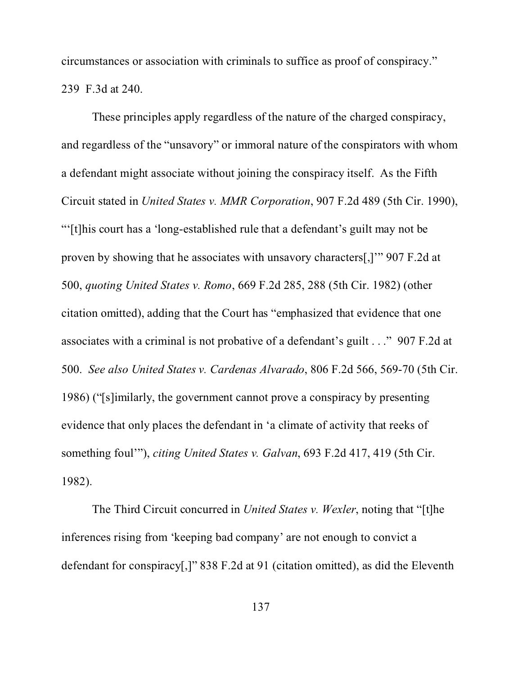circumstances or association with criminals to suffice as proof of conspiracy." 239 F.3d at 240.

These principles apply regardless of the nature of the charged conspiracy, and regardless of the "unsavory" or immoral nature of the conspirators with whom a defendant might associate without joining the conspiracy itself. As the Fifth Circuit stated in *United States v. MMR Corporation*, 907 F.2d 489 (5th Cir. 1990), "'[t]his court has a 'long-established rule that a defendant's guilt may not be proven by showing that he associates with unsavory characters[,]'" 907 F.2d at 500, *quoting United States v. Romo*, 669 F.2d 285, 288 (5th Cir. 1982) (other citation omitted), adding that the Court has "emphasized that evidence that one associates with a criminal is not probative of a defendant's guilt . . ." 907 F.2d at 500. *See also United States v. Cardenas Alvarado*, 806 F.2d 566, 569-70 (5th Cir. 1986) ("[s]imilarly, the government cannot prove a conspiracy by presenting evidence that only places the defendant in 'a climate of activity that reeks of something foul'"), *citing United States v. Galvan*, 693 F.2d 417, 419 (5th Cir. 1982).

The Third Circuit concurred in *United States v. Wexler*, noting that "[t]he inferences rising from 'keeping bad company' are not enough to convict a defendant for conspiracy[,]" 838 F.2d at 91 (citation omitted), as did the Eleventh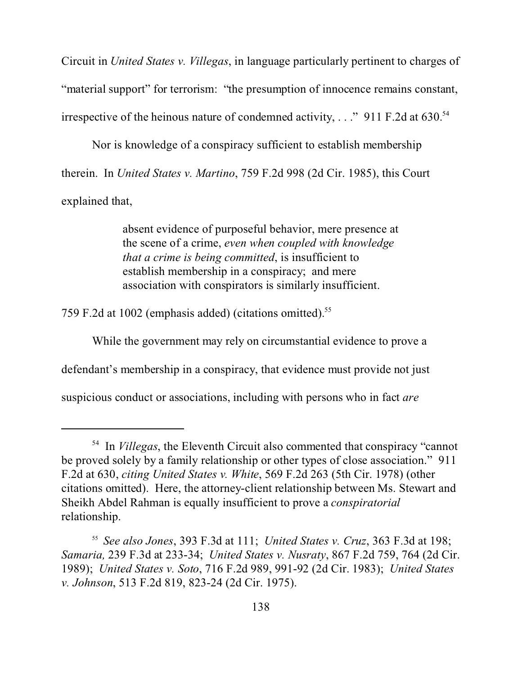Circuit in *United States v. Villegas*, in language particularly pertinent to charges of "material support" for terrorism: "the presumption of innocence remains constant, irrespective of the heinous nature of condemned activity,  $\ldots$  " 911 F.2d at 630.<sup>54</sup>

Nor is knowledge of a conspiracy sufficient to establish membership therein. In *United States v. Martino*, 759 F.2d 998 (2d Cir. 1985), this Court explained that,

> absent evidence of purposeful behavior, mere presence at the scene of a crime, *even when coupled with knowledge that a crime is being committed*, is insufficient to establish membership in a conspiracy; and mere association with conspirators is similarly insufficient.

759 F.2d at 1002 (emphasis added) (citations omitted).<sup>55</sup>

While the government may rely on circumstantial evidence to prove a

defendant's membership in a conspiracy, that evidence must provide not just

suspicious conduct or associations, including with persons who in fact *are*

<sup>54</sup> In *Villegas*, the Eleventh Circuit also commented that conspiracy "cannot be proved solely by a family relationship or other types of close association." 911 F.2d at 630, *citing United States v. White*, 569 F.2d 263 (5th Cir. 1978) (other citations omitted). Here, the attorney-client relationship between Ms. Stewart and Sheikh Abdel Rahman is equally insufficient to prove a *conspiratorial* relationship.

<sup>55</sup> *See also Jones*, 393 F.3d at 111; *United States v. Cruz*, 363 F.3d at 198; *Samaria,* 239 F.3d at 233-34; *United States v. Nusraty*, 867 F.2d 759, 764 (2d Cir. 1989); *United States v. Soto*, 716 F.2d 989, 991-92 (2d Cir. 1983); *United States v. Johnson*, 513 F.2d 819, 823-24 (2d Cir. 1975).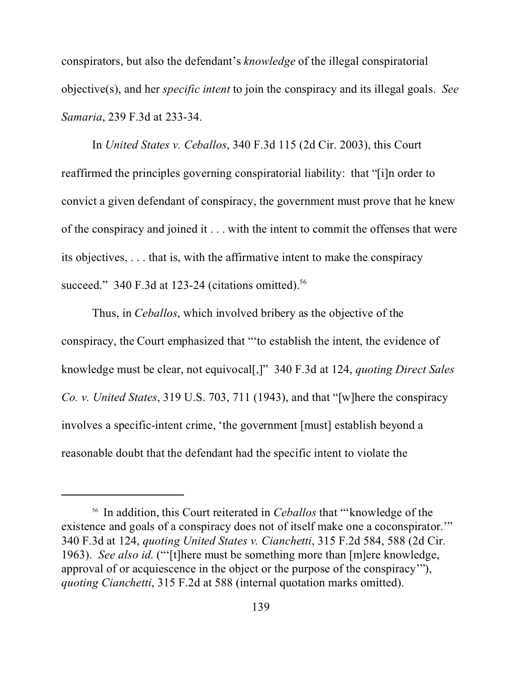conspirators, but also the defendant's *knowledge* of the illegal conspiratorial objective(s), and her *specific intent* to join the conspiracy and its illegal goals. *See Samaria*, 239 F.3d at 233-34.

In *United States v. Ceballos*, 340 F.3d 115 (2d Cir. 2003), this Court reaffirmed the principles governing conspiratorial liability: that "[i]n order to convict a given defendant of conspiracy, the government must prove that he knew of the conspiracy and joined it . . . with the intent to commit the offenses that were its objectives, . . . that is, with the affirmative intent to make the conspiracy succeed." 340 F.3d at 123-24 (citations omitted). $56$ 

Thus, in *Ceballos*, which involved bribery as the objective of the conspiracy, the Court emphasized that "'to establish the intent, the evidence of knowledge must be clear, not equivocal[,]" 340 F.3d at 124, *quoting Direct Sales Co. v. United States*, 319 U.S. 703, 711 (1943), and that "[w]here the conspiracy involves a specific-intent crime, 'the government [must] establish beyond a reasonable doubt that the defendant had the specific intent to violate the

<sup>56</sup> In addition, this Court reiterated in *Ceballos* that "'knowledge of the existence and goals of a conspiracy does not of itself make one a coconspirator.'" 340 F.3d at 124, *quoting United States v. Cianchetti*, 315 F.2d 584, 588 (2d Cir. 1963). *See also id*. ("'[t]here must be something more than [m]ere knowledge, approval of or acquiescence in the object or the purpose of the conspiracy'"), *quoting Cianchetti*, 315 F.2d at 588 (internal quotation marks omitted).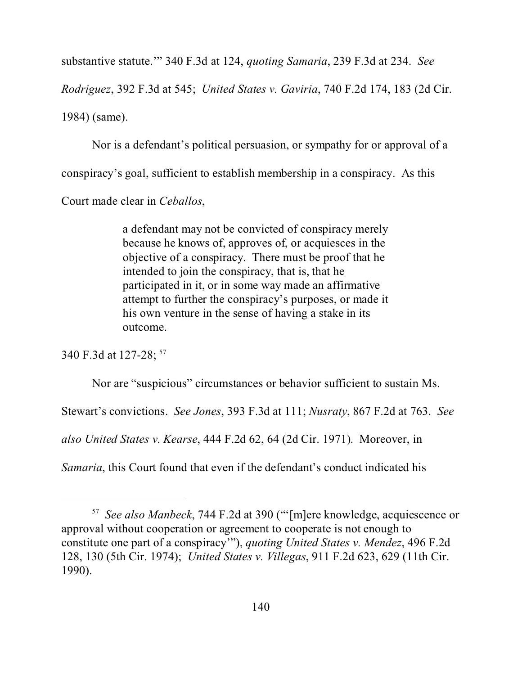substantive statute.'" 340 F.3d at 124, *quoting Samaria*, 239 F.3d at 234. *See*

*Rodriguez*, 392 F.3d at 545; *United States v. Gaviria*, 740 F.2d 174, 183 (2d Cir.

1984) (same).

Nor is a defendant's political persuasion, or sympathy for or approval of a conspiracy's goal, sufficient to establish membership in a conspiracy. As this Court made clear in *Ceballos*,

> a defendant may not be convicted of conspiracy merely because he knows of, approves of, or acquiesces in the objective of a conspiracy. There must be proof that he intended to join the conspiracy, that is, that he participated in it, or in some way made an affirmative attempt to further the conspiracy's purposes, or made it his own venture in the sense of having a stake in its outcome.

340 F.3d at 127-28; <sup>57</sup>

Nor are "suspicious" circumstances or behavior sufficient to sustain Ms.

Stewart's convictions. *See Jones*, 393 F.3d at 111; *Nusraty*, 867 F.2d at 763. *See*

*also United States v. Kearse*, 444 F.2d 62, 64 (2d Cir. 1971). Moreover, in

*Samaria*, this Court found that even if the defendant's conduct indicated his

<sup>57</sup> *See also Manbeck*, 744 F.2d at 390 ("'[m]ere knowledge, acquiescence or approval without cooperation or agreement to cooperate is not enough to constitute one part of a conspiracy'"), *quoting United States v. Mendez*, 496 F.2d 128, 130 (5th Cir. 1974); *United States v. Villegas*, 911 F.2d 623, 629 (11th Cir. 1990).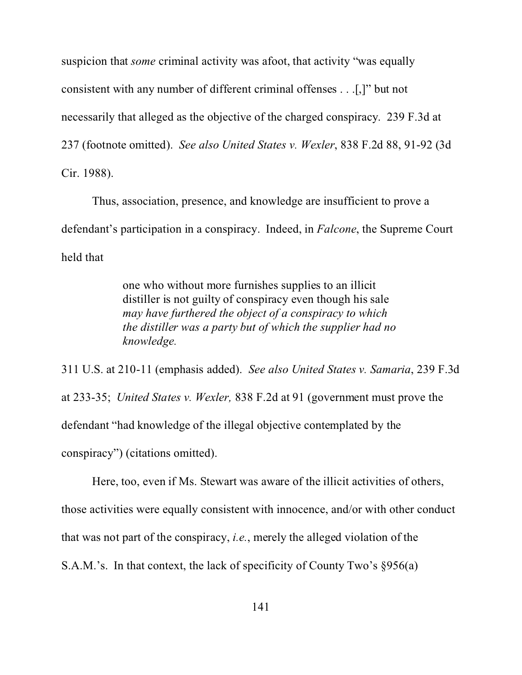suspicion that *some* criminal activity was afoot, that activity "was equally consistent with any number of different criminal offenses . . .[,]" but not necessarily that alleged as the objective of the charged conspiracy. 239 F.3d at 237 (footnote omitted). *See also United States v. Wexler*, 838 F.2d 88, 91-92 (3d Cir. 1988).

Thus, association, presence, and knowledge are insufficient to prove a defendant's participation in a conspiracy. Indeed, in *Falcone*, the Supreme Court held that

> one who without more furnishes supplies to an illicit distiller is not guilty of conspiracy even though his sale *may have furthered the object of a conspiracy to which the distiller was a party but of which the supplier had no knowledge.*

311 U.S. at 210-11 (emphasis added). *See also United States v. Samaria*, 239 F.3d at 233-35; *United States v. Wexler,* 838 F.2d at 91 (government must prove the defendant "had knowledge of the illegal objective contemplated by the conspiracy") (citations omitted).

Here, too, even if Ms. Stewart was aware of the illicit activities of others, those activities were equally consistent with innocence, and/or with other conduct that was not part of the conspiracy, *i.e.*, merely the alleged violation of the S.A.M.'s. In that context, the lack of specificity of County Two's §956(a)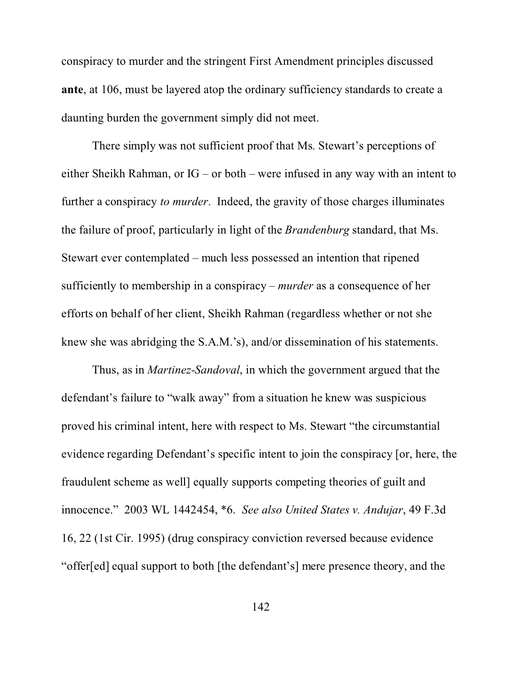conspiracy to murder and the stringent First Amendment principles discussed **ante**, at 106, must be layered atop the ordinary sufficiency standards to create a daunting burden the government simply did not meet.

There simply was not sufficient proof that Ms. Stewart's perceptions of either Sheikh Rahman, or IG – or both – were infused in any way with an intent to further a conspiracy *to murder*. Indeed, the gravity of those charges illuminates the failure of proof, particularly in light of the *Brandenburg* standard, that Ms. Stewart ever contemplated – much less possessed an intention that ripened sufficiently to membership in a conspiracy – *murder* as a consequence of her efforts on behalf of her client, Sheikh Rahman (regardless whether or not she knew she was abridging the S.A.M.'s), and/or dissemination of his statements.

Thus, as in *Martinez-Sandoval*, in which the government argued that the defendant's failure to "walk away" from a situation he knew was suspicious proved his criminal intent, here with respect to Ms. Stewart "the circumstantial evidence regarding Defendant's specific intent to join the conspiracy [or, here, the fraudulent scheme as well] equally supports competing theories of guilt and innocence." 2003 WL 1442454, \*6. *See also United States v. Andujar*, 49 F.3d 16, 22 (1st Cir. 1995) (drug conspiracy conviction reversed because evidence "offer[ed] equal support to both [the defendant's] mere presence theory, and the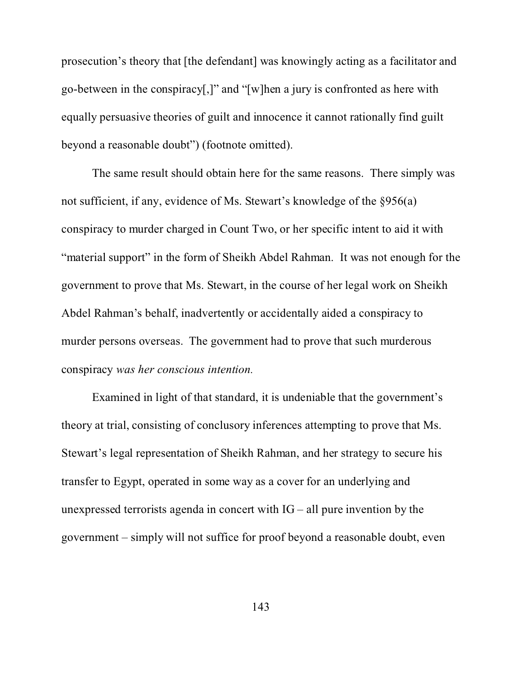prosecution's theory that [the defendant] was knowingly acting as a facilitator and go-between in the conspiracy[,]" and "[w]hen a jury is confronted as here with equally persuasive theories of guilt and innocence it cannot rationally find guilt beyond a reasonable doubt") (footnote omitted).

The same result should obtain here for the same reasons. There simply was not sufficient, if any, evidence of Ms. Stewart's knowledge of the §956(a) conspiracy to murder charged in Count Two, or her specific intent to aid it with "material support" in the form of Sheikh Abdel Rahman. It was not enough for the government to prove that Ms. Stewart, in the course of her legal work on Sheikh Abdel Rahman's behalf, inadvertently or accidentally aided a conspiracy to murder persons overseas. The government had to prove that such murderous conspiracy *was her conscious intention.*

Examined in light of that standard, it is undeniable that the government's theory at trial, consisting of conclusory inferences attempting to prove that Ms. Stewart's legal representation of Sheikh Rahman, and her strategy to secure his transfer to Egypt, operated in some way as a cover for an underlying and unexpressed terrorists agenda in concert with  $IG - all$  pure invention by the government – simply will not suffice for proof beyond a reasonable doubt, even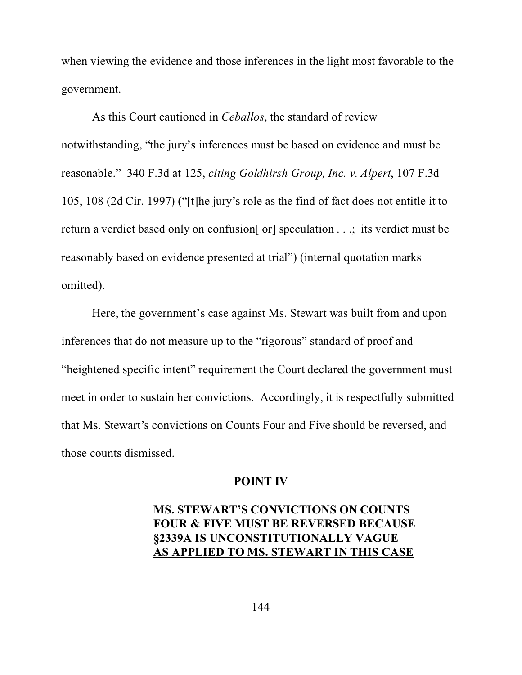when viewing the evidence and those inferences in the light most favorable to the government.

As this Court cautioned in *Ceballos*, the standard of review notwithstanding, "the jury's inferences must be based on evidence and must be reasonable." 340 F.3d at 125, *citing Goldhirsh Group, Inc. v. Alpert*, 107 F.3d 105, 108 (2d Cir. 1997) ("[t]he jury's role as the find of fact does not entitle it to return a verdict based only on confusion[ or] speculation . . .; its verdict must be reasonably based on evidence presented at trial") (internal quotation marks omitted).

Here, the government's case against Ms. Stewart was built from and upon inferences that do not measure up to the "rigorous" standard of proof and "heightened specific intent" requirement the Court declared the government must meet in order to sustain her convictions. Accordingly, it is respectfully submitted that Ms. Stewart's convictions on Counts Four and Five should be reversed, and those counts dismissed.

#### **POINT IV**

## **MS. STEWART'S CONVICTIONS ON COUNTS FOUR & FIVE MUST BE REVERSED BECAUSE §2339A IS UNCONSTITUTIONALLY VAGUE AS APPLIED TO MS. STEWART IN THIS CASE**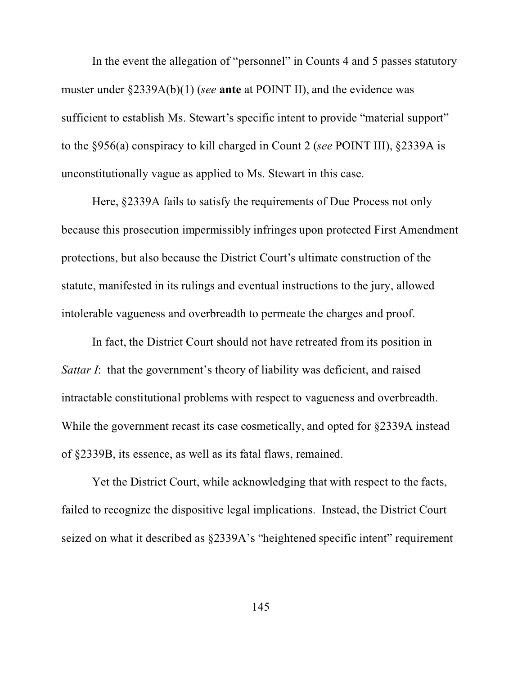In the event the allegation of "personnel" in Counts 4 and 5 passes statutory muster under §2339A(b)(1) (*see* **ante** at POINT II), and the evidence was sufficient to establish Ms. Stewart's specific intent to provide "material support" to the §956(a) conspiracy to kill charged in Count 2 (*see* POINT III), §2339A is unconstitutionally vague as applied to Ms. Stewart in this case.

Here, §2339A fails to satisfy the requirements of Due Process not only because this prosecution impermissibly infringes upon protected First Amendment protections, but also because the District Court's ultimate construction of the statute, manifested in its rulings and eventual instructions to the jury, allowed intolerable vagueness and overbreadth to permeate the charges and proof.

In fact, the District Court should not have retreated from its position in *Sattar I*: that the government's theory of liability was deficient, and raised intractable constitutional problems with respect to vagueness and overbreadth. While the government recast its case cosmetically, and opted for §2339A instead of §2339B, its essence, as well as its fatal flaws, remained.

Yet the District Court, while acknowledging that with respect to the facts, failed to recognize the dispositive legal implications. Instead, the District Court seized on what it described as §2339A's "heightened specific intent" requirement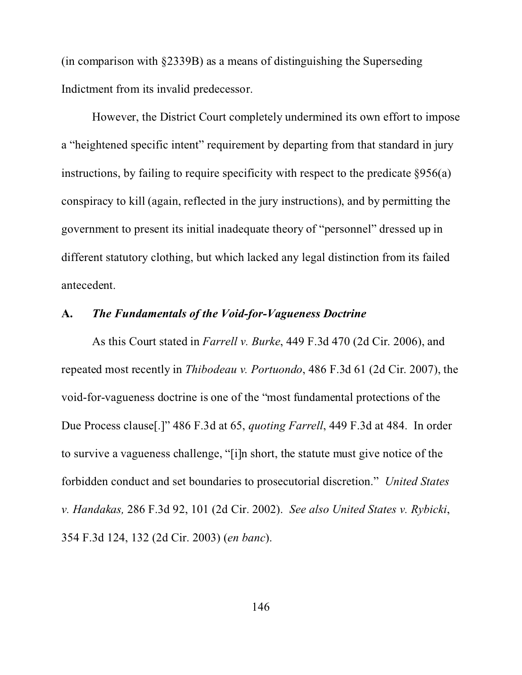(in comparison with §2339B) as a means of distinguishing the Superseding Indictment from its invalid predecessor.

However, the District Court completely undermined its own effort to impose a "heightened specific intent" requirement by departing from that standard in jury instructions, by failing to require specificity with respect to the predicate  $\S 956(a)$ conspiracy to kill (again, reflected in the jury instructions), and by permitting the government to present its initial inadequate theory of "personnel" dressed up in different statutory clothing, but which lacked any legal distinction from its failed antecedent.

#### **A.** *The Fundamentals of the Void-for-Vagueness Doctrine*

As this Court stated in *Farrell v. Burke*, 449 F.3d 470 (2d Cir. 2006), and repeated most recently in *Thibodeau v. Portuondo*, 486 F.3d 61 (2d Cir. 2007), the void-for-vagueness doctrine is one of the "most fundamental protections of the Due Process clause[.]" 486 F.3d at 65, *quoting Farrell*, 449 F.3d at 484. In order to survive a vagueness challenge, "[i]n short, the statute must give notice of the forbidden conduct and set boundaries to prosecutorial discretion." *United States v. Handakas,* 286 F.3d 92, 101 (2d Cir. 2002). *See also United States v. Rybicki*, 354 F.3d 124, 132 (2d Cir. 2003) (*en banc*).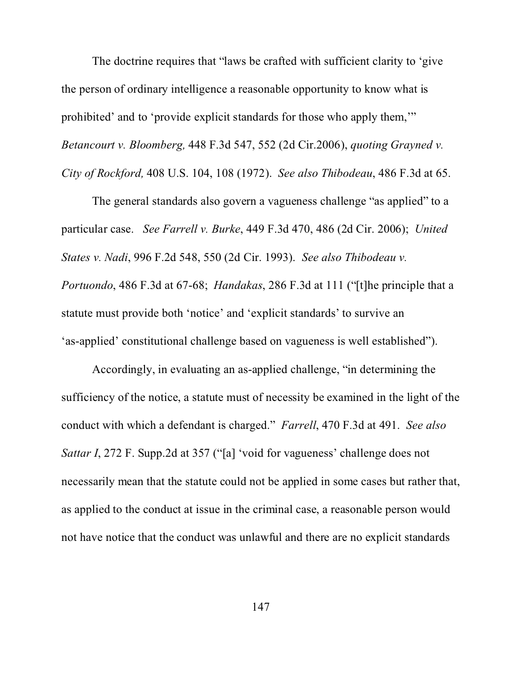The doctrine requires that "laws be crafted with sufficient clarity to 'give the person of ordinary intelligence a reasonable opportunity to know what is prohibited' and to 'provide explicit standards for those who apply them,'" *Betancourt v. Bloomberg,* 448 F.3d 547, 552 (2d Cir.2006), *quoting Grayned v. City of Rockford,* 408 U.S. 104, 108 (1972). *See also Thibodeau*, 486 F.3d at 65.

The general standards also govern a vagueness challenge "as applied" to a particular case. *See Farrell v. Burke*, 449 F.3d 470, 486 (2d Cir. 2006); *United States v. Nadi*, 996 F.2d 548, 550 (2d Cir. 1993). *See also Thibodeau v. Portuondo*, 486 F.3d at 67-68; *Handakas*, 286 F.3d at 111 ("[t]he principle that a statute must provide both 'notice' and 'explicit standards' to survive an 'as-applied' constitutional challenge based on vagueness is well established").

Accordingly, in evaluating an as-applied challenge, "in determining the sufficiency of the notice, a statute must of necessity be examined in the light of the conduct with which a defendant is charged." *Farrell*, 470 F.3d at 491. *See also Sattar I*, 272 F. Supp.2d at 357 ("[a] 'void for vagueness' challenge does not necessarily mean that the statute could not be applied in some cases but rather that, as applied to the conduct at issue in the criminal case, a reasonable person would not have notice that the conduct was unlawful and there are no explicit standards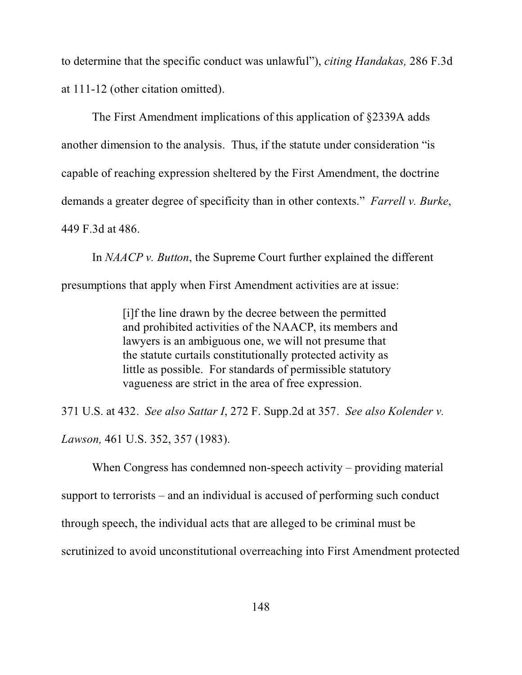to determine that the specific conduct was unlawful"), *citing Handakas,* 286 F.3d at 111-12 (other citation omitted).

The First Amendment implications of this application of §2339A adds another dimension to the analysis. Thus, if the statute under consideration "is capable of reaching expression sheltered by the First Amendment, the doctrine demands a greater degree of specificity than in other contexts." *Farrell v. Burke*, 449 F.3d at 486.

In *NAACP v. Button*, the Supreme Court further explained the different presumptions that apply when First Amendment activities are at issue:

> [i]f the line drawn by the decree between the permitted and prohibited activities of the NAACP, its members and lawyers is an ambiguous one, we will not presume that the statute curtails constitutionally protected activity as little as possible. For standards of permissible statutory vagueness are strict in the area of free expression.

371 U.S. at 432. *See also Sattar I*, 272 F. Supp.2d at 357. *See also Kolender v.*

*Lawson,* 461 U.S. 352, 357 (1983).

When Congress has condemned non-speech activity – providing material

support to terrorists – and an individual is accused of performing such conduct

through speech, the individual acts that are alleged to be criminal must be

scrutinized to avoid unconstitutional overreaching into First Amendment protected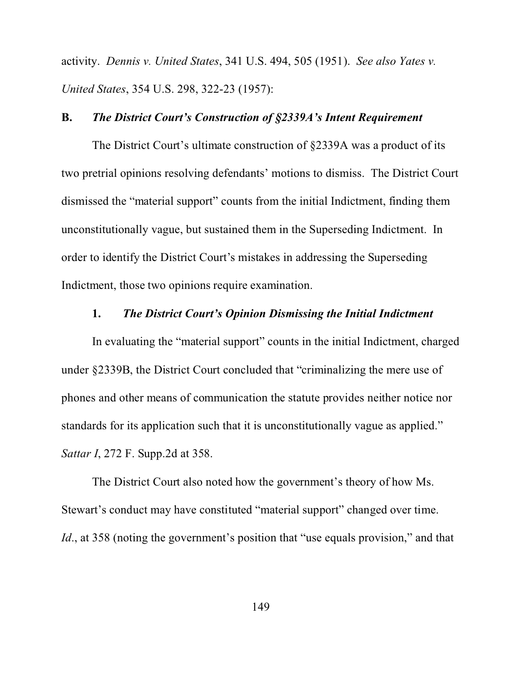activity. *Dennis v. United States*, 341 U.S. 494, 505 (1951). *See also Yates v. United States*, 354 U.S. 298, 322-23 (1957):

#### **B.** *The District Court's Construction of §2339A's Intent Requirement*

The District Court's ultimate construction of §2339A was a product of its two pretrial opinions resolving defendants' motions to dismiss. The District Court dismissed the "material support" counts from the initial Indictment, finding them unconstitutionally vague, but sustained them in the Superseding Indictment. In order to identify the District Court's mistakes in addressing the Superseding Indictment, those two opinions require examination.

#### **1.** *The District Court's Opinion Dismissing the Initial Indictment*

In evaluating the "material support" counts in the initial Indictment, charged under §2339B, the District Court concluded that "criminalizing the mere use of phones and other means of communication the statute provides neither notice nor standards for its application such that it is unconstitutionally vague as applied." *Sattar I*, 272 F. Supp.2d at 358.

The District Court also noted how the government's theory of how Ms. Stewart's conduct may have constituted "material support" changed over time. *Id.*, at 358 (noting the government's position that "use equals provision," and that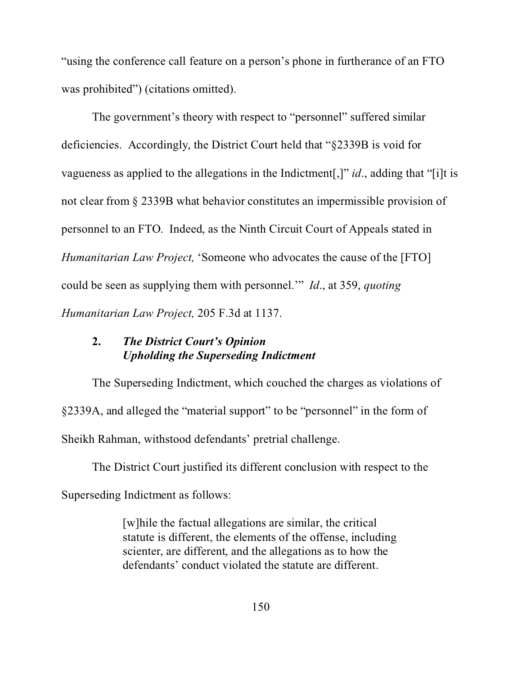"using the conference call feature on a person's phone in furtherance of an FTO was prohibited") (citations omitted).

The government's theory with respect to "personnel" suffered similar deficiencies. Accordingly, the District Court held that "§2339B is void for vagueness as applied to the allegations in the Indictment[,]" *id*., adding that "[i]t is not clear from § 2339B what behavior constitutes an impermissible provision of personnel to an FTO. Indeed, as the Ninth Circuit Court of Appeals stated in *Humanitarian Law Project,* 'Someone who advocates the cause of the [FTO] could be seen as supplying them with personnel.'" *Id*., at 359, *quoting Humanitarian Law Project,* 205 F.3d at 1137.

# **2.** *The District Court's Opinion Upholding the Superseding Indictment*

The Superseding Indictment, which couched the charges as violations of §2339A, and alleged the "material support" to be "personnel" in the form of Sheikh Rahman, withstood defendants' pretrial challenge.

The District Court justified its different conclusion with respect to the Superseding Indictment as follows:

> [w]hile the factual allegations are similar, the critical statute is different, the elements of the offense, including scienter, are different, and the allegations as to how the defendants' conduct violated the statute are different.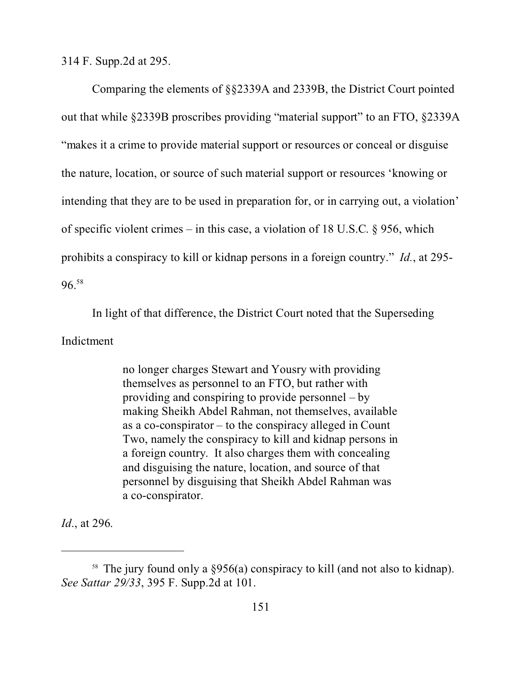314 F. Supp.2d at 295.

Comparing the elements of §§2339A and 2339B, the District Court pointed out that while §2339B proscribes providing "material support" to an FTO, §2339A "makes it a crime to provide material support or resources or conceal or disguise the nature, location, or source of such material support or resources 'knowing or intending that they are to be used in preparation for, or in carrying out, a violation' of specific violent crimes – in this case, a violation of 18 U.S.C. § 956, which prohibits a conspiracy to kill or kidnap persons in a foreign country." *Id.*, at 295- 96.<sup>58</sup>

In light of that difference, the District Court noted that the Superseding Indictment

> no longer charges Stewart and Yousry with providing themselves as personnel to an FTO, but rather with providing and conspiring to provide personnel – by making Sheikh Abdel Rahman, not themselves, available as a co-conspirator – to the conspiracy alleged in Count Two, namely the conspiracy to kill and kidnap persons in a foreign country. It also charges them with concealing and disguising the nature, location, and source of that personnel by disguising that Sheikh Abdel Rahman was a co-conspirator.

*Id*., at 296.

<sup>58</sup> The jury found only a §956(a) conspiracy to kill (and not also to kidnap). *See Sattar 29/33*, 395 F. Supp.2d at 101.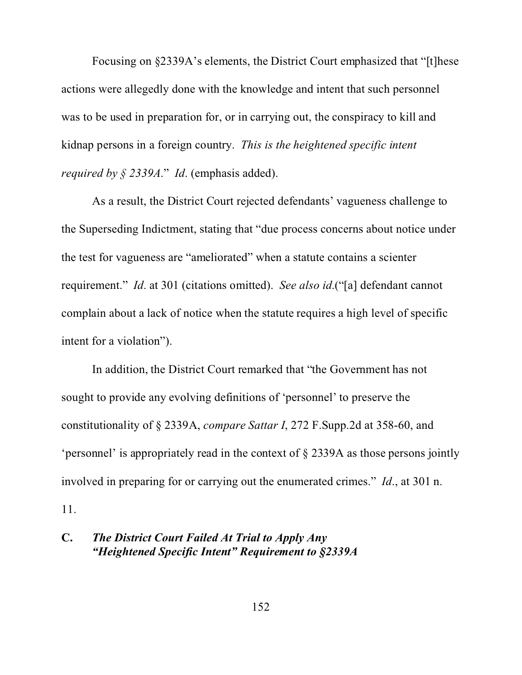Focusing on §2339A's elements, the District Court emphasized that "[t]hese actions were allegedly done with the knowledge and intent that such personnel was to be used in preparation for, or in carrying out, the conspiracy to kill and kidnap persons in a foreign country. *This is the heightened specific intent required by § 2339A*." *Id*. (emphasis added).

As a result, the District Court rejected defendants' vagueness challenge to the Superseding Indictment, stating that "due process concerns about notice under the test for vagueness are "ameliorated" when a statute contains a scienter requirement." *Id*. at 301 (citations omitted). *See also id*.("[a] defendant cannot complain about a lack of notice when the statute requires a high level of specific intent for a violation").

In addition, the District Court remarked that "the Government has not sought to provide any evolving definitions of 'personnel' to preserve the constitutionality of § 2339A, *compare Sattar I*, 272 F.Supp.2d at 358-60, and 'personnel' is appropriately read in the context of § 2339A as those persons jointly involved in preparing for or carrying out the enumerated crimes." *Id*., at 301 n. 11.

# **C.** *The District Court Failed At Trial to Apply Any "Heightened Specific Intent" Requirement to §2339A*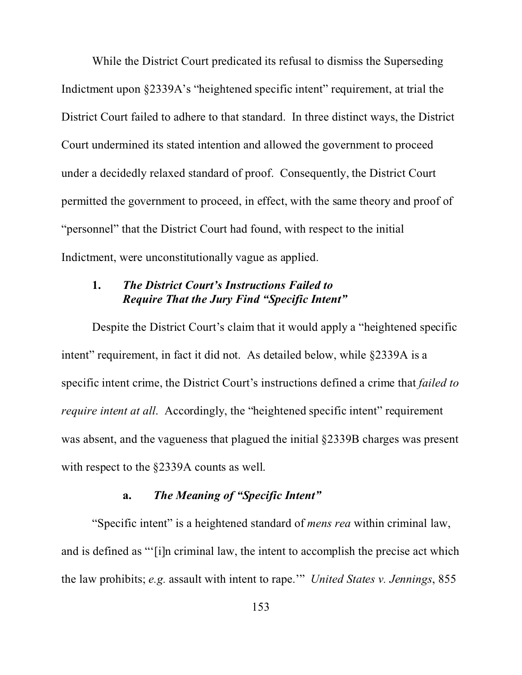While the District Court predicated its refusal to dismiss the Superseding Indictment upon §2339A's "heightened specific intent" requirement, at trial the District Court failed to adhere to that standard. In three distinct ways, the District Court undermined its stated intention and allowed the government to proceed under a decidedly relaxed standard of proof. Consequently, the District Court permitted the government to proceed, in effect, with the same theory and proof of "personnel" that the District Court had found, with respect to the initial Indictment, were unconstitutionally vague as applied.

## **1.** *The District Court's Instructions Failed to Require That the Jury Find "Specific Intent"*

Despite the District Court's claim that it would apply a "heightened specific intent" requirement, in fact it did not. As detailed below, while §2339A is a specific intent crime, the District Court's instructions defined a crime that *failed to require intent at all.* Accordingly, the "heightened specific intent" requirement was absent, and the vagueness that plagued the initial §2339B charges was present with respect to the §2339A counts as well.

# **a.** *The Meaning of "Specific Intent"*

"Specific intent" is a heightened standard of *mens rea* within criminal law, and is defined as "'[i]n criminal law, the intent to accomplish the precise act which the law prohibits; *e.g.* assault with intent to rape.'" *United States v. Jennings*, 855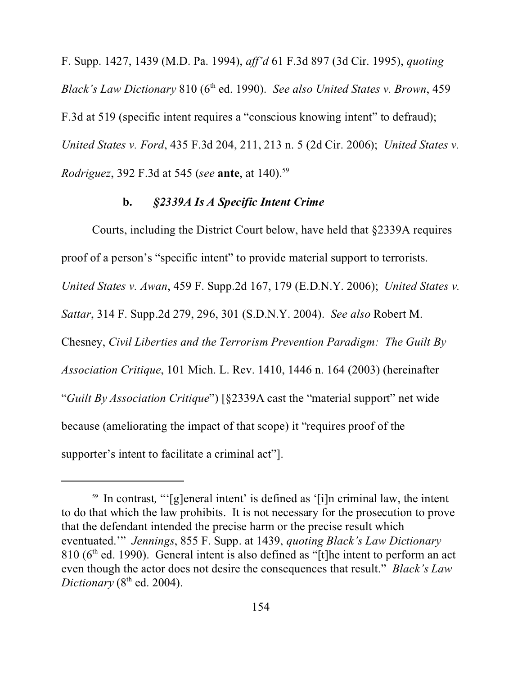F. Supp. 1427, 1439 (M.D. Pa. 1994), *aff'd* 61 F.3d 897 (3d Cir. 1995), *quoting Black's Law Dictionary* 810 (6th ed. 1990). *See also United States v. Brown*, 459 F.3d at 519 (specific intent requires a "conscious knowing intent" to defraud); *United States v. Ford*, 435 F.3d 204, 211, 213 n. 5 (2d Cir. 2006); *United States v. Rodriguez*, 392 F.3d at 545 (*see* **ante**, at 140).<sup>59</sup>

#### **b.** *§2339A Is A Specific Intent Crime*

Courts, including the District Court below, have held that §2339A requires proof of a person's "specific intent" to provide material support to terrorists. *United States v. Awan*, 459 F. Supp.2d 167, 179 (E.D.N.Y. 2006); *United States v. Sattar*, 314 F. Supp.2d 279, 296, 301 (S.D.N.Y. 2004). *See also* Robert M. Chesney, *Civil Liberties and the Terrorism Prevention Paradigm: The Guilt By Association Critique*, 101 Mich. L. Rev. 1410, 1446 n. 164 (2003) (hereinafter "*Guilt By Association Critique*") [§2339A cast the "material support" net wide because (ameliorating the impact of that scope) it "requires proof of the supporter's intent to facilitate a criminal act"].

<sup>&</sup>lt;sup>59</sup> In contrast, "'[g]eneral intent' is defined as '[i]n criminal law, the intent to do that which the law prohibits. It is not necessary for the prosecution to prove that the defendant intended the precise harm or the precise result which eventuated.'" *Jennings*, 855 F. Supp. at 1439, *quoting Black's Law Dictionary*  $810$  ( $6<sup>th</sup>$  ed. 1990). General intent is also defined as "[t]he intent to perform an act even though the actor does not desire the consequences that result." *Black's Law*  $Dictionary (8<sup>th</sup> ed. 2004).$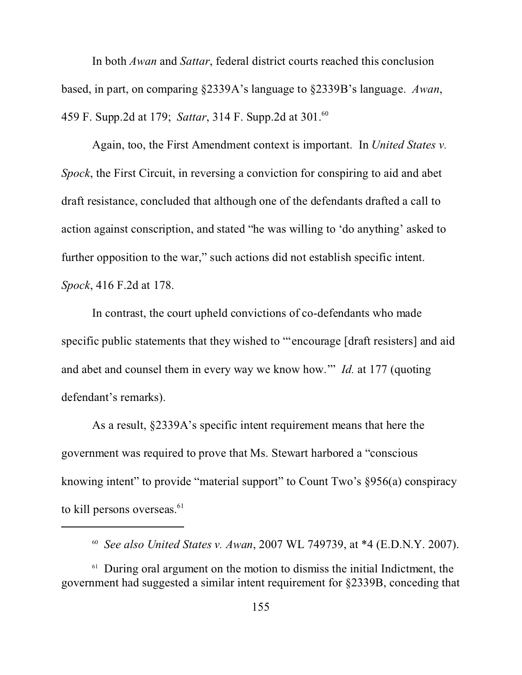In both *Awan* and *Sattar*, federal district courts reached this conclusion based, in part, on comparing §2339A's language to §2339B's language. *Awan*, 459 F. Supp.2d at 179; *Sattar*, 314 F. Supp.2d at 301.<sup>60</sup>

Again, too, the First Amendment context is important. In *United States v. Spock*, the First Circuit, in reversing a conviction for conspiring to aid and abet draft resistance, concluded that although one of the defendants drafted a call to action against conscription, and stated "he was willing to 'do anything' asked to further opposition to the war," such actions did not establish specific intent. *Spock*, 416 F.2d at 178.

In contrast, the court upheld convictions of co-defendants who made specific public statements that they wished to "'encourage [draft resisters] and aid and abet and counsel them in every way we know how.'" *Id.* at 177 (quoting defendant's remarks).

As a result, §2339A's specific intent requirement means that here the government was required to prove that Ms. Stewart harbored a "conscious knowing intent" to provide "material support" to Count Two's §956(a) conspiracy to kill persons overseas.<sup>61</sup>

<sup>60</sup> *See also United States v. Awan*, 2007 WL 749739, at \*4 (E.D.N.Y. 2007).

 $61$  During oral argument on the motion to dismiss the initial Indictment, the government had suggested a similar intent requirement for §2339B, conceding that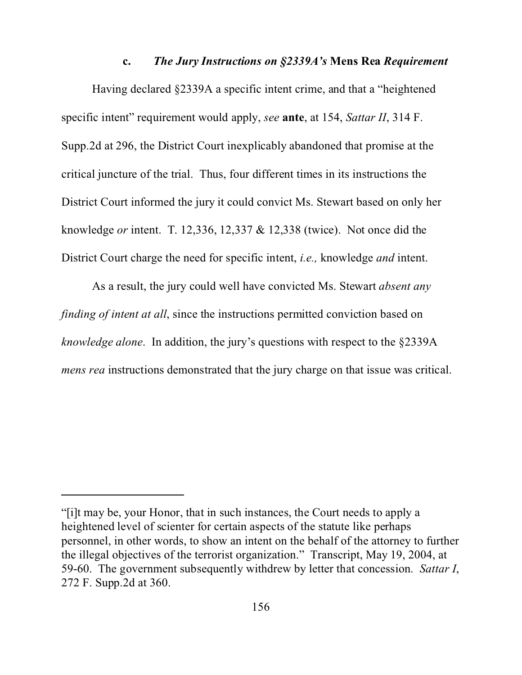#### **c.** *The Jury Instructions on §2339A's* **Mens Rea** *Requirement*

Having declared §2339A a specific intent crime, and that a "heightened specific intent" requirement would apply, *see* **ante**, at 154, *Sattar II*, 314 F. Supp.2d at 296, the District Court inexplicably abandoned that promise at the critical juncture of the trial. Thus, four different times in its instructions the District Court informed the jury it could convict Ms. Stewart based on only her knowledge *or* intent. T. 12,336, 12,337 & 12,338 (twice). Not once did the District Court charge the need for specific intent, *i.e.,* knowledge *and* intent.

As a result, the jury could well have convicted Ms. Stewart *absent any finding of intent at all*, since the instructions permitted conviction based on *knowledge alone*. In addition, the jury's questions with respect to the §2339A *mens rea* instructions demonstrated that the jury charge on that issue was critical.

<sup>&</sup>quot;[i]t may be, your Honor, that in such instances, the Court needs to apply a heightened level of scienter for certain aspects of the statute like perhaps personnel, in other words, to show an intent on the behalf of the attorney to further the illegal objectives of the terrorist organization." Transcript, May 19, 2004, at 59-60. The government subsequently withdrew by letter that concession. *Sattar I*, 272 F. Supp.2d at 360.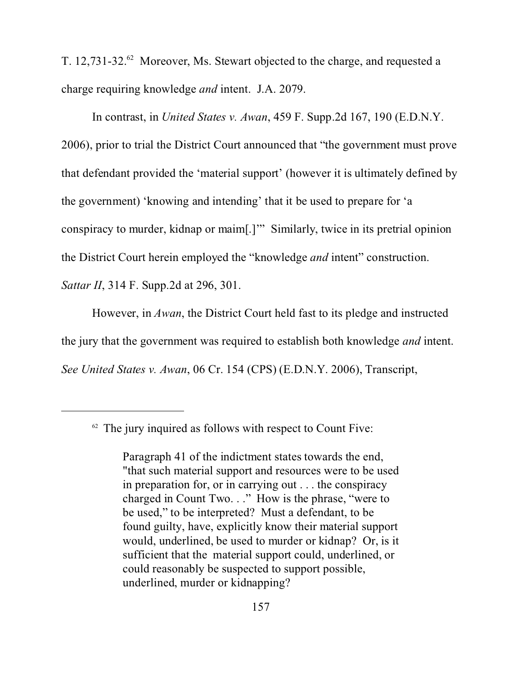T. 12,731-32.<sup>62</sup> Moreover, Ms. Stewart objected to the charge, and requested a charge requiring knowledge *and* intent. J.A. 2079.

In contrast, in *United States v. Awan*, 459 F. Supp.2d 167, 190 (E.D.N.Y. 2006), prior to trial the District Court announced that "the government must prove that defendant provided the 'material support' (however it is ultimately defined by the government) 'knowing and intending' that it be used to prepare for 'a conspiracy to murder, kidnap or maim[.]'" Similarly, twice in its pretrial opinion the District Court herein employed the "knowledge *and* intent" construction. *Sattar II*, 314 F. Supp. 2d at 296, 301.

However, in *Awan*, the District Court held fast to its pledge and instructed the jury that the government was required to establish both knowledge *and* intent. *See United States v. Awan*, 06 Cr. 154 (CPS) (E.D.N.Y. 2006), Transcript,

 $62$  The jury inquired as follows with respect to Count Five:

Paragraph 41 of the indictment states towards the end, "that such material support and resources were to be used in preparation for, or in carrying out . . . the conspiracy charged in Count Two. . ." How is the phrase, "were to be used," to be interpreted? Must a defendant, to be found guilty, have, explicitly know their material support would, underlined, be used to murder or kidnap? Or, is it sufficient that the material support could, underlined, or could reasonably be suspected to support possible, underlined, murder or kidnapping?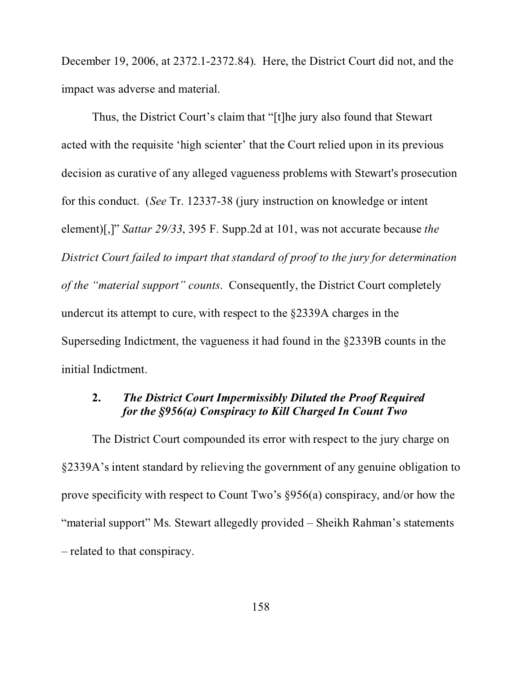December 19, 2006, at 2372.1-2372.84). Here, the District Court did not, and the impact was adverse and material.

Thus, the District Court's claim that "[t]he jury also found that Stewart acted with the requisite 'high scienter' that the Court relied upon in its previous decision as curative of any alleged vagueness problems with Stewart's prosecution for this conduct. (*See* Tr. 12337-38 (jury instruction on knowledge or intent element)[,]" *Sattar 29/33*, 395 F. Supp.2d at 101, was not accurate because *the District Court failed to impart that standard of proof to the jury for determination of the "material support" counts*. Consequently, the District Court completely undercut its attempt to cure, with respect to the §2339A charges in the Superseding Indictment, the vagueness it had found in the §2339B counts in the initial Indictment.

# **2.** *The District Court Impermissibly Diluted the Proof Required for the §956(a) Conspiracy to Kill Charged In Count Two*

The District Court compounded its error with respect to the jury charge on §2339A's intent standard by relieving the government of any genuine obligation to prove specificity with respect to Count Two's §956(a) conspiracy, and/or how the "material support" Ms. Stewart allegedly provided – Sheikh Rahman's statements – related to that conspiracy.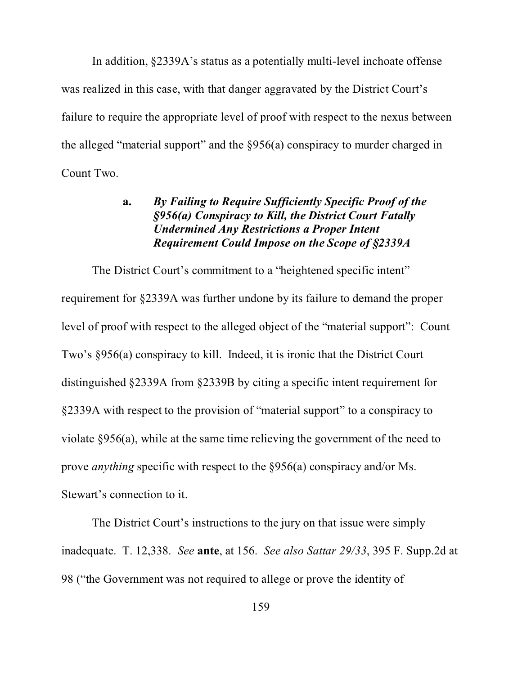In addition, §2339A's status as a potentially multi-level inchoate offense was realized in this case, with that danger aggravated by the District Court's failure to require the appropriate level of proof with respect to the nexus between the alleged "material support" and the §956(a) conspiracy to murder charged in Count Two.

## **a.** *By Failing to Require Sufficiently Specific Proof of the §956(a) Conspiracy to Kill, the District Court Fatally Undermined Any Restrictions a Proper Intent Requirement Could Impose on the Scope of §2339A*

The District Court's commitment to a "heightened specific intent" requirement for §2339A was further undone by its failure to demand the proper level of proof with respect to the alleged object of the "material support": Count Two's §956(a) conspiracy to kill. Indeed, it is ironic that the District Court distinguished §2339A from §2339B by citing a specific intent requirement for §2339A with respect to the provision of "material support" to a conspiracy to violate §956(a), while at the same time relieving the government of the need to prove *anything* specific with respect to the §956(a) conspiracy and/or Ms. Stewart's connection to it.

The District Court's instructions to the jury on that issue were simply inadequate. T. 12,338. *See* **ante**, at 156. *See also Sattar 29/33*, 395 F. Supp.2d at 98 ("the Government was not required to allege or prove the identity of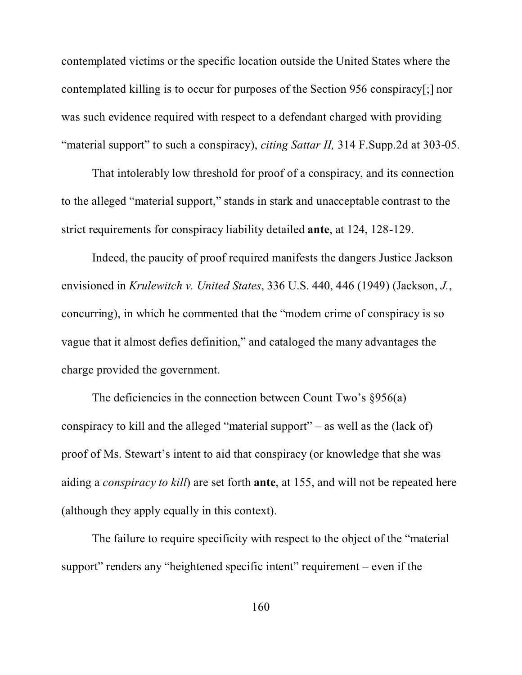contemplated victims or the specific location outside the United States where the contemplated killing is to occur for purposes of the Section 956 conspiracy[;] nor was such evidence required with respect to a defendant charged with providing "material support" to such a conspiracy), *citing Sattar II,* 314 F.Supp.2d at 303-05.

That intolerably low threshold for proof of a conspiracy, and its connection to the alleged "material support," stands in stark and unacceptable contrast to the strict requirements for conspiracy liability detailed **ante**, at 124, 128-129.

Indeed, the paucity of proof required manifests the dangers Justice Jackson envisioned in *Krulewitch v. United States*, 336 U.S. 440, 446 (1949) (Jackson, *J.*, concurring), in which he commented that the "modern crime of conspiracy is so vague that it almost defies definition," and cataloged the many advantages the charge provided the government.

The deficiencies in the connection between Count Two's §956(a) conspiracy to kill and the alleged "material support" – as well as the (lack of) proof of Ms. Stewart's intent to aid that conspiracy (or knowledge that she was aiding a *conspiracy to kill*) are set forth **ante**, at 155, and will not be repeated here (although they apply equally in this context).

The failure to require specificity with respect to the object of the "material support" renders any "heightened specific intent" requirement – even if the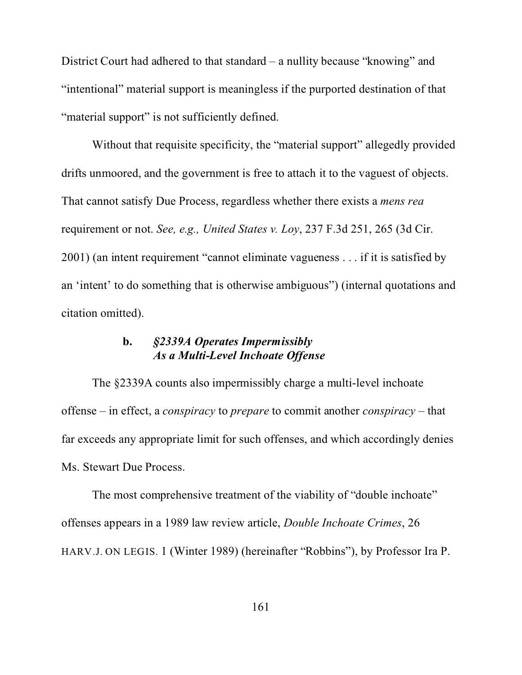District Court had adhered to that standard – a nullity because "knowing" and "intentional" material support is meaningless if the purported destination of that "material support" is not sufficiently defined.

Without that requisite specificity, the "material support" allegedly provided drifts unmoored, and the government is free to attach it to the vaguest of objects. That cannot satisfy Due Process, regardless whether there exists a *mens rea* requirement or not. *See, e.g., United States v. Loy*, 237 F.3d 251, 265 (3d Cir. 2001) (an intent requirement "cannot eliminate vagueness . . . if it is satisfied by an 'intent' to do something that is otherwise ambiguous") (internal quotations and citation omitted).

# **b.** *§2339A Operates Impermissibly As a Multi-Level Inchoate Offense*

The §2339A counts also impermissibly charge a multi-level inchoate offense – in effect, a *conspiracy* to *prepare* to commit another *conspiracy* – that far exceeds any appropriate limit for such offenses, and which accordingly denies Ms. Stewart Due Process.

The most comprehensive treatment of the viability of "double inchoate" offenses appears in a 1989 law review article, *Double Inchoate Crimes*, 26 HARV.J. ON LEGIS. 1 (Winter 1989) (hereinafter "Robbins"), by Professor Ira P.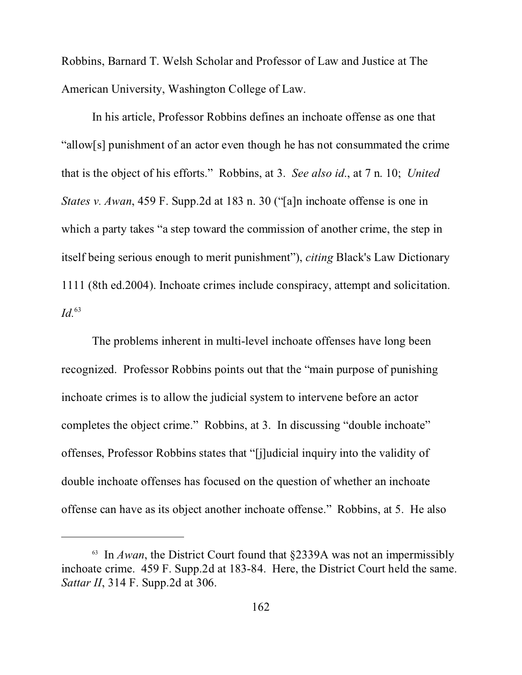Robbins, Barnard T. Welsh Scholar and Professor of Law and Justice at The American University, Washington College of Law.

In his article, Professor Robbins defines an inchoate offense as one that "allow[s] punishment of an actor even though he has not consummated the crime that is the object of his efforts." Robbins, at 3. *See also id*., at 7 n. 10; *United States v. Awan*, 459 F. Supp.2d at 183 n. 30 ("[a]n inchoate offense is one in which a party takes "a step toward the commission of another crime, the step in itself being serious enough to merit punishment"), *citing* Black's Law Dictionary 1111 (8th ed.2004). Inchoate crimes include conspiracy, attempt and solicitation. *Id.*<sup>63</sup>

The problems inherent in multi-level inchoate offenses have long been recognized. Professor Robbins points out that the "main purpose of punishing inchoate crimes is to allow the judicial system to intervene before an actor completes the object crime." Robbins, at 3. In discussing "double inchoate" offenses, Professor Robbins states that "[j]udicial inquiry into the validity of double inchoate offenses has focused on the question of whether an inchoate offense can have as its object another inchoate offense." Robbins, at 5. He also

<sup>&</sup>lt;sup>63</sup> In *Awan*, the District Court found that  $\S$ 2339A was not an impermissibly inchoate crime. 459 F. Supp.2d at 183-84. Here, the District Court held the same. *Sattar II*, 314 F. Supp.2d at 306.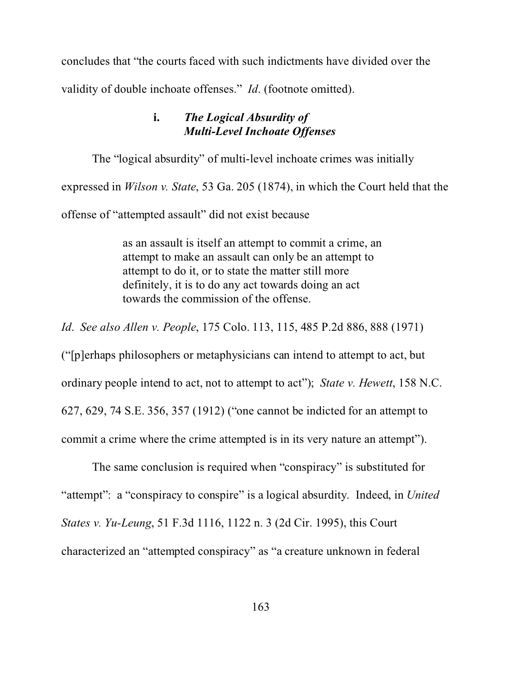concludes that "the courts faced with such indictments have divided over the validity of double inchoate offenses." *Id*. (footnote omitted).

### **i.** *The Logical Absurdity of Multi-Level Inchoate Offenses*

The "logical absurdity" of multi-level inchoate crimes was initially expressed in *Wilson v. State*, 53 Ga. 205 (1874), in which the Court held that the offense of "attempted assault" did not exist because

> as an assault is itself an attempt to commit a crime, an attempt to make an assault can only be an attempt to attempt to do it, or to state the matter still more definitely, it is to do any act towards doing an act towards the commission of the offense.

*Id*. *See also Allen v. People*, 175 Colo. 113, 115, 485 P.2d 886, 888 (1971)

("[p]erhaps philosophers or metaphysicians can intend to attempt to act, but ordinary people intend to act, not to attempt to act"); *State v. Hewett*, 158 N.C. 627, 629, 74 S.E. 356, 357 (1912) ("one cannot be indicted for an attempt to commit a crime where the crime attempted is in its very nature an attempt").

The same conclusion is required when "conspiracy" is substituted for "attempt": a "conspiracy to conspire" is a logical absurdity. Indeed, in *United States v. Yu-Leung*, 51 F.3d 1116, 1122 n. 3 (2d Cir. 1995), this Court characterized an "attempted conspiracy" as "a creature unknown in federal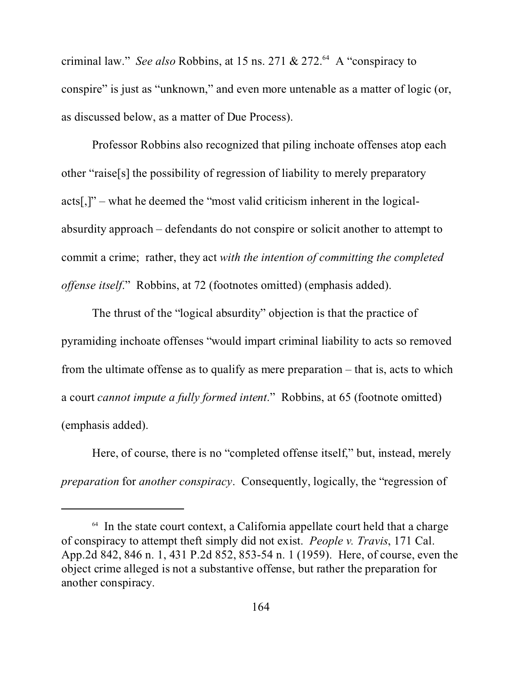criminal law." *See also* Robbins, at 15 ns. 271 & 272.<sup>64</sup> A "conspiracy to conspire" is just as "unknown," and even more untenable as a matter of logic (or, as discussed below, as a matter of Due Process).

Professor Robbins also recognized that piling inchoate offenses atop each other "raise[s] the possibility of regression of liability to merely preparatory acts[,]" – what he deemed the "most valid criticism inherent in the logicalabsurdity approach – defendants do not conspire or solicit another to attempt to commit a crime; rather, they act *with the intention of committing the completed offense itself*." Robbins, at 72 (footnotes omitted) (emphasis added).

The thrust of the "logical absurdity" objection is that the practice of pyramiding inchoate offenses "would impart criminal liability to acts so removed from the ultimate offense as to qualify as mere preparation – that is, acts to which a court *cannot impute a fully formed intent*." Robbins, at 65 (footnote omitted) (emphasis added).

Here, of course, there is no "completed offense itself," but, instead, merely *preparation* for *another conspiracy*. Consequently, logically, the "regression of

 $64$  In the state court context, a California appellate court held that a charge of conspiracy to attempt theft simply did not exist. *People v. Travis*, 171 Cal. App.2d 842, 846 n. 1, 431 P.2d 852, 853-54 n. 1 (1959). Here, of course, even the object crime alleged is not a substantive offense, but rather the preparation for another conspiracy.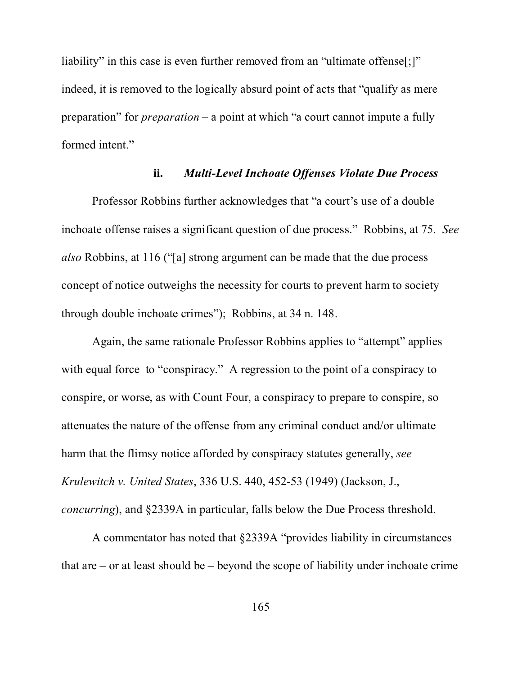liability" in this case is even further removed from an "ultimate offense<sup>[:]"</sup> indeed, it is removed to the logically absurd point of acts that "qualify as mere preparation" for *preparation* – a point at which "a court cannot impute a fully formed intent."

#### **ii.** *Multi-Level Inchoate Offenses Violate Due Process*

Professor Robbins further acknowledges that "a court's use of a double inchoate offense raises a significant question of due process." Robbins, at 75. *See also* Robbins, at 116 ("[a] strong argument can be made that the due process concept of notice outweighs the necessity for courts to prevent harm to society through double inchoate crimes"); Robbins, at 34 n. 148.

Again, the same rationale Professor Robbins applies to "attempt" applies with equal force to "conspiracy." A regression to the point of a conspiracy to conspire, or worse, as with Count Four, a conspiracy to prepare to conspire, so attenuates the nature of the offense from any criminal conduct and/or ultimate harm that the flimsy notice afforded by conspiracy statutes generally, *see Krulewitch v. United States*, 336 U.S. 440, 452-53 (1949) (Jackson, J., *concurring*), and §2339A in particular, falls below the Due Process threshold.

A commentator has noted that §2339A "provides liability in circumstances that are  $-$  or at least should be  $-$  beyond the scope of liability under inchoate crime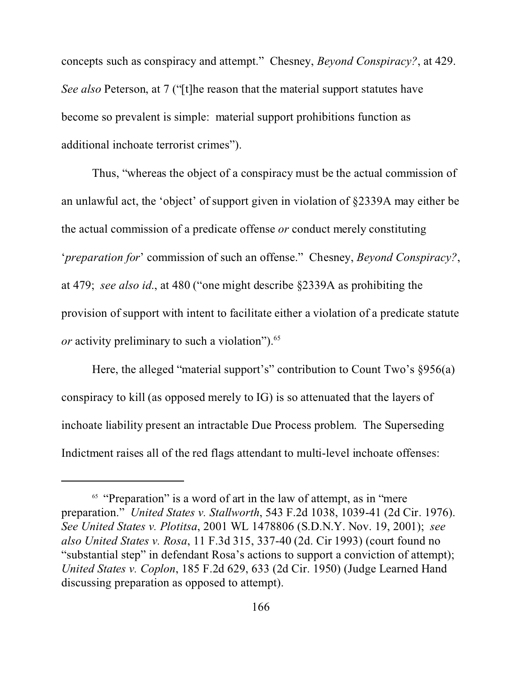concepts such as conspiracy and attempt." Chesney, *Beyond Conspiracy?*, at 429. *See also* Peterson, at 7 ("[t]he reason that the material support statutes have become so prevalent is simple: material support prohibitions function as additional inchoate terrorist crimes").

Thus, "whereas the object of a conspiracy must be the actual commission of an unlawful act, the 'object' of support given in violation of §2339A may either be the actual commission of a predicate offense *or* conduct merely constituting '*preparation for*' commission of such an offense." Chesney, *Beyond Conspiracy?*, at 479; *see also id*., at 480 ("one might describe §2339A as prohibiting the provision of support with intent to facilitate either a violation of a predicate statute *or* activity preliminary to such a violation").<sup>65</sup>

Here, the alleged "material support's" contribution to Count Two's §956(a) conspiracy to kill (as opposed merely to IG) is so attenuated that the layers of inchoate liability present an intractable Due Process problem. The Superseding Indictment raises all of the red flags attendant to multi-level inchoate offenses:

<sup>&</sup>lt;sup>65</sup> "Preparation" is a word of art in the law of attempt, as in "mere" preparation." *United States v. Stallworth*, 543 F.2d 1038, 1039-41 (2d Cir. 1976). *See United States v. Plotitsa*, 2001 WL 1478806 (S.D.N.Y. Nov. 19, 2001); *see also United States v. Rosa*, 11 F.3d 315, 337-40 (2d. Cir 1993) (court found no "substantial step" in defendant Rosa's actions to support a conviction of attempt); *United States v. Coplon*, 185 F.2d 629, 633 (2d Cir. 1950) (Judge Learned Hand discussing preparation as opposed to attempt).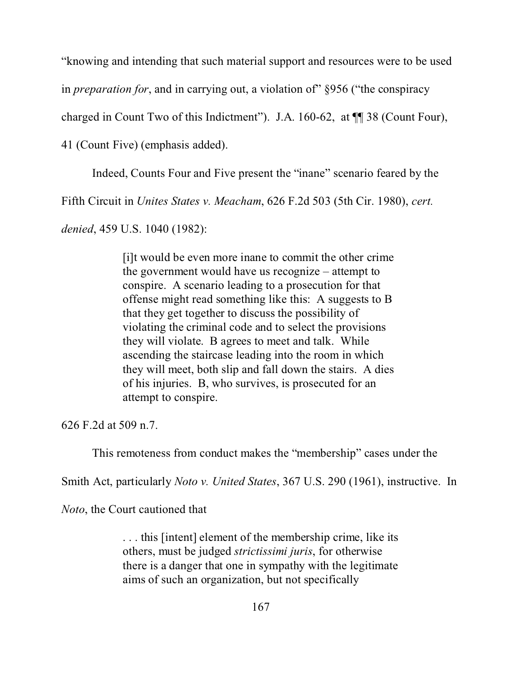"knowing and intending that such material support and resources were to be used

in *preparation for*, and in carrying out, a violation of" §956 ("the conspiracy

charged in Count Two of this Indictment"). J.A. 160-62, at ¶¶ 38 (Count Four),

41 (Count Five) (emphasis added).

Indeed, Counts Four and Five present the "inane" scenario feared by the

Fifth Circuit in *Unites States v. Meacham*, 626 F.2d 503 (5th Cir. 1980), *cert.*

*denied*, 459 U.S. 1040 (1982):

[i]t would be even more inane to commit the other crime the government would have us recognize – attempt to conspire. A scenario leading to a prosecution for that offense might read something like this: A suggests to B that they get together to discuss the possibility of violating the criminal code and to select the provisions they will violate. B agrees to meet and talk. While ascending the staircase leading into the room in which they will meet, both slip and fall down the stairs. A dies of his injuries. B, who survives, is prosecuted for an attempt to conspire.

626 F.2d at 509 n.7.

This remoteness from conduct makes the "membership" cases under the

Smith Act, particularly *Noto v. United States*, 367 U.S. 290 (1961), instructive. In

*Noto*, the Court cautioned that

. . . this [intent] element of the membership crime, like its others, must be judged *strictissimi juris*, for otherwise there is a danger that one in sympathy with the legitimate aims of such an organization, but not specifically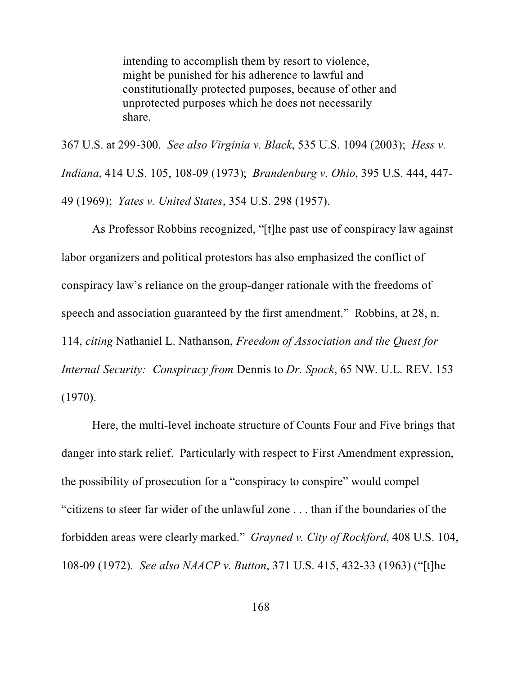intending to accomplish them by resort to violence, might be punished for his adherence to lawful and constitutionally protected purposes, because of other and unprotected purposes which he does not necessarily share.

367 U.S. at 299-300. *See also Virginia v. Black*, 535 U.S. 1094 (2003); *Hess v. Indiana*, 414 U.S. 105, 108-09 (1973); *Brandenburg v. Ohio*, 395 U.S. 444, 447- 49 (1969); *Yates v. United States*, 354 U.S. 298 (1957).

As Professor Robbins recognized, "[t]he past use of conspiracy law against labor organizers and political protestors has also emphasized the conflict of conspiracy law's reliance on the group-danger rationale with the freedoms of speech and association guaranteed by the first amendment." Robbins, at 28, n. 114, *citing* Nathaniel L. Nathanson, *Freedom of Association and the Quest for Internal Security: Conspiracy from* Dennis to *Dr. Spock*, 65 NW. U.L. REV. 153 (1970).

Here, the multi-level inchoate structure of Counts Four and Five brings that danger into stark relief. Particularly with respect to First Amendment expression, the possibility of prosecution for a "conspiracy to conspire" would compel "citizens to steer far wider of the unlawful zone . . . than if the boundaries of the forbidden areas were clearly marked." *Grayned v. City of Rockford*, 408 U.S. 104, 108-09 (1972). *See also NAACP v. Button*, 371 U.S. 415, 432-33 (1963) ("[t]he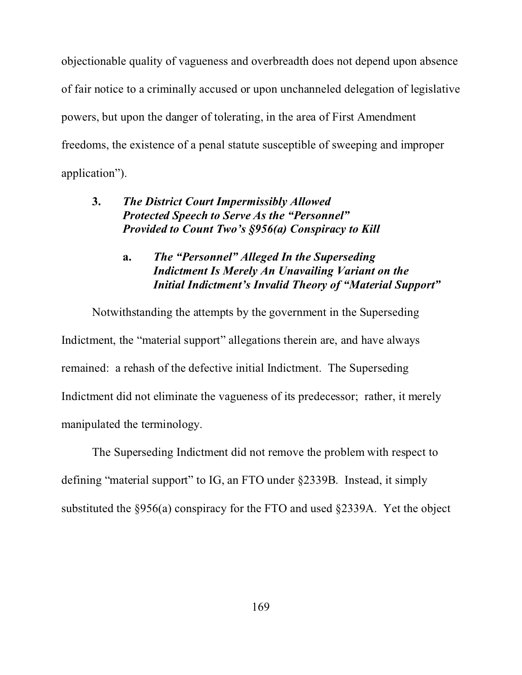objectionable quality of vagueness and overbreadth does not depend upon absence of fair notice to a criminally accused or upon unchanneled delegation of legislative powers, but upon the danger of tolerating, in the area of First Amendment freedoms, the existence of a penal statute susceptible of sweeping and improper application").

# **3.** *The District Court Impermissibly Allowed Protected Speech to Serve As the "Personnel" Provided to Count Two's §956(a) Conspiracy to Kill*

# **a.** *The "Personnel" Alleged In the Superseding Indictment Is Merely An Unavailing Variant on the Initial Indictment's Invalid Theory of "Material Support"*

Notwithstanding the attempts by the government in the Superseding Indictment, the "material support" allegations therein are, and have always remained: a rehash of the defective initial Indictment. The Superseding Indictment did not eliminate the vagueness of its predecessor; rather, it merely manipulated the terminology.

The Superseding Indictment did not remove the problem with respect to defining "material support" to IG, an FTO under §2339B. Instead, it simply substituted the §956(a) conspiracy for the FTO and used §2339A. Yet the object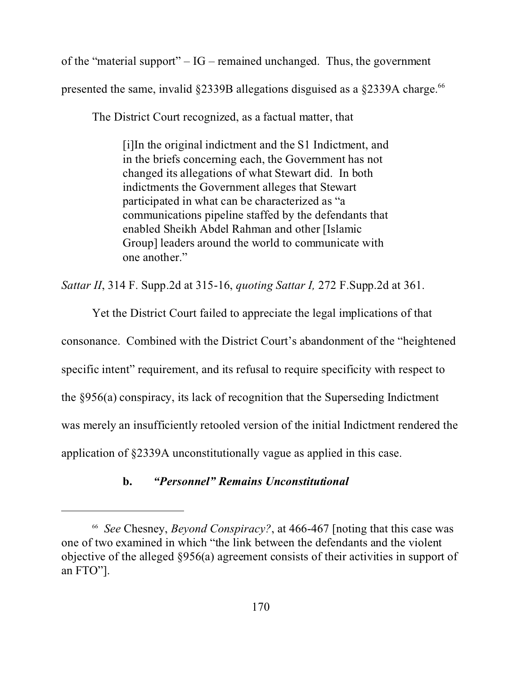of the "material support"  $- IG$  – remained unchanged. Thus, the government presented the same, invalid  $\S$ 2339B allegations disguised as a  $\S$ 2339A charge.<sup>66</sup>

The District Court recognized, as a factual matter, that

[i]In the original indictment and the S1 Indictment, and in the briefs concerning each, the Government has not changed its allegations of what Stewart did. In both indictments the Government alleges that Stewart participated in what can be characterized as "a communications pipeline staffed by the defendants that enabled Sheikh Abdel Rahman and other [Islamic Group] leaders around the world to communicate with one another."

*Sattar II*, 314 F. Supp.2d at 315-16, *quoting Sattar I,* 272 F.Supp.2d at 361.

Yet the District Court failed to appreciate the legal implications of that consonance. Combined with the District Court's abandonment of the "heightened specific intent" requirement, and its refusal to require specificity with respect to the §956(a) conspiracy, its lack of recognition that the Superseding Indictment was merely an insufficiently retooled version of the initial Indictment rendered the application of §2339A unconstitutionally vague as applied in this case.

# **b.** *"Personnel" Remains Unconstitutional*

<sup>66</sup> *See* Chesney, *Beyond Conspiracy?*, at 466-467 [noting that this case was one of two examined in which "the link between the defendants and the violent objective of the alleged §956(a) agreement consists of their activities in support of an FTO"].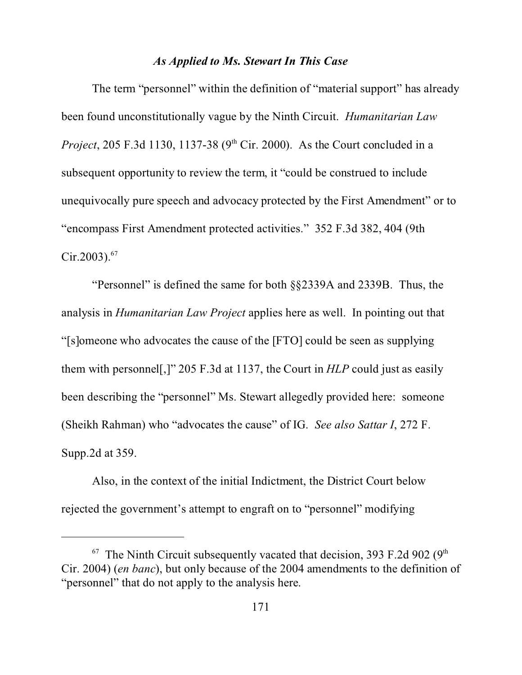#### *As Applied to Ms. Stewart In This Case*

The term "personnel" within the definition of "material support" has already been found unconstitutionally vague by the Ninth Circuit. *Humanitarian Law Project*, 205 F.3d 1130, 1137-38 ( $9<sup>th</sup>$  Cir. 2000). As the Court concluded in a subsequent opportunity to review the term, it "could be construed to include unequivocally pure speech and advocacy protected by the First Amendment" or to "encompass First Amendment protected activities." 352 F.3d 382, 404 (9th Cir.2003).<sup>67</sup>

"Personnel" is defined the same for both §§2339A and 2339B. Thus, the analysis in *Humanitarian Law Project* applies here as well. In pointing out that "[s]omeone who advocates the cause of the [FTO] could be seen as supplying them with personnel[,]" 205 F.3d at 1137, the Court in *HLP* could just as easily been describing the "personnel" Ms. Stewart allegedly provided here: someone (Sheikh Rahman) who "advocates the cause" of IG. *See also Sattar I*, 272 F. Supp.2d at 359.

Also, in the context of the initial Indictment, the District Court below rejected the government's attempt to engraft on to "personnel" modifying

 $67$  The Ninth Circuit subsequently vacated that decision, 393 F.2d 902 (9<sup>th</sup>) Cir. 2004) (*en banc*), but only because of the 2004 amendments to the definition of "personnel" that do not apply to the analysis here.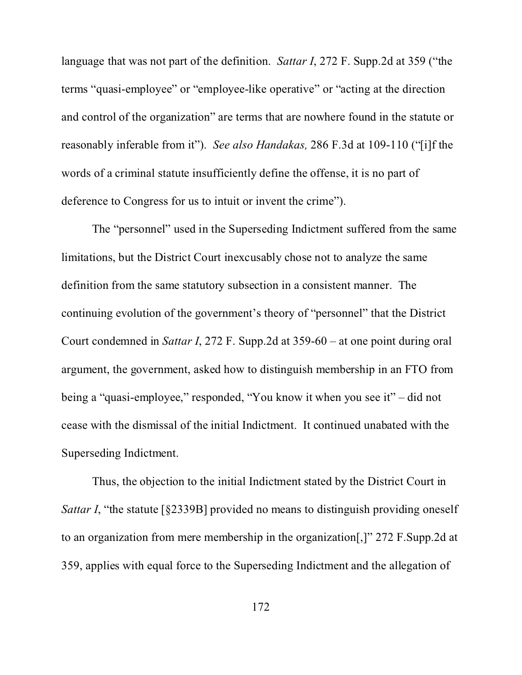language that was not part of the definition. *Sattar I*, 272 F. Supp.2d at 359 ("the terms "quasi-employee" or "employee-like operative" or "acting at the direction and control of the organization" are terms that are nowhere found in the statute or reasonably inferable from it"). *See also Handakas,* 286 F.3d at 109-110 ("[i]f the words of a criminal statute insufficiently define the offense, it is no part of deference to Congress for us to intuit or invent the crime").

The "personnel" used in the Superseding Indictment suffered from the same limitations, but the District Court inexcusably chose not to analyze the same definition from the same statutory subsection in a consistent manner. The continuing evolution of the government's theory of "personnel" that the District Court condemned in *Sattar I*, 272 F. Supp.2d at 359-60 – at one point during oral argument, the government, asked how to distinguish membership in an FTO from being a "quasi-employee," responded, "You know it when you see it" – did not cease with the dismissal of the initial Indictment. It continued unabated with the Superseding Indictment.

Thus, the objection to the initial Indictment stated by the District Court in *Sattar I*, "the statute [§2339B] provided no means to distinguish providing oneself to an organization from mere membership in the organization[,]" 272 F.Supp.2d at 359, applies with equal force to the Superseding Indictment and the allegation of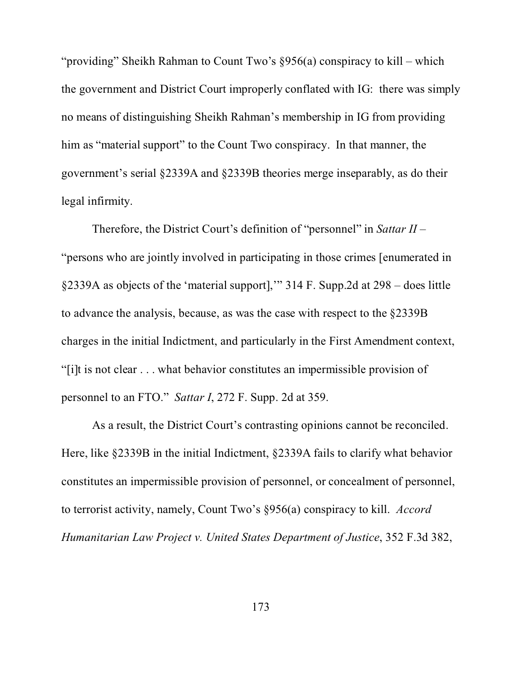"providing" Sheikh Rahman to Count Two's §956(a) conspiracy to kill – which the government and District Court improperly conflated with IG: there was simply no means of distinguishing Sheikh Rahman's membership in IG from providing him as "material support" to the Count Two conspiracy. In that manner, the government's serial §2339A and §2339B theories merge inseparably, as do their legal infirmity.

Therefore, the District Court's definition of "personnel" in *Sattar II* – "persons who are jointly involved in participating in those crimes [enumerated in §2339A as objects of the 'material support],'" 314 F. Supp.2d at 298 – does little to advance the analysis, because, as was the case with respect to the §2339B charges in the initial Indictment, and particularly in the First Amendment context, "[i]t is not clear . . . what behavior constitutes an impermissible provision of personnel to an FTO." *Sattar I*, 272 F. Supp. 2d at 359.

As a result, the District Court's contrasting opinions cannot be reconciled. Here, like §2339B in the initial Indictment, §2339A fails to clarify what behavior constitutes an impermissible provision of personnel, or concealment of personnel, to terrorist activity, namely, Count Two's §956(a) conspiracy to kill. *Accord Humanitarian Law Project v. United States Department of Justice*, 352 F.3d 382,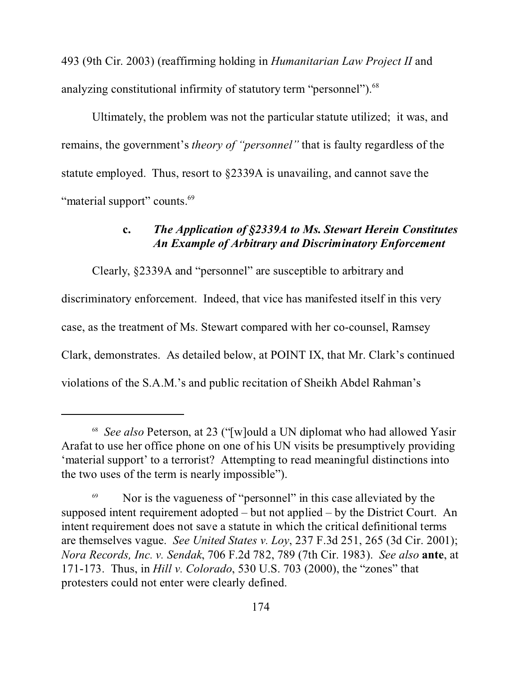493 (9th Cir. 2003) (reaffirming holding in *Humanitarian Law Project II* and analyzing constitutional infirmity of statutory term "personnel").<sup>68</sup>

Ultimately, the problem was not the particular statute utilized; it was, and remains, the government's *theory of "personnel"* that is faulty regardless of the statute employed. Thus, resort to §2339A is unavailing, and cannot save the "material support" counts.<sup>69</sup>

#### **c.** *The Application of §2339A to Ms. Stewart Herein Constitutes An Example of Arbitrary and Discriminatory Enforcement*

Clearly, §2339A and "personnel" are susceptible to arbitrary and discriminatory enforcement. Indeed, that vice has manifested itself in this very case, as the treatment of Ms. Stewart compared with her co-counsel, Ramsey Clark, demonstrates. As detailed below, at POINT IX, that Mr. Clark's continued violations of the S.A.M.'s and public recitation of Sheikh Abdel Rahman's

<sup>68</sup> *See also* Peterson, at 23 ("[w]ould a UN diplomat who had allowed Yasir Arafat to use her office phone on one of his UN visits be presumptively providing 'material support' to a terrorist? Attempting to read meaningful distinctions into the two uses of the term is nearly impossible").

<sup>69</sup> Nor is the vagueness of "personnel" in this case alleviated by the supposed intent requirement adopted – but not applied – by the District Court. An intent requirement does not save a statute in which the critical definitional terms are themselves vague. *See United States v. Loy*, 237 F.3d 251, 265 (3d Cir. 2001); *Nora Records, Inc. v. Sendak*, 706 F.2d 782, 789 (7th Cir. 1983). *See also* **ante**, at 171-173. Thus, in *Hill v. Colorado*, 530 U.S. 703 (2000), the "zones" that protesters could not enter were clearly defined.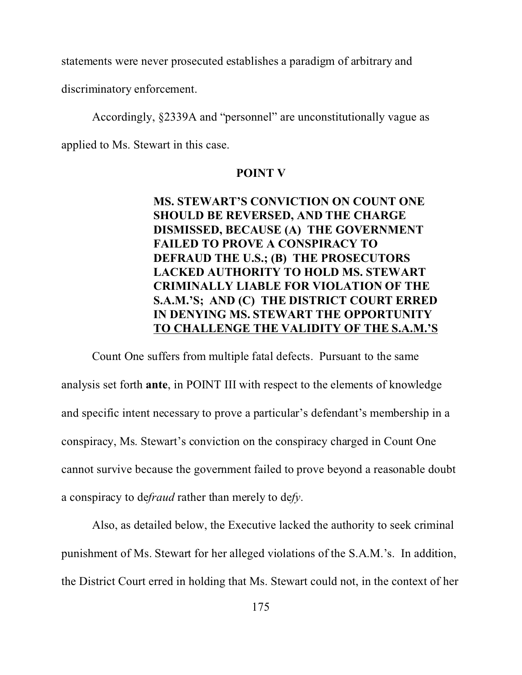statements were never prosecuted establishes a paradigm of arbitrary and

discriminatory enforcement.

Accordingly, §2339A and "personnel" are unconstitutionally vague as

applied to Ms. Stewart in this case.

#### **POINT V**

# **MS. STEWART'S CONVICTION ON COUNT ONE SHOULD BE REVERSED, AND THE CHARGE DISMISSED, BECAUSE (A) THE GOVERNMENT FAILED TO PROVE A CONSPIRACY TO DEFRAUD THE U.S.; (B) THE PROSECUTORS LACKED AUTHORITY TO HOLD MS. STEWART CRIMINALLY LIABLE FOR VIOLATION OF THE S.A.M.'S; AND (C) THE DISTRICT COURT ERRED IN DENYING MS. STEWART THE OPPORTUNITY TO CHALLENGE THE VALIDITY OF THE S.A.M.'S**

Count One suffers from multiple fatal defects. Pursuant to the same analysis set forth **ante**, in POINT III with respect to the elements of knowledge and specific intent necessary to prove a particular's defendant's membership in a conspiracy, Ms. Stewart's conviction on the conspiracy charged in Count One cannot survive because the government failed to prove beyond a reasonable doubt a conspiracy to de*fraud* rather than merely to de*fy*.

Also, as detailed below, the Executive lacked the authority to seek criminal punishment of Ms. Stewart for her alleged violations of the S.A.M.'s. In addition, the District Court erred in holding that Ms. Stewart could not, in the context of her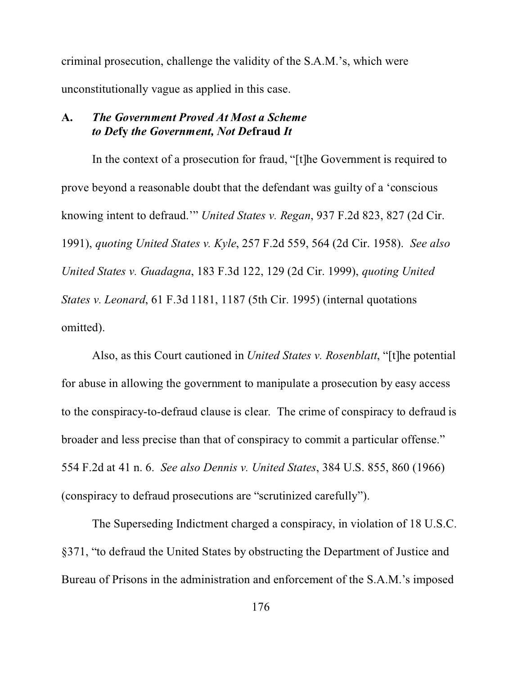criminal prosecution, challenge the validity of the S.A.M.'s, which were unconstitutionally vague as applied in this case.

### **A.** *The Government Proved At Most a Scheme to De***fy** *the Government, Not De***fraud** *It*

In the context of a prosecution for fraud, "[t]he Government is required to prove beyond a reasonable doubt that the defendant was guilty of a 'conscious knowing intent to defraud.'" *United States v. Regan*, 937 F.2d 823, 827 (2d Cir. 1991), *quoting United States v. Kyle*, 257 F.2d 559, 564 (2d Cir. 1958). *See also United States v. Guadagna*, 183 F.3d 122, 129 (2d Cir. 1999), *quoting United States v. Leonard*, 61 F.3d 1181, 1187 (5th Cir. 1995) (internal quotations omitted).

Also, as this Court cautioned in *United States v. Rosenblatt*, "[t]he potential for abuse in allowing the government to manipulate a prosecution by easy access to the conspiracy-to-defraud clause is clear. The crime of conspiracy to defraud is broader and less precise than that of conspiracy to commit a particular offense." 554 F.2d at 41 n. 6. *See also Dennis v. United States*, 384 U.S. 855, 860 (1966) (conspiracy to defraud prosecutions are "scrutinized carefully").

The Superseding Indictment charged a conspiracy, in violation of 18 U.S.C. §371, "to defraud the United States by obstructing the Department of Justice and Bureau of Prisons in the administration and enforcement of the S.A.M.'s imposed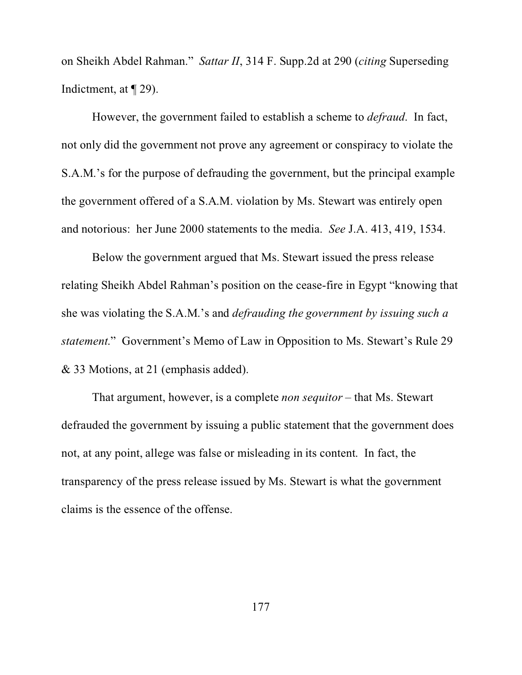on Sheikh Abdel Rahman." *Sattar II*, 314 F. Supp.2d at 290 (*citing* Superseding Indictment, at ¶ 29).

However, the government failed to establish a scheme to *defraud*. In fact, not only did the government not prove any agreement or conspiracy to violate the S.A.M.'s for the purpose of defrauding the government, but the principal example the government offered of a S.A.M. violation by Ms. Stewart was entirely open and notorious: her June 2000 statements to the media. *See* J.A. 413, 419, 1534.

Below the government argued that Ms. Stewart issued the press release relating Sheikh Abdel Rahman's position on the cease-fire in Egypt "knowing that she was violating the S.A.M.'s and *defrauding the government by issuing such a statement*." Government's Memo of Law in Opposition to Ms. Stewart's Rule 29 & 33 Motions, at 21 (emphasis added).

That argument, however, is a complete *non sequitor* – that Ms. Stewart defrauded the government by issuing a public statement that the government does not, at any point, allege was false or misleading in its content. In fact, the transparency of the press release issued by Ms. Stewart is what the government claims is the essence of the offense.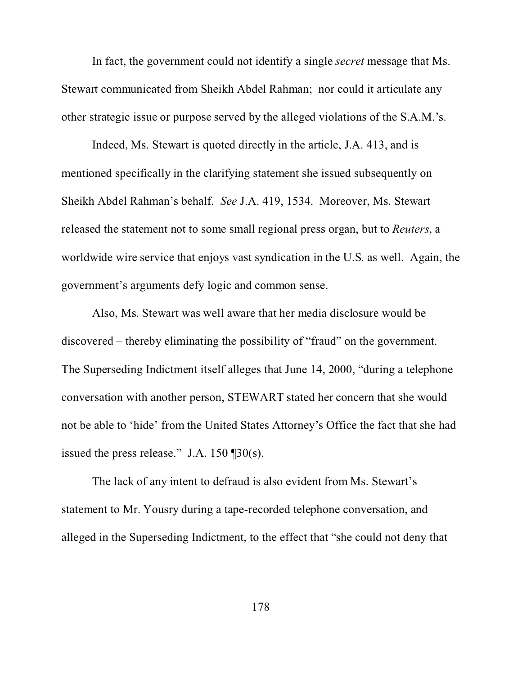In fact, the government could not identify a single *secret* message that Ms. Stewart communicated from Sheikh Abdel Rahman; nor could it articulate any other strategic issue or purpose served by the alleged violations of the S.A.M.'s.

Indeed, Ms. Stewart is quoted directly in the article, J.A. 413, and is mentioned specifically in the clarifying statement she issued subsequently on Sheikh Abdel Rahman's behalf. *See* J.A. 419, 1534. Moreover, Ms. Stewart released the statement not to some small regional press organ, but to *Reuters*, a worldwide wire service that enjoys vast syndication in the U.S. as well. Again, the government's arguments defy logic and common sense.

Also, Ms. Stewart was well aware that her media disclosure would be discovered – thereby eliminating the possibility of "fraud" on the government. The Superseding Indictment itself alleges that June 14, 2000, "during a telephone conversation with another person, STEWART stated her concern that she would not be able to 'hide' from the United States Attorney's Office the fact that she had issued the press release." J.A.  $150 \text{ } \frac{\text{d}}{\text{d}} 30 \text{(s)}$ .

The lack of any intent to defraud is also evident from Ms. Stewart's statement to Mr. Yousry during a tape-recorded telephone conversation, and alleged in the Superseding Indictment, to the effect that "she could not deny that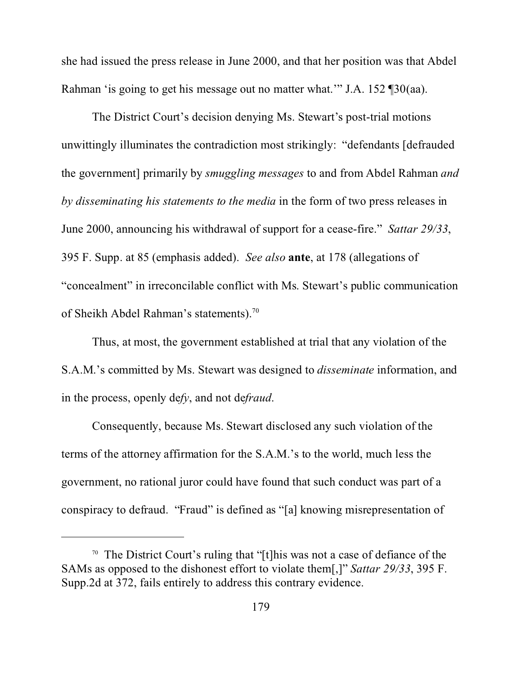she had issued the press release in June 2000, and that her position was that Abdel Rahman 'is going to get his message out no matter what.'" J.A. 152 ¶30(aa).

The District Court's decision denying Ms. Stewart's post-trial motions unwittingly illuminates the contradiction most strikingly: "defendants [defrauded the government] primarily by *smuggling messages* to and from Abdel Rahman *and by disseminating his statements to the media* in the form of two press releases in June 2000, announcing his withdrawal of support for a cease-fire." *Sattar 29/33*, 395 F. Supp. at 85 (emphasis added). *See also* **ante**, at 178 (allegations of "concealment" in irreconcilable conflict with Ms. Stewart's public communication of Sheikh Abdel Rahman's statements).<sup>70</sup>

Thus, at most, the government established at trial that any violation of the S.A.M.'s committed by Ms. Stewart was designed to *disseminate* information, and in the process, openly de*fy*, and not de*fraud*.

Consequently, because Ms. Stewart disclosed any such violation of the terms of the attorney affirmation for the S.A.M.'s to the world, much less the government, no rational juror could have found that such conduct was part of a conspiracy to defraud. "Fraud" is defined as "[a] knowing misrepresentation of

<sup>&</sup>lt;sup>70</sup> The District Court's ruling that "[t]his was not a case of defiance of the SAMs as opposed to the dishonest effort to violate them[,]" *Sattar 29/33*, 395 F. Supp.2d at 372, fails entirely to address this contrary evidence.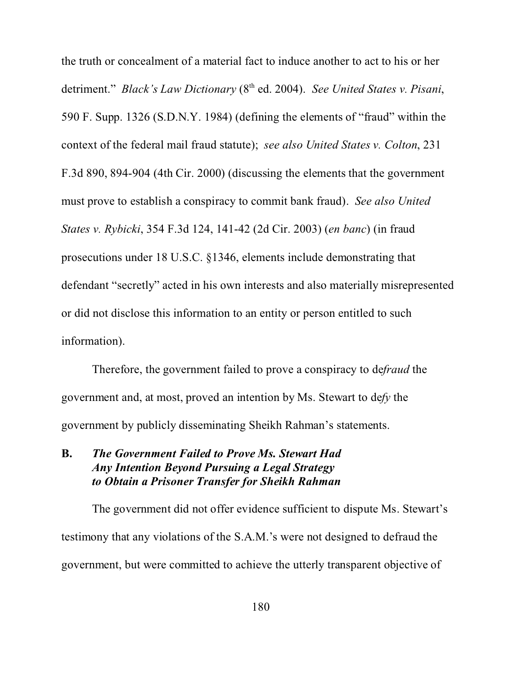the truth or concealment of a material fact to induce another to act to his or her detriment." *Black's Law Dictionary* (8<sup>th</sup> ed. 2004). *See United States v. Pisani*, 590 F. Supp. 1326 (S.D.N.Y. 1984) (defining the elements of "fraud" within the context of the federal mail fraud statute); *see also United States v. Colton*, 231 F.3d 890, 894-904 (4th Cir. 2000) (discussing the elements that the government must prove to establish a conspiracy to commit bank fraud). *See also United States v. Rybicki*, 354 F.3d 124, 141-42 (2d Cir. 2003) (*en banc*) (in fraud prosecutions under 18 U.S.C. §1346, elements include demonstrating that defendant "secretly" acted in his own interests and also materially misrepresented or did not disclose this information to an entity or person entitled to such information).

Therefore, the government failed to prove a conspiracy to de*fraud* the government and, at most, proved an intention by Ms. Stewart to de*fy* the government by publicly disseminating Sheikh Rahman's statements.

## **B.** *The Government Failed to Prove Ms. Stewart Had Any Intention Beyond Pursuing a Legal Strategy to Obtain a Prisoner Transfer for Sheikh Rahman*

The government did not offer evidence sufficient to dispute Ms. Stewart's testimony that any violations of the S.A.M.'s were not designed to defraud the government, but were committed to achieve the utterly transparent objective of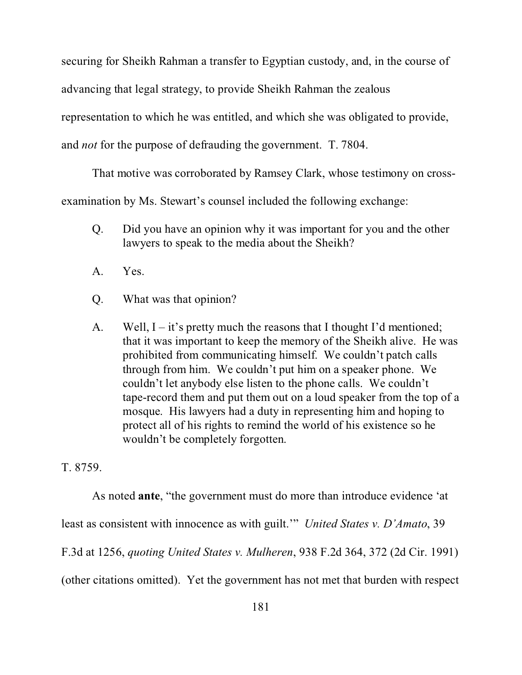securing for Sheikh Rahman a transfer to Egyptian custody, and, in the course of advancing that legal strategy, to provide Sheikh Rahman the zealous representation to which he was entitled, and which she was obligated to provide, and *not* for the purpose of defrauding the government. T. 7804.

That motive was corroborated by Ramsey Clark, whose testimony on cross-

examination by Ms. Stewart's counsel included the following exchange:

- Q. Did you have an opinion why it was important for you and the other lawyers to speak to the media about the Sheikh?
- A. Yes.
- Q. What was that opinion?
- A. Well,  $I it$ 's pretty much the reasons that I thought I'd mentioned; that it was important to keep the memory of the Sheikh alive. He was prohibited from communicating himself. We couldn't patch calls through from him. We couldn't put him on a speaker phone. We couldn't let anybody else listen to the phone calls. We couldn't tape-record them and put them out on a loud speaker from the top of a mosque. His lawyers had a duty in representing him and hoping to protect all of his rights to remind the world of his existence so he wouldn't be completely forgotten.

T. 8759.

As noted **ante**, "the government must do more than introduce evidence 'at

least as consistent with innocence as with guilt.'" *United States v. D'Amato*, 39

F.3d at 1256, *quoting United States v. Mulheren*, 938 F.2d 364, 372 (2d Cir. 1991)

(other citations omitted). Yet the government has not met that burden with respect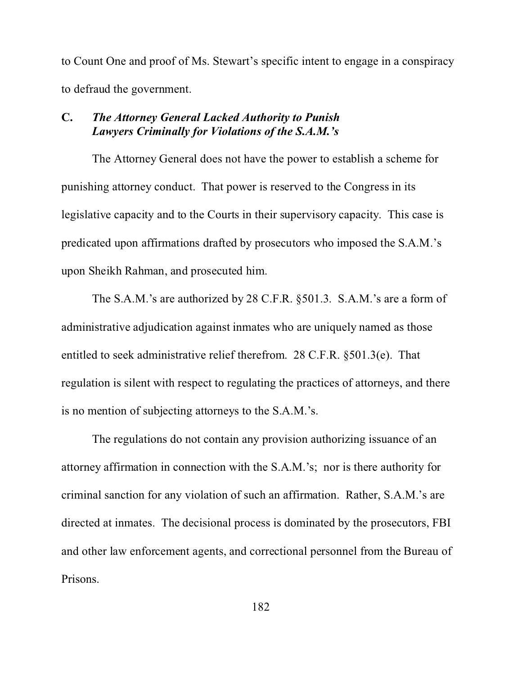to Count One and proof of Ms. Stewart's specific intent to engage in a conspiracy to defraud the government.

## **C.** *The Attorney General Lacked Authority to Punish Lawyers Criminally for Violations of the S.A.M.'s*

The Attorney General does not have the power to establish a scheme for punishing attorney conduct. That power is reserved to the Congress in its legislative capacity and to the Courts in their supervisory capacity. This case is predicated upon affirmations drafted by prosecutors who imposed the S.A.M.'s upon Sheikh Rahman, and prosecuted him.

The S.A.M.'s are authorized by 28 C.F.R. §501.3. S.A.M.'s are a form of administrative adjudication against inmates who are uniquely named as those entitled to seek administrative relief therefrom. 28 C.F.R. §501.3(e). That regulation is silent with respect to regulating the practices of attorneys, and there is no mention of subjecting attorneys to the S.A.M.'s.

The regulations do not contain any provision authorizing issuance of an attorney affirmation in connection with the S.A.M.'s; nor is there authority for criminal sanction for any violation of such an affirmation. Rather, S.A.M.'s are directed at inmates. The decisional process is dominated by the prosecutors, FBI and other law enforcement agents, and correctional personnel from the Bureau of Prisons.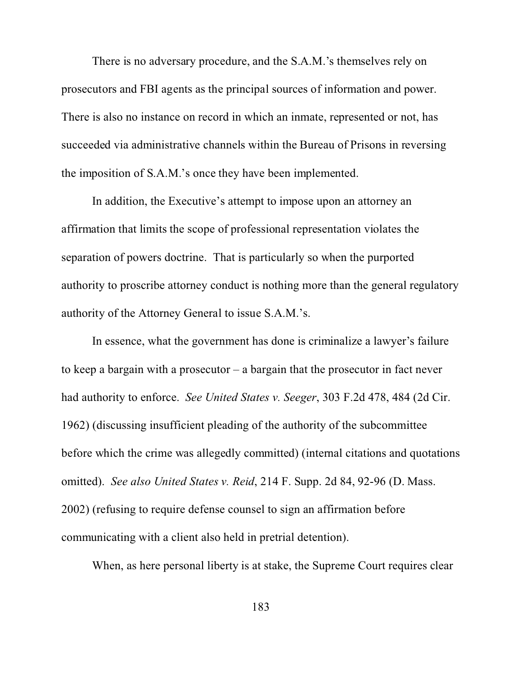There is no adversary procedure, and the S.A.M.'s themselves rely on prosecutors and FBI agents as the principal sources of information and power. There is also no instance on record in which an inmate, represented or not, has succeeded via administrative channels within the Bureau of Prisons in reversing the imposition of S.A.M.'s once they have been implemented.

In addition, the Executive's attempt to impose upon an attorney an affirmation that limits the scope of professional representation violates the separation of powers doctrine. That is particularly so when the purported authority to proscribe attorney conduct is nothing more than the general regulatory authority of the Attorney General to issue S.A.M.'s.

In essence, what the government has done is criminalize a lawyer's failure to keep a bargain with a prosecutor – a bargain that the prosecutor in fact never had authority to enforce. *See United States v. Seeger*, 303 F.2d 478, 484 (2d Cir. 1962) (discussing insufficient pleading of the authority of the subcommittee before which the crime was allegedly committed) (internal citations and quotations omitted). *See also United States v. Reid*, 214 F. Supp. 2d 84, 92-96 (D. Mass. 2002) (refusing to require defense counsel to sign an affirmation before communicating with a client also held in pretrial detention).

When, as here personal liberty is at stake, the Supreme Court requires clear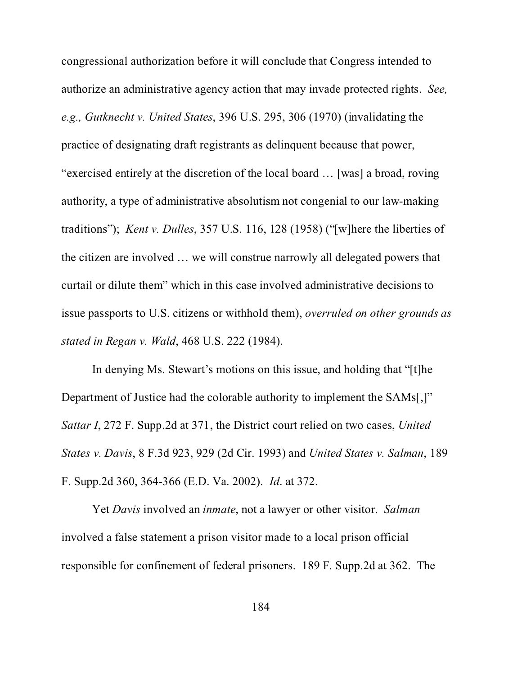congressional authorization before it will conclude that Congress intended to authorize an administrative agency action that may invade protected rights. *See, e.g., Gutknecht v. United States*, 396 U.S. 295, 306 (1970) (invalidating the practice of designating draft registrants as delinquent because that power, "exercised entirely at the discretion of the local board … [was] a broad, roving authority, a type of administrative absolutism not congenial to our law-making traditions"); *Kent v. Dulles*, 357 U.S. 116, 128 (1958) ("[w]here the liberties of the citizen are involved … we will construe narrowly all delegated powers that curtail or dilute them" which in this case involved administrative decisions to issue passports to U.S. citizens or withhold them), *overruled on other grounds as stated in Regan v. Wald*, 468 U.S. 222 (1984).

In denying Ms. Stewart's motions on this issue, and holding that "[t]he Department of Justice had the colorable authority to implement the SAMs[,]" *Sattar I*, 272 F. Supp.2d at 371, the District court relied on two cases, *United States v. Davis*, 8 F.3d 923, 929 (2d Cir. 1993) and *United States v. Salman*, 189 F. Supp.2d 360, 364-366 (E.D. Va. 2002). *Id*. at 372.

Yet *Davis* involved an *inmate*, not a lawyer or other visitor. *Salman* involved a false statement a prison visitor made to a local prison official responsible for confinement of federal prisoners. 189 F. Supp.2d at 362. The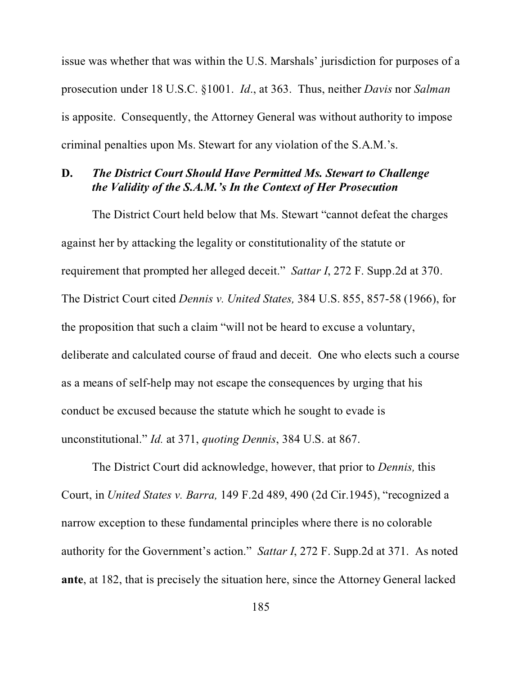issue was whether that was within the U.S. Marshals' jurisdiction for purposes of a prosecution under 18 U.S.C. §1001. *Id*., at 363. Thus, neither *Davis* nor *Salman* is apposite. Consequently, the Attorney General was without authority to impose criminal penalties upon Ms. Stewart for any violation of the S.A.M.'s.

## **D.** *The District Court Should Have Permitted Ms. Stewart to Challenge the Validity of the S.A.M.'s In the Context of Her Prosecution*

The District Court held below that Ms. Stewart "cannot defeat the charges against her by attacking the legality or constitutionality of the statute or requirement that prompted her alleged deceit." *Sattar I*, 272 F. Supp.2d at 370. The District Court cited *Dennis v. United States,* 384 U.S. 855, 857-58 (1966), for the proposition that such a claim "will not be heard to excuse a voluntary, deliberate and calculated course of fraud and deceit. One who elects such a course as a means of self-help may not escape the consequences by urging that his conduct be excused because the statute which he sought to evade is unconstitutional." *Id.* at 371, *quoting Dennis*, 384 U.S. at 867.

The District Court did acknowledge, however, that prior to *Dennis,* this Court, in *United States v. Barra,* 149 F.2d 489, 490 (2d Cir.1945), "recognized a narrow exception to these fundamental principles where there is no colorable authority for the Government's action." *Sattar I*, 272 F. Supp.2d at 371. As noted **ante**, at 182, that is precisely the situation here, since the Attorney General lacked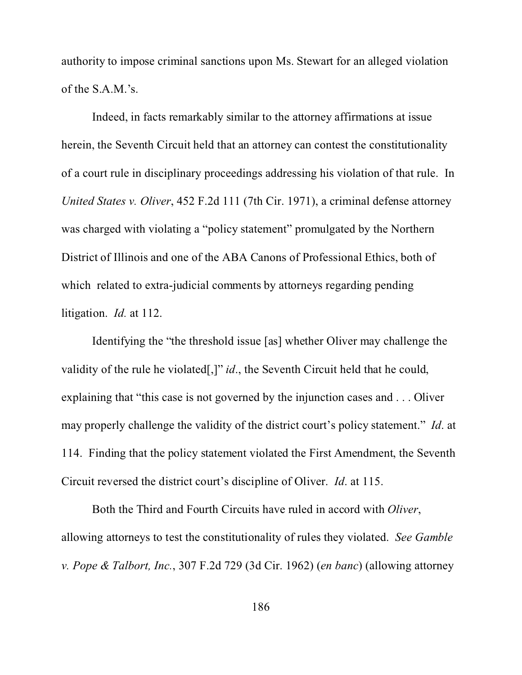authority to impose criminal sanctions upon Ms. Stewart for an alleged violation of the S.A.M.'s.

Indeed, in facts remarkably similar to the attorney affirmations at issue herein, the Seventh Circuit held that an attorney can contest the constitutionality of a court rule in disciplinary proceedings addressing his violation of that rule. In *United States v. Oliver*, 452 F.2d 111 (7th Cir. 1971), a criminal defense attorney was charged with violating a "policy statement" promulgated by the Northern District of Illinois and one of the ABA Canons of Professional Ethics, both of which related to extra-judicial comments by attorneys regarding pending litigation. *Id.* at 112.

Identifying the "the threshold issue [as] whether Oliver may challenge the validity of the rule he violated[,]" *id*., the Seventh Circuit held that he could, explaining that "this case is not governed by the injunction cases and . . . Oliver may properly challenge the validity of the district court's policy statement." *Id*. at 114. Finding that the policy statement violated the First Amendment, the Seventh Circuit reversed the district court's discipline of Oliver. *Id*. at 115.

Both the Third and Fourth Circuits have ruled in accord with *Oliver*, allowing attorneys to test the constitutionality of rules they violated. *See Gamble v. Pope & Talbort, Inc.*, 307 F.2d 729 (3d Cir. 1962) (*en banc*) (allowing attorney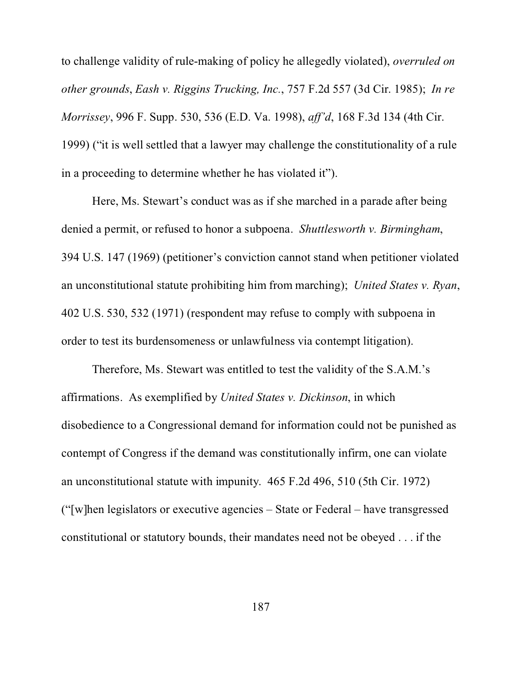to challenge validity of rule-making of policy he allegedly violated), *overruled on other grounds*, *Eash v. Riggins Trucking, Inc.*, 757 F.2d 557 (3d Cir. 1985); *In re Morrissey*, 996 F. Supp. 530, 536 (E.D. Va. 1998), *aff'd*, 168 F.3d 134 (4th Cir. 1999) ("it is well settled that a lawyer may challenge the constitutionality of a rule in a proceeding to determine whether he has violated it").

Here, Ms. Stewart's conduct was as if she marched in a parade after being denied a permit, or refused to honor a subpoena. *Shuttlesworth v. Birmingham*, 394 U.S. 147 (1969) (petitioner's conviction cannot stand when petitioner violated an unconstitutional statute prohibiting him from marching); *United States v. Ryan*, 402 U.S. 530, 532 (1971) (respondent may refuse to comply with subpoena in order to test its burdensomeness or unlawfulness via contempt litigation).

Therefore, Ms. Stewart was entitled to test the validity of the S.A.M.'s affirmations. As exemplified by *United States v. Dickinson*, in which disobedience to a Congressional demand for information could not be punished as contempt of Congress if the demand was constitutionally infirm, one can violate an unconstitutional statute with impunity. 465 F.2d 496, 510 (5th Cir. 1972) ("[w]hen legislators or executive agencies – State or Federal – have transgressed constitutional or statutory bounds, their mandates need not be obeyed . . . if the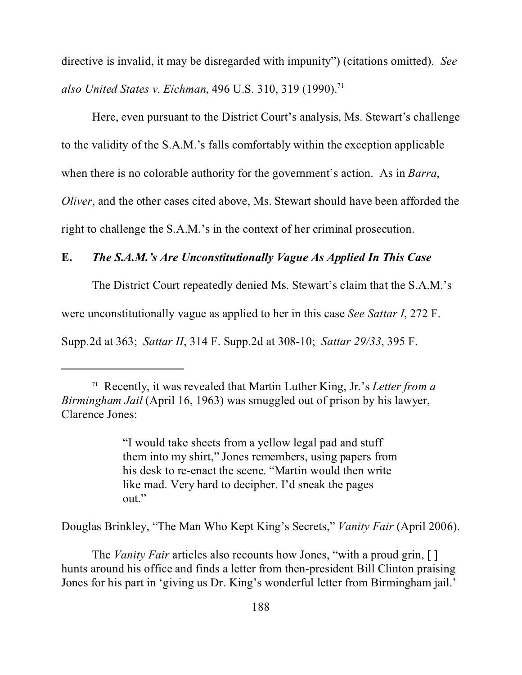directive is invalid, it may be disregarded with impunity") (citations omitted). *See also United States v. Eichman*, 496 U.S. 310, 319 (1990).<sup>71</sup>

Here, even pursuant to the District Court's analysis, Ms. Stewart's challenge to the validity of the S.A.M.'s falls comfortably within the exception applicable when there is no colorable authority for the government's action. As in *Barra*, *Oliver*, and the other cases cited above, Ms. Stewart should have been afforded the right to challenge the S.A.M.'s in the context of her criminal prosecution.

### **E.** *The S.A.M.'s Are Unconstitutionally Vague As Applied In This Case*

The District Court repeatedly denied Ms. Stewart's claim that the S.A.M.'s

were unconstitutionally vague as applied to her in this case *See Sattar I*, 272 F.

Supp.2d at 363; *Sattar II*, 314 F. Supp.2d at 308-10; *Sattar 29/33*, 395 F.

"I would take sheets from a yellow legal pad and stuff them into my shirt," Jones remembers, using papers from his desk to re-enact the scene. "Martin would then write like mad. Very hard to decipher. I'd sneak the pages out."

Douglas Brinkley, "The Man Who Kept King's Secrets," *Vanity Fair* (April 2006).

The *Vanity Fair* articles also recounts how Jones, "with a proud grin, [ ] hunts around his office and finds a letter from then-president Bill Clinton praising Jones for his part in 'giving us Dr. King's wonderful letter from Birmingham jail.'

<sup>71</sup> Recently, it was revealed that Martin Luther King, Jr.'s *Letter from a Birmingham Jail* (April 16, 1963) was smuggled out of prison by his lawyer, Clarence Jones: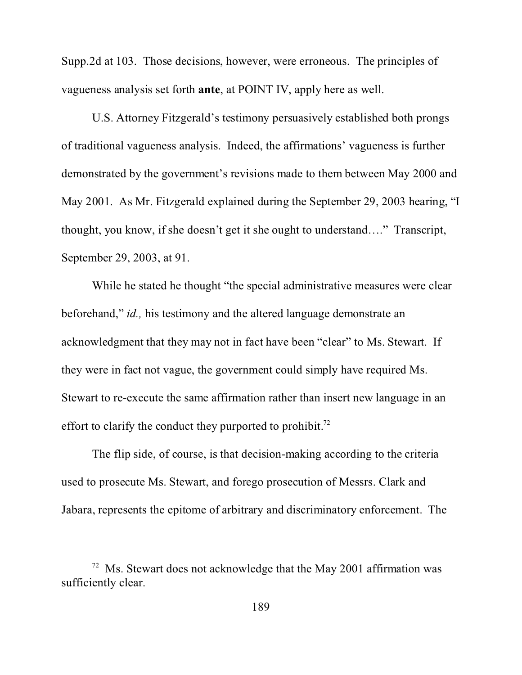Supp.2d at 103. Those decisions, however, were erroneous. The principles of vagueness analysis set forth **ante**, at POINT IV, apply here as well.

U.S. Attorney Fitzgerald's testimony persuasively established both prongs of traditional vagueness analysis. Indeed, the affirmations' vagueness is further demonstrated by the government's revisions made to them between May 2000 and May 2001. As Mr. Fitzgerald explained during the September 29, 2003 hearing, "I thought, you know, if she doesn't get it she ought to understand…." Transcript, September 29, 2003, at 91.

While he stated he thought "the special administrative measures were clear beforehand," *id.,* his testimony and the altered language demonstrate an acknowledgment that they may not in fact have been "clear" to Ms. Stewart. If they were in fact not vague, the government could simply have required Ms. Stewart to re-execute the same affirmation rather than insert new language in an effort to clarify the conduct they purported to prohibit.<sup>72</sup>

The flip side, of course, is that decision-making according to the criteria used to prosecute Ms. Stewart, and forego prosecution of Messrs. Clark and Jabara, represents the epitome of arbitrary and discriminatory enforcement. The

 $72$  Ms. Stewart does not acknowledge that the May 2001 affirmation was sufficiently clear.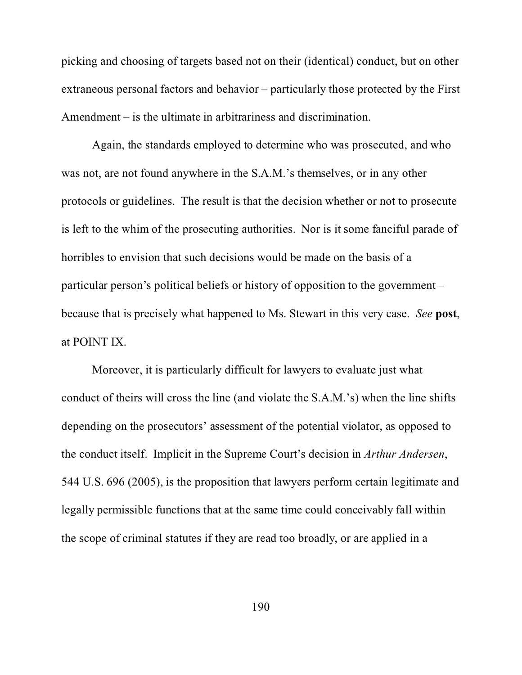picking and choosing of targets based not on their (identical) conduct, but on other extraneous personal factors and behavior – particularly those protected by the First Amendment – is the ultimate in arbitrariness and discrimination.

Again, the standards employed to determine who was prosecuted, and who was not, are not found anywhere in the S.A.M.'s themselves, or in any other protocols or guidelines. The result is that the decision whether or not to prosecute is left to the whim of the prosecuting authorities. Nor is it some fanciful parade of horribles to envision that such decisions would be made on the basis of a particular person's political beliefs or history of opposition to the government – because that is precisely what happened to Ms. Stewart in this very case. *See* **post**, at POINT IX.

Moreover, it is particularly difficult for lawyers to evaluate just what conduct of theirs will cross the line (and violate the S.A.M.'s) when the line shifts depending on the prosecutors' assessment of the potential violator, as opposed to the conduct itself. Implicit in the Supreme Court's decision in *Arthur Andersen*, 544 U.S. 696 (2005), is the proposition that lawyers perform certain legitimate and legally permissible functions that at the same time could conceivably fall within the scope of criminal statutes if they are read too broadly, or are applied in a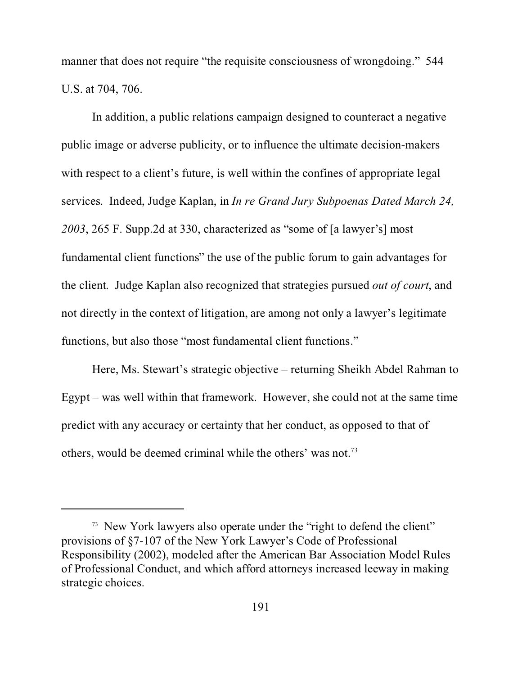manner that does not require "the requisite consciousness of wrongdoing." 544 U.S. at 704, 706.

In addition, a public relations campaign designed to counteract a negative public image or adverse publicity, or to influence the ultimate decision-makers with respect to a client's future, is well within the confines of appropriate legal services. Indeed, Judge Kaplan, in *In re Grand Jury Subpoenas Dated March 24, 2003*, 265 F. Supp.2d at 330, characterized as "some of [a lawyer's] most fundamental client functions" the use of the public forum to gain advantages for the client. Judge Kaplan also recognized that strategies pursued *out of court*, and not directly in the context of litigation, are among not only a lawyer's legitimate functions, but also those "most fundamental client functions."

Here, Ms. Stewart's strategic objective – returning Sheikh Abdel Rahman to Egypt – was well within that framework. However, she could not at the same time predict with any accuracy or certainty that her conduct, as opposed to that of others, would be deemed criminal while the others' was not.73

<sup>&</sup>lt;sup>73</sup> New York lawyers also operate under the "right to defend the client" provisions of §7-107 of the New York Lawyer's Code of Professional Responsibility (2002), modeled after the American Bar Association Model Rules of Professional Conduct, and which afford attorneys increased leeway in making strategic choices.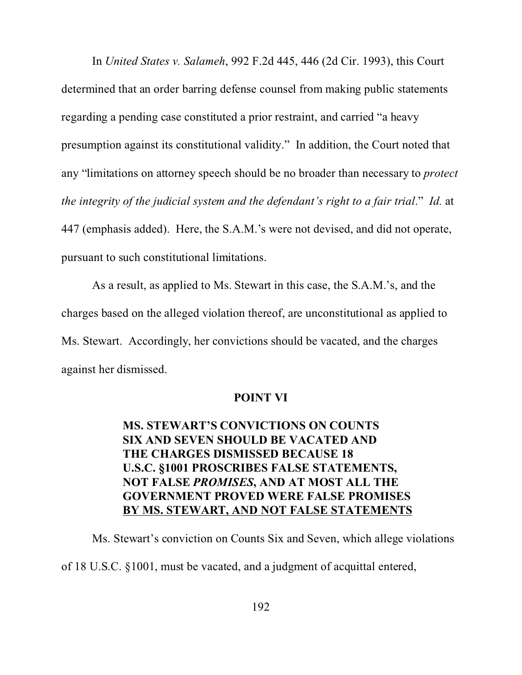In *United States v. Salameh*, 992 F.2d 445, 446 (2d Cir. 1993), this Court determined that an order barring defense counsel from making public statements regarding a pending case constituted a prior restraint, and carried "a heavy presumption against its constitutional validity." In addition, the Court noted that any "limitations on attorney speech should be no broader than necessary to *protect the integrity of the judicial system and the defendant's right to a fair trial*." *Id.* at 447 (emphasis added). Here, the S.A.M.'s were not devised, and did not operate, pursuant to such constitutional limitations.

As a result, as applied to Ms. Stewart in this case, the S.A.M.'s, and the charges based on the alleged violation thereof, are unconstitutional as applied to Ms. Stewart. Accordingly, her convictions should be vacated, and the charges against her dismissed.

### **POINT VI**

# **MS. STEWART'S CONVICTIONS ON COUNTS SIX AND SEVEN SHOULD BE VACATED AND THE CHARGES DISMISSED BECAUSE 18 U.S.C. §1001 PROSCRIBES FALSE STATEMENTS, NOT FALSE** *PROMISES***, AND AT MOST ALL THE GOVERNMENT PROVED WERE FALSE PROMISES BY MS. STEWART, AND NOT FALSE STATEMENTS**

Ms. Stewart's conviction on Counts Six and Seven, which allege violations of 18 U.S.C. §1001, must be vacated, and a judgment of acquittal entered,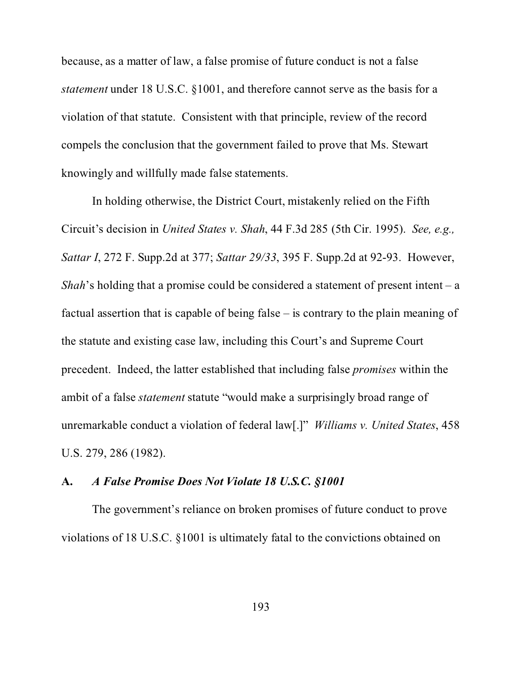because, as a matter of law, a false promise of future conduct is not a false *statement* under 18 U.S.C. §1001, and therefore cannot serve as the basis for a violation of that statute. Consistent with that principle, review of the record compels the conclusion that the government failed to prove that Ms. Stewart knowingly and willfully made false statements.

In holding otherwise, the District Court, mistakenly relied on the Fifth Circuit's decision in *United States v. Shah*, 44 F.3d 285 (5th Cir. 1995). *See, e.g., Sattar I*, 272 F. Supp.2d at 377; *Sattar 29/33*, 395 F. Supp.2d at 92-93. However, *Shah*'s holding that a promise could be considered a statement of present intent – a factual assertion that is capable of being false – is contrary to the plain meaning of the statute and existing case law, including this Court's and Supreme Court precedent. Indeed, the latter established that including false *promises* within the ambit of a false *statement* statute "would make a surprisingly broad range of unremarkable conduct a violation of federal law[.]" *Williams v. United States*, 458 U.S. 279, 286 (1982).

## **A.** *A False Promise Does Not Violate 18 U.S.C. §1001*

The government's reliance on broken promises of future conduct to prove violations of 18 U.S.C. §1001 is ultimately fatal to the convictions obtained on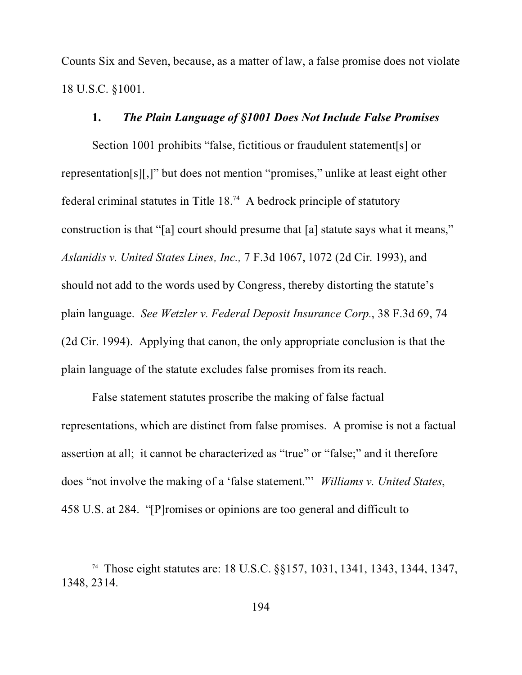Counts Six and Seven, because, as a matter of law, a false promise does not violate 18 U.S.C. §1001.

#### **1.** *The Plain Language of §1001 Does Not Include False Promises*

Section 1001 prohibits "false, fictitious or fraudulent statement[s] or representation[s][,]" but does not mention "promises," unlike at least eight other federal criminal statutes in Title  $18<sup>74</sup>$  A bedrock principle of statutory construction is that "[a] court should presume that [a] statute says what it means," *Aslanidis v. United States Lines, Inc.,* 7 F.3d 1067, 1072 (2d Cir. 1993), and should not add to the words used by Congress, thereby distorting the statute's plain language. *See Wetzler v. Federal Deposit Insurance Corp.*, 38 F.3d 69, 74 (2d Cir. 1994). Applying that canon, the only appropriate conclusion is that the plain language of the statute excludes false promises from its reach.

False statement statutes proscribe the making of false factual representations, which are distinct from false promises. A promise is not a factual assertion at all; it cannot be characterized as "true" or "false;" and it therefore does "not involve the making of a 'false statement."' *Williams v. United States*, 458 U.S. at 284. "[P]romises or opinions are too general and difficult to

<sup>74</sup> Those eight statutes are: 18 U.S.C. §§157, 1031, 1341, 1343, 1344, 1347, 1348, 2314.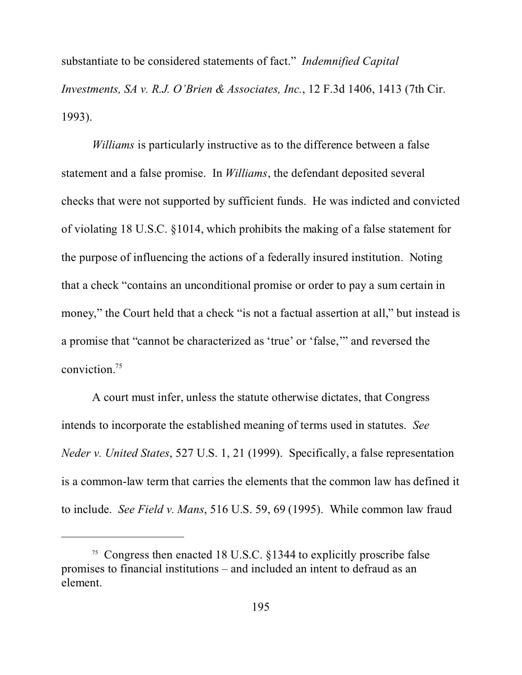substantiate to be considered statements of fact." *Indemnified Capital Investments, SA v. R.J. O'Brien & Associates, Inc.*, 12 F.3d 1406, 1413 (7th Cir. 1993).

*Williams* is particularly instructive as to the difference between a false statement and a false promise. In *Williams*, the defendant deposited several checks that were not supported by sufficient funds. He was indicted and convicted of violating 18 U.S.C. §1014, which prohibits the making of a false statement for the purpose of influencing the actions of a federally insured institution. Noting that a check "contains an unconditional promise or order to pay a sum certain in money," the Court held that a check "is not a factual assertion at all," but instead is a promise that "cannot be characterized as 'true' or 'false,'" and reversed the conviction.<sup>75</sup>

A court must infer, unless the statute otherwise dictates, that Congress intends to incorporate the established meaning of terms used in statutes. *See Neder v. United States*, 527 U.S. 1, 21 (1999). Specifically, a false representation is a common-law term that carries the elements that the common law has defined it to include. *See Field v. Mans*, 516 U.S. 59, 69 (1995). While common law fraud

<sup>75</sup> Congress then enacted 18 U.S.C. §1344 to explicitly proscribe false promises to financial institutions – and included an intent to defraud as an element.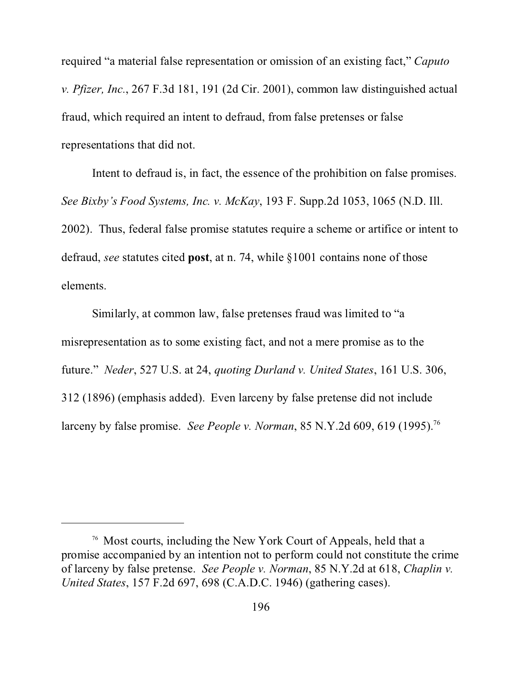required "a material false representation or omission of an existing fact," *Caputo v. Pfizer, Inc.*, 267 F.3d 181, 191 (2d Cir. 2001), common law distinguished actual fraud, which required an intent to defraud, from false pretenses or false representations that did not.

Intent to defraud is, in fact, the essence of the prohibition on false promises. *See Bixby's Food Systems, Inc. v. McKay*, 193 F. Supp.2d 1053, 1065 (N.D. Ill. 2002). Thus, federal false promise statutes require a scheme or artifice or intent to defraud, *see* statutes cited **post**, at n. 74, while §1001 contains none of those elements.

Similarly, at common law, false pretenses fraud was limited to "a misrepresentation as to some existing fact, and not a mere promise as to the future." *Neder*, 527 U.S. at 24, *quoting Durland v. United States*, 161 U.S. 306, 312 (1896) (emphasis added). Even larceny by false pretense did not include larceny by false promise. *See People v. Norman*, 85 N.Y.2d 609, 619 (1995).<sup>76</sup>

<sup>76</sup> Most courts, including the New York Court of Appeals, held that a promise accompanied by an intention not to perform could not constitute the crime of larceny by false pretense. *See People v. Norman*, 85 N.Y.2d at 618, *Chaplin v. United States*, 157 F.2d 697, 698 (C.A.D.C. 1946) (gathering cases).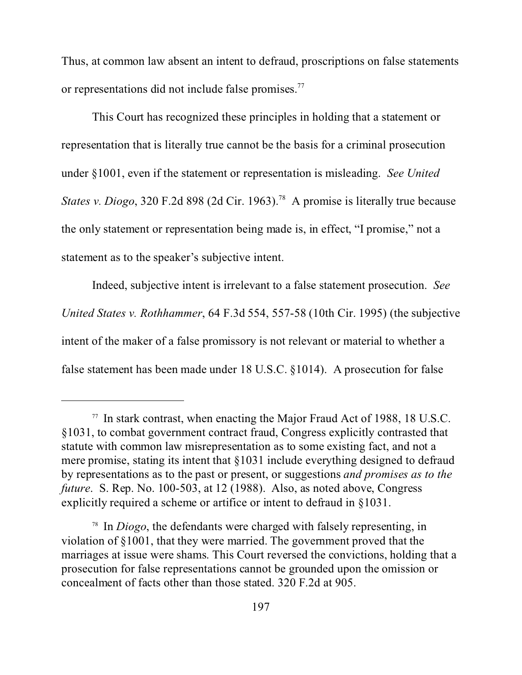Thus, at common law absent an intent to defraud, proscriptions on false statements or representations did not include false promises.<sup>77</sup>

This Court has recognized these principles in holding that a statement or representation that is literally true cannot be the basis for a criminal prosecution under §1001, even if the statement or representation is misleading. *See United States v. Diogo*, 320 F.2d 898 (2d Cir. 1963).<sup>78</sup> A promise is literally true because the only statement or representation being made is, in effect, "I promise," not a statement as to the speaker's subjective intent.

Indeed, subjective intent is irrelevant to a false statement prosecution. *See United States v. Rothhammer*, 64 F.3d 554, 557-58 (10th Cir. 1995) (the subjective intent of the maker of a false promissory is not relevant or material to whether a false statement has been made under 18 U.S.C. §1014). A prosecution for false

<sup>77</sup> In stark contrast, when enacting the Major Fraud Act of 1988, 18 U.S.C. §1031, to combat government contract fraud, Congress explicitly contrasted that statute with common law misrepresentation as to some existing fact, and not a mere promise, stating its intent that §1031 include everything designed to defraud by representations as to the past or present, or suggestions *and promises as to the future*. S. Rep. No. 100-503, at 12 (1988). Also, as noted above, Congress explicitly required a scheme or artifice or intent to defraud in §1031.

<sup>78</sup> In *Diogo*, the defendants were charged with falsely representing, in violation of §1001, that they were married. The government proved that the marriages at issue were shams. This Court reversed the convictions, holding that a prosecution for false representations cannot be grounded upon the omission or concealment of facts other than those stated. 320 F.2d at 905.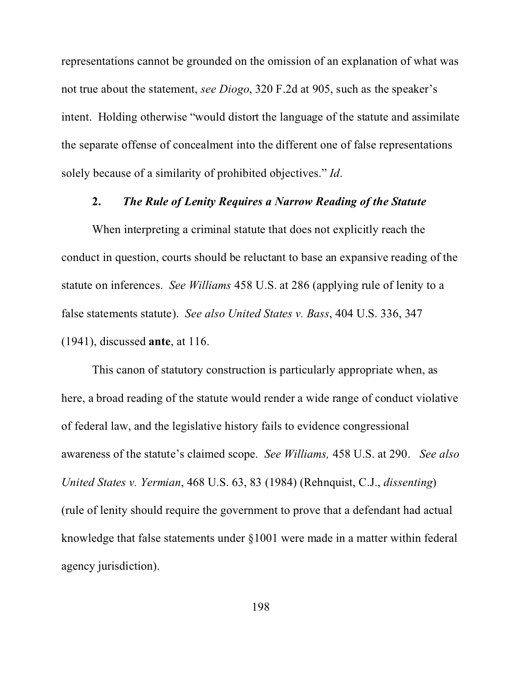representations cannot be grounded on the omission of an explanation of what was not true about the statement, *see Diogo*, 320 F.2d at 905, such as the speaker's intent. Holding otherwise "would distort the language of the statute and assimilate the separate offense of concealment into the different one of false representations solely because of a similarity of prohibited objectives." *Id*.

#### **2.** *The Rule of Lenity Requires a Narrow Reading of the Statute*

When interpreting a criminal statute that does not explicitly reach the conduct in question, courts should be reluctant to base an expansive reading of the statute on inferences. *See Williams* 458 U.S. at 286 (applying rule of lenity to a false statements statute). *See also United States v. Bass*, 404 U.S. 336, 347 (1941), discussed **ante**, at 116.

This canon of statutory construction is particularly appropriate when, as here, a broad reading of the statute would render a wide range of conduct violative of federal law, and the legislative history fails to evidence congressional awareness of the statute's claimed scope. *See Williams,* 458 U.S. at 290. *See also United States v. Yermian*, 468 U.S. 63, 83 (1984) (Rehnquist, C.J., *dissenting*) (rule of lenity should require the government to prove that a defendant had actual knowledge that false statements under §1001 were made in a matter within federal agency jurisdiction).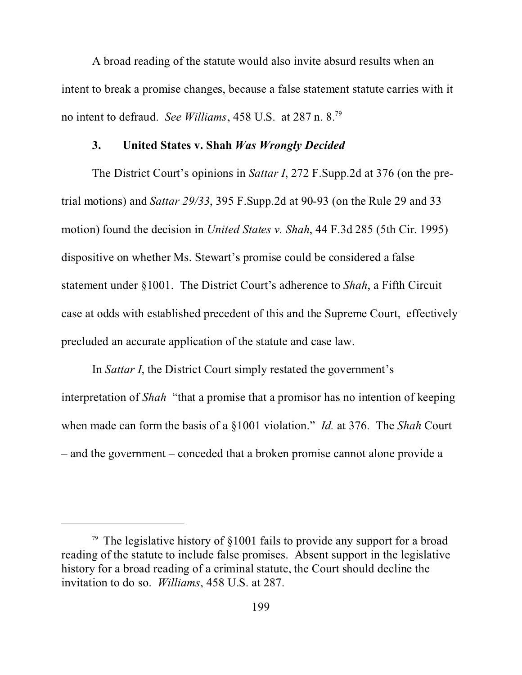A broad reading of the statute would also invite absurd results when an intent to break a promise changes, because a false statement statute carries with it no intent to defraud. *See Williams*, 458 U.S. at 287 n. 8.<sup>79</sup>

#### **3. United States v. Shah** *Was Wrongly Decided*

The District Court's opinions in *Sattar I*, 272 F.Supp.2d at 376 (on the pretrial motions) and *Sattar 29/33*, 395 F.Supp.2d at 90-93 (on the Rule 29 and 33 motion) found the decision in *United States v. Shah*, 44 F.3d 285 (5th Cir. 1995) dispositive on whether Ms. Stewart's promise could be considered a false statement under §1001. The District Court's adherence to *Shah*, a Fifth Circuit case at odds with established precedent of this and the Supreme Court, effectively precluded an accurate application of the statute and case law.

In *Sattar I*, the District Court simply restated the government's interpretation of *Shah* "that a promise that a promisor has no intention of keeping when made can form the basis of a §1001 violation." *Id.* at 376. The *Shah* Court – and the government – conceded that a broken promise cannot alone provide a

<sup>79</sup> The legislative history of §1001 fails to provide any support for a broad reading of the statute to include false promises. Absent support in the legislative history for a broad reading of a criminal statute, the Court should decline the invitation to do so. *Williams*, 458 U.S. at 287.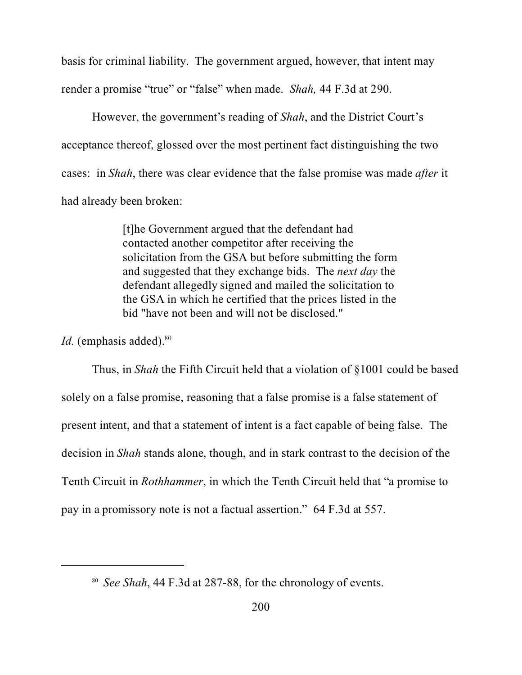basis for criminal liability. The government argued, however, that intent may render a promise "true" or "false" when made. *Shah,* 44 F.3d at 290.

However, the government's reading of *Shah*, and the District Court's acceptance thereof, glossed over the most pertinent fact distinguishing the two cases: in *Shah*, there was clear evidence that the false promise was made *after* it had already been broken:

> [t]he Government argued that the defendant had contacted another competitor after receiving the solicitation from the GSA but before submitting the form and suggested that they exchange bids. The *next day* the defendant allegedly signed and mailed the solicitation to the GSA in which he certified that the prices listed in the bid "have not been and will not be disclosed."

*Id.* (emphasis added).<sup>80</sup>

Thus, in *Shah* the Fifth Circuit held that a violation of §1001 could be based solely on a false promise, reasoning that a false promise is a false statement of present intent, and that a statement of intent is a fact capable of being false. The decision in *Shah* stands alone, though, and in stark contrast to the decision of the Tenth Circuit in *Rothhammer*, in which the Tenth Circuit held that "a promise to pay in a promissory note is not a factual assertion." 64 F.3d at 557.

<sup>80</sup> *See Shah*, 44 F.3d at 287-88, for the chronology of events.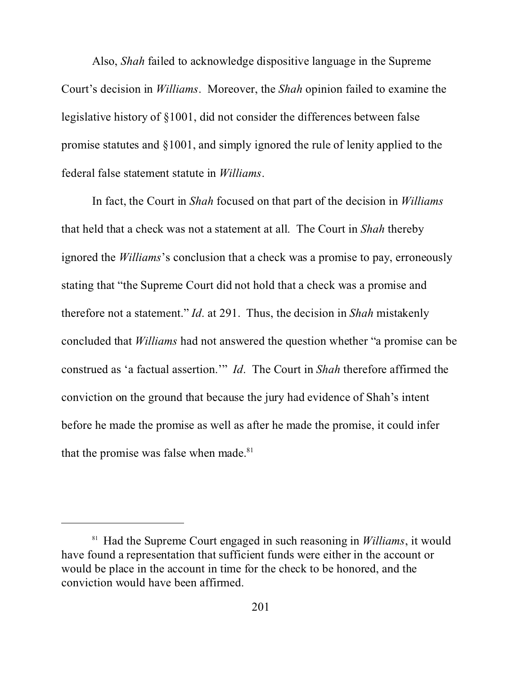Also, *Shah* failed to acknowledge dispositive language in the Supreme Court's decision in *Williams*. Moreover, the *Shah* opinion failed to examine the legislative history of §1001, did not consider the differences between false promise statutes and §1001, and simply ignored the rule of lenity applied to the federal false statement statute in *Williams*.

In fact, the Court in *Shah* focused on that part of the decision in *Williams* that held that a check was not a statement at all. The Court in *Shah* thereby ignored the *Williams*'s conclusion that a check was a promise to pay, erroneously stating that "the Supreme Court did not hold that a check was a promise and therefore not a statement." *Id*. at 291. Thus, the decision in *Shah* mistakenly concluded that *Williams* had not answered the question whether "a promise can be construed as 'a factual assertion.'" *Id*. The Court in *Shah* therefore affirmed the conviction on the ground that because the jury had evidence of Shah's intent before he made the promise as well as after he made the promise, it could infer that the promise was false when made.<sup>81</sup>

<sup>81</sup> Had the Supreme Court engaged in such reasoning in *Williams*, it would have found a representation that sufficient funds were either in the account or would be place in the account in time for the check to be honored, and the conviction would have been affirmed.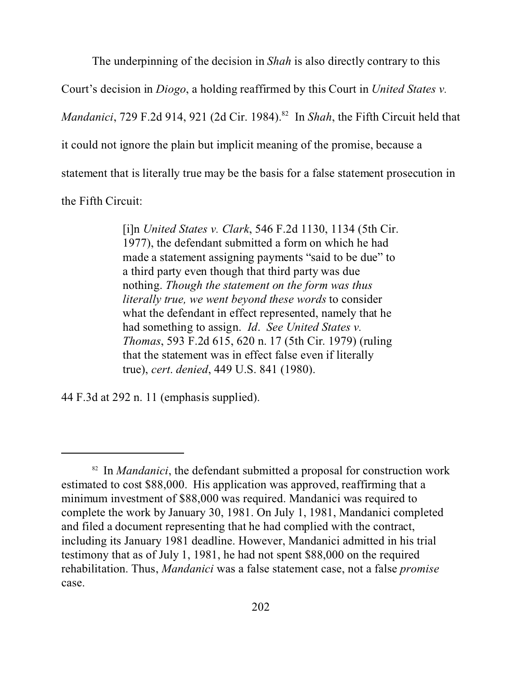The underpinning of the decision in *Shah* is also directly contrary to this

Court's decision in *Diogo*, a holding reaffirmed by this Court in *United States v.*

*Mandanici*, 729 F.2d 914, 921 (2d Cir. 1984).<sup>82</sup> In *Shah*, the Fifth Circuit held that

it could not ignore the plain but implicit meaning of the promise, because a

statement that is literally true may be the basis for a false statement prosecution in

the Fifth Circuit:

[i]n *United States v. Clark*, 546 F.2d 1130, 1134 (5th Cir. 1977), the defendant submitted a form on which he had made a statement assigning payments "said to be due" to a third party even though that third party was due nothing. *Though the statement on the form was thus literally true, we went beyond these words* to consider what the defendant in effect represented, namely that he had something to assign. *Id*. *See United States v. Thomas*, 593 F.2d 615, 620 n. 17 (5th Cir. 1979) (ruling that the statement was in effect false even if literally true), *cert*. *denied*, 449 U.S. 841 (1980).

44 F.3d at 292 n. 11 (emphasis supplied).

<sup>&</sup>lt;sup>82</sup> In *Mandanici*, the defendant submitted a proposal for construction work estimated to cost \$88,000. His application was approved, reaffirming that a minimum investment of \$88,000 was required. Mandanici was required to complete the work by January 30, 1981. On July 1, 1981, Mandanici completed and filed a document representing that he had complied with the contract, including its January 1981 deadline. However, Mandanici admitted in his trial testimony that as of July 1, 1981, he had not spent \$88,000 on the required rehabilitation. Thus, *Mandanici* was a false statement case, not a false *promise* case.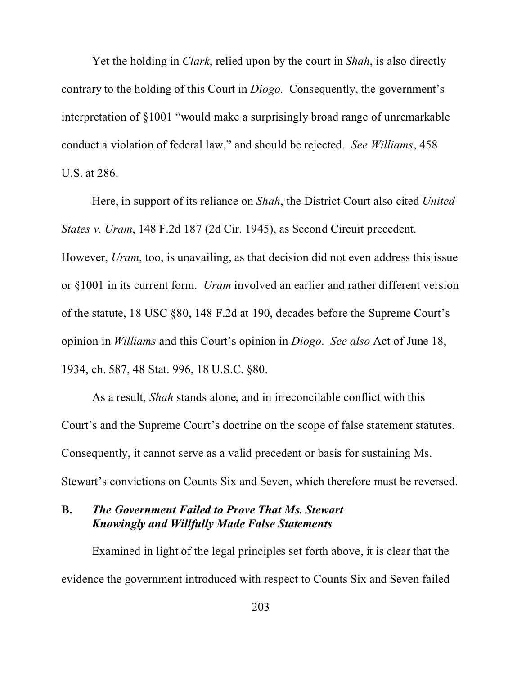Yet the holding in *Clark*, relied upon by the court in *Shah*, is also directly contrary to the holding of this Court in *Diogo.* Consequently, the government's interpretation of §1001 "would make a surprisingly broad range of unremarkable conduct a violation of federal law," and should be rejected. *See Williams*, 458 U.S. at 286.

Here, in support of its reliance on *Shah*, the District Court also cited *United States v. Uram*, 148 F.2d 187 (2d Cir. 1945), as Second Circuit precedent. However, *Uram*, too, is unavailing, as that decision did not even address this issue or §1001 in its current form. *Uram* involved an earlier and rather different version of the statute, 18 USC §80, 148 F.2d at 190, decades before the Supreme Court's opinion in *Williams* and this Court's opinion in *Diogo*. *See also* Act of June 18, 1934, ch. 587, 48 Stat. 996, 18 U.S.C. §80.

As a result, *Shah* stands alone, and in irreconcilable conflict with this Court's and the Supreme Court's doctrine on the scope of false statement statutes. Consequently, it cannot serve as a valid precedent or basis for sustaining Ms. Stewart's convictions on Counts Six and Seven, which therefore must be reversed.

# **B.** *The Government Failed to Prove That Ms. Stewart Knowingly and Willfully Made False Statements*

Examined in light of the legal principles set forth above, it is clear that the evidence the government introduced with respect to Counts Six and Seven failed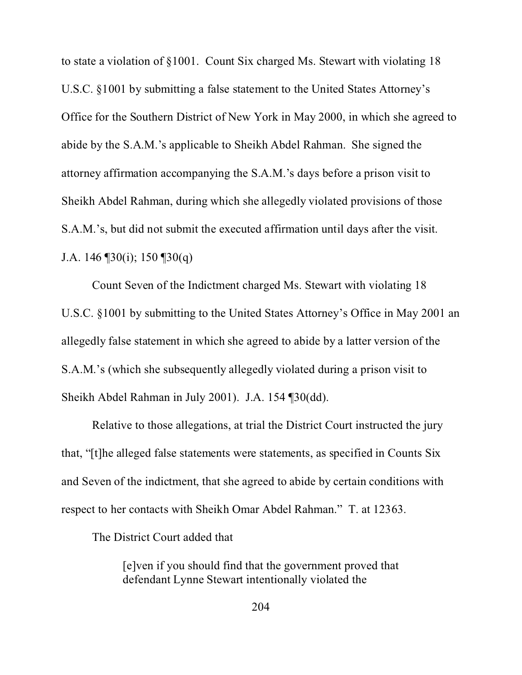to state a violation of §1001. Count Six charged Ms. Stewart with violating 18 U.S.C. §1001 by submitting a false statement to the United States Attorney's Office for the Southern District of New York in May 2000, in which she agreed to abide by the S.A.M.'s applicable to Sheikh Abdel Rahman. She signed the attorney affirmation accompanying the S.A.M.'s days before a prison visit to Sheikh Abdel Rahman, during which she allegedly violated provisions of those S.A.M.'s, but did not submit the executed affirmation until days after the visit. J.A. 146  $\P$ 30(i); 150  $\P$ 30(q)

Count Seven of the Indictment charged Ms. Stewart with violating 18 U.S.C. §1001 by submitting to the United States Attorney's Office in May 2001 an allegedly false statement in which she agreed to abide by a latter version of the S.A.M.'s (which she subsequently allegedly violated during a prison visit to Sheikh Abdel Rahman in July 2001). J.A. 154 ¶30(dd).

Relative to those allegations, at trial the District Court instructed the jury that, "[t]he alleged false statements were statements, as specified in Counts Six and Seven of the indictment, that she agreed to abide by certain conditions with respect to her contacts with Sheikh Omar Abdel Rahman." T. at 12363.

The District Court added that

[e]ven if you should find that the government proved that defendant Lynne Stewart intentionally violated the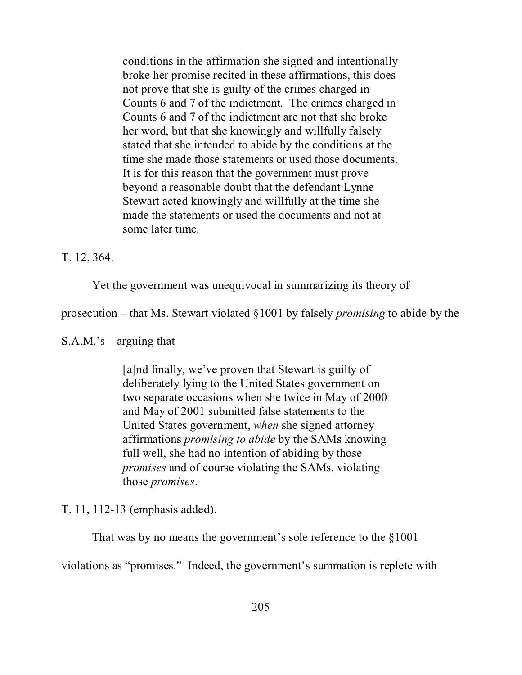conditions in the affirmation she signed and intentionally broke her promise recited in these affirmations, this does not prove that she is guilty of the crimes charged in Counts 6 and 7 of the indictment. The crimes charged in Counts 6 and 7 of the indictment are not that she broke her word, but that she knowingly and willfully falsely stated that she intended to abide by the conditions at the time she made those statements or used those documents. It is for this reason that the government must prove beyond a reasonable doubt that the defendant Lynne Stewart acted knowingly and willfully at the time she made the statements or used the documents and not at some later time.

T. 12, 364.

Yet the government was unequivocal in summarizing its theory of

prosecution – that Ms. Stewart violated §1001 by falsely *promising* to abide by the

 $S.A.M.'s - \text{arguing that}$ 

[a]nd finally, we've proven that Stewart is guilty of deliberately lying to the United States government on two separate occasions when she twice in May of 2000 and May of 2001 submitted false statements to the United States government, *when* she signed attorney affirmations *promising to abide* by the SAMs knowing full well, she had no intention of abiding by those *promises* and of course violating the SAMs, violating those *promises*.

T. 11, 112-13 (emphasis added).

That was by no means the government's sole reference to the §1001

violations as "promises." Indeed, the government's summation is replete with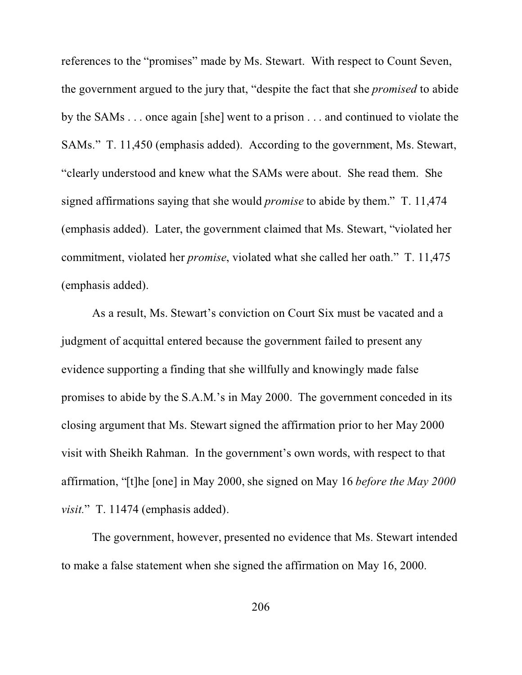references to the "promises" made by Ms. Stewart. With respect to Count Seven, the government argued to the jury that, "despite the fact that she *promised* to abide by the SAMs . . . once again [she] went to a prison . . . and continued to violate the SAMs." T. 11,450 (emphasis added). According to the government, Ms. Stewart, "clearly understood and knew what the SAMs were about. She read them. She signed affirmations saying that she would *promise* to abide by them." T. 11,474 (emphasis added). Later, the government claimed that Ms. Stewart, "violated her commitment, violated her *promise*, violated what she called her oath." T. 11,475 (emphasis added).

As a result, Ms. Stewart's conviction on Court Six must be vacated and a judgment of acquittal entered because the government failed to present any evidence supporting a finding that she willfully and knowingly made false promises to abide by the S.A.M.'s in May 2000. The government conceded in its closing argument that Ms. Stewart signed the affirmation prior to her May 2000 visit with Sheikh Rahman. In the government's own words, with respect to that affirmation, "[t]he [one] in May 2000, she signed on May 16 *before the May 2000 visit.*" T. 11474 (emphasis added).

The government, however, presented no evidence that Ms. Stewart intended to make a false statement when she signed the affirmation on May 16, 2000.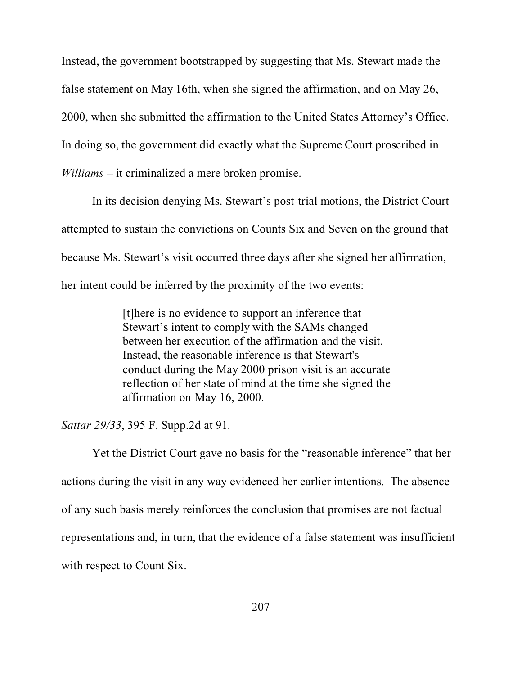Instead, the government bootstrapped by suggesting that Ms. Stewart made the false statement on May 16th, when she signed the affirmation, and on May 26, 2000, when she submitted the affirmation to the United States Attorney's Office. In doing so, the government did exactly what the Supreme Court proscribed in *Williams* – it criminalized a mere broken promise.

In its decision denying Ms. Stewart's post-trial motions, the District Court attempted to sustain the convictions on Counts Six and Seven on the ground that because Ms. Stewart's visit occurred three days after she signed her affirmation, her intent could be inferred by the proximity of the two events:

> [t]here is no evidence to support an inference that Stewart's intent to comply with the SAMs changed between her execution of the affirmation and the visit. Instead, the reasonable inference is that Stewart's conduct during the May 2000 prison visit is an accurate reflection of her state of mind at the time she signed the affirmation on May 16, 2000.

*Sattar 29/33*, 395 F. Supp.2d at 91.

Yet the District Court gave no basis for the "reasonable inference" that her actions during the visit in any way evidenced her earlier intentions. The absence of any such basis merely reinforces the conclusion that promises are not factual representations and, in turn, that the evidence of a false statement was insufficient with respect to Count Six.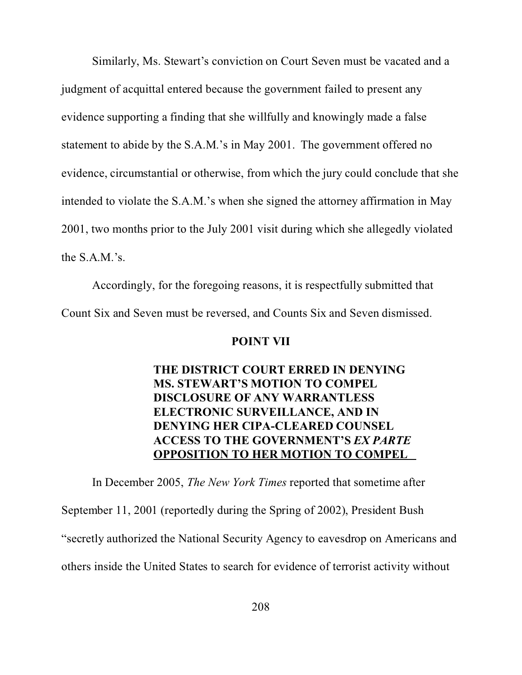Similarly, Ms. Stewart's conviction on Court Seven must be vacated and a judgment of acquittal entered because the government failed to present any evidence supporting a finding that she willfully and knowingly made a false statement to abide by the S.A.M.'s in May 2001. The government offered no evidence, circumstantial or otherwise, from which the jury could conclude that she intended to violate the S.A.M.'s when she signed the attorney affirmation in May 2001, two months prior to the July 2001 visit during which she allegedly violated the S.A.M.'s.

Accordingly, for the foregoing reasons, it is respectfully submitted that Count Six and Seven must be reversed, and Counts Six and Seven dismissed.

### **POINT VII**

# **THE DISTRICT COURT ERRED IN DENYING MS. STEWART'S MOTION TO COMPEL DISCLOSURE OF ANY WARRANTLESS ELECTRONIC SURVEILLANCE, AND IN DENYING HER CIPA-CLEARED COUNSEL ACCESS TO THE GOVERNMENT'S** *EX PARTE* **OPPOSITION TO HER MOTION TO COMPEL**

In December 2005, *The New York Times* reported that sometime after September 11, 2001 (reportedly during the Spring of 2002), President Bush "secretly authorized the National Security Agency to eavesdrop on Americans and others inside the United States to search for evidence of terrorist activity without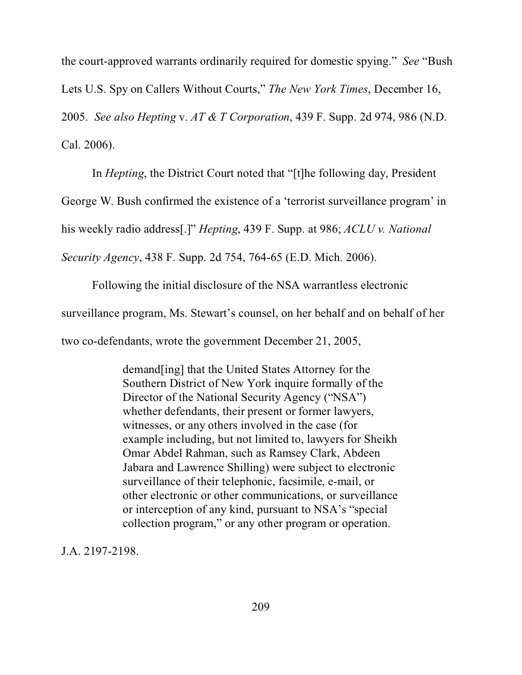the court-approved warrants ordinarily required for domestic spying." *See* "Bush Lets U.S. Spy on Callers Without Courts," *The New York Times*, December 16, 2005. *See also Hepting* v. *AT & T Corporation*, 439 F. Supp. 2d 974, 986 (N.D. Cal. 2006).

In *Hepting*, the District Court noted that "[t]he following day, President

George W. Bush confirmed the existence of a 'terrorist surveillance program' in

his weekly radio address[.]" *Hepting*, 439 F. Supp. at 986; *ACLU v. National*

*Security Agency*, 438 F. Supp. 2d 754, 764-65 (E.D. Mich. 2006).

Following the initial disclosure of the NSA warrantless electronic

surveillance program, Ms. Stewart's counsel, on her behalf and on behalf of her

two co-defendants, wrote the government December 21, 2005,

demand[ing] that the United States Attorney for the Southern District of New York inquire formally of the Director of the National Security Agency ("NSA") whether defendants, their present or former lawyers, witnesses, or any others involved in the case (for example including, but not limited to, lawyers for Sheikh Omar Abdel Rahman, such as Ramsey Clark, Abdeen Jabara and Lawrence Shilling) were subject to electronic surveillance of their telephonic, facsimile, e-mail, or other electronic or other communications, or surveillance or interception of any kind, pursuant to NSA's "special collection program," or any other program or operation.

J.A. 2197-2198.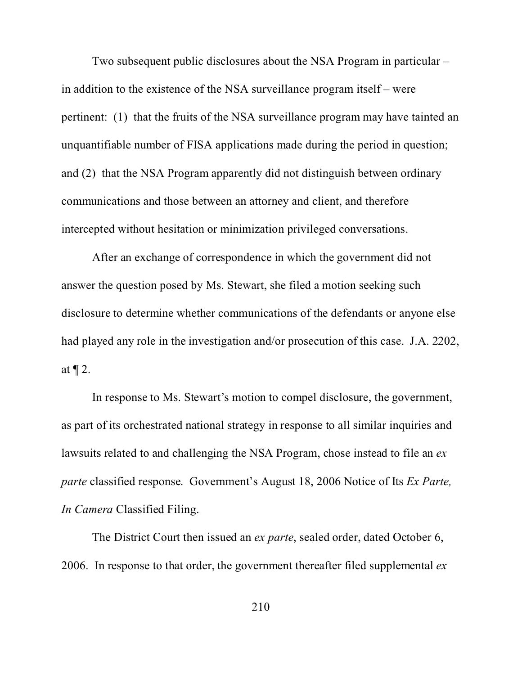Two subsequent public disclosures about the NSA Program in particular – in addition to the existence of the NSA surveillance program itself – were pertinent: (1) that the fruits of the NSA surveillance program may have tainted an unquantifiable number of FISA applications made during the period in question; and (2) that the NSA Program apparently did not distinguish between ordinary communications and those between an attorney and client, and therefore intercepted without hesitation or minimization privileged conversations.

After an exchange of correspondence in which the government did not answer the question posed by Ms. Stewart, she filed a motion seeking such disclosure to determine whether communications of the defendants or anyone else had played any role in the investigation and/or prosecution of this case. J.A. 2202, at  $\P$  2.

In response to Ms. Stewart's motion to compel disclosure, the government, as part of its orchestrated national strategy in response to all similar inquiries and lawsuits related to and challenging the NSA Program, chose instead to file an *ex parte* classified response. Government's August 18, 2006 Notice of Its *Ex Parte, In Camera* Classified Filing.

The District Court then issued an *ex parte*, sealed order, dated October 6, 2006. In response to that order, the government thereafter filed supplemental *ex*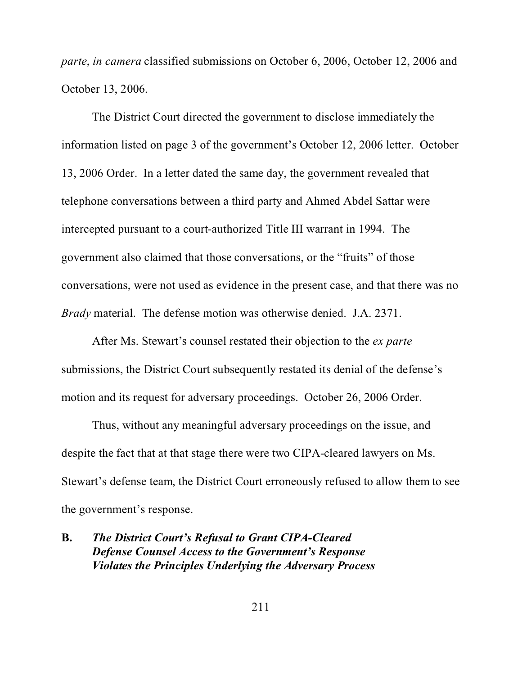*parte*, *in camera* classified submissions on October 6, 2006, October 12, 2006 and October 13, 2006.

The District Court directed the government to disclose immediately the information listed on page 3 of the government's October 12, 2006 letter. October 13, 2006 Order. In a letter dated the same day, the government revealed that telephone conversations between a third party and Ahmed Abdel Sattar were intercepted pursuant to a court-authorized Title III warrant in 1994. The government also claimed that those conversations, or the "fruits" of those conversations, were not used as evidence in the present case, and that there was no *Brady* material. The defense motion was otherwise denied. J.A. 2371.

After Ms. Stewart's counsel restated their objection to the *ex parte* submissions, the District Court subsequently restated its denial of the defense's motion and its request for adversary proceedings. October 26, 2006 Order.

Thus, without any meaningful adversary proceedings on the issue, and despite the fact that at that stage there were two CIPA-cleared lawyers on Ms. Stewart's defense team, the District Court erroneously refused to allow them to see the government's response.

## **B.** *The District Court's Refusal to Grant CIPA-Cleared Defense Counsel Access to the Government's Response Violates the Principles Underlying the Adversary Process*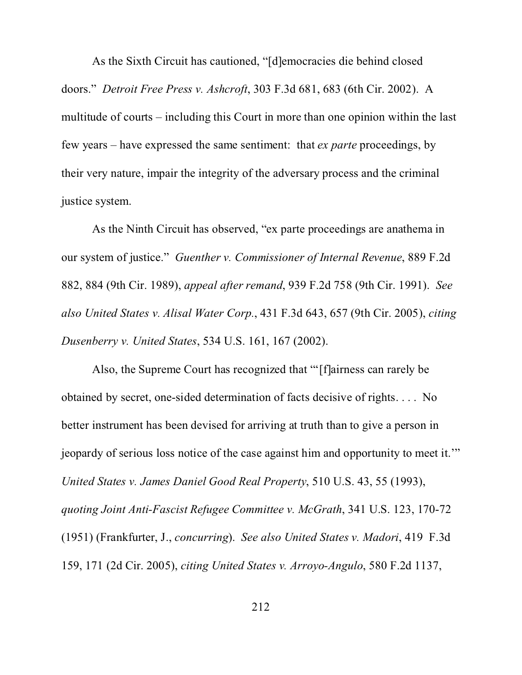As the Sixth Circuit has cautioned, "[d]emocracies die behind closed doors." *Detroit Free Press v. Ashcroft*, 303 F.3d 681, 683 (6th Cir. 2002). A multitude of courts – including this Court in more than one opinion within the last few years – have expressed the same sentiment: that *ex parte* proceedings, by their very nature, impair the integrity of the adversary process and the criminal justice system.

As the Ninth Circuit has observed, "ex parte proceedings are anathema in our system of justice." *Guenther v. Commissioner of Internal Revenue*, 889 F.2d 882, 884 (9th Cir. 1989), *appeal after remand*, 939 F.2d 758 (9th Cir. 1991). *See also United States v. Alisal Water Corp.*, 431 F.3d 643, 657 (9th Cir. 2005), *citing Dusenberry v. United States*, 534 U.S. 161, 167 (2002).

Also, the Supreme Court has recognized that "'[f]airness can rarely be obtained by secret, one-sided determination of facts decisive of rights. . . . No better instrument has been devised for arriving at truth than to give a person in jeopardy of serious loss notice of the case against him and opportunity to meet it.'" *United States v. James Daniel Good Real Property*, 510 U.S. 43, 55 (1993), *quoting Joint Anti-Fascist Refugee Committee v. McGrath*, 341 U.S. 123, 170-72 (1951) (Frankfurter, J., *concurring*). *See also United States v. Madori*, 419 F.3d 159, 171 (2d Cir. 2005), *citing United States v. Arroyo-Angulo*, 580 F.2d 1137,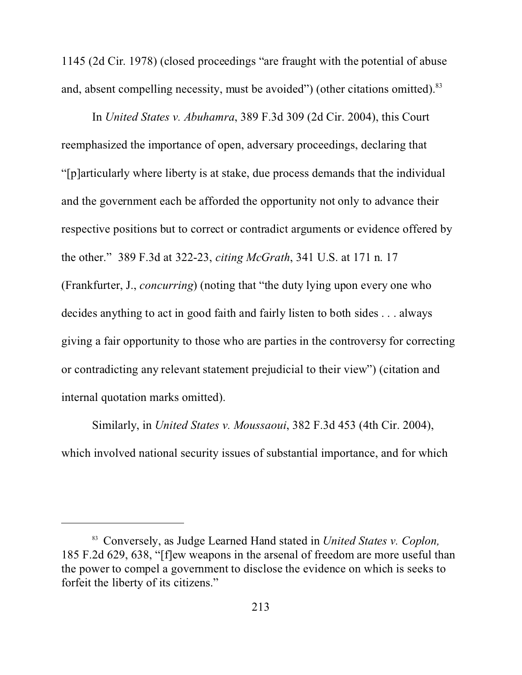1145 (2d Cir. 1978) (closed proceedings "are fraught with the potential of abuse and, absent compelling necessity, must be avoided") (other citations omitted).<sup>83</sup>

In *United States v. Abuhamra*, 389 F.3d 309 (2d Cir. 2004), this Court reemphasized the importance of open, adversary proceedings, declaring that "[p]articularly where liberty is at stake, due process demands that the individual and the government each be afforded the opportunity not only to advance their respective positions but to correct or contradict arguments or evidence offered by the other." 389 F.3d at 322-23, *citing McGrath*, 341 U.S. at 171 n. 17 (Frankfurter, J., *concurring*) (noting that "the duty lying upon every one who decides anything to act in good faith and fairly listen to both sides . . . always giving a fair opportunity to those who are parties in the controversy for correcting or contradicting any relevant statement prejudicial to their view") (citation and internal quotation marks omitted).

Similarly, in *United States v. Moussaoui*, 382 F.3d 453 (4th Cir. 2004), which involved national security issues of substantial importance, and for which

<sup>83</sup> Conversely, as Judge Learned Hand stated in *United States v. Coplon,* 185 F.2d 629, 638, "[f]ew weapons in the arsenal of freedom are more useful than the power to compel a government to disclose the evidence on which is seeks to forfeit the liberty of its citizens."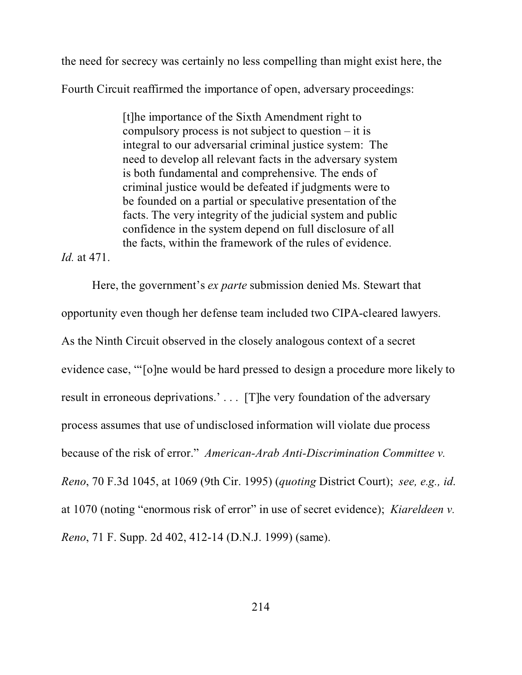the need for secrecy was certainly no less compelling than might exist here, the

Fourth Circuit reaffirmed the importance of open, adversary proceedings:

[t]he importance of the Sixth Amendment right to compulsory process is not subject to question – it is integral to our adversarial criminal justice system: The need to develop all relevant facts in the adversary system is both fundamental and comprehensive. The ends of criminal justice would be defeated if judgments were to be founded on a partial or speculative presentation of the facts. The very integrity of the judicial system and public confidence in the system depend on full disclosure of all the facts, within the framework of the rules of evidence.

*Id.* at 471.

Here, the government's *ex parte* submission denied Ms. Stewart that opportunity even though her defense team included two CIPA-cleared lawyers. As the Ninth Circuit observed in the closely analogous context of a secret evidence case, "'[o]ne would be hard pressed to design a procedure more likely to result in erroneous deprivations.' . . . [T]he very foundation of the adversary process assumes that use of undisclosed information will violate due process because of the risk of error." *American-Arab Anti-Discrimination Committee v. Reno*, 70 F.3d 1045, at 1069 (9th Cir. 1995) (*quoting* District Court); *see, e.g., id*. at 1070 (noting "enormous risk of error" in use of secret evidence); *Kiareldeen v. Reno*, 71 F. Supp. 2d 402, 412-14 (D.N.J. 1999) (same).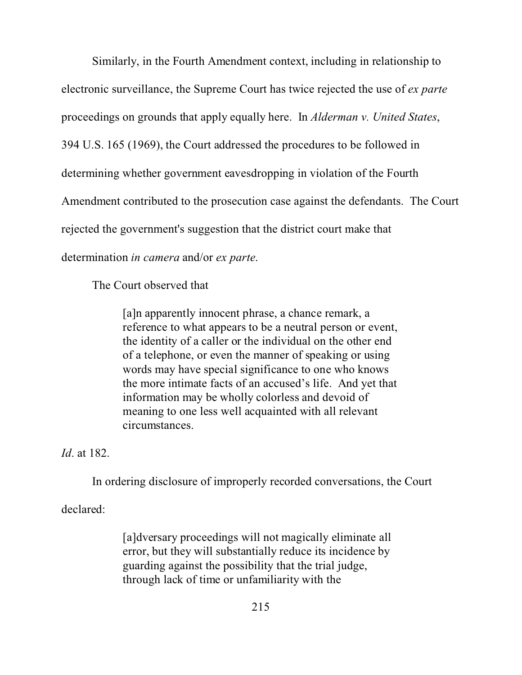Similarly, in the Fourth Amendment context, including in relationship to electronic surveillance, the Supreme Court has twice rejected the use of *ex parte* proceedings on grounds that apply equally here. In *Alderman v. United States*, 394 U.S. 165 (1969), the Court addressed the procedures to be followed in determining whether government eavesdropping in violation of the Fourth Amendment contributed to the prosecution case against the defendants. The Court rejected the government's suggestion that the district court make that determination *in camera* and/or *ex parte*.

The Court observed that

[a]n apparently innocent phrase, a chance remark, a reference to what appears to be a neutral person or event, the identity of a caller or the individual on the other end of a telephone, or even the manner of speaking or using words may have special significance to one who knows the more intimate facts of an accused's life. And yet that information may be wholly colorless and devoid of meaning to one less well acquainted with all relevant circumstances.

*Id*. at 182.

In ordering disclosure of improperly recorded conversations, the Court

declared:

[a]dversary proceedings will not magically eliminate all error, but they will substantially reduce its incidence by guarding against the possibility that the trial judge, through lack of time or unfamiliarity with the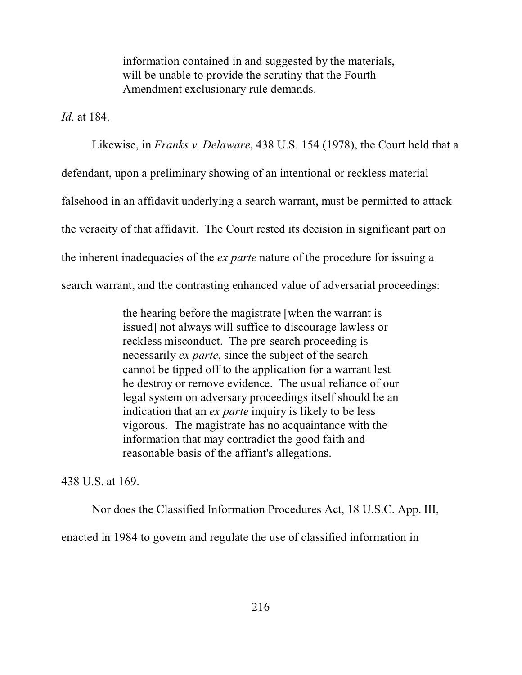information contained in and suggested by the materials, will be unable to provide the scrutiny that the Fourth Amendment exclusionary rule demands.

*Id*. at 184.

Likewise, in *Franks v. Delaware*, 438 U.S. 154 (1978), the Court held that a defendant, upon a preliminary showing of an intentional or reckless material falsehood in an affidavit underlying a search warrant, must be permitted to attack the veracity of that affidavit. The Court rested its decision in significant part on the inherent inadequacies of the *ex parte* nature of the procedure for issuing a search warrant, and the contrasting enhanced value of adversarial proceedings:

> the hearing before the magistrate [when the warrant is issued] not always will suffice to discourage lawless or reckless misconduct. The pre-search proceeding is necessarily *ex parte*, since the subject of the search cannot be tipped off to the application for a warrant lest he destroy or remove evidence. The usual reliance of our legal system on adversary proceedings itself should be an indication that an *ex parte* inquiry is likely to be less vigorous. The magistrate has no acquaintance with the information that may contradict the good faith and reasonable basis of the affiant's allegations.

438 U.S. at 169.

Nor does the Classified Information Procedures Act, 18 U.S.C. App. III,

enacted in 1984 to govern and regulate the use of classified information in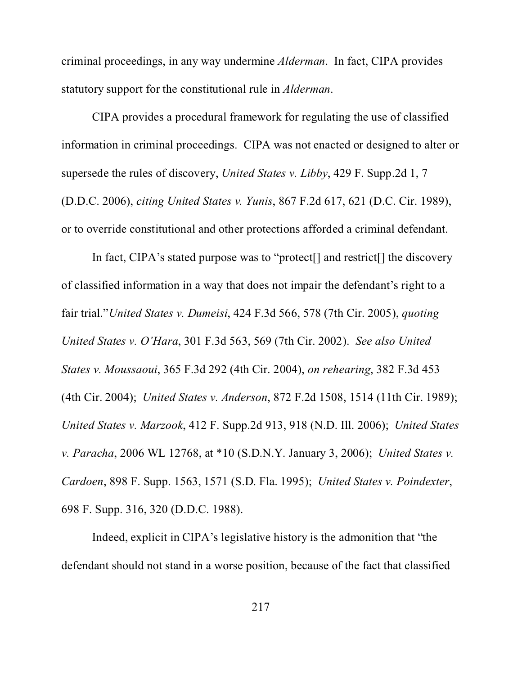criminal proceedings, in any way undermine *Alderman*. In fact, CIPA provides statutory support for the constitutional rule in *Alderman*.

CIPA provides a procedural framework for regulating the use of classified information in criminal proceedings. CIPA was not enacted or designed to alter or supersede the rules of discovery, *United States v. Libby*, 429 F. Supp.2d 1, 7 (D.D.C. 2006), *citing United States v. Yunis*, 867 F.2d 617, 621 (D.C. Cir. 1989), or to override constitutional and other protections afforded a criminal defendant.

In fact, CIPA's stated purpose was to "protect[] and restrict[] the discovery of classified information in a way that does not impair the defendant's right to a fair trial."*United States v. Dumeisi*, 424 F.3d 566, 578 (7th Cir. 2005), *quoting United States v. O'Hara*, 301 F.3d 563, 569 (7th Cir. 2002). *See also United States v. Moussaoui*, 365 F.3d 292 (4th Cir. 2004), *on rehearing*, 382 F.3d 453 (4th Cir. 2004); *United States v. Anderson*, 872 F.2d 1508, 1514 (11th Cir. 1989); *United States v. Marzook*, 412 F. Supp.2d 913, 918 (N.D. Ill. 2006); *United States v. Paracha*, 2006 WL 12768, at \*10 (S.D.N.Y. January 3, 2006); *United States v. Cardoen*, 898 F. Supp. 1563, 1571 (S.D. Fla. 1995); *United States v. Poindexter*, 698 F. Supp. 316, 320 (D.D.C. 1988).

Indeed, explicit in CIPA's legislative history is the admonition that "the defendant should not stand in a worse position, because of the fact that classified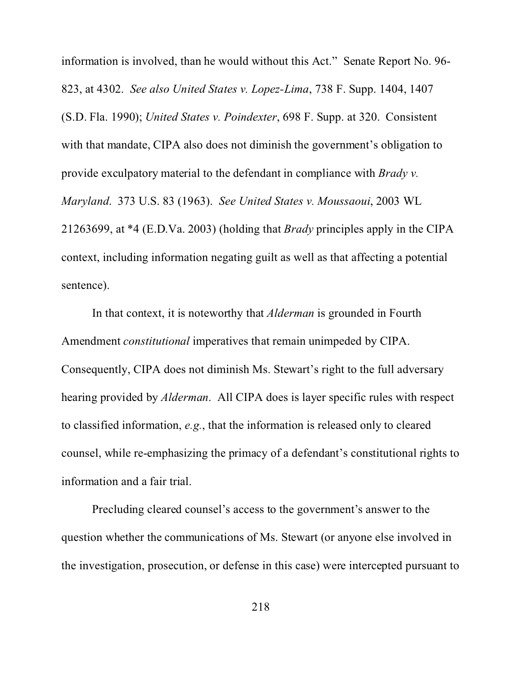information is involved, than he would without this Act." Senate Report No. 96- 823, at 4302. *See also United States v. Lopez-Lima*, 738 F. Supp. 1404, 1407 (S.D. Fla. 1990); *United States v. Poindexter*, 698 F. Supp. at 320. Consistent with that mandate, CIPA also does not diminish the government's obligation to provide exculpatory material to the defendant in compliance with *Brady v. Maryland*. 373 U.S. 83 (1963). *See United States v. Moussaoui*, 2003 WL 21263699, at \*4 (E.D.Va. 2003) (holding that *Brady* principles apply in the CIPA context, including information negating guilt as well as that affecting a potential sentence).

In that context, it is noteworthy that *Alderman* is grounded in Fourth Amendment *constitutional* imperatives that remain unimpeded by CIPA. Consequently, CIPA does not diminish Ms. Stewart's right to the full adversary hearing provided by *Alderman*. All CIPA does is layer specific rules with respect to classified information, *e.g.*, that the information is released only to cleared counsel, while re-emphasizing the primacy of a defendant's constitutional rights to information and a fair trial.

Precluding cleared counsel's access to the government's answer to the question whether the communications of Ms. Stewart (or anyone else involved in the investigation, prosecution, or defense in this case) were intercepted pursuant to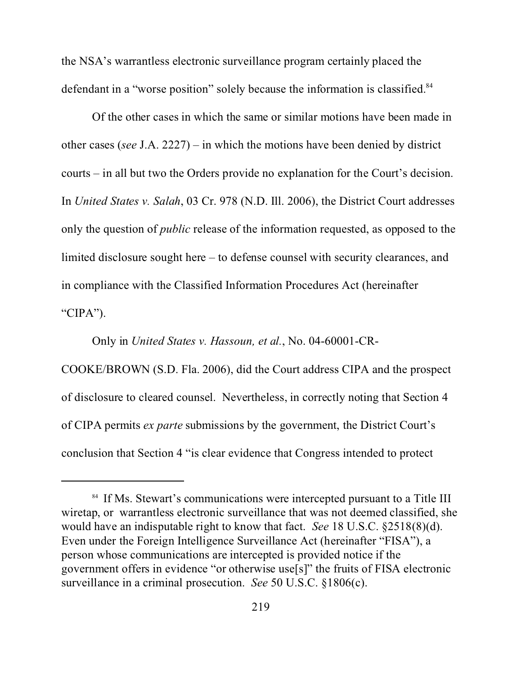the NSA's warrantless electronic surveillance program certainly placed the defendant in a "worse position" solely because the information is classified.<sup>84</sup>

Of the other cases in which the same or similar motions have been made in other cases (*see* J.A. 2227) – in which the motions have been denied by district courts – in all but two the Orders provide no explanation for the Court's decision. In *United States v. Salah*, 03 Cr. 978 (N.D. Ill. 2006), the District Court addresses only the question of *public* release of the information requested, as opposed to the limited disclosure sought here – to defense counsel with security clearances, and in compliance with the Classified Information Procedures Act (hereinafter "CIPA").

Only in *United States v. Hassoun, et al.*, No. 04-60001-CR-

COOKE/BROWN (S.D. Fla. 2006), did the Court address CIPA and the prospect of disclosure to cleared counsel. Nevertheless, in correctly noting that Section 4 of CIPA permits *ex parte* submissions by the government, the District Court's conclusion that Section 4 "is clear evidence that Congress intended to protect

<sup>&</sup>lt;sup>84</sup> If Ms. Stewart's communications were intercepted pursuant to a Title III wiretap, or warrantless electronic surveillance that was not deemed classified, she would have an indisputable right to know that fact. *See* 18 U.S.C. §2518(8)(d). Even under the Foreign Intelligence Surveillance Act (hereinafter "FISA"), a person whose communications are intercepted is provided notice if the government offers in evidence "or otherwise use[s]" the fruits of FISA electronic surveillance in a criminal prosecution. *See* 50 U.S.C. §1806(c).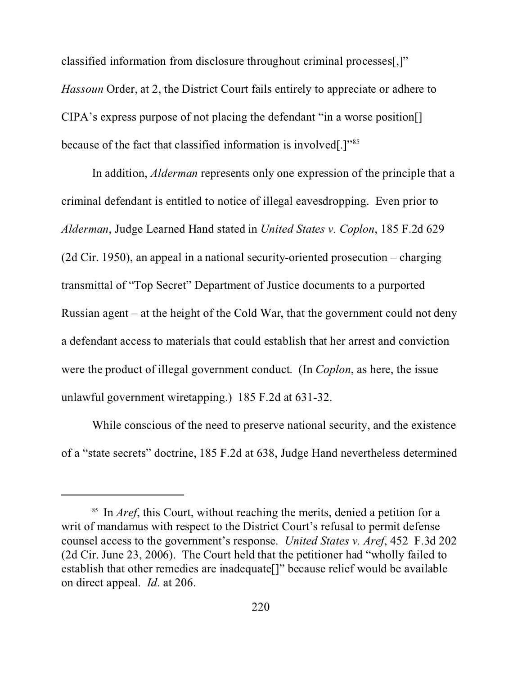classified information from disclosure throughout criminal processes[,]" *Hassoun* Order, at 2, the District Court fails entirely to appreciate or adhere to CIPA's express purpose of not placing the defendant "in a worse position[] because of the fact that classified information is involved[.]"<sup>85</sup>

In addition, *Alderman* represents only one expression of the principle that a criminal defendant is entitled to notice of illegal eavesdropping. Even prior to *Alderman*, Judge Learned Hand stated in *United States v. Coplon*, 185 F.2d 629 (2d Cir. 1950), an appeal in a national security-oriented prosecution – charging transmittal of "Top Secret" Department of Justice documents to a purported Russian agent – at the height of the Cold War, that the government could not deny a defendant access to materials that could establish that her arrest and conviction were the product of illegal government conduct. (In *Coplon*, as here, the issue unlawful government wiretapping.) 185 F.2d at 631-32.

While conscious of the need to preserve national security, and the existence of a "state secrets" doctrine, 185 F.2d at 638, Judge Hand nevertheless determined

<sup>&</sup>lt;sup>85</sup> In *Aref*, this Court, without reaching the merits, denied a petition for a writ of mandamus with respect to the District Court's refusal to permit defense counsel access to the government's response. *United States v. Aref*, 452 F.3d 202 (2d Cir. June 23, 2006). The Court held that the petitioner had "wholly failed to establish that other remedies are inadequate[]" because relief would be available on direct appeal. *Id*. at 206.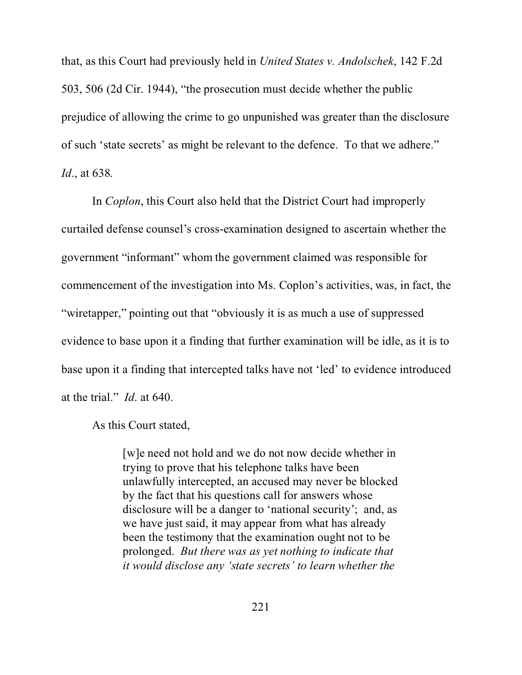that, as this Court had previously held in *United States v. Andolschek*, 142 F.2d 503, 506 (2d Cir. 1944), "the prosecution must decide whether the public prejudice of allowing the crime to go unpunished was greater than the disclosure of such 'state secrets' as might be relevant to the defence. To that we adhere." *Id*., at 638.

In *Coplon*, this Court also held that the District Court had improperly curtailed defense counsel's cross-examination designed to ascertain whether the government "informant" whom the government claimed was responsible for commencement of the investigation into Ms. Coplon's activities, was, in fact, the "wiretapper," pointing out that "obviously it is as much a use of suppressed evidence to base upon it a finding that further examination will be idle, as it is to base upon it a finding that intercepted talks have not 'led' to evidence introduced at the trial." *Id*. at 640.

As this Court stated,

[w]e need not hold and we do not now decide whether in trying to prove that his telephone talks have been unlawfully intercepted, an accused may never be blocked by the fact that his questions call for answers whose disclosure will be a danger to 'national security'; and, as we have just said, it may appear from what has already been the testimony that the examination ought not to be prolonged. *But there was as yet nothing to indicate that it would disclose any 'state secrets' to learn whether the*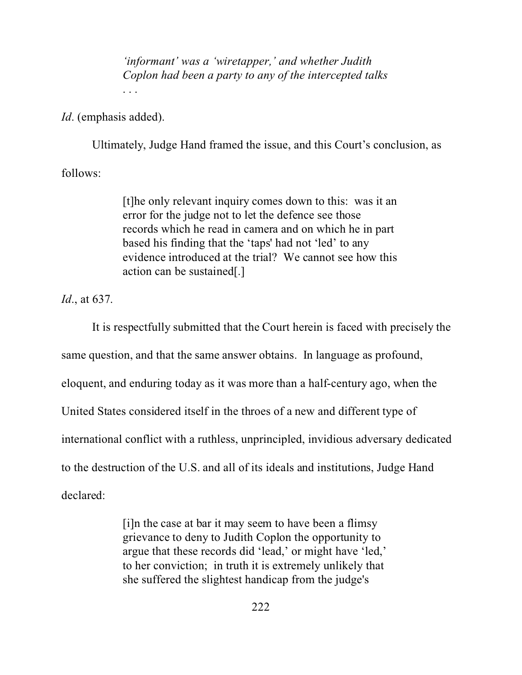*'informant' was a 'wiretapper,' and whether Judith Coplon had been a party to any of the intercepted talks* . . .

*Id*. (emphasis added).

Ultimately, Judge Hand framed the issue, and this Court's conclusion, as

follows:

[t]he only relevant inquiry comes down to this: was it an error for the judge not to let the defence see those records which he read in camera and on which he in part based his finding that the 'taps' had not 'led' to any evidence introduced at the trial? We cannot see how this action can be sustained[.]

*Id*., at 637.

It is respectfully submitted that the Court herein is faced with precisely the same question, and that the same answer obtains. In language as profound, eloquent, and enduring today as it was more than a half-century ago, when the United States considered itself in the throes of a new and different type of international conflict with a ruthless, unprincipled, invidious adversary dedicated to the destruction of the U.S. and all of its ideals and institutions, Judge Hand declared:

> [i]n the case at bar it may seem to have been a flimsy grievance to deny to Judith Coplon the opportunity to argue that these records did 'lead,' or might have 'led,' to her conviction; in truth it is extremely unlikely that she suffered the slightest handicap from the judge's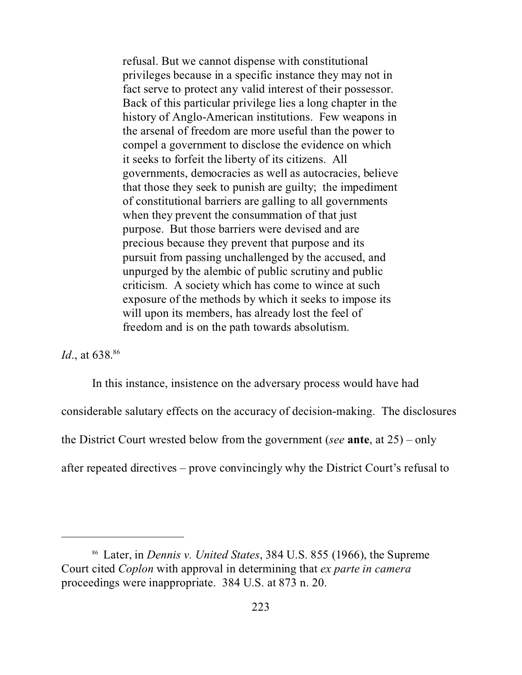refusal. But we cannot dispense with constitutional privileges because in a specific instance they may not in fact serve to protect any valid interest of their possessor. Back of this particular privilege lies a long chapter in the history of Anglo-American institutions. Few weapons in the arsenal of freedom are more useful than the power to compel a government to disclose the evidence on which it seeks to forfeit the liberty of its citizens. All governments, democracies as well as autocracies, believe that those they seek to punish are guilty; the impediment of constitutional barriers are galling to all governments when they prevent the consummation of that just purpose. But those barriers were devised and are precious because they prevent that purpose and its pursuit from passing unchallenged by the accused, and unpurged by the alembic of public scrutiny and public criticism. A society which has come to wince at such exposure of the methods by which it seeks to impose its will upon its members, has already lost the feel of freedom and is on the path towards absolutism.

*Id.*, at 638.<sup>86</sup>

In this instance, insistence on the adversary process would have had considerable salutary effects on the accuracy of decision-making. The disclosures the District Court wrested below from the government (*see* **ante**, at 25) – only after repeated directives – prove convincingly why the District Court's refusal to

<sup>86</sup> Later, in *Dennis v. United States*, 384 U.S. 855 (1966), the Supreme Court cited *Coplon* with approval in determining that *ex parte in camera* proceedings were inappropriate. 384 U.S. at 873 n. 20.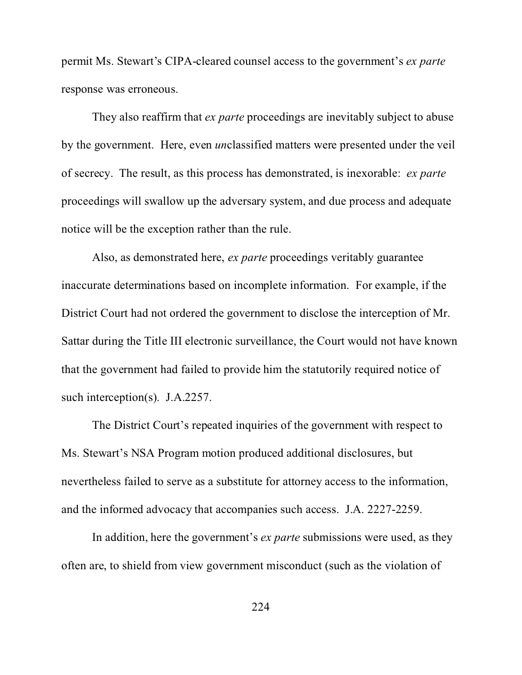permit Ms. Stewart's CIPA-cleared counsel access to the government's *ex parte* response was erroneous.

They also reaffirm that *ex parte* proceedings are inevitably subject to abuse by the government. Here, even *un*classified matters were presented under the veil of secrecy. The result, as this process has demonstrated, is inexorable: *ex parte* proceedings will swallow up the adversary system, and due process and adequate notice will be the exception rather than the rule.

Also, as demonstrated here, *ex parte* proceedings veritably guarantee inaccurate determinations based on incomplete information. For example, if the District Court had not ordered the government to disclose the interception of Mr. Sattar during the Title III electronic surveillance, the Court would not have known that the government had failed to provide him the statutorily required notice of such interception(s). J.A.2257.

The District Court's repeated inquiries of the government with respect to Ms. Stewart's NSA Program motion produced additional disclosures, but nevertheless failed to serve as a substitute for attorney access to the information, and the informed advocacy that accompanies such access. J.A. 2227-2259.

In addition, here the government's *ex parte* submissions were used, as they often are, to shield from view government misconduct (such as the violation of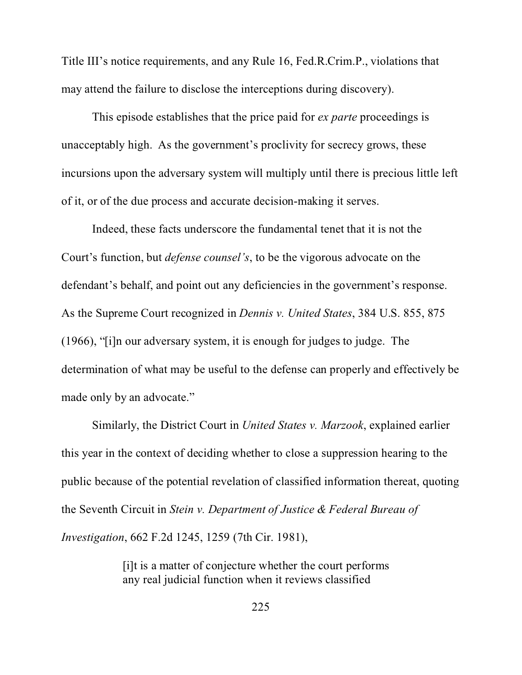Title III's notice requirements, and any Rule 16, Fed.R.Crim.P., violations that may attend the failure to disclose the interceptions during discovery).

This episode establishes that the price paid for *ex parte* proceedings is unacceptably high. As the government's proclivity for secrecy grows, these incursions upon the adversary system will multiply until there is precious little left of it, or of the due process and accurate decision-making it serves.

Indeed, these facts underscore the fundamental tenet that it is not the Court's function, but *defense counsel's*, to be the vigorous advocate on the defendant's behalf, and point out any deficiencies in the government's response. As the Supreme Court recognized in *Dennis v. United States*, 384 U.S. 855, 875 (1966), "[i]n our adversary system, it is enough for judges to judge. The determination of what may be useful to the defense can properly and effectively be made only by an advocate."

Similarly, the District Court in *United States v. Marzook*, explained earlier this year in the context of deciding whether to close a suppression hearing to the public because of the potential revelation of classified information thereat, quoting the Seventh Circuit in *Stein v. Department of Justice & Federal Bureau of Investigation*, 662 F.2d 1245, 1259 (7th Cir. 1981),

> [i]t is a matter of conjecture whether the court performs any real judicial function when it reviews classified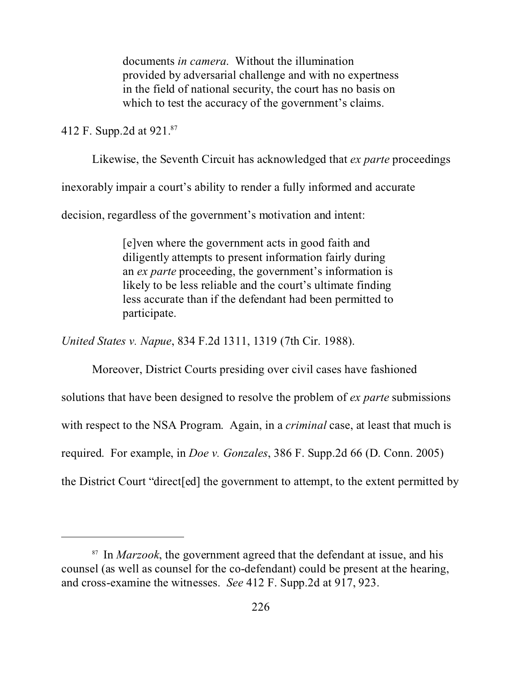documents *in camera*. Without the illumination provided by adversarial challenge and with no expertness in the field of national security, the court has no basis on which to test the accuracy of the government's claims.

412 F. Supp.2d at 921.<sup>87</sup>

Likewise, the Seventh Circuit has acknowledged that *ex parte* proceedings

inexorably impair a court's ability to render a fully informed and accurate

decision, regardless of the government's motivation and intent:

[e]ven where the government acts in good faith and diligently attempts to present information fairly during an *ex parte* proceeding, the government's information is likely to be less reliable and the court's ultimate finding less accurate than if the defendant had been permitted to participate.

*United States v. Napue*, 834 F.2d 1311, 1319 (7th Cir. 1988).

Moreover, District Courts presiding over civil cases have fashioned solutions that have been designed to resolve the problem of *ex parte* submissions with respect to the NSA Program. Again, in a *criminal* case, at least that much is required. For example, in *Doe v. Gonzales*, 386 F. Supp.2d 66 (D. Conn. 2005) the District Court "direct[ed] the government to attempt, to the extent permitted by

<sup>87</sup> In *Marzook*, the government agreed that the defendant at issue, and his counsel (as well as counsel for the co-defendant) could be present at the hearing, and cross-examine the witnesses. *See* 412 F. Supp.2d at 917, 923.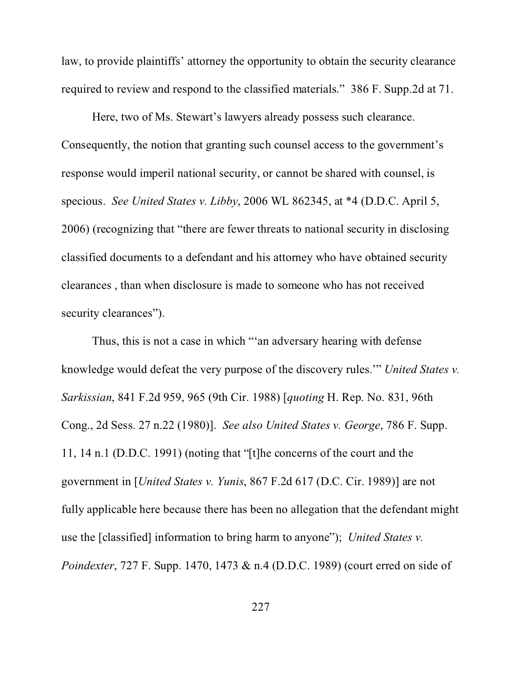law, to provide plaintiffs' attorney the opportunity to obtain the security clearance required to review and respond to the classified materials." 386 F. Supp.2d at 71.

Here, two of Ms. Stewart's lawyers already possess such clearance. Consequently, the notion that granting such counsel access to the government's response would imperil national security, or cannot be shared with counsel, is specious. *See United States v. Libby*, 2006 WL 862345, at \*4 (D.D.C. April 5, 2006) (recognizing that "there are fewer threats to national security in disclosing classified documents to a defendant and his attorney who have obtained security clearances , than when disclosure is made to someone who has not received security clearances").

Thus, this is not a case in which "'an adversary hearing with defense knowledge would defeat the very purpose of the discovery rules.'" *United States v. Sarkissian*, 841 F.2d 959, 965 (9th Cir. 1988) [*quoting* H. Rep. No. 831, 96th Cong., 2d Sess. 27 n.22 (1980)]. *See also United States v. George*, 786 F. Supp. 11, 14 n.1 (D.D.C. 1991) (noting that "[t]he concerns of the court and the government in [*United States v. Yunis*, 867 F.2d 617 (D.C. Cir. 1989)] are not fully applicable here because there has been no allegation that the defendant might use the [classified] information to bring harm to anyone"); *United States v. Poindexter*, 727 F. Supp. 1470, 1473 & n.4 (D.D.C. 1989) (court erred on side of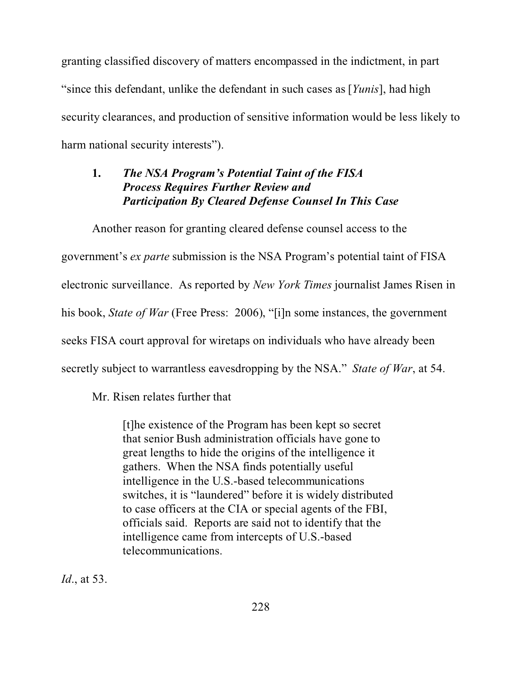granting classified discovery of matters encompassed in the indictment, in part "since this defendant, unlike the defendant in such cases as [*Yunis*], had high security clearances, and production of sensitive information would be less likely to harm national security interests").

# **1.** *The NSA Program's Potential Taint of the FISA Process Requires Further Review and Participation By Cleared Defense Counsel In This Case*

Another reason for granting cleared defense counsel access to the government's *ex parte* submission is the NSA Program's potential taint of FISA electronic surveillance. As reported by *New York Times* journalist James Risen in his book, *State of War* (Free Press: 2006), "[i]n some instances, the government seeks FISA court approval for wiretaps on individuals who have already been secretly subject to warrantless eavesdropping by the NSA." *State of War*, at 54.

Mr. Risen relates further that

[t]he existence of the Program has been kept so secret that senior Bush administration officials have gone to great lengths to hide the origins of the intelligence it gathers. When the NSA finds potentially useful intelligence in the U.S.-based telecommunications switches, it is "laundered" before it is widely distributed to case officers at the CIA or special agents of the FBI, officials said. Reports are said not to identify that the intelligence came from intercepts of U.S.-based telecommunications.

*Id*., at 53.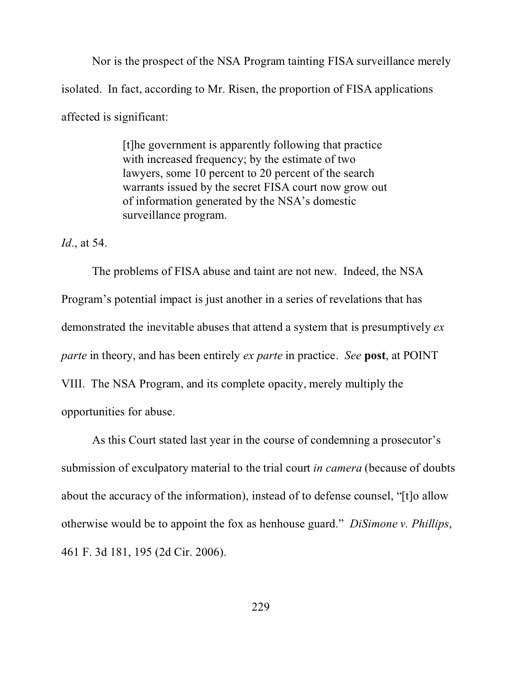Nor is the prospect of the NSA Program tainting FISA surveillance merely isolated. In fact, according to Mr. Risen, the proportion of FISA applications affected is significant:

> [t]he government is apparently following that practice with increased frequency; by the estimate of two lawyers, some 10 percent to 20 percent of the search warrants issued by the secret FISA court now grow out of information generated by the NSA's domestic surveillance program.

*Id*., at 54.

The problems of FISA abuse and taint are not new. Indeed, the NSA Program's potential impact is just another in a series of revelations that has demonstrated the inevitable abuses that attend a system that is presumptively *ex parte* in theory, and has been entirely *ex parte* in practice. *See* **post**, at POINT VIII. The NSA Program, and its complete opacity, merely multiply the opportunities for abuse.

As this Court stated last year in the course of condemning a prosecutor's submission of exculpatory material to the trial court *in camera* (because of doubts about the accuracy of the information), instead of to defense counsel, "[t]o allow otherwise would be to appoint the fox as henhouse guard." *DiSimone v. Phillips*, 461 F. 3d 181, 195 (2d Cir. 2006).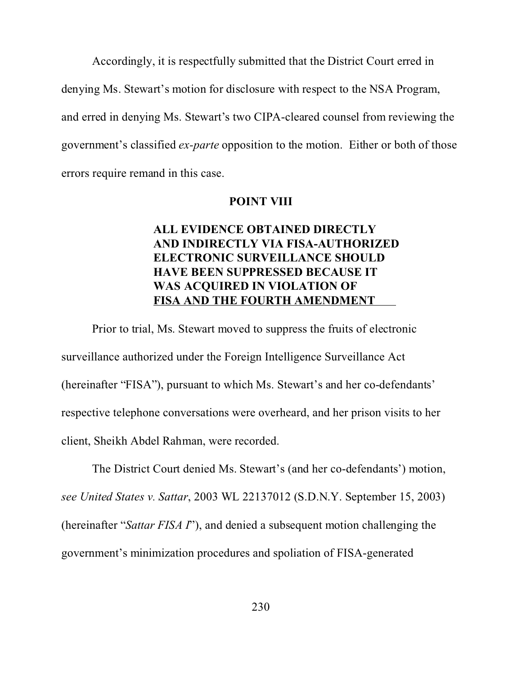Accordingly, it is respectfully submitted that the District Court erred in denying Ms. Stewart's motion for disclosure with respect to the NSA Program, and erred in denying Ms. Stewart's two CIPA-cleared counsel from reviewing the government's classified *ex-parte* opposition to the motion. Either or both of those errors require remand in this case.

#### **POINT VIII**

# **ALL EVIDENCE OBTAINED DIRECTLY AND INDIRECTLY VIA FISA-AUTHORIZED ELECTRONIC SURVEILLANCE SHOULD HAVE BEEN SUPPRESSED BECAUSE IT WAS ACQUIRED IN VIOLATION OF FISA AND THE FOURTH AMENDMENT**

Prior to trial, Ms. Stewart moved to suppress the fruits of electronic surveillance authorized under the Foreign Intelligence Surveillance Act (hereinafter "FISA"), pursuant to which Ms. Stewart's and her co-defendants' respective telephone conversations were overheard, and her prison visits to her client, Sheikh Abdel Rahman, were recorded.

The District Court denied Ms. Stewart's (and her co-defendants') motion, *see United States v. Sattar*, 2003 WL 22137012 (S.D.N.Y. September 15, 2003) (hereinafter "*Sattar FISA I*"), and denied a subsequent motion challenging the government's minimization procedures and spoliation of FISA-generated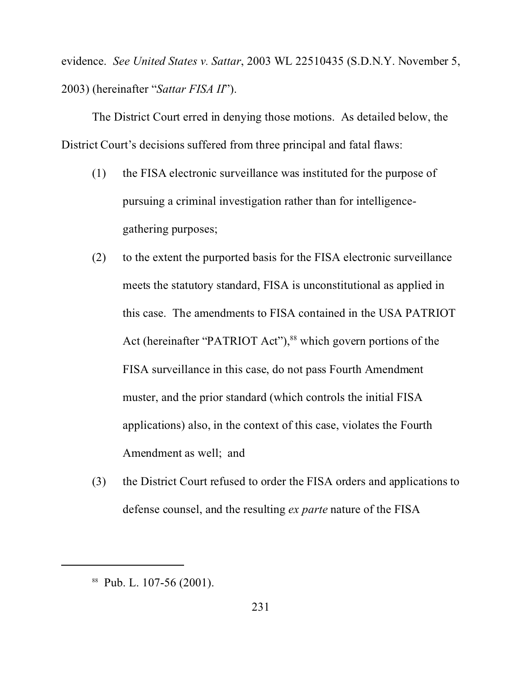evidence. *See United States v. Sattar*, 2003 WL 22510435 (S.D.N.Y. November 5, 2003) (hereinafter "*Sattar FISA II*").

The District Court erred in denying those motions. As detailed below, the District Court's decisions suffered from three principal and fatal flaws:

- (1) the FISA electronic surveillance was instituted for the purpose of pursuing a criminal investigation rather than for intelligencegathering purposes;
- (2) to the extent the purported basis for the FISA electronic surveillance meets the statutory standard, FISA is unconstitutional as applied in this case. The amendments to FISA contained in the USA PATRIOT Act (hereinafter "PATRIOT Act"),<sup>88</sup> which govern portions of the FISA surveillance in this case, do not pass Fourth Amendment muster, and the prior standard (which controls the initial FISA applications) also, in the context of this case, violates the Fourth Amendment as well; and
- (3) the District Court refused to order the FISA orders and applications to defense counsel, and the resulting *ex parte* nature of the FISA

<sup>88</sup> Pub. L. 107-56 (2001).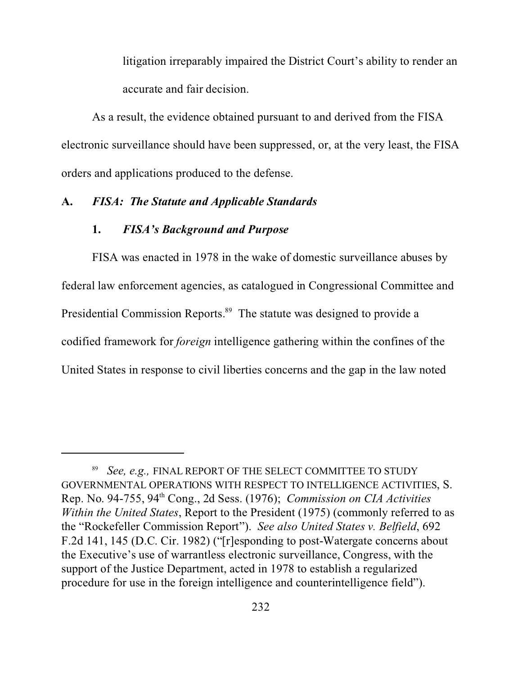litigation irreparably impaired the District Court's ability to render an accurate and fair decision.

As a result, the evidence obtained pursuant to and derived from the FISA electronic surveillance should have been suppressed, or, at the very least, the FISA orders and applications produced to the defense.

## **A.** *FISA: The Statute and Applicable Standards*

#### **1.** *FISA's Background and Purpose*

FISA was enacted in 1978 in the wake of domestic surveillance abuses by federal law enforcement agencies, as catalogued in Congressional Committee and Presidential Commission Reports.<sup>89</sup> The statute was designed to provide a codified framework for *foreign* intelligence gathering within the confines of the United States in response to civil liberties concerns and the gap in the law noted

<sup>89</sup> *See, e.g.,* FINAL REPORT OF THE SELECT COMMITTEE TO STUDY GOVERNMENTAL OPERATIONS WITH RESPECT TO INTELLIGENCE ACTIVITIES, S. Rep. No. 94-755, 94th Cong., 2d Sess. (1976); *Commission on CIA Activities Within the United States*, Report to the President (1975) (commonly referred to as the "Rockefeller Commission Report"). *See also United States v. Belfield*, 692 F.2d 141, 145 (D.C. Cir. 1982) ("[r]esponding to post-Watergate concerns about the Executive's use of warrantless electronic surveillance, Congress, with the support of the Justice Department, acted in 1978 to establish a regularized procedure for use in the foreign intelligence and counterintelligence field").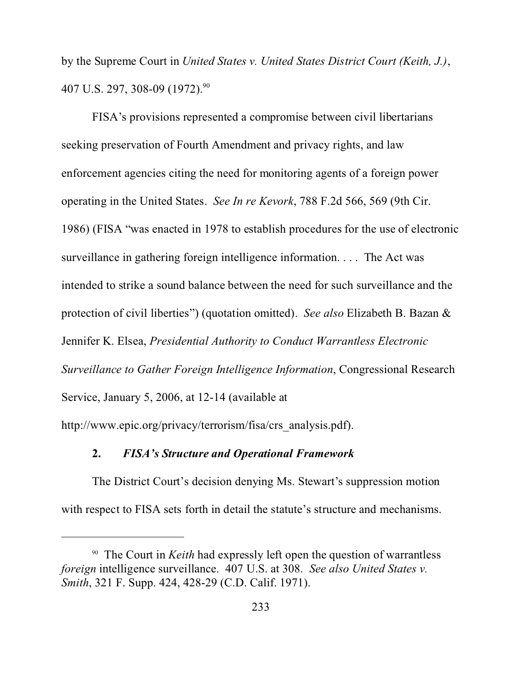by the Supreme Court in *United States v. United States District Court (Keith, J.)*, 407 U.S. 297, 308-09 (1972).<sup>90</sup>

FISA's provisions represented a compromise between civil libertarians seeking preservation of Fourth Amendment and privacy rights, and law enforcement agencies citing the need for monitoring agents of a foreign power operating in the United States. *See In re Kevork*, 788 F.2d 566, 569 (9th Cir. 1986) (FISA "was enacted in 1978 to establish procedures for the use of electronic surveillance in gathering foreign intelligence information. . . . The Act was intended to strike a sound balance between the need for such surveillance and the protection of civil liberties") (quotation omitted). *See also* Elizabeth B. Bazan & Jennifer K. Elsea, *Presidential Authority to Conduct Warrantless Electronic Surveillance to Gather Foreign Intelligence Information*, Congressional Research Service, January 5, 2006, at 12-14 (available at http://www.epic.org/privacy/terrorism/fisa/crs\_analysis.pdf).

## **2.** *FISA's Structure and Operational Framework*

The District Court's decision denying Ms. Stewart's suppression motion with respect to FISA sets forth in detail the statute's structure and mechanisms.

<sup>90</sup> The Court in *Keith* had expressly left open the question of warrantless *foreign* intelligence surveillance. 407 U.S. at 308. *See also United States v. Smith*, 321 F. Supp. 424, 428-29 (C.D. Calif. 1971).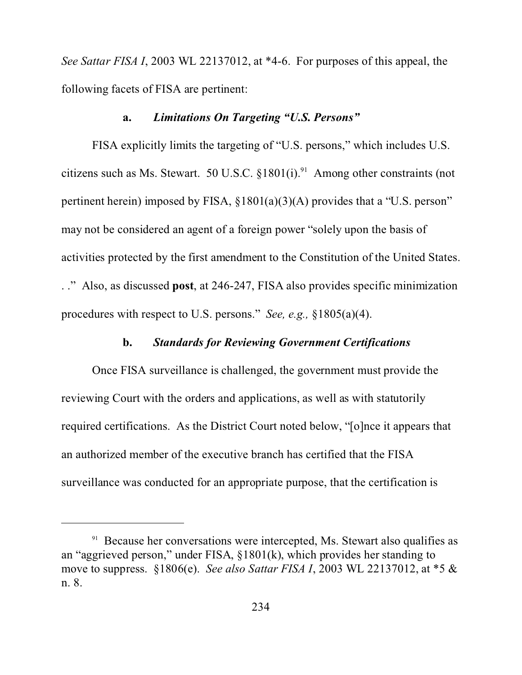*See Sattar FISA I*, 2003 WL 22137012, at \*4-6. For purposes of this appeal, the following facets of FISA are pertinent:

## **a.** *Limitations On Targeting "U.S. Persons"*

FISA explicitly limits the targeting of "U.S. persons," which includes U.S. citizens such as Ms. Stewart. 50 U.S.C.  $§1801(i).<sup>91</sup>$  Among other constraints (not pertinent herein) imposed by FISA, §1801(a)(3)(A) provides that a "U.S. person" may not be considered an agent of a foreign power "solely upon the basis of activities protected by the first amendment to the Constitution of the United States. . ." Also, as discussed **post**, at 246-247, FISA also provides specific minimization procedures with respect to U.S. persons." *See, e.g.,* §1805(a)(4).

## **b.** *Standards for Reviewing Government Certifications*

Once FISA surveillance is challenged, the government must provide the reviewing Court with the orders and applications, as well as with statutorily required certifications. As the District Court noted below, "[o]nce it appears that an authorized member of the executive branch has certified that the FISA surveillance was conducted for an appropriate purpose, that the certification is

 $91$  Because her conversations were intercepted, Ms. Stewart also qualifies as an "aggrieved person," under FISA, §1801(k), which provides her standing to move to suppress. §1806(e). *See also Sattar FISA I*, 2003 WL 22137012, at \*5 & n. 8.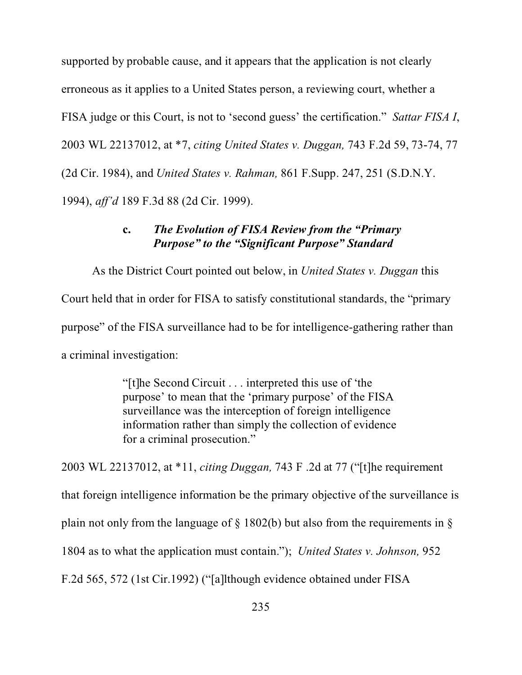supported by probable cause, and it appears that the application is not clearly erroneous as it applies to a United States person, a reviewing court, whether a FISA judge or this Court, is not to 'second guess' the certification." *Sattar FISA I*, 2003 WL 22137012, at \*7, *citing United States v. Duggan,* 743 F.2d 59, 73-74, 77 (2d Cir. 1984), and *United States v. Rahman,* 861 F.Supp. 247, 251 (S.D.N.Y. 1994), *aff'd* 189 F.3d 88 (2d Cir. 1999).

# **c.** *The Evolution of FISA Review from the "Primary Purpose" to the "Significant Purpose" Standard*

As the District Court pointed out below, in *United States v. Duggan* this Court held that in order for FISA to satisfy constitutional standards, the "primary purpose" of the FISA surveillance had to be for intelligence-gathering rather than a criminal investigation:

> "[t]he Second Circuit . . . interpreted this use of 'the purpose' to mean that the 'primary purpose' of the FISA surveillance was the interception of foreign intelligence information rather than simply the collection of evidence for a criminal prosecution."

2003 WL 22137012, at \*11, *citing Duggan,* 743 F .2d at 77 ("[t]he requirement that foreign intelligence information be the primary objective of the surveillance is plain not only from the language of § 1802(b) but also from the requirements in § 1804 as to what the application must contain."); *United States v. Johnson,* 952 F.2d 565, 572 (1st Cir.1992) ("[a]lthough evidence obtained under FISA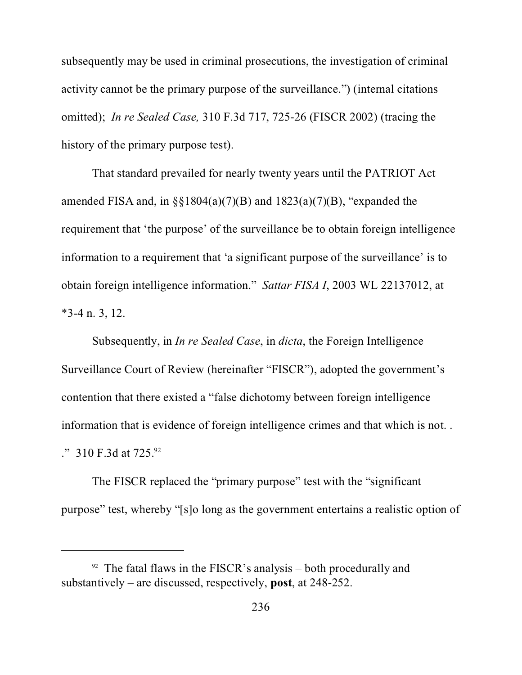subsequently may be used in criminal prosecutions, the investigation of criminal activity cannot be the primary purpose of the surveillance.") (internal citations omitted); *In re Sealed Case,* 310 F.3d 717, 725-26 (FISCR 2002) (tracing the history of the primary purpose test).

That standard prevailed for nearly twenty years until the PATRIOT Act amended FISA and, in  $\S$ §1804(a)(7)(B) and 1823(a)(7)(B), "expanded the requirement that 'the purpose' of the surveillance be to obtain foreign intelligence information to a requirement that 'a significant purpose of the surveillance' is to obtain foreign intelligence information." *Sattar FISA I*, 2003 WL 22137012, at \*3-4 n. 3, 12.

Subsequently, in *In re Sealed Case*, in *dicta*, the Foreign Intelligence Surveillance Court of Review (hereinafter "FISCR"), adopted the government's contention that there existed a "false dichotomy between foreign intelligence information that is evidence of foreign intelligence crimes and that which is not. . ." 310 F.3d at 725.92

The FISCR replaced the "primary purpose" test with the "significant purpose" test, whereby "[s]o long as the government entertains a realistic option of

 $92$  The fatal flaws in the FISCR's analysis – both procedurally and substantively – are discussed, respectively, **post**, at 248-252.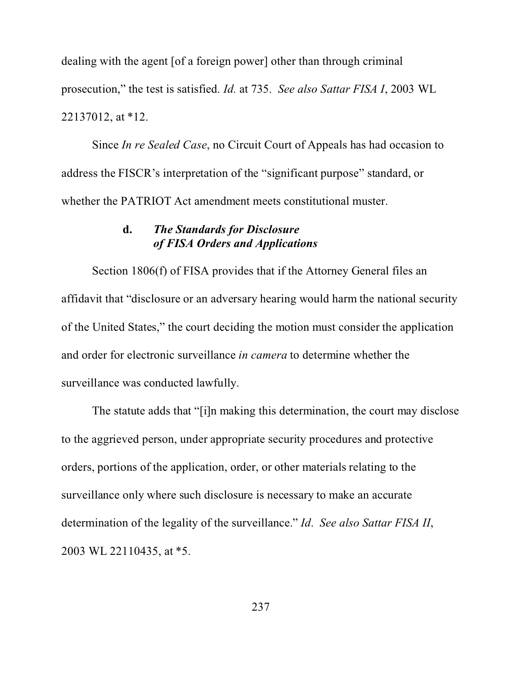dealing with the agent [of a foreign power] other than through criminal prosecution," the test is satisfied. *Id.* at 735. *See also Sattar FISA I*, 2003 WL 22137012, at \*12.

Since *In re Sealed Case*, no Circuit Court of Appeals has had occasion to address the FISCR's interpretation of the "significant purpose" standard, or whether the PATRIOT Act amendment meets constitutional muster.

## **d.** *The Standards for Disclosure of FISA Orders and Applications*

Section 1806(f) of FISA provides that if the Attorney General files an affidavit that "disclosure or an adversary hearing would harm the national security of the United States," the court deciding the motion must consider the application and order for electronic surveillance *in camera* to determine whether the surveillance was conducted lawfully.

The statute adds that "[i]n making this determination, the court may disclose to the aggrieved person, under appropriate security procedures and protective orders, portions of the application, order, or other materials relating to the surveillance only where such disclosure is necessary to make an accurate determination of the legality of the surveillance." *Id*. *See also Sattar FISA II*, 2003 WL 22110435, at \*5.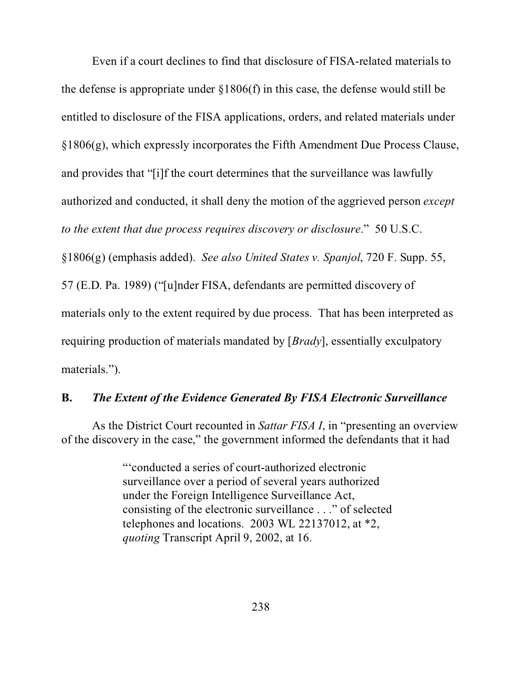Even if a court declines to find that disclosure of FISA-related materials to the defense is appropriate under §1806(f) in this case, the defense would still be entitled to disclosure of the FISA applications, orders, and related materials under §1806(g), which expressly incorporates the Fifth Amendment Due Process Clause, and provides that "[i]f the court determines that the surveillance was lawfully authorized and conducted, it shall deny the motion of the aggrieved person *except to the extent that due process requires discovery or disclosure*." 50 U.S.C. §1806(g) (emphasis added). *See also United States v. Spanjol*, 720 F. Supp. 55, 57 (E.D. Pa. 1989) ("[u]nder FISA, defendants are permitted discovery of materials only to the extent required by due process. That has been interpreted as requiring production of materials mandated by [*Brady*], essentially exculpatory materials.").

## **B.** *The Extent of the Evidence Generated By FISA Electronic Surveillance*

As the District Court recounted in *Sattar FISA I*, in "presenting an overview of the discovery in the case," the government informed the defendants that it had

> "'conducted a series of court-authorized electronic surveillance over a period of several years authorized under the Foreign Intelligence Surveillance Act, consisting of the electronic surveillance . . ." of selected telephones and locations. 2003 WL 22137012, at \*2, *quoting* Transcript April 9, 2002, at 16.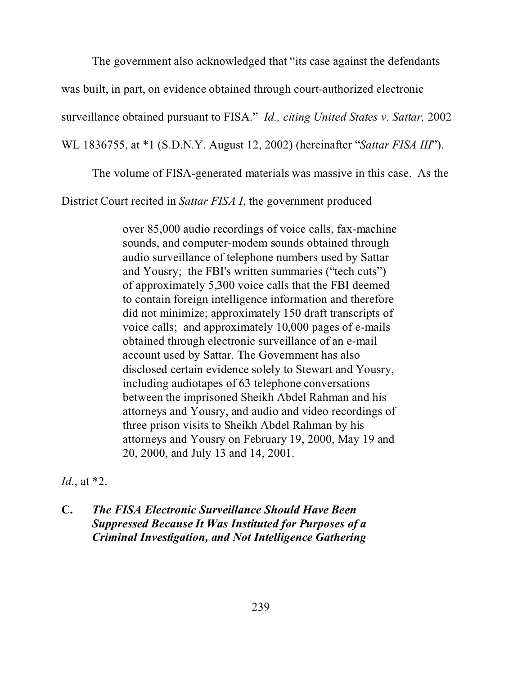The government also acknowledged that "its case against the defendants

was built, in part, on evidence obtained through court-authorized electronic

surveillance obtained pursuant to FISA." *Id., citing United States v. Sattar,* 2002

WL 1836755, at \*1 (S.D.N.Y. August 12, 2002) (hereinafter "*Sattar FISA III*").

The volume of FISA-generated materials was massive in this case. As the

District Court recited in *Sattar FISA I*, the government produced

over 85,000 audio recordings of voice calls, fax-machine sounds, and computer-modem sounds obtained through audio surveillance of telephone numbers used by Sattar and Yousry; the FBI's written summaries ("tech cuts") of approximately 5,300 voice calls that the FBI deemed to contain foreign intelligence information and therefore did not minimize; approximately 150 draft transcripts of voice calls; and approximately 10,000 pages of e-mails obtained through electronic surveillance of an e-mail account used by Sattar. The Government has also disclosed certain evidence solely to Stewart and Yousry, including audiotapes of 63 telephone conversations between the imprisoned Sheikh Abdel Rahman and his attorneys and Yousry, and audio and video recordings of three prison visits to Sheikh Abdel Rahman by his attorneys and Yousry on February 19, 2000, May 19 and 20, 2000, and July 13 and 14, 2001.

*Id*., at \*2.

# **C.** *The FISA Electronic Surveillance Should Have Been Suppressed Because It Was Instituted for Purposes of a Criminal Investigation, and Not Intelligence Gathering*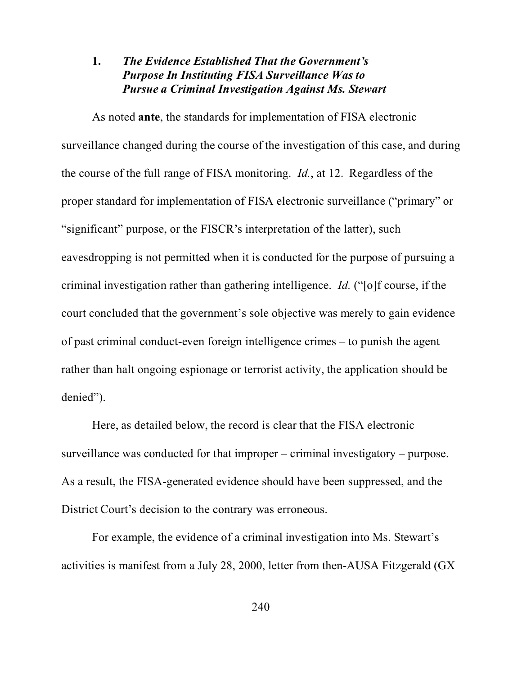# **1.** *The Evidence Established That the Government's Purpose In Instituting FISA Surveillance Was to Pursue a Criminal Investigation Against Ms. Stewart*

As noted **ante**, the standards for implementation of FISA electronic surveillance changed during the course of the investigation of this case, and during the course of the full range of FISA monitoring. *Id.*, at 12. Regardless of the proper standard for implementation of FISA electronic surveillance ("primary" or "significant" purpose, or the FISCR's interpretation of the latter), such eavesdropping is not permitted when it is conducted for the purpose of pursuing a criminal investigation rather than gathering intelligence. *Id.* ("[o]f course, if the court concluded that the government's sole objective was merely to gain evidence of past criminal conduct-even foreign intelligence crimes – to punish the agent rather than halt ongoing espionage or terrorist activity, the application should be denied").

Here, as detailed below, the record is clear that the FISA electronic surveillance was conducted for that improper – criminal investigatory – purpose. As a result, the FISA-generated evidence should have been suppressed, and the District Court's decision to the contrary was erroneous.

For example, the evidence of a criminal investigation into Ms. Stewart's activities is manifest from a July 28, 2000, letter from then-AUSA Fitzgerald (GX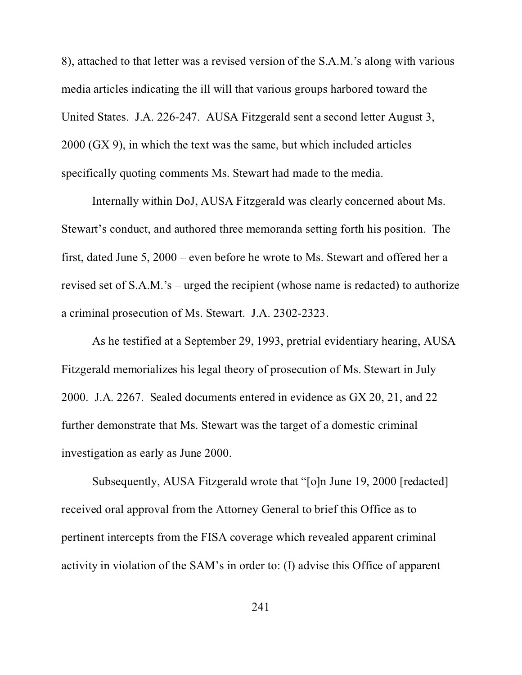8), attached to that letter was a revised version of the S.A.M.'s along with various media articles indicating the ill will that various groups harbored toward the United States. J.A. 226-247. AUSA Fitzgerald sent a second letter August 3, 2000 (GX 9), in which the text was the same, but which included articles specifically quoting comments Ms. Stewart had made to the media.

Internally within DoJ, AUSA Fitzgerald was clearly concerned about Ms. Stewart's conduct, and authored three memoranda setting forth his position. The first, dated June 5, 2000 – even before he wrote to Ms. Stewart and offered her a revised set of S.A.M.'s – urged the recipient (whose name is redacted) to authorize a criminal prosecution of Ms. Stewart. J.A. 2302-2323.

As he testified at a September 29, 1993, pretrial evidentiary hearing, AUSA Fitzgerald memorializes his legal theory of prosecution of Ms. Stewart in July 2000. J.A. 2267. Sealed documents entered in evidence as GX 20, 21, and 22 further demonstrate that Ms. Stewart was the target of a domestic criminal investigation as early as June 2000.

Subsequently, AUSA Fitzgerald wrote that "[o]n June 19, 2000 [redacted] received oral approval from the Attorney General to brief this Office as to pertinent intercepts from the FISA coverage which revealed apparent criminal activity in violation of the SAM's in order to: (I) advise this Office of apparent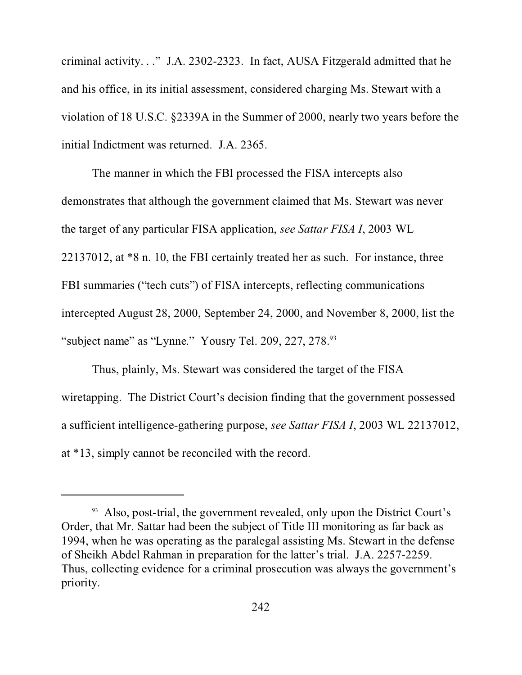criminal activity. . ." J.A. 2302-2323. In fact, AUSA Fitzgerald admitted that he and his office, in its initial assessment, considered charging Ms. Stewart with a violation of 18 U.S.C. §2339A in the Summer of 2000, nearly two years before the initial Indictment was returned. J.A. 2365.

The manner in which the FBI processed the FISA intercepts also demonstrates that although the government claimed that Ms. Stewart was never the target of any particular FISA application, *see Sattar FISA I*, 2003 WL 22137012, at \*8 n. 10, the FBI certainly treated her as such. For instance, three FBI summaries ("tech cuts") of FISA intercepts, reflecting communications intercepted August 28, 2000, September 24, 2000, and November 8, 2000, list the "subject name" as "Lynne." Yousry Tel. 209, 227, 278.<sup>93</sup>

Thus, plainly, Ms. Stewart was considered the target of the FISA wiretapping. The District Court's decision finding that the government possessed a sufficient intelligence-gathering purpose, *see Sattar FISA I*, 2003 WL 22137012, at \*13, simply cannot be reconciled with the record.

<sup>&</sup>lt;sup>93</sup> Also, post-trial, the government revealed, only upon the District Court's Order, that Mr. Sattar had been the subject of Title III monitoring as far back as 1994, when he was operating as the paralegal assisting Ms. Stewart in the defense of Sheikh Abdel Rahman in preparation for the latter's trial. J.A. 2257-2259. Thus, collecting evidence for a criminal prosecution was always the government's priority.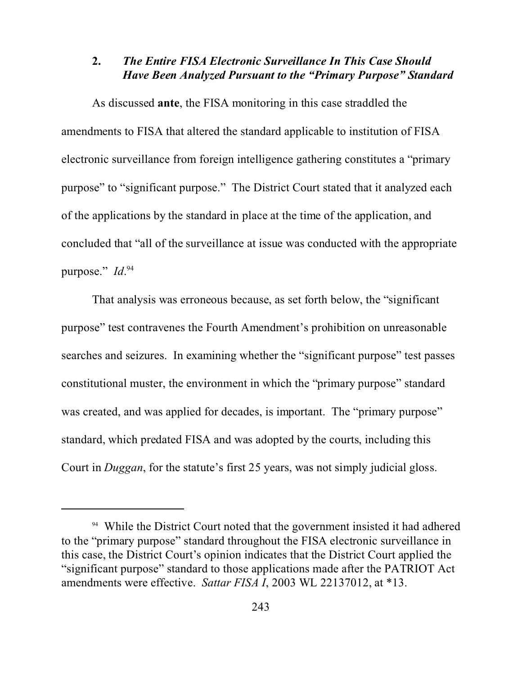# **2.** *The Entire FISA Electronic Surveillance In This Case Should Have Been Analyzed Pursuant to the "Primary Purpose" Standard*

As discussed **ante**, the FISA monitoring in this case straddled the amendments to FISA that altered the standard applicable to institution of FISA electronic surveillance from foreign intelligence gathering constitutes a "primary purpose" to "significant purpose." The District Court stated that it analyzed each of the applications by the standard in place at the time of the application, and concluded that "all of the surveillance at issue was conducted with the appropriate purpose." *Id*. 94

That analysis was erroneous because, as set forth below, the "significant purpose" test contravenes the Fourth Amendment's prohibition on unreasonable searches and seizures. In examining whether the "significant purpose" test passes constitutional muster, the environment in which the "primary purpose" standard was created, and was applied for decades, is important. The "primary purpose" standard, which predated FISA and was adopted by the courts, including this Court in *Duggan*, for the statute's first 25 years, was not simply judicial gloss.

<sup>&</sup>lt;sup>94</sup> While the District Court noted that the government insisted it had adhered to the "primary purpose" standard throughout the FISA electronic surveillance in this case, the District Court's opinion indicates that the District Court applied the "significant purpose" standard to those applications made after the PATRIOT Act amendments were effective. *Sattar FISA I*, 2003 WL 22137012, at \*13.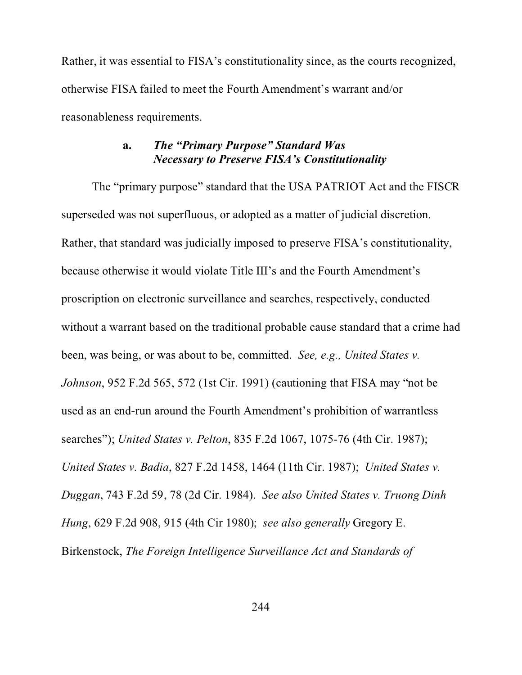Rather, it was essential to FISA's constitutionality since, as the courts recognized, otherwise FISA failed to meet the Fourth Amendment's warrant and/or reasonableness requirements.

# **a.** *The "Primary Purpose" Standard Was Necessary to Preserve FISA's Constitutionality*

The "primary purpose" standard that the USA PATRIOT Act and the FISCR superseded was not superfluous, or adopted as a matter of judicial discretion. Rather, that standard was judicially imposed to preserve FISA's constitutionality, because otherwise it would violate Title III's and the Fourth Amendment's proscription on electronic surveillance and searches, respectively, conducted without a warrant based on the traditional probable cause standard that a crime had been, was being, or was about to be, committed. *See, e.g., United States v. Johnson*, 952 F.2d 565, 572 (1st Cir. 1991) (cautioning that FISA may "not be used as an end-run around the Fourth Amendment's prohibition of warrantless searches"); *United States v. Pelton*, 835 F.2d 1067, 1075-76 (4th Cir. 1987); *United States v. Badia*, 827 F.2d 1458, 1464 (11th Cir. 1987); *United States v. Duggan*, 743 F.2d 59, 78 (2d Cir. 1984). *See also United States v. Truong Dinh Hung*, 629 F.2d 908, 915 (4th Cir 1980); *see also generally* Gregory E. Birkenstock, *The Foreign Intelligence Surveillance Act and Standards of*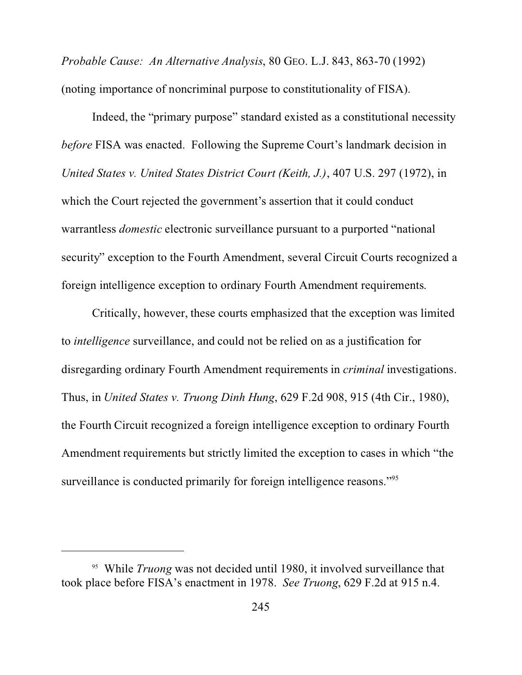*Probable Cause: An Alternative Analysis*, 80 GEO. L.J. 843, 863-70 (1992) (noting importance of noncriminal purpose to constitutionality of FISA).

Indeed, the "primary purpose" standard existed as a constitutional necessity *before* FISA was enacted. Following the Supreme Court's landmark decision in *United States v. United States District Court (Keith, J.)*, 407 U.S. 297 (1972), in which the Court rejected the government's assertion that it could conduct warrantless *domestic* electronic surveillance pursuant to a purported "national security" exception to the Fourth Amendment, several Circuit Courts recognized a foreign intelligence exception to ordinary Fourth Amendment requirements.

Critically, however, these courts emphasized that the exception was limited to *intelligence* surveillance, and could not be relied on as a justification for disregarding ordinary Fourth Amendment requirements in *criminal* investigations. Thus, in *United States v. Truong Dinh Hung*, 629 F.2d 908, 915 (4th Cir., 1980), the Fourth Circuit recognized a foreign intelligence exception to ordinary Fourth Amendment requirements but strictly limited the exception to cases in which "the surveillance is conducted primarily for foreign intelligence reasons."<sup>95</sup>

<sup>95</sup> While *Truong* was not decided until 1980, it involved surveillance that took place before FISA's enactment in 1978. *See Truong*, 629 F.2d at 915 n.4.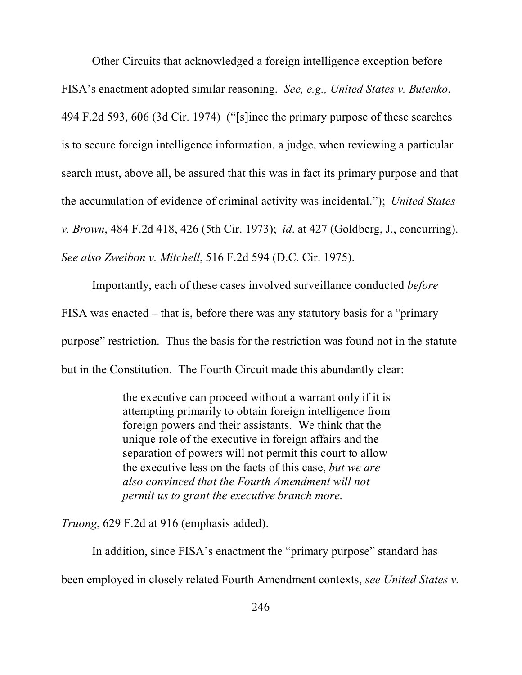Other Circuits that acknowledged a foreign intelligence exception before FISA's enactment adopted similar reasoning. *See, e.g., United States v. Butenko*, 494 F.2d 593, 606 (3d Cir. 1974) ("[s]ince the primary purpose of these searches is to secure foreign intelligence information, a judge, when reviewing a particular search must, above all, be assured that this was in fact its primary purpose and that the accumulation of evidence of criminal activity was incidental."); *United States v. Brown*, 484 F.2d 418, 426 (5th Cir. 1973); *id*. at 427 (Goldberg, J., concurring). *See also Zweibon v. Mitchell*, 516 F.2d 594 (D.C. Cir. 1975).

Importantly, each of these cases involved surveillance conducted *before* FISA was enacted – that is, before there was any statutory basis for a "primary purpose" restriction. Thus the basis for the restriction was found not in the statute but in the Constitution. The Fourth Circuit made this abundantly clear:

> the executive can proceed without a warrant only if it is attempting primarily to obtain foreign intelligence from foreign powers and their assistants. We think that the unique role of the executive in foreign affairs and the separation of powers will not permit this court to allow the executive less on the facts of this case, *but we are also convinced that the Fourth Amendment will not permit us to grant the executive branch more*.

*Truong*, 629 F.2d at 916 (emphasis added).

In addition, since FISA's enactment the "primary purpose" standard has been employed in closely related Fourth Amendment contexts, *see United States v.*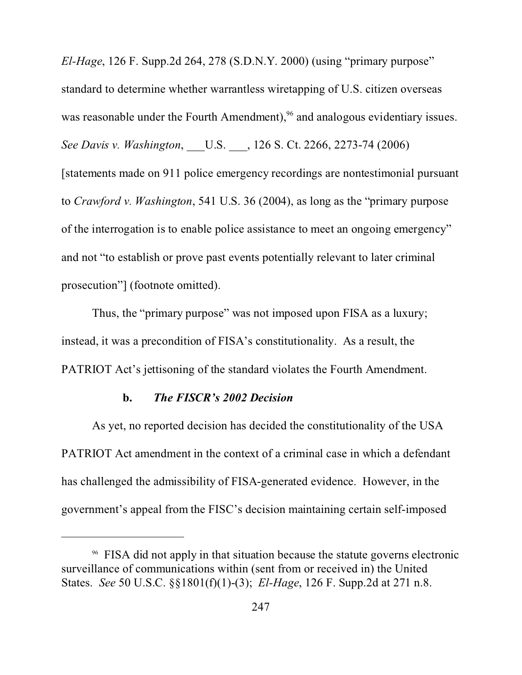*El-Hage*, 126 F. Supp.2d 264, 278 (S.D.N.Y. 2000) (using "primary purpose" standard to determine whether warrantless wiretapping of U.S. citizen overseas was reasonable under the Fourth Amendment),<sup>96</sup> and analogous evidentiary issues. *See Davis v. Washington*, \_\_\_U.S. \_\_\_, 126 S. Ct. 2266, 2273-74 (2006) [statements made on 911 police emergency recordings are nontestimonial pursuant to *Crawford v. Washington*, 541 U.S. 36 (2004), as long as the "primary purpose of the interrogation is to enable police assistance to meet an ongoing emergency" and not "to establish or prove past events potentially relevant to later criminal prosecution"] (footnote omitted).

Thus, the "primary purpose" was not imposed upon FISA as a luxury; instead, it was a precondition of FISA's constitutionality. As a result, the PATRIOT Act's jettisoning of the standard violates the Fourth Amendment.

## **b.** *The FISCR's 2002 Decision*

As yet, no reported decision has decided the constitutionality of the USA PATRIOT Act amendment in the context of a criminal case in which a defendant has challenged the admissibility of FISA-generated evidence. However, in the government's appeal from the FISC's decision maintaining certain self-imposed

<sup>96</sup> FISA did not apply in that situation because the statute governs electronic surveillance of communications within (sent from or received in) the United States. *See* 50 U.S.C. §§1801(f)(1)-(3); *El-Hage*, 126 F. Supp.2d at 271 n.8.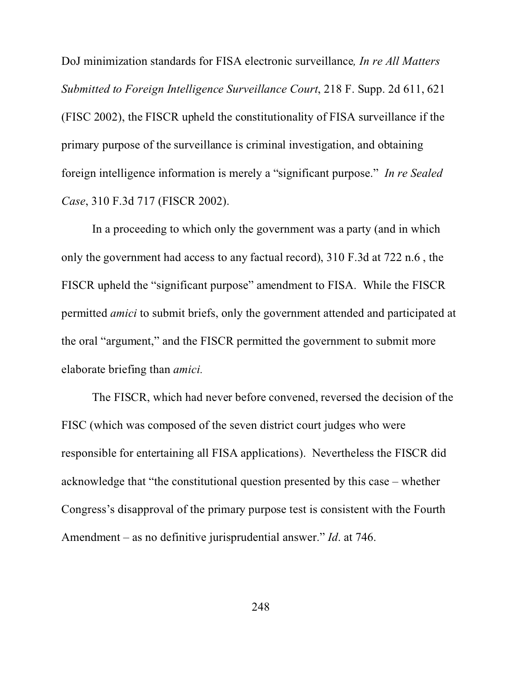DoJ minimization standards for FISA electronic surveillance*, In re All Matters Submitted to Foreign Intelligence Surveillance Court*, 218 F. Supp. 2d 611, 621 (FISC 2002), the FISCR upheld the constitutionality of FISA surveillance if the primary purpose of the surveillance is criminal investigation, and obtaining foreign intelligence information is merely a "significant purpose." *In re Sealed Case*, 310 F.3d 717 (FISCR 2002).

In a proceeding to which only the government was a party (and in which only the government had access to any factual record), 310 F.3d at 722 n.6 , the FISCR upheld the "significant purpose" amendment to FISA. While the FISCR permitted *amici* to submit briefs, only the government attended and participated at the oral "argument," and the FISCR permitted the government to submit more elaborate briefing than *amici.*

The FISCR, which had never before convened, reversed the decision of the FISC (which was composed of the seven district court judges who were responsible for entertaining all FISA applications). Nevertheless the FISCR did acknowledge that "the constitutional question presented by this case – whether Congress's disapproval of the primary purpose test is consistent with the Fourth Amendment – as no definitive jurisprudential answer." *Id*. at 746.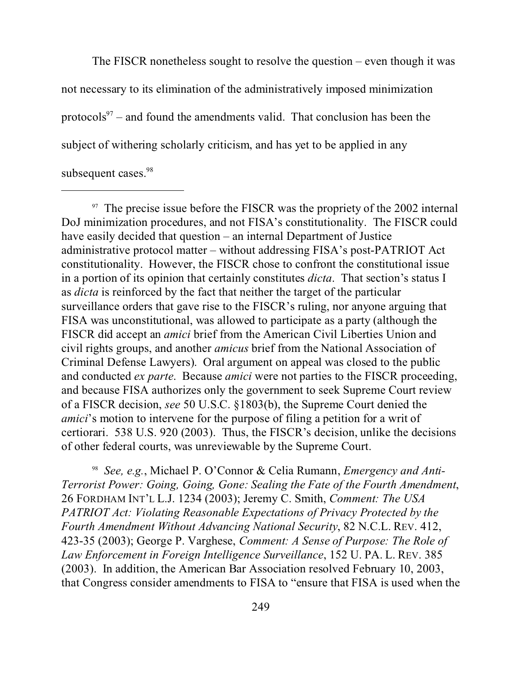The FISCR nonetheless sought to resolve the question – even though it was not necessary to its elimination of the administratively imposed minimization protocols<sup>97</sup> – and found the amendments valid. That conclusion has been the subject of withering scholarly criticism, and has yet to be applied in any subsequent cases.<sup>98</sup>

<sup>97</sup> The precise issue before the FISCR was the propriety of the 2002 internal DoJ minimization procedures, and not FISA's constitutionality. The FISCR could have easily decided that question – an internal Department of Justice administrative protocol matter – without addressing FISA's post-PATRIOT Act constitutionality. However, the FISCR chose to confront the constitutional issue in a portion of its opinion that certainly constitutes *dicta*. That section's status I as *dicta* is reinforced by the fact that neither the target of the particular surveillance orders that gave rise to the FISCR's ruling, nor anyone arguing that FISA was unconstitutional, was allowed to participate as a party (although the FISCR did accept an *amici* brief from the American Civil Liberties Union and civil rights groups, and another *amicus* brief from the National Association of Criminal Defense Lawyers). Oral argument on appeal was closed to the public and conducted *ex parte*. Because *amici* were not parties to the FISCR proceeding, and because FISA authorizes only the government to seek Supreme Court review of a FISCR decision, *see* 50 U.S.C. §1803(b), the Supreme Court denied the *amici*'s motion to intervene for the purpose of filing a petition for a writ of certiorari. 538 U.S. 920 (2003). Thus, the FISCR's decision, unlike the decisions of other federal courts, was unreviewable by the Supreme Court.

98 *See, e.g.*, Michael P. O'Connor & Celia Rumann, *Emergency and Anti-Terrorist Power: Going, Going, Gone: Sealing the Fate of the Fourth Amendment*, 26 FORDHAM INT'L L.J. 1234 (2003); Jeremy C. Smith, *Comment: The USA PATRIOT Act: Violating Reasonable Expectations of Privacy Protected by the Fourth Amendment Without Advancing National Security*, 82 N.C.L. REV. 412, 423-35 (2003); George P. Varghese, *Comment: A Sense of Purpose: The Role of Law Enforcement in Foreign Intelligence Surveillance*, 152 U. PA. L. REV. 385 (2003). In addition, the American Bar Association resolved February 10, 2003, that Congress consider amendments to FISA to "ensure that FISA is used when the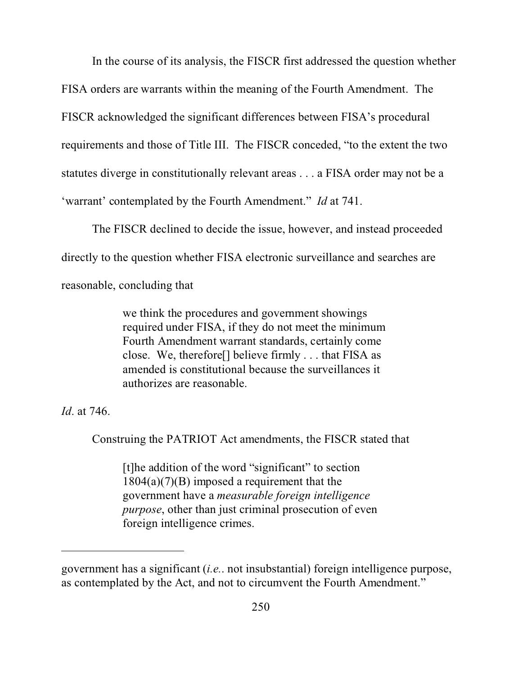In the course of its analysis, the FISCR first addressed the question whether FISA orders are warrants within the meaning of the Fourth Amendment. The FISCR acknowledged the significant differences between FISA's procedural requirements and those of Title III. The FISCR conceded, "to the extent the two statutes diverge in constitutionally relevant areas . . . a FISA order may not be a 'warrant' contemplated by the Fourth Amendment." *Id* at 741.

The FISCR declined to decide the issue, however, and instead proceeded directly to the question whether FISA electronic surveillance and searches are reasonable, concluding that

> we think the procedures and government showings required under FISA, if they do not meet the minimum Fourth Amendment warrant standards, certainly come close. We, therefore[] believe firmly . . . that FISA as amended is constitutional because the surveillances it authorizes are reasonable.

*Id*. at 746.

Construing the PATRIOT Act amendments, the FISCR stated that

[t]he addition of the word "significant" to section  $1804(a)(7)(B)$  imposed a requirement that the government have a *measurable foreign intelligence purpose*, other than just criminal prosecution of even foreign intelligence crimes.

government has a significant (*i.e.*. not insubstantial) foreign intelligence purpose, as contemplated by the Act, and not to circumvent the Fourth Amendment."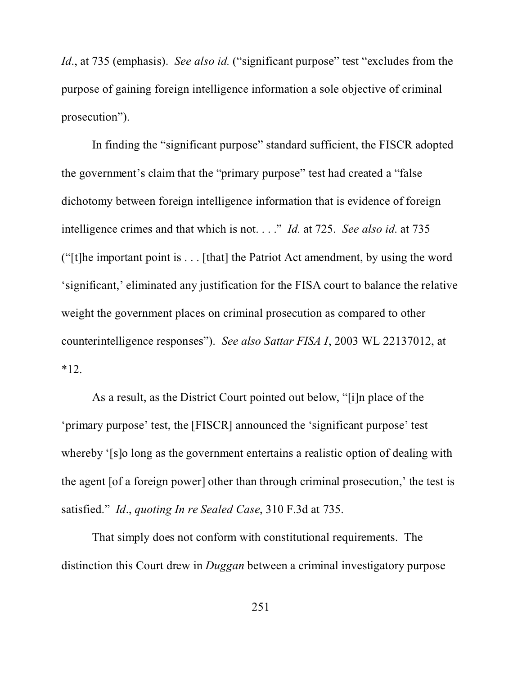*Id.*, at 735 (emphasis). *See also id.* ("significant purpose" test "excludes from the purpose of gaining foreign intelligence information a sole objective of criminal prosecution").

In finding the "significant purpose" standard sufficient, the FISCR adopted the government's claim that the "primary purpose" test had created a "false dichotomy between foreign intelligence information that is evidence of foreign intelligence crimes and that which is not. . . ." *Id.* at 725. *See also id*. at 735 ("[t]he important point is . . . [that] the Patriot Act amendment, by using the word 'significant,' eliminated any justification for the FISA court to balance the relative weight the government places on criminal prosecution as compared to other counterintelligence responses"). *See also Sattar FISA I*, 2003 WL 22137012, at \*12.

As a result, as the District Court pointed out below, "[i]n place of the 'primary purpose' test, the [FISCR] announced the 'significant purpose' test whereby '[s]o long as the government entertains a realistic option of dealing with the agent [of a foreign power] other than through criminal prosecution,' the test is satisfied." *Id*., *quoting In re Sealed Case*, 310 F.3d at 735.

That simply does not conform with constitutional requirements. The distinction this Court drew in *Duggan* between a criminal investigatory purpose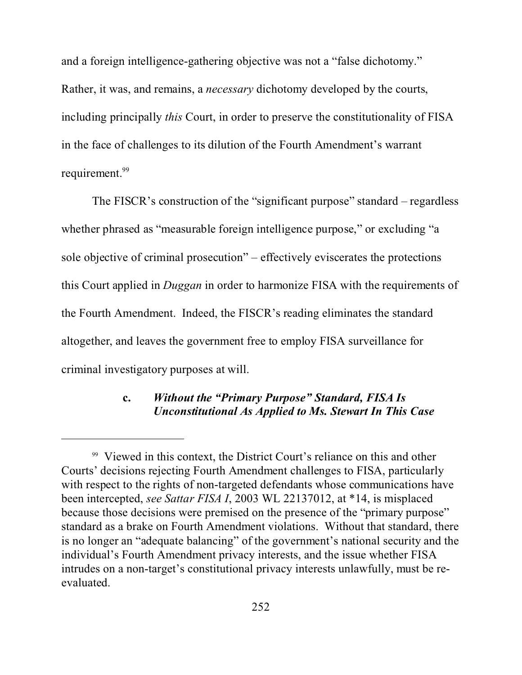and a foreign intelligence-gathering objective was not a "false dichotomy." Rather, it was, and remains, a *necessary* dichotomy developed by the courts, including principally *this* Court, in order to preserve the constitutionality of FISA in the face of challenges to its dilution of the Fourth Amendment's warrant requirement.<sup>99</sup>

The FISCR's construction of the "significant purpose" standard – regardless whether phrased as "measurable foreign intelligence purpose," or excluding "a sole objective of criminal prosecution" – effectively eviscerates the protections this Court applied in *Duggan* in order to harmonize FISA with the requirements of the Fourth Amendment. Indeed, the FISCR's reading eliminates the standard altogether, and leaves the government free to employ FISA surveillance for criminal investigatory purposes at will.

# **c.** *Without the "Primary Purpose" Standard, FISA Is Unconstitutional As Applied to Ms. Stewart In This Case*

<sup>&</sup>lt;sup>99</sup> Viewed in this context, the District Court's reliance on this and other Courts' decisions rejecting Fourth Amendment challenges to FISA, particularly with respect to the rights of non-targeted defendants whose communications have been intercepted, *see Sattar FISA I*, 2003 WL 22137012, at \*14, is misplaced because those decisions were premised on the presence of the "primary purpose" standard as a brake on Fourth Amendment violations. Without that standard, there is no longer an "adequate balancing" of the government's national security and the individual's Fourth Amendment privacy interests, and the issue whether FISA intrudes on a non-target's constitutional privacy interests unlawfully, must be reevaluated.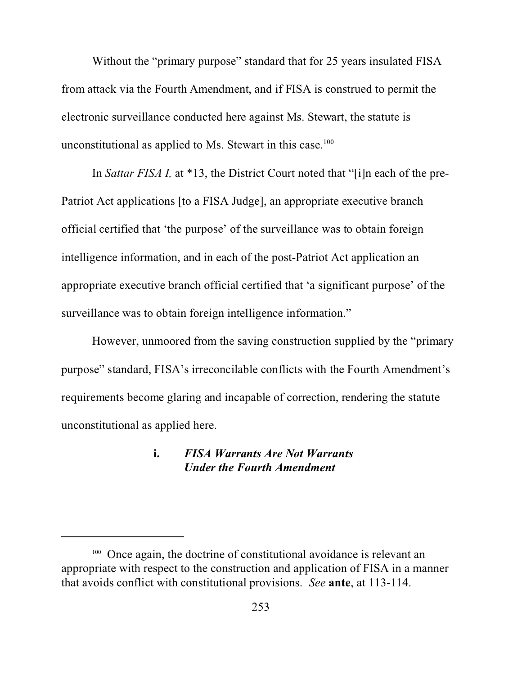Without the "primary purpose" standard that for 25 years insulated FISA from attack via the Fourth Amendment, and if FISA is construed to permit the electronic surveillance conducted here against Ms. Stewart, the statute is unconstitutional as applied to Ms. Stewart in this case. $100$ 

In *Sattar FISA I,* at \*13, the District Court noted that "[i]n each of the pre-Patriot Act applications [to a FISA Judge], an appropriate executive branch official certified that 'the purpose' of the surveillance was to obtain foreign intelligence information, and in each of the post-Patriot Act application an appropriate executive branch official certified that 'a significant purpose' of the surveillance was to obtain foreign intelligence information."

However, unmoored from the saving construction supplied by the "primary purpose" standard, FISA's irreconcilable conflicts with the Fourth Amendment's requirements become glaring and incapable of correction, rendering the statute unconstitutional as applied here.

### **i.** *FISA Warrants Are Not Warrants Under the Fourth Amendment*

<sup>&</sup>lt;sup>100</sup> Once again, the doctrine of constitutional avoidance is relevant an appropriate with respect to the construction and application of FISA in a manner that avoids conflict with constitutional provisions. *See* **ante**, at 113-114.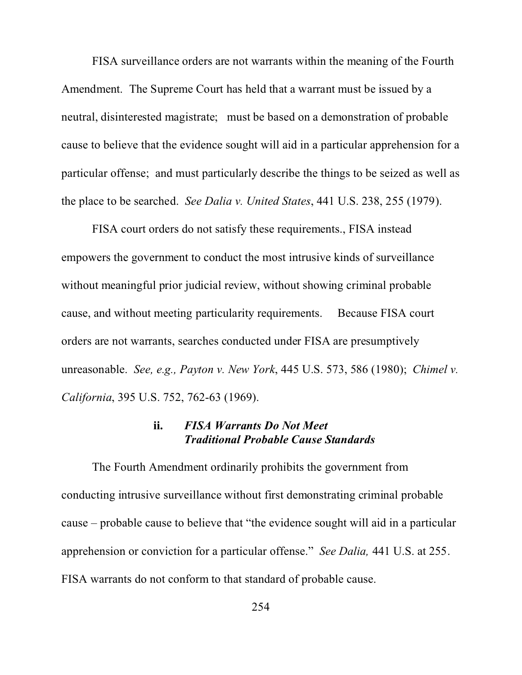FISA surveillance orders are not warrants within the meaning of the Fourth Amendment. The Supreme Court has held that a warrant must be issued by a neutral, disinterested magistrate; must be based on a demonstration of probable cause to believe that the evidence sought will aid in a particular apprehension for a particular offense; and must particularly describe the things to be seized as well as the place to be searched. *See Dalia v. United States*, 441 U.S. 238, 255 (1979).

FISA court orders do not satisfy these requirements., FISA instead empowers the government to conduct the most intrusive kinds of surveillance without meaningful prior judicial review, without showing criminal probable cause, and without meeting particularity requirements. Because FISA court orders are not warrants, searches conducted under FISA are presumptively unreasonable. *See, e.g., Payton v. New York*, 445 U.S. 573, 586 (1980); *Chimel v. California*, 395 U.S. 752, 762-63 (1969).

#### **ii.** *FISA Warrants Do Not Meet Traditional Probable Cause Standards*

The Fourth Amendment ordinarily prohibits the government from conducting intrusive surveillance without first demonstrating criminal probable cause – probable cause to believe that "the evidence sought will aid in a particular apprehension or conviction for a particular offense." *See Dalia,* 441 U.S. at 255. FISA warrants do not conform to that standard of probable cause.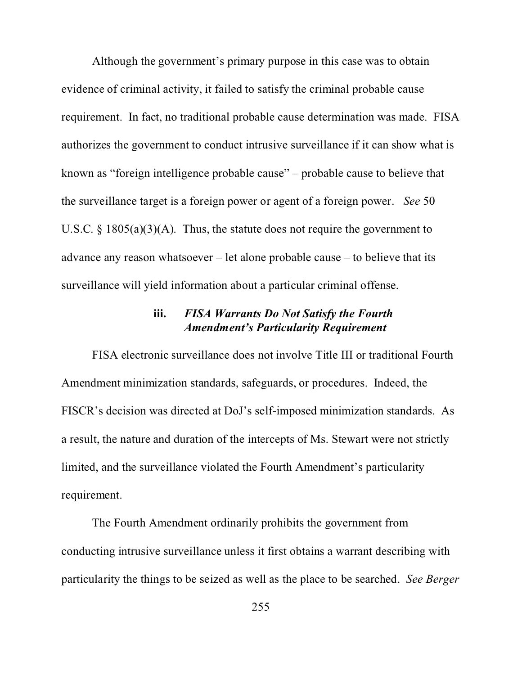Although the government's primary purpose in this case was to obtain evidence of criminal activity, it failed to satisfy the criminal probable cause requirement. In fact, no traditional probable cause determination was made. FISA authorizes the government to conduct intrusive surveillance if it can show what is known as "foreign intelligence probable cause" – probable cause to believe that the surveillance target is a foreign power or agent of a foreign power. *See* 50 U.S.C.  $\S$  1805(a)(3)(A). Thus, the statute does not require the government to advance any reason whatsoever – let alone probable cause – to believe that its surveillance will yield information about a particular criminal offense.

# **iii.** *FISA Warrants Do Not Satisfy the Fourth Amendment's Particularity Requirement*

FISA electronic surveillance does not involve Title III or traditional Fourth Amendment minimization standards, safeguards, or procedures. Indeed, the FISCR's decision was directed at DoJ's self-imposed minimization standards. As a result, the nature and duration of the intercepts of Ms. Stewart were not strictly limited, and the surveillance violated the Fourth Amendment's particularity requirement.

The Fourth Amendment ordinarily prohibits the government from conducting intrusive surveillance unless it first obtains a warrant describing with particularity the things to be seized as well as the place to be searched. *See Berger*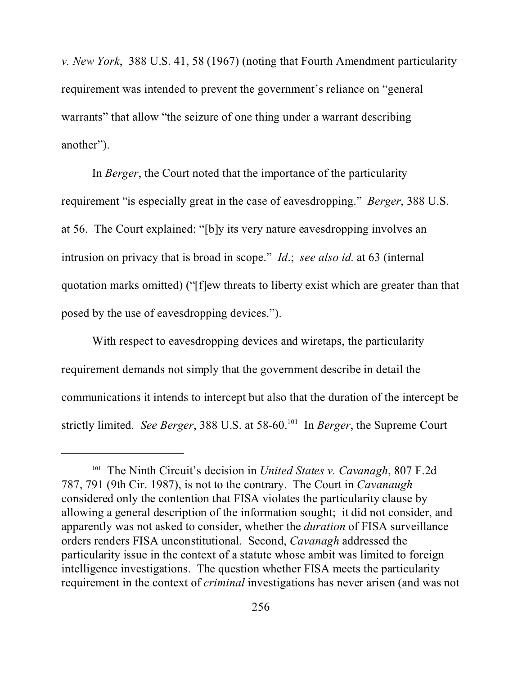*v. New York*, 388 U.S. 41, 58 (1967) (noting that Fourth Amendment particularity requirement was intended to prevent the government's reliance on "general warrants" that allow "the seizure of one thing under a warrant describing another").

In *Berger*, the Court noted that the importance of the particularity requirement "is especially great in the case of eavesdropping." *Berger*, 388 U.S. at 56. The Court explained: "[b]y its very nature eavesdropping involves an intrusion on privacy that is broad in scope." *Id*.; *see also id.* at 63 (internal quotation marks omitted) ("[f]ew threats to liberty exist which are greater than that posed by the use of eavesdropping devices.").

With respect to eavesdropping devices and wiretaps, the particularity requirement demands not simply that the government describe in detail the communications it intends to intercept but also that the duration of the intercept be strictly limited. *See Berger*, 388 U.S. at 58-60.<sup>101</sup> In *Berger*, the Supreme Court

<sup>101</sup> The Ninth Circuit's decision in *United States v. Cavanagh*, 807 F.2d 787, 791 (9th Cir. 1987), is not to the contrary. The Court in *Cavanaugh* considered only the contention that FISA violates the particularity clause by allowing a general description of the information sought; it did not consider, and apparently was not asked to consider, whether the *duration* of FISA surveillance orders renders FISA unconstitutional. Second, *Cavanagh* addressed the particularity issue in the context of a statute whose ambit was limited to foreign intelligence investigations. The question whether FISA meets the particularity requirement in the context of *criminal* investigations has never arisen (and was not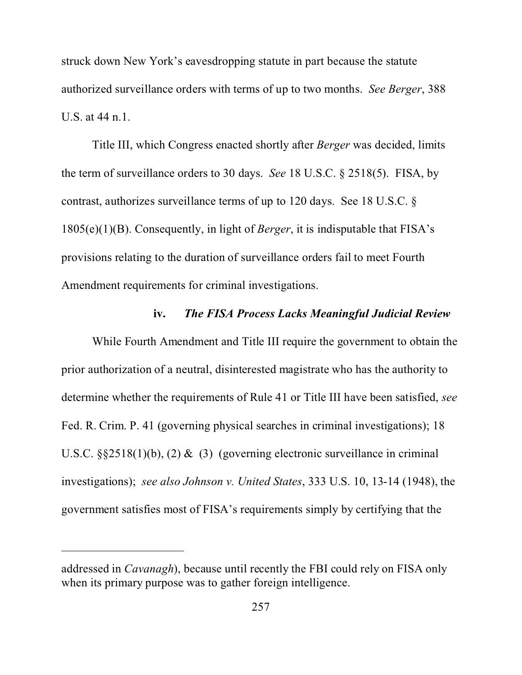struck down New York's eavesdropping statute in part because the statute authorized surveillance orders with terms of up to two months. *See Berger*, 388 U.S. at 44 n.1.

Title III, which Congress enacted shortly after *Berger* was decided, limits the term of surveillance orders to 30 days. *See* 18 U.S.C. § 2518(5). FISA, by contrast, authorizes surveillance terms of up to 120 days. See 18 U.S.C. § 1805(e)(1)(B). Consequently, in light of *Berger*, it is indisputable that FISA's provisions relating to the duration of surveillance orders fail to meet Fourth Amendment requirements for criminal investigations.

#### **iv.** *The FISA Process Lacks Meaningful Judicial Review*

While Fourth Amendment and Title III require the government to obtain the prior authorization of a neutral, disinterested magistrate who has the authority to determine whether the requirements of Rule 41 or Title III have been satisfied, *see* Fed. R. Crim. P. 41 (governing physical searches in criminal investigations); 18 U.S.C. §§2518(1)(b), (2) & (3) (governing electronic surveillance in criminal investigations); *see also Johnson v. United States*, 333 U.S. 10, 13-14 (1948), the government satisfies most of FISA's requirements simply by certifying that the

addressed in *Cavanagh*), because until recently the FBI could rely on FISA only when its primary purpose was to gather foreign intelligence.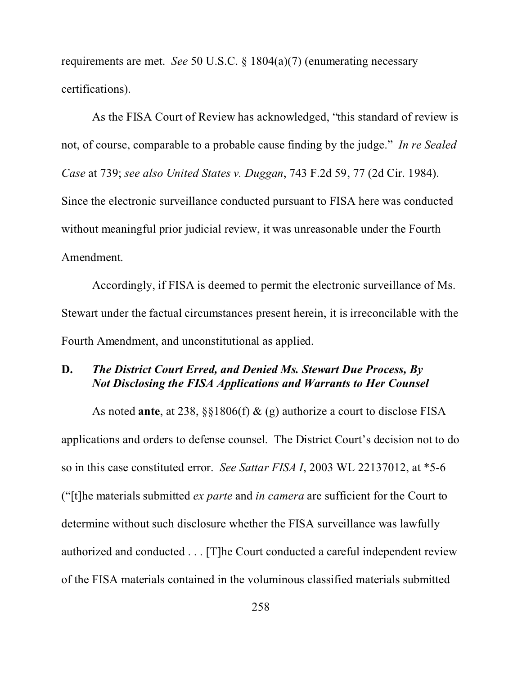requirements are met. *See* 50 U.S.C. § 1804(a)(7) (enumerating necessary certifications).

As the FISA Court of Review has acknowledged, "this standard of review is not, of course, comparable to a probable cause finding by the judge." *In re Sealed Case* at 739; *see also United States v. Duggan*, 743 F.2d 59, 77 (2d Cir. 1984). Since the electronic surveillance conducted pursuant to FISA here was conducted without meaningful prior judicial review, it was unreasonable under the Fourth Amendment.

Accordingly, if FISA is deemed to permit the electronic surveillance of Ms. Stewart under the factual circumstances present herein, it is irreconcilable with the Fourth Amendment, and unconstitutional as applied.

## **D.** *The District Court Erred, and Denied Ms. Stewart Due Process, By Not Disclosing the FISA Applications and Warrants to Her Counsel*

As noted **ante**, at 238, §§1806(f) & (g) authorize a court to disclose FISA applications and orders to defense counsel. The District Court's decision not to do so in this case constituted error. *See Sattar FISA I*, 2003 WL 22137012, at \*5-6 ("[t]he materials submitted *ex parte* and *in camera* are sufficient for the Court to determine without such disclosure whether the FISA surveillance was lawfully authorized and conducted . . . [T]he Court conducted a careful independent review of the FISA materials contained in the voluminous classified materials submitted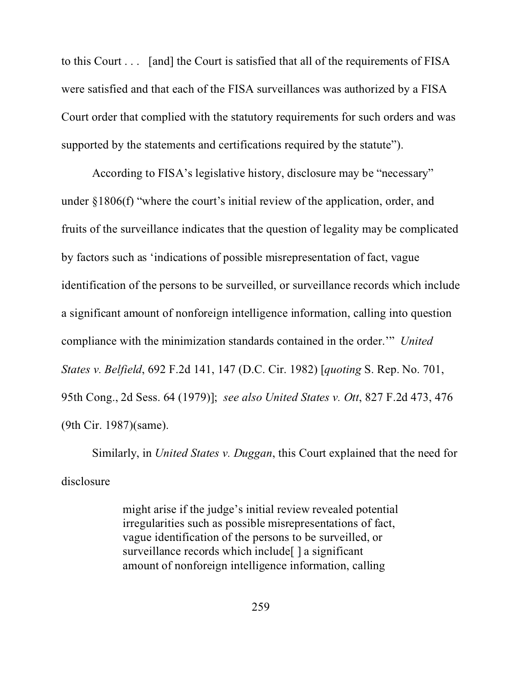to this Court . . . [and] the Court is satisfied that all of the requirements of FISA were satisfied and that each of the FISA surveillances was authorized by a FISA Court order that complied with the statutory requirements for such orders and was supported by the statements and certifications required by the statute").

According to FISA's legislative history, disclosure may be "necessary" under §1806(f) "where the court's initial review of the application, order, and fruits of the surveillance indicates that the question of legality may be complicated by factors such as 'indications of possible misrepresentation of fact, vague identification of the persons to be surveilled, or surveillance records which include a significant amount of nonforeign intelligence information, calling into question compliance with the minimization standards contained in the order.'" *United States v. Belfield*, 692 F.2d 141, 147 (D.C. Cir. 1982) [*quoting* S. Rep. No. 701, 95th Cong., 2d Sess. 64 (1979)]; *see also United States v. Ott*, 827 F.2d 473, 476 (9th Cir. 1987)(same).

Similarly, in *United States v. Duggan*, this Court explained that the need for disclosure

> might arise if the judge's initial review revealed potential irregularities such as possible misrepresentations of fact, vague identification of the persons to be surveilled, or surveillance records which include [] a significant amount of nonforeign intelligence information, calling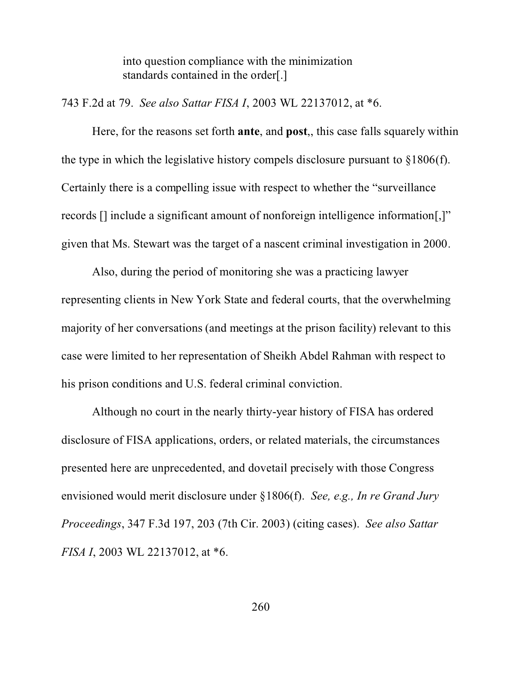into question compliance with the minimization standards contained in the order[.]

743 F.2d at 79. *See also Sattar FISA I*, 2003 WL 22137012, at \*6.

Here, for the reasons set forth **ante**, and **post**,, this case falls squarely within the type in which the legislative history compels disclosure pursuant to  $\S 1806(f)$ . Certainly there is a compelling issue with respect to whether the "surveillance records [] include a significant amount of nonforeign intelligence information[,]" given that Ms. Stewart was the target of a nascent criminal investigation in 2000.

Also, during the period of monitoring she was a practicing lawyer representing clients in New York State and federal courts, that the overwhelming majority of her conversations (and meetings at the prison facility) relevant to this case were limited to her representation of Sheikh Abdel Rahman with respect to his prison conditions and U.S. federal criminal conviction.

Although no court in the nearly thirty-year history of FISA has ordered disclosure of FISA applications, orders, or related materials, the circumstances presented here are unprecedented, and dovetail precisely with those Congress envisioned would merit disclosure under §1806(f). *See, e.g., In re Grand Jury Proceedings*, 347 F.3d 197, 203 (7th Cir. 2003) (citing cases). *See also Sattar FISA I*, 2003 WL 22137012, at \*6.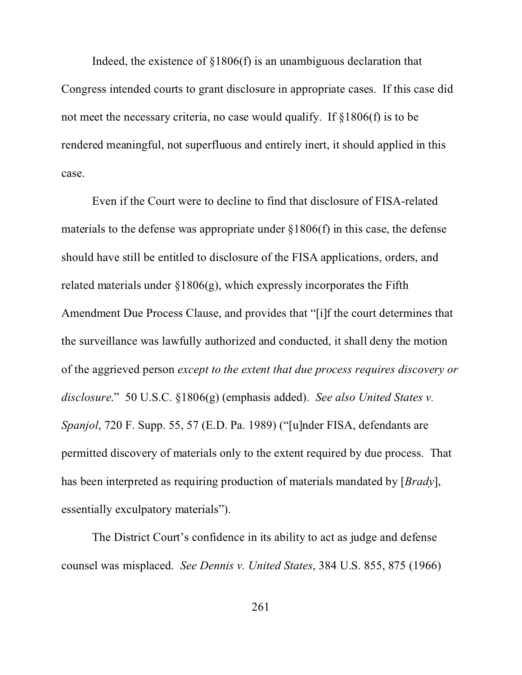Indeed, the existence of §1806(f) is an unambiguous declaration that Congress intended courts to grant disclosure in appropriate cases. If this case did not meet the necessary criteria, no case would qualify. If §1806(f) is to be rendered meaningful, not superfluous and entirely inert, it should applied in this case.

Even if the Court were to decline to find that disclosure of FISA-related materials to the defense was appropriate under  $\S 1806(f)$  in this case, the defense should have still be entitled to disclosure of the FISA applications, orders, and related materials under §1806(g), which expressly incorporates the Fifth Amendment Due Process Clause, and provides that "[i]f the court determines that the surveillance was lawfully authorized and conducted, it shall deny the motion of the aggrieved person *except to the extent that due process requires discovery or disclosure*." 50 U.S.C. §1806(g) (emphasis added). *See also United States v. Spanjol*, 720 F. Supp. 55, 57 (E.D. Pa. 1989) ("[u]nder FISA, defendants are permitted discovery of materials only to the extent required by due process. That has been interpreted as requiring production of materials mandated by [*Brady*], essentially exculpatory materials").

The District Court's confidence in its ability to act as judge and defense counsel was misplaced. *See Dennis v. United States*, 384 U.S. 855, 875 (1966)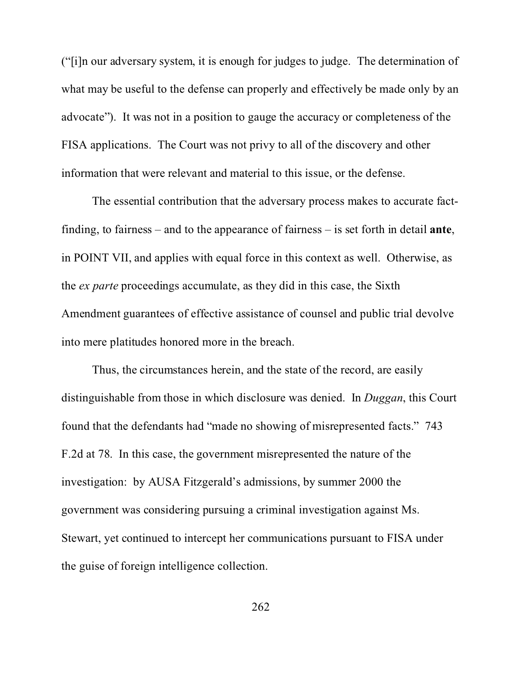("[i]n our adversary system, it is enough for judges to judge. The determination of what may be useful to the defense can properly and effectively be made only by an advocate"). It was not in a position to gauge the accuracy or completeness of the FISA applications. The Court was not privy to all of the discovery and other information that were relevant and material to this issue, or the defense.

The essential contribution that the adversary process makes to accurate factfinding, to fairness – and to the appearance of fairness – is set forth in detail **ante**, in POINT VII, and applies with equal force in this context as well. Otherwise, as the *ex parte* proceedings accumulate, as they did in this case, the Sixth Amendment guarantees of effective assistance of counsel and public trial devolve into mere platitudes honored more in the breach.

Thus, the circumstances herein, and the state of the record, are easily distinguishable from those in which disclosure was denied. In *Duggan*, this Court found that the defendants had "made no showing of misrepresented facts." 743 F.2d at 78. In this case, the government misrepresented the nature of the investigation: by AUSA Fitzgerald's admissions, by summer 2000 the government was considering pursuing a criminal investigation against Ms. Stewart, yet continued to intercept her communications pursuant to FISA under the guise of foreign intelligence collection.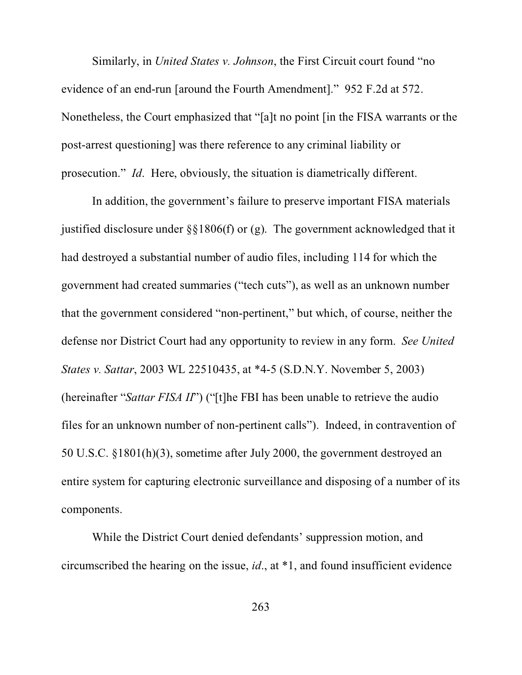Similarly, in *United States v. Johnson*, the First Circuit court found "no evidence of an end-run [around the Fourth Amendment]." 952 F.2d at 572. Nonetheless, the Court emphasized that "[a]t no point [in the FISA warrants or the post-arrest questioning] was there reference to any criminal liability or prosecution." *Id*. Here, obviously, the situation is diametrically different.

In addition, the government's failure to preserve important FISA materials justified disclosure under §§1806(f) or (g). The government acknowledged that it had destroyed a substantial number of audio files, including 114 for which the government had created summaries ("tech cuts"), as well as an unknown number that the government considered "non-pertinent," but which, of course, neither the defense nor District Court had any opportunity to review in any form. *See United States v. Sattar*, 2003 WL 22510435, at \*4-5 (S.D.N.Y. November 5, 2003) (hereinafter "*Sattar FISA II*") ("[t]he FBI has been unable to retrieve the audio files for an unknown number of non-pertinent calls"). Indeed, in contravention of 50 U.S.C. §1801(h)(3), sometime after July 2000, the government destroyed an entire system for capturing electronic surveillance and disposing of a number of its components.

While the District Court denied defendants' suppression motion, and circumscribed the hearing on the issue, *id*., at \*1, and found insufficient evidence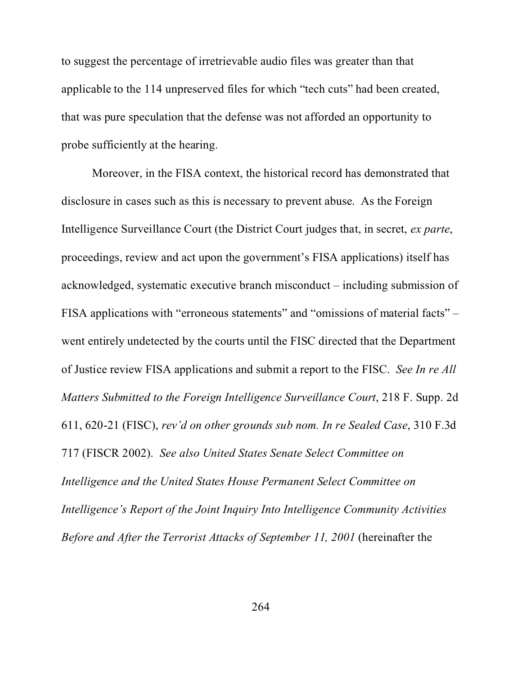to suggest the percentage of irretrievable audio files was greater than that applicable to the 114 unpreserved files for which "tech cuts" had been created, that was pure speculation that the defense was not afforded an opportunity to probe sufficiently at the hearing.

Moreover, in the FISA context, the historical record has demonstrated that disclosure in cases such as this is necessary to prevent abuse. As the Foreign Intelligence Surveillance Court (the District Court judges that, in secret, *ex parte*, proceedings, review and act upon the government's FISA applications) itself has acknowledged, systematic executive branch misconduct – including submission of FISA applications with "erroneous statements" and "omissions of material facts" – went entirely undetected by the courts until the FISC directed that the Department of Justice review FISA applications and submit a report to the FISC. *See In re All Matters Submitted to the Foreign Intelligence Surveillance Court*, 218 F. Supp. 2d 611, 620-21 (FISC), *rev'd on other grounds sub nom. In re Sealed Case*, 310 F.3d 717 (FISCR 2002). *See also United States Senate Select Committee on Intelligence and the United States House Permanent Select Committee on Intelligence's Report of the Joint Inquiry Into Intelligence Community Activities Before and After the Terrorist Attacks of September 11, 2001* (hereinafter the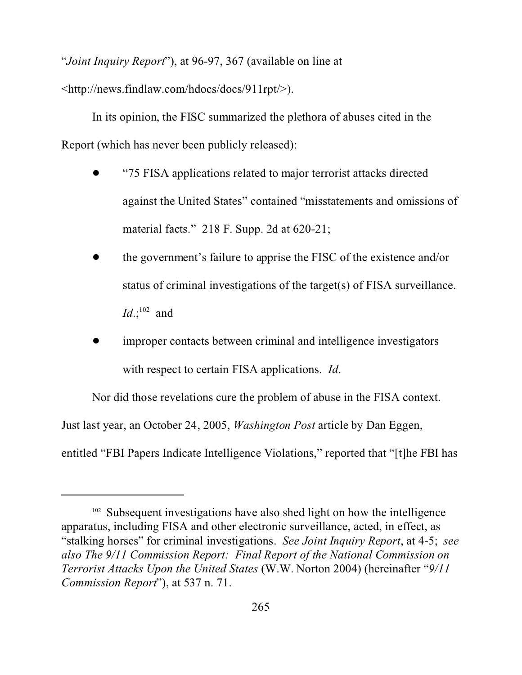"*Joint Inquiry Report*"), at 96-97, 367 (available on line at

<http://news.findlaw.com/hdocs/docs/911rpt/>).

In its opinion, the FISC summarized the plethora of abuses cited in the Report (which has never been publicly released):

- ! "75 FISA applications related to major terrorist attacks directed against the United States" contained "misstatements and omissions of material facts." 218 F. Supp. 2d at 620-21;
- ! the government's failure to apprise the FISC of the existence and/or status of criminal investigations of the target(s) of FISA surveillance. *Id*.;<sup>102</sup> and
- improper contacts between criminal and intelligence investigators with respect to certain FISA applications. *Id*.

Nor did those revelations cure the problem of abuse in the FISA context.

Just last year, an October 24, 2005, *Washington Post* article by Dan Eggen,

entitled "FBI Papers Indicate Intelligence Violations," reported that "[t]he FBI has

<sup>&</sup>lt;sup>102</sup> Subsequent investigations have also shed light on how the intelligence apparatus, including FISA and other electronic surveillance, acted, in effect, as "stalking horses" for criminal investigations. *See Joint Inquiry Report*, at 4-5; *see also The 9/11 Commission Report: Final Report of the National Commission on Terrorist Attacks Upon the United States* (W.W. Norton 2004) (hereinafter "*9/11 Commission Report*"), at 537 n. 71.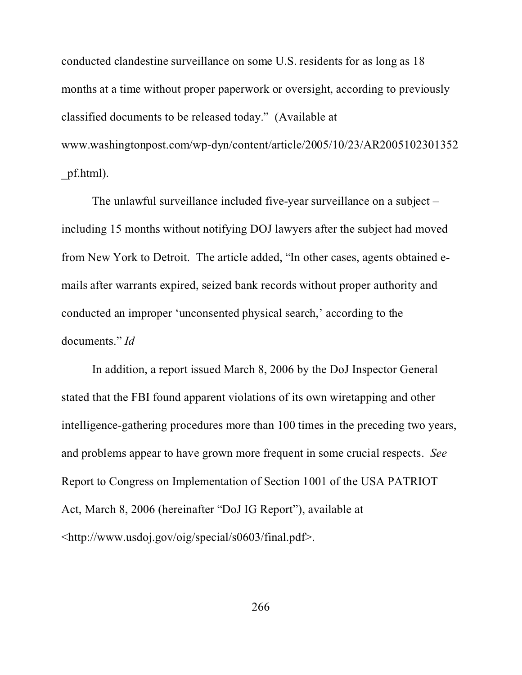conducted clandestine surveillance on some U.S. residents for as long as 18 months at a time without proper paperwork or oversight, according to previously classified documents to be released today." (Available at www.washingtonpost.com/wp-dyn/content/article/2005/10/23/AR2005102301352 \_pf.html).

The unlawful surveillance included five-year surveillance on a subject – including 15 months without notifying DOJ lawyers after the subject had moved from New York to Detroit. The article added, "In other cases, agents obtained emails after warrants expired, seized bank records without proper authority and conducted an improper 'unconsented physical search,' according to the documents." *Id*

In addition, a report issued March 8, 2006 by the DoJ Inspector General stated that the FBI found apparent violations of its own wiretapping and other intelligence-gathering procedures more than 100 times in the preceding two years, and problems appear to have grown more frequent in some crucial respects. *See* Report to Congress on Implementation of Section 1001 of the USA PATRIOT Act, March 8, 2006 (hereinafter "DoJ IG Report"), available at <http://www.usdoj.gov/oig/special/s0603/final.pdf>.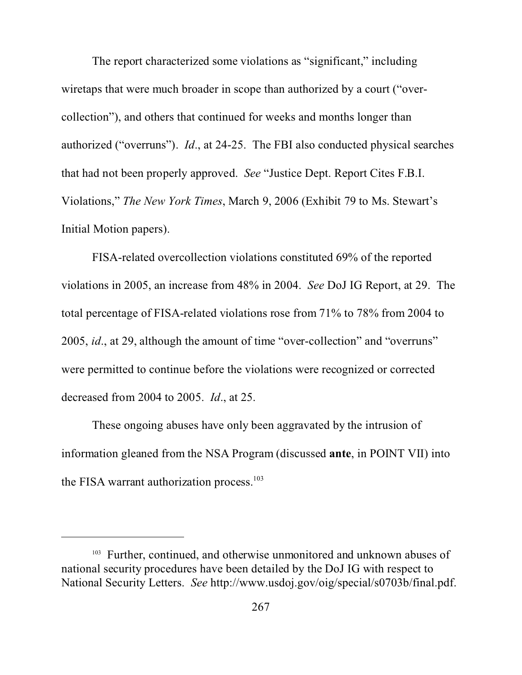The report characterized some violations as "significant," including wiretaps that were much broader in scope than authorized by a court ("overcollection"), and others that continued for weeks and months longer than authorized ("overruns"). *Id*., at 24-25. The FBI also conducted physical searches that had not been properly approved. *See* "Justice Dept. Report Cites F.B.I. Violations," *The New York Times*, March 9, 2006 (Exhibit 79 to Ms. Stewart's Initial Motion papers).

FISA-related overcollection violations constituted 69% of the reported violations in 2005, an increase from 48% in 2004. *See* DoJ IG Report, at 29. The total percentage of FISA-related violations rose from 71% to 78% from 2004 to 2005, *id*., at 29, although the amount of time "over-collection" and "overruns" were permitted to continue before the violations were recognized or corrected decreased from 2004 to 2005. *Id*., at 25.

These ongoing abuses have only been aggravated by the intrusion of information gleaned from the NSA Program (discussed **ante**, in POINT VII) into the FISA warrant authorization process.<sup>103</sup>

<sup>&</sup>lt;sup>103</sup> Further, continued, and otherwise unmonitored and unknown abuses of national security procedures have been detailed by the DoJ IG with respect to National Security Letters. *See* http://www.usdoj.gov/oig/special/s0703b/final.pdf.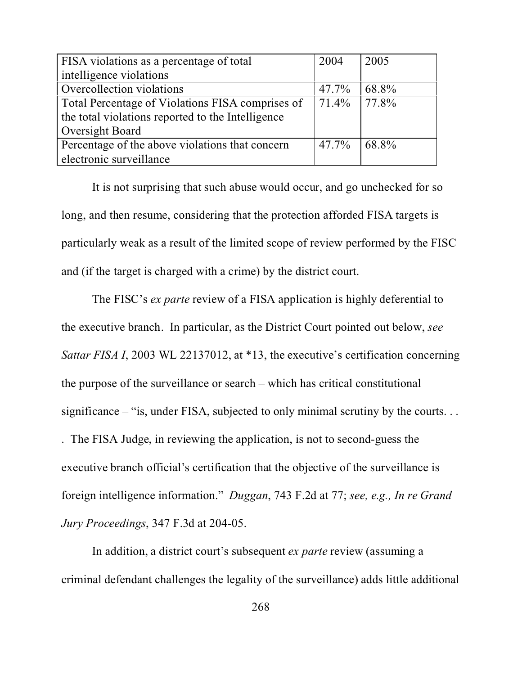| FISA violations as a percentage of total          | 2004     | 2005           |
|---------------------------------------------------|----------|----------------|
| intelligence violations                           |          |                |
| Overcollection violations                         | 47.7%    | 68.8%          |
| Total Percentage of Violations FISA comprises of  |          | $71.4\%$ 77.8% |
| the total violations reported to the Intelligence |          |                |
| Oversight Board                                   |          |                |
| Percentage of the above violations that concern   | $47.7\%$ | 68.8%          |
| electronic surveillance                           |          |                |

It is not surprising that such abuse would occur, and go unchecked for so long, and then resume, considering that the protection afforded FISA targets is particularly weak as a result of the limited scope of review performed by the FISC and (if the target is charged with a crime) by the district court.

The FISC's *ex parte* review of a FISA application is highly deferential to the executive branch. In particular, as the District Court pointed out below, *see Sattar FISA I*, 2003 WL 22137012, at \*13, the executive's certification concerning the purpose of the surveillance or search – which has critical constitutional significance – "is, under FISA, subjected to only minimal scrutiny by the courts. . . . The FISA Judge, in reviewing the application, is not to second-guess the executive branch official's certification that the objective of the surveillance is foreign intelligence information." *Duggan*, 743 F.2d at 77; *see, e.g., In re Grand Jury Proceedings*, 347 F.3d at 204-05.

In addition, a district court's subsequent *ex parte* review (assuming a criminal defendant challenges the legality of the surveillance) adds little additional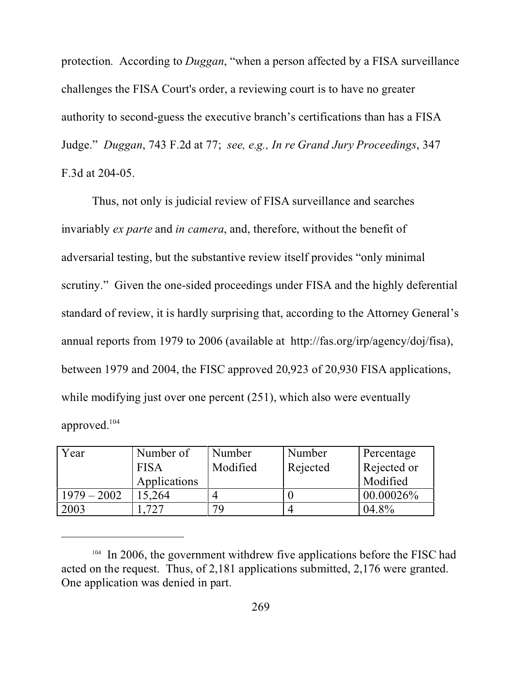protection. According to *Duggan*, "when a person affected by a FISA surveillance challenges the FISA Court's order, a reviewing court is to have no greater authority to second-guess the executive branch's certifications than has a FISA Judge." *Duggan*, 743 F.2d at 77; *see, e.g., In re Grand Jury Proceedings*, 347 F.3d at 204-05.

Thus, not only is judicial review of FISA surveillance and searches invariably *ex parte* and *in camera*, and, therefore, without the benefit of adversarial testing, but the substantive review itself provides "only minimal scrutiny." Given the one-sided proceedings under FISA and the highly deferential standard of review, it is hardly surprising that, according to the Attorney General's annual reports from 1979 to 2006 (available at http://fas.org/irp/agency/doj/fisa), between 1979 and 2004, the FISC approved 20,923 of 20,930 FISA applications, while modifying just over one percent (251), which also were eventually approved.<sup>104</sup>

| Year          | Number of    | Number   | Number   | Percentage   |
|---------------|--------------|----------|----------|--------------|
|               | <b>FISA</b>  | Modified | Rejected | Rejected or  |
|               | Applications |          |          | Modified     |
| $1979 - 2002$ | 15.264       |          |          | $00.00026\%$ |
| 2003          |              | 70       |          | 04.8%        |

<sup>&</sup>lt;sup>104</sup> In 2006, the government withdrew five applications before the FISC had acted on the request. Thus, of 2,181 applications submitted, 2,176 were granted. One application was denied in part.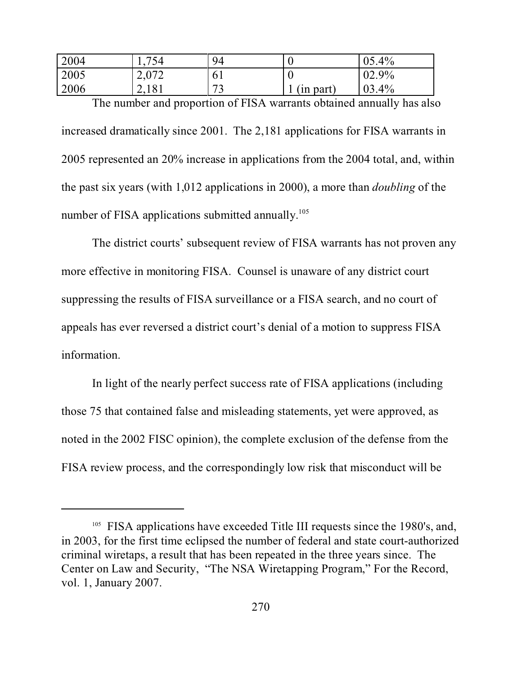| 2004 | 754   | 94                   | v           | 05.4%         |
|------|-------|----------------------|-------------|---------------|
| 2005 | 2,072 | 61                   | ν           | 02.9%         |
| 2006 | 2,181 | $\mathcal{L}$<br>ے ۔ | part)<br>1n | 03.<br>$.4\%$ |

The number and proportion of FISA warrants obtained annually has also increased dramatically since 2001. The 2,181 applications for FISA warrants in 2005 represented an 20% increase in applications from the 2004 total, and, within the past six years (with 1,012 applications in 2000), a more than *doubling* of the number of FISA applications submitted annually.<sup>105</sup>

The district courts' subsequent review of FISA warrants has not proven any more effective in monitoring FISA. Counsel is unaware of any district court suppressing the results of FISA surveillance or a FISA search, and no court of appeals has ever reversed a district court's denial of a motion to suppress FISA information.

In light of the nearly perfect success rate of FISA applications (including those 75 that contained false and misleading statements, yet were approved, as noted in the 2002 FISC opinion), the complete exclusion of the defense from the FISA review process, and the correspondingly low risk that misconduct will be

 $105$  FISA applications have exceeded Title III requests since the 1980's, and, in 2003, for the first time eclipsed the number of federal and state court-authorized criminal wiretaps, a result that has been repeated in the three years since. The Center on Law and Security, "The NSA Wiretapping Program," For the Record, vol. 1, January 2007.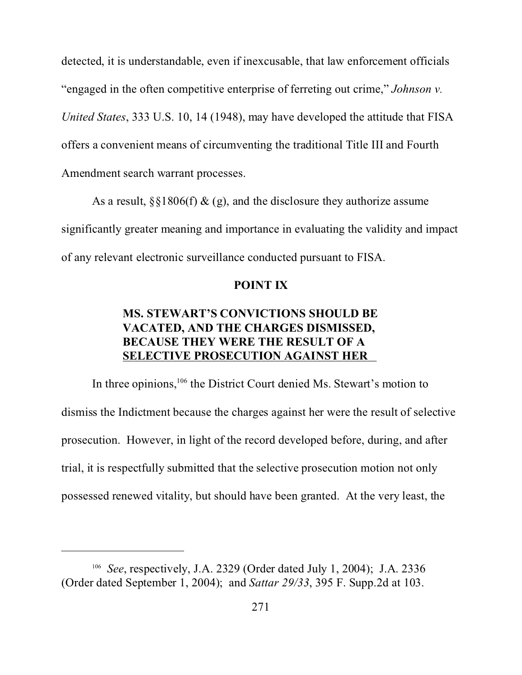detected, it is understandable, even if inexcusable, that law enforcement officials "engaged in the often competitive enterprise of ferreting out crime," *Johnson v. United States*, 333 U.S. 10, 14 (1948), may have developed the attitude that FISA offers a convenient means of circumventing the traditional Title III and Fourth Amendment search warrant processes.

As a result,  $\S$ §1806(f) & (g), and the disclosure they authorize assume significantly greater meaning and importance in evaluating the validity and impact of any relevant electronic surveillance conducted pursuant to FISA.

## **POINT IX**

# **MS. STEWART'S CONVICTIONS SHOULD BE VACATED, AND THE CHARGES DISMISSED, BECAUSE THEY WERE THE RESULT OF A SELECTIVE PROSECUTION AGAINST HER**

In three opinions,<sup>106</sup> the District Court denied Ms. Stewart's motion to dismiss the Indictment because the charges against her were the result of selective prosecution. However, in light of the record developed before, during, and after trial, it is respectfully submitted that the selective prosecution motion not only possessed renewed vitality, but should have been granted. At the very least, the

<sup>106</sup> *See*, respectively, J.A. 2329 (Order dated July 1, 2004); J.A. 2336 (Order dated September 1, 2004); and *Sattar 29/33*, 395 F. Supp.2d at 103.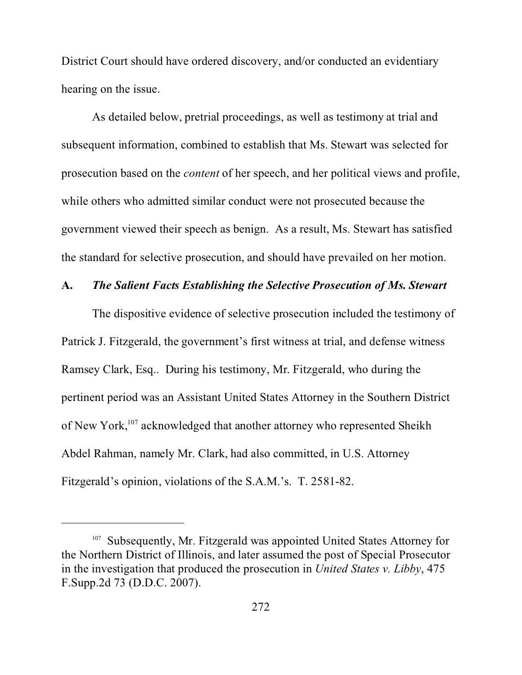District Court should have ordered discovery, and/or conducted an evidentiary hearing on the issue.

As detailed below, pretrial proceedings, as well as testimony at trial and subsequent information, combined to establish that Ms. Stewart was selected for prosecution based on the *content* of her speech, and her political views and profile, while others who admitted similar conduct were not prosecuted because the government viewed their speech as benign. As a result, Ms. Stewart has satisfied the standard for selective prosecution, and should have prevailed on her motion.

### **A.** *The Salient Facts Establishing the Selective Prosecution of Ms. Stewart*

The dispositive evidence of selective prosecution included the testimony of Patrick J. Fitzgerald, the government's first witness at trial, and defense witness Ramsey Clark, Esq.. During his testimony, Mr. Fitzgerald, who during the pertinent period was an Assistant United States Attorney in the Southern District of New York,<sup>107</sup> acknowledged that another attorney who represented Sheikh Abdel Rahman, namely Mr. Clark, had also committed, in U.S. Attorney Fitzgerald's opinion, violations of the S.A.M.'s. T. 2581-82.

<sup>&</sup>lt;sup>107</sup> Subsequently, Mr. Fitzgerald was appointed United States Attorney for the Northern District of Illinois, and later assumed the post of Special Prosecutor in the investigation that produced the prosecution in *United States v. Libby*, 475 F.Supp.2d 73 (D.D.C. 2007).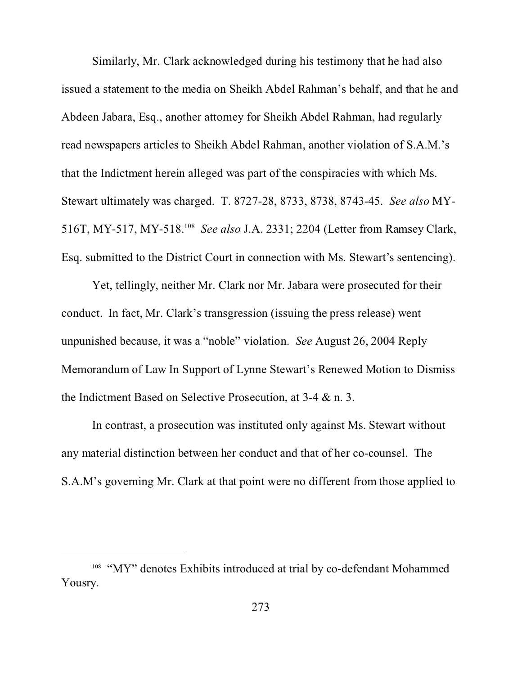Similarly, Mr. Clark acknowledged during his testimony that he had also issued a statement to the media on Sheikh Abdel Rahman's behalf, and that he and Abdeen Jabara, Esq., another attorney for Sheikh Abdel Rahman, had regularly read newspapers articles to Sheikh Abdel Rahman, another violation of S.A.M.'s that the Indictment herein alleged was part of the conspiracies with which Ms. Stewart ultimately was charged. T. 8727-28, 8733, 8738, 8743-45. *See also* MY-516T, MY-517, MY-518.<sup>108</sup> *See also* J.A. 2331; 2204 (Letter from Ramsey Clark, Esq. submitted to the District Court in connection with Ms. Stewart's sentencing).

Yet, tellingly, neither Mr. Clark nor Mr. Jabara were prosecuted for their conduct. In fact, Mr. Clark's transgression (issuing the press release) went unpunished because, it was a "noble" violation. *See* August 26, 2004 Reply Memorandum of Law In Support of Lynne Stewart's Renewed Motion to Dismiss the Indictment Based on Selective Prosecution, at 3-4 & n. 3.

In contrast, a prosecution was instituted only against Ms. Stewart without any material distinction between her conduct and that of her co-counsel. The S.A.M's governing Mr. Clark at that point were no different from those applied to

<sup>&</sup>lt;sup>108</sup> "MY" denotes Exhibits introduced at trial by co-defendant Mohammed Yousry.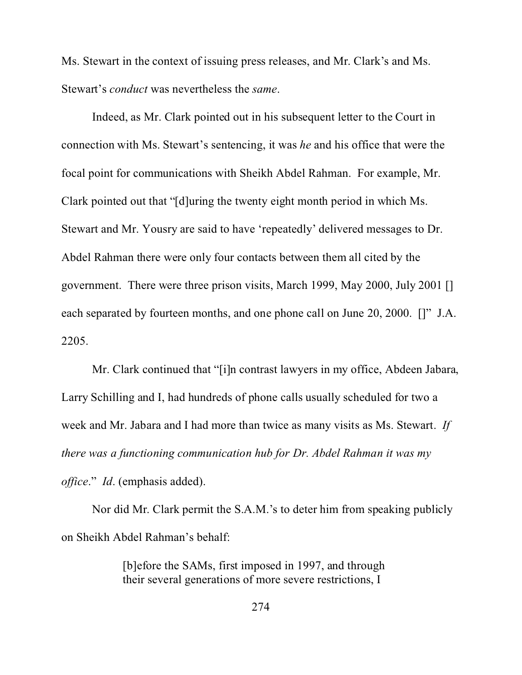Ms. Stewart in the context of issuing press releases, and Mr. Clark's and Ms. Stewart's *conduct* was nevertheless the *same*.

Indeed, as Mr. Clark pointed out in his subsequent letter to the Court in connection with Ms. Stewart's sentencing, it was *he* and his office that were the focal point for communications with Sheikh Abdel Rahman. For example, Mr. Clark pointed out that "[d]uring the twenty eight month period in which Ms. Stewart and Mr. Yousry are said to have 'repeatedly' delivered messages to Dr. Abdel Rahman there were only four contacts between them all cited by the government. There were three prison visits, March 1999, May 2000, July 2001 [] each separated by fourteen months, and one phone call on June 20, 2000. []" J.A. 2205.

Mr. Clark continued that "[i]n contrast lawyers in my office, Abdeen Jabara, Larry Schilling and I, had hundreds of phone calls usually scheduled for two a week and Mr. Jabara and I had more than twice as many visits as Ms. Stewart. *If there was a functioning communication hub for Dr. Abdel Rahman it was my office*." *Id*. (emphasis added).

Nor did Mr. Clark permit the S.A.M.'s to deter him from speaking publicly on Sheikh Abdel Rahman's behalf:

> [b]efore the SAMs, first imposed in 1997, and through their several generations of more severe restrictions, I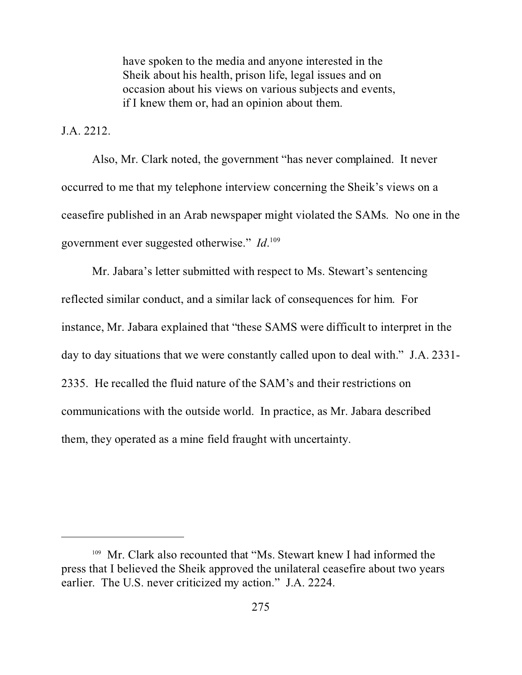have spoken to the media and anyone interested in the Sheik about his health, prison life, legal issues and on occasion about his views on various subjects and events, if I knew them or, had an opinion about them.

J.A. 2212.

Also, Mr. Clark noted, the government "has never complained. It never occurred to me that my telephone interview concerning the Sheik's views on a ceasefire published in an Arab newspaper might violated the SAMs. No one in the government ever suggested otherwise." *Id*. 109

Mr. Jabara's letter submitted with respect to Ms. Stewart's sentencing reflected similar conduct, and a similar lack of consequences for him. For instance, Mr. Jabara explained that "these SAMS were difficult to interpret in the day to day situations that we were constantly called upon to deal with." J.A. 2331- 2335. He recalled the fluid nature of the SAM's and their restrictions on communications with the outside world. In practice, as Mr. Jabara described them, they operated as a mine field fraught with uncertainty.

<sup>&</sup>lt;sup>109</sup> Mr. Clark also recounted that "Ms. Stewart knew I had informed the press that I believed the Sheik approved the unilateral ceasefire about two years earlier. The U.S. never criticized my action." J.A. 2224.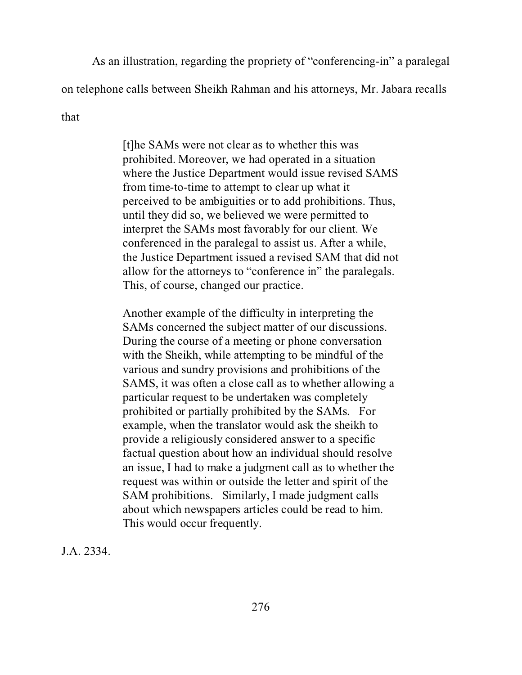As an illustration, regarding the propriety of "conferencing-in" a paralegal

on telephone calls between Sheikh Rahman and his attorneys, Mr. Jabara recalls

that

[t]he SAMs were not clear as to whether this was prohibited. Moreover, we had operated in a situation where the Justice Department would issue revised SAMS from time-to-time to attempt to clear up what it perceived to be ambiguities or to add prohibitions. Thus, until they did so, we believed we were permitted to interpret the SAMs most favorably for our client. We conferenced in the paralegal to assist us. After a while, the Justice Department issued a revised SAM that did not allow for the attorneys to "conference in" the paralegals. This, of course, changed our practice.

Another example of the difficulty in interpreting the SAMs concerned the subject matter of our discussions. During the course of a meeting or phone conversation with the Sheikh, while attempting to be mindful of the various and sundry provisions and prohibitions of the SAMS, it was often a close call as to whether allowing a particular request to be undertaken was completely prohibited or partially prohibited by the SAMs. For example, when the translator would ask the sheikh to provide a religiously considered answer to a specific factual question about how an individual should resolve an issue, I had to make a judgment call as to whether the request was within or outside the letter and spirit of the SAM prohibitions. Similarly, I made judgment calls about which newspapers articles could be read to him. This would occur frequently.

J.A. 2334.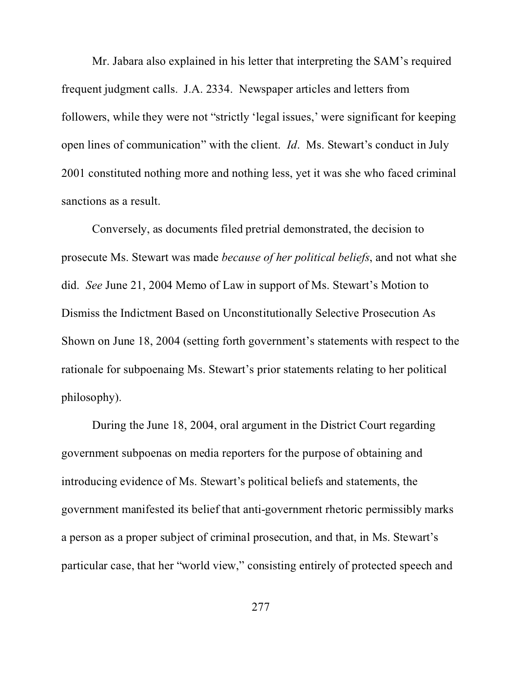Mr. Jabara also explained in his letter that interpreting the SAM's required frequent judgment calls. J.A. 2334. Newspaper articles and letters from followers, while they were not "strictly 'legal issues,' were significant for keeping open lines of communication" with the client. *Id*. Ms. Stewart's conduct in July 2001 constituted nothing more and nothing less, yet it was she who faced criminal sanctions as a result.

Conversely, as documents filed pretrial demonstrated, the decision to prosecute Ms. Stewart was made *because of her political beliefs*, and not what she did. *See* June 21, 2004 Memo of Law in support of Ms. Stewart's Motion to Dismiss the Indictment Based on Unconstitutionally Selective Prosecution As Shown on June 18, 2004 (setting forth government's statements with respect to the rationale for subpoenaing Ms. Stewart's prior statements relating to her political philosophy).

During the June 18, 2004, oral argument in the District Court regarding government subpoenas on media reporters for the purpose of obtaining and introducing evidence of Ms. Stewart's political beliefs and statements, the government manifested its belief that anti-government rhetoric permissibly marks a person as a proper subject of criminal prosecution, and that, in Ms. Stewart's particular case, that her "world view," consisting entirely of protected speech and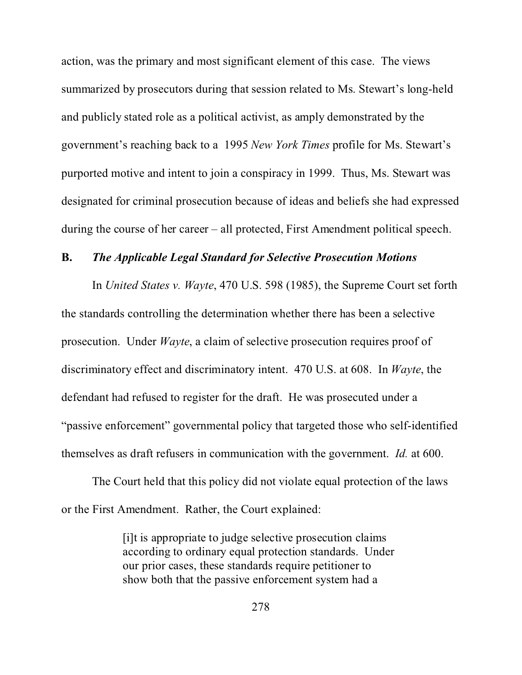action, was the primary and most significant element of this case. The views summarized by prosecutors during that session related to Ms. Stewart's long-held and publicly stated role as a political activist, as amply demonstrated by the government's reaching back to a 1995 *New York Times* profile for Ms. Stewart's purported motive and intent to join a conspiracy in 1999. Thus, Ms. Stewart was designated for criminal prosecution because of ideas and beliefs she had expressed during the course of her career – all protected, First Amendment political speech.

#### **B.** *The Applicable Legal Standard for Selective Prosecution Motions*

In *United States v. Wayte*, 470 U.S. 598 (1985), the Supreme Court set forth the standards controlling the determination whether there has been a selective prosecution. Under *Wayte*, a claim of selective prosecution requires proof of discriminatory effect and discriminatory intent. 470 U.S. at 608. In *Wayte*, the defendant had refused to register for the draft. He was prosecuted under a "passive enforcement" governmental policy that targeted those who self-identified themselves as draft refusers in communication with the government. *Id.* at 600.

The Court held that this policy did not violate equal protection of the laws or the First Amendment. Rather, the Court explained:

> [i]t is appropriate to judge selective prosecution claims according to ordinary equal protection standards. Under our prior cases, these standards require petitioner to show both that the passive enforcement system had a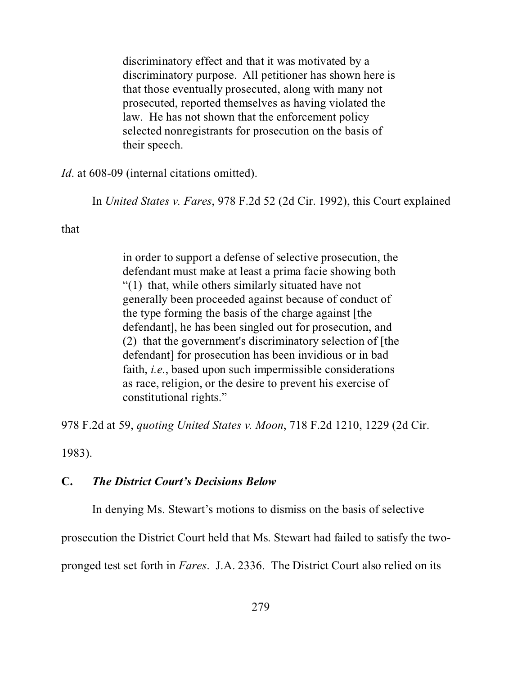discriminatory effect and that it was motivated by a discriminatory purpose. All petitioner has shown here is that those eventually prosecuted, along with many not prosecuted, reported themselves as having violated the law. He has not shown that the enforcement policy selected nonregistrants for prosecution on the basis of their speech.

*Id.* at 608-09 (internal citations omitted).

In *United States v. Fares*, 978 F.2d 52 (2d Cir. 1992), this Court explained

that

in order to support a defense of selective prosecution, the defendant must make at least a prima facie showing both "(1) that, while others similarly situated have not generally been proceeded against because of conduct of the type forming the basis of the charge against [the defendant], he has been singled out for prosecution, and (2) that the government's discriminatory selection of [the defendant] for prosecution has been invidious or in bad faith, *i.e.*, based upon such impermissible considerations as race, religion, or the desire to prevent his exercise of constitutional rights."

978 F.2d at 59, *quoting United States v. Moon*, 718 F.2d 1210, 1229 (2d Cir.

1983).

#### **C.** *The District Court's Decisions Below*

In denying Ms. Stewart's motions to dismiss on the basis of selective

prosecution the District Court held that Ms. Stewart had failed to satisfy the two-

pronged test set forth in *Fares*. J.A. 2336. The District Court also relied on its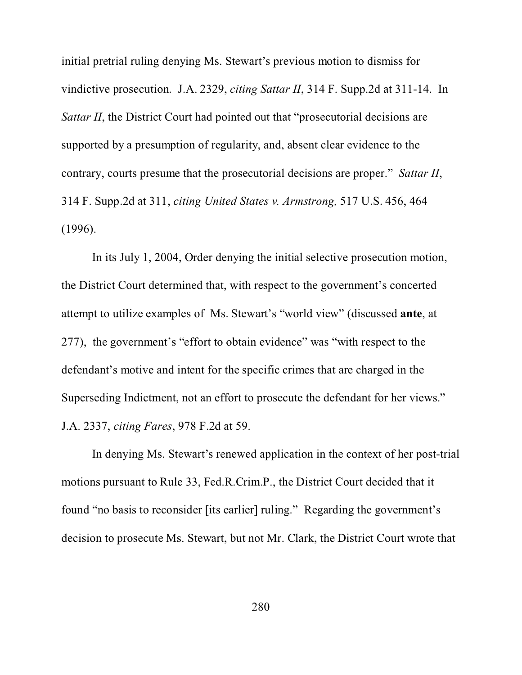initial pretrial ruling denying Ms. Stewart's previous motion to dismiss for vindictive prosecution. J.A. 2329, *citing Sattar II*, 314 F. Supp.2d at 311-14. In *Sattar II*, the District Court had pointed out that "prosecutorial decisions are supported by a presumption of regularity, and, absent clear evidence to the contrary, courts presume that the prosecutorial decisions are proper." *Sattar II*, 314 F. Supp.2d at 311, *citing United States v. Armstrong,* 517 U.S. 456, 464 (1996).

In its July 1, 2004, Order denying the initial selective prosecution motion, the District Court determined that, with respect to the government's concerted attempt to utilize examples of Ms. Stewart's "world view" (discussed **ante**, at 277), the government's "effort to obtain evidence" was "with respect to the defendant's motive and intent for the specific crimes that are charged in the Superseding Indictment, not an effort to prosecute the defendant for her views." J.A. 2337, *citing Fares*, 978 F.2d at 59.

In denying Ms. Stewart's renewed application in the context of her post-trial motions pursuant to Rule 33, Fed.R.Crim.P., the District Court decided that it found "no basis to reconsider [its earlier] ruling." Regarding the government's decision to prosecute Ms. Stewart, but not Mr. Clark, the District Court wrote that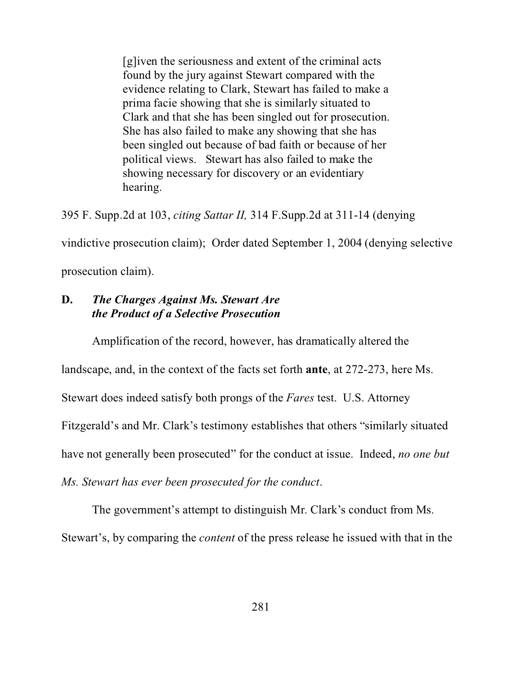[g]iven the seriousness and extent of the criminal acts found by the jury against Stewart compared with the evidence relating to Clark, Stewart has failed to make a prima facie showing that she is similarly situated to Clark and that she has been singled out for prosecution. She has also failed to make any showing that she has been singled out because of bad faith or because of her political views. Stewart has also failed to make the showing necessary for discovery or an evidentiary hearing.

395 F. Supp.2d at 103, *citing Sattar II,* 314 F.Supp.2d at 311-14 (denying

vindictive prosecution claim); Order dated September 1, 2004 (denying selective

prosecution claim).

## **D.** *The Charges Against Ms. Stewart Are the Product of a Selective Prosecution*

Amplification of the record, however, has dramatically altered the

landscape, and, in the context of the facts set forth **ante**, at 272-273, here Ms.

Stewart does indeed satisfy both prongs of the *Fares* test. U.S. Attorney

Fitzgerald's and Mr. Clark's testimony establishes that others "similarly situated

have not generally been prosecuted" for the conduct at issue. Indeed, *no one but*

*Ms. Stewart has ever been prosecuted for the conduct*.

The government's attempt to distinguish Mr. Clark's conduct from Ms. Stewart's, by comparing the *content* of the press release he issued with that in the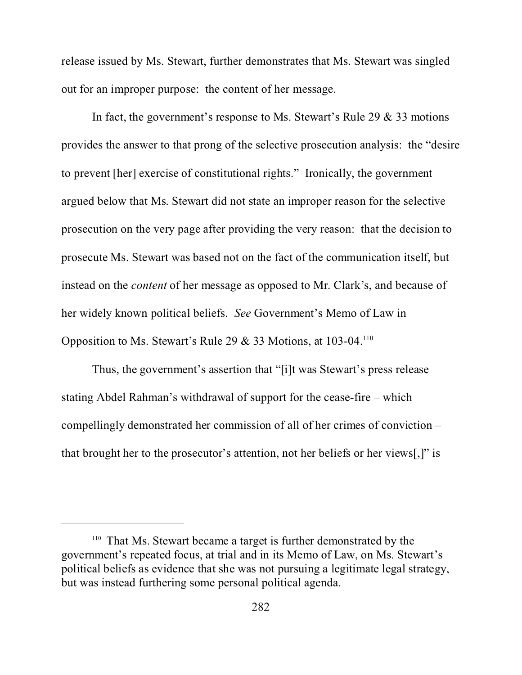release issued by Ms. Stewart, further demonstrates that Ms. Stewart was singled out for an improper purpose: the content of her message.

In fact, the government's response to Ms. Stewart's Rule 29 & 33 motions provides the answer to that prong of the selective prosecution analysis: the "desire to prevent [her] exercise of constitutional rights." Ironically, the government argued below that Ms. Stewart did not state an improper reason for the selective prosecution on the very page after providing the very reason: that the decision to prosecute Ms. Stewart was based not on the fact of the communication itself, but instead on the *content* of her message as opposed to Mr. Clark's, and because of her widely known political beliefs. *See* Government's Memo of Law in Opposition to Ms. Stewart's Rule 29 & 33 Motions, at  $103-04$ <sup>110</sup>

Thus, the government's assertion that "[i]t was Stewart's press release stating Abdel Rahman's withdrawal of support for the cease-fire – which compellingly demonstrated her commission of all of her crimes of conviction – that brought her to the prosecutor's attention, not her beliefs or her views[,]" is

<sup>&</sup>lt;sup>110</sup> That Ms. Stewart became a target is further demonstrated by the government's repeated focus, at trial and in its Memo of Law, on Ms. Stewart's political beliefs as evidence that she was not pursuing a legitimate legal strategy, but was instead furthering some personal political agenda.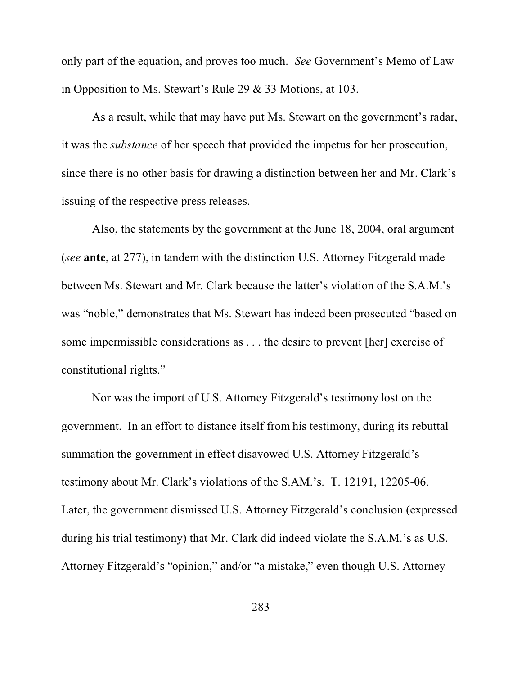only part of the equation, and proves too much. *See* Government's Memo of Law in Opposition to Ms. Stewart's Rule 29 & 33 Motions, at 103.

As a result, while that may have put Ms. Stewart on the government's radar, it was the *substance* of her speech that provided the impetus for her prosecution, since there is no other basis for drawing a distinction between her and Mr. Clark's issuing of the respective press releases.

Also, the statements by the government at the June 18, 2004, oral argument (*see* **ante**, at 277), in tandem with the distinction U.S. Attorney Fitzgerald made between Ms. Stewart and Mr. Clark because the latter's violation of the S.A.M.'s was "noble," demonstrates that Ms. Stewart has indeed been prosecuted "based on some impermissible considerations as . . . the desire to prevent [her] exercise of constitutional rights."

Nor was the import of U.S. Attorney Fitzgerald's testimony lost on the government. In an effort to distance itself from his testimony, during its rebuttal summation the government in effect disavowed U.S. Attorney Fitzgerald's testimony about Mr. Clark's violations of the S.AM.'s. T. 12191, 12205-06. Later, the government dismissed U.S. Attorney Fitzgerald's conclusion (expressed during his trial testimony) that Mr. Clark did indeed violate the S.A.M.'s as U.S. Attorney Fitzgerald's "opinion," and/or "a mistake," even though U.S. Attorney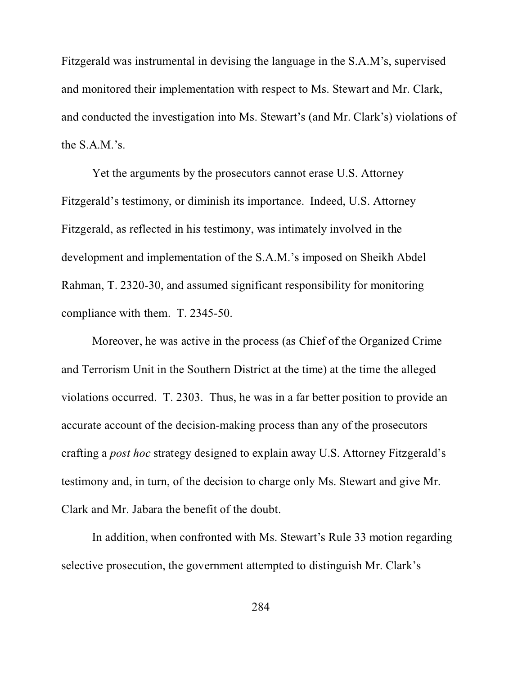Fitzgerald was instrumental in devising the language in the S.A.M's, supervised and monitored their implementation with respect to Ms. Stewart and Mr. Clark, and conducted the investigation into Ms. Stewart's (and Mr. Clark's) violations of the S.A.M.'s.

Yet the arguments by the prosecutors cannot erase U.S. Attorney Fitzgerald's testimony, or diminish its importance. Indeed, U.S. Attorney Fitzgerald, as reflected in his testimony, was intimately involved in the development and implementation of the S.A.M.'s imposed on Sheikh Abdel Rahman, T. 2320-30, and assumed significant responsibility for monitoring compliance with them. T. 2345-50.

Moreover, he was active in the process (as Chief of the Organized Crime and Terrorism Unit in the Southern District at the time) at the time the alleged violations occurred. T. 2303. Thus, he was in a far better position to provide an accurate account of the decision-making process than any of the prosecutors crafting a *post hoc* strategy designed to explain away U.S. Attorney Fitzgerald's testimony and, in turn, of the decision to charge only Ms. Stewart and give Mr. Clark and Mr. Jabara the benefit of the doubt.

In addition, when confronted with Ms. Stewart's Rule 33 motion regarding selective prosecution, the government attempted to distinguish Mr. Clark's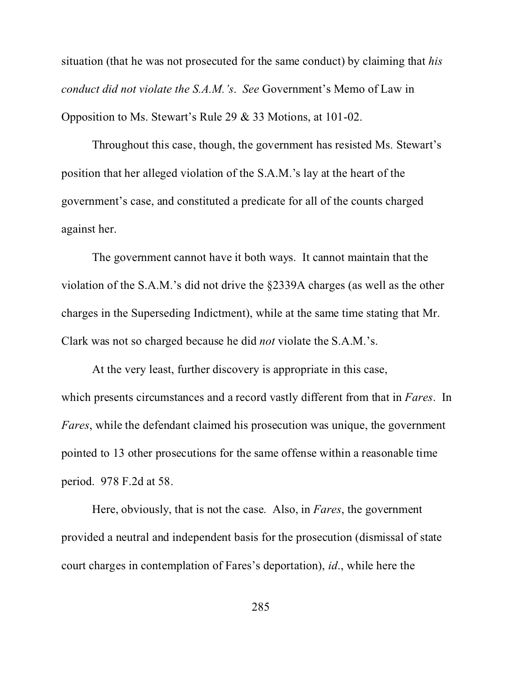situation (that he was not prosecuted for the same conduct) by claiming that *his conduct did not violate the S.A.M.'s*. *See* Government's Memo of Law in Opposition to Ms. Stewart's Rule 29 & 33 Motions, at 101-02.

Throughout this case, though, the government has resisted Ms. Stewart's position that her alleged violation of the S.A.M.'s lay at the heart of the government's case, and constituted a predicate for all of the counts charged against her.

The government cannot have it both ways. It cannot maintain that the violation of the S.A.M.'s did not drive the §2339A charges (as well as the other charges in the Superseding Indictment), while at the same time stating that Mr. Clark was not so charged because he did *not* violate the S.A.M.'s.

At the very least, further discovery is appropriate in this case, which presents circumstances and a record vastly different from that in *Fares*. In *Fares*, while the defendant claimed his prosecution was unique, the government pointed to 13 other prosecutions for the same offense within a reasonable time period. 978 F.2d at 58.

Here, obviously, that is not the case. Also, in *Fares*, the government provided a neutral and independent basis for the prosecution (dismissal of state court charges in contemplation of Fares's deportation), *id*., while here the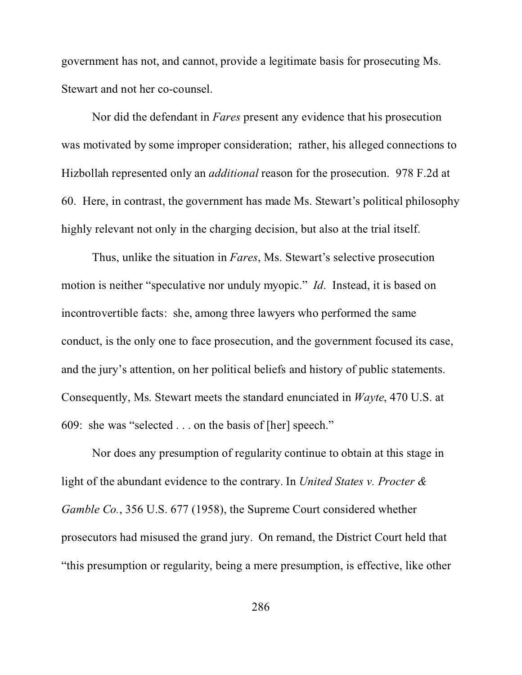government has not, and cannot, provide a legitimate basis for prosecuting Ms. Stewart and not her co-counsel.

Nor did the defendant in *Fares* present any evidence that his prosecution was motivated by some improper consideration; rather, his alleged connections to Hizbollah represented only an *additional* reason for the prosecution. 978 F.2d at 60. Here, in contrast, the government has made Ms. Stewart's political philosophy highly relevant not only in the charging decision, but also at the trial itself.

Thus, unlike the situation in *Fares*, Ms. Stewart's selective prosecution motion is neither "speculative nor unduly myopic." *Id*. Instead, it is based on incontrovertible facts: she, among three lawyers who performed the same conduct, is the only one to face prosecution, and the government focused its case, and the jury's attention, on her political beliefs and history of public statements. Consequently, Ms. Stewart meets the standard enunciated in *Wayte*, 470 U.S. at 609: she was "selected . . . on the basis of [her] speech."

Nor does any presumption of regularity continue to obtain at this stage in light of the abundant evidence to the contrary. In *United States v. Procter & Gamble Co.*, 356 U.S. 677 (1958), the Supreme Court considered whether prosecutors had misused the grand jury. On remand, the District Court held that "this presumption or regularity, being a mere presumption, is effective, like other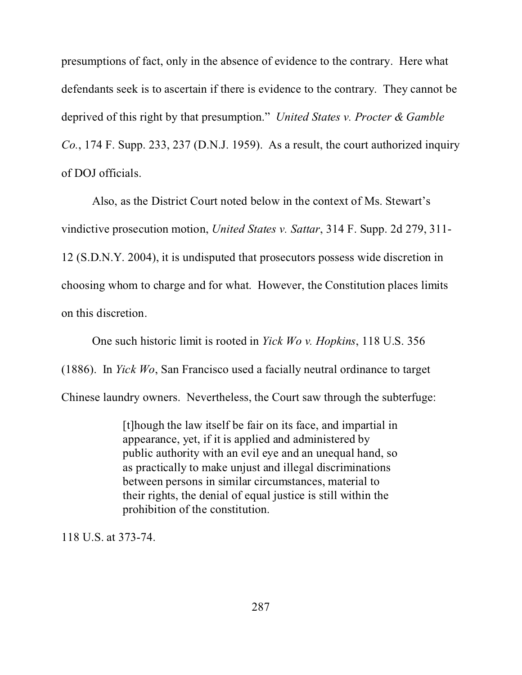presumptions of fact, only in the absence of evidence to the contrary. Here what defendants seek is to ascertain if there is evidence to the contrary. They cannot be deprived of this right by that presumption." *United States v. Procter & Gamble Co.*, 174 F. Supp. 233, 237 (D.N.J. 1959). As a result, the court authorized inquiry of DOJ officials.

Also, as the District Court noted below in the context of Ms. Stewart's vindictive prosecution motion, *United States v. Sattar*, 314 F. Supp. 2d 279, 311- 12 (S.D.N.Y. 2004), it is undisputed that prosecutors possess wide discretion in choosing whom to charge and for what. However, the Constitution places limits on this discretion.

One such historic limit is rooted in *Yick Wo v. Hopkins*, 118 U.S. 356 (1886). In *Yick Wo*, San Francisco used a facially neutral ordinance to target Chinese laundry owners. Nevertheless, the Court saw through the subterfuge:

> [t]hough the law itself be fair on its face, and impartial in appearance, yet, if it is applied and administered by public authority with an evil eye and an unequal hand, so as practically to make unjust and illegal discriminations between persons in similar circumstances, material to their rights, the denial of equal justice is still within the prohibition of the constitution.

118 U.S. at 373-74.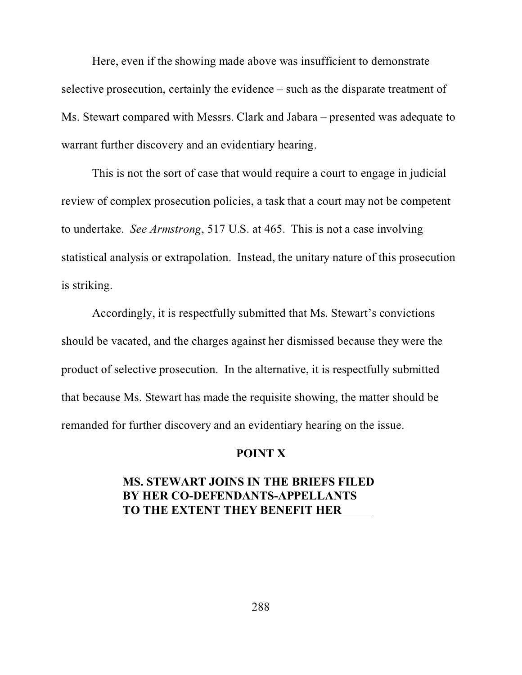Here, even if the showing made above was insufficient to demonstrate selective prosecution, certainly the evidence – such as the disparate treatment of Ms. Stewart compared with Messrs. Clark and Jabara – presented was adequate to warrant further discovery and an evidentiary hearing.

This is not the sort of case that would require a court to engage in judicial review of complex prosecution policies, a task that a court may not be competent to undertake. *See Armstrong*, 517 U.S. at 465. This is not a case involving statistical analysis or extrapolation. Instead, the unitary nature of this prosecution is striking.

Accordingly, it is respectfully submitted that Ms. Stewart's convictions should be vacated, and the charges against her dismissed because they were the product of selective prosecution. In the alternative, it is respectfully submitted that because Ms. Stewart has made the requisite showing, the matter should be remanded for further discovery and an evidentiary hearing on the issue.

## **POINT X**

## **MS. STEWART JOINS IN THE BRIEFS FILED BY HER CO-DEFENDANTS-APPELLANTS TO THE EXTENT THEY BENEFIT HER**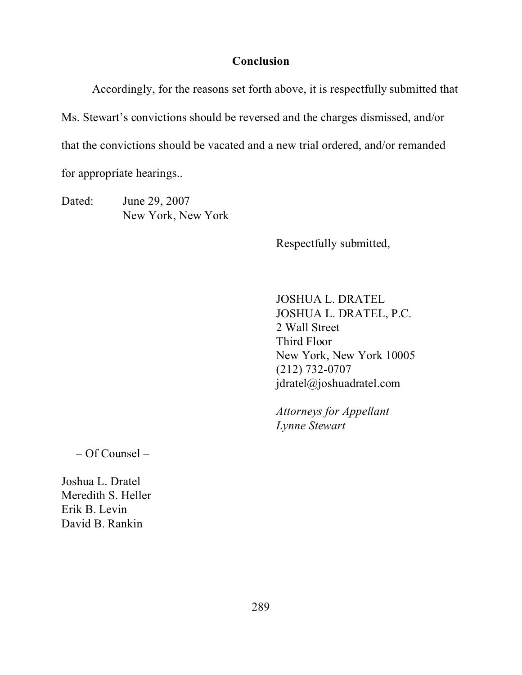## **Conclusion**

Accordingly, for the reasons set forth above, it is respectfully submitted that Ms. Stewart's convictions should be reversed and the charges dismissed, and/or that the convictions should be vacated and a new trial ordered, and/or remanded for appropriate hearings..

Dated: June 29, 2007 New York, New York

Respectfully submitted,

JOSHUA L. DRATEL JOSHUA L. DRATEL, P.C. 2 Wall Street Third Floor New York, New York 10005 (212) 732-0707 jdratel@joshuadratel.com

*Attorneys for Appellant Lynne Stewart*

– Of Counsel –

Joshua L. Dratel Meredith S. Heller Erik B. Levin David B. Rankin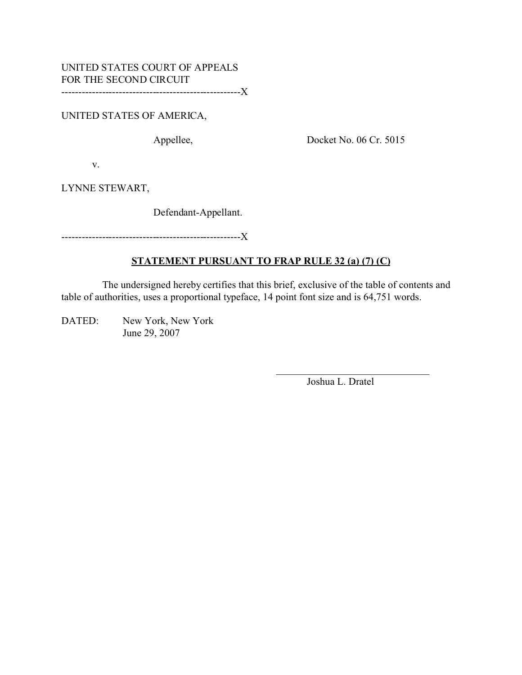UNITED STATES OF AMERICA,

Appellee, Docket No. 06 Cr. 5015

v.

LYNNE STEWART,

Defendant-Appellant.

-----------------------------------------------------X

## **STATEMENT PURSUANT TO FRAP RULE 32 (a) (7) (C)**

 The undersigned hereby certifies that this brief, exclusive of the table of contents and table of authorities, uses a proportional typeface, 14 point font size and is 64,751 words.

DATED: New York, New York June 29, 2007

Joshua L. Dratel

\_\_\_\_\_\_\_\_\_\_\_\_\_\_\_\_\_\_\_\_\_\_\_\_\_\_\_\_\_\_